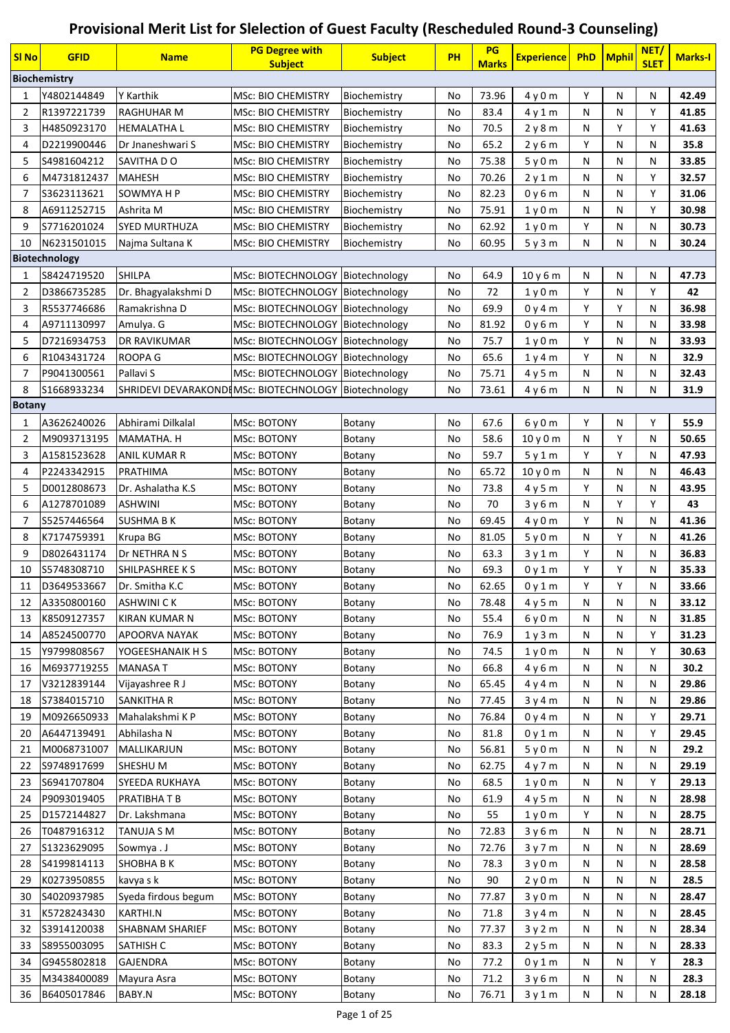## **Provisional Merit List for Slelection of Guest Faculty (Rescheduled Round-3 Counseling)**

| <b>SI No</b>  | <b>GFID</b>         | <b>Name</b>                                            | <b>PG Degree with</b><br><b>Subject</b> | <b>Subject</b> | <b>PH</b> | PG<br><b>Marks</b> | <b>Experience</b>             | <b>PhD</b> | <b>Mphil</b> | NET/<br><b>SLET</b> | <b>Marks-I</b> |
|---------------|---------------------|--------------------------------------------------------|-----------------------------------------|----------------|-----------|--------------------|-------------------------------|------------|--------------|---------------------|----------------|
|               | <b>Biochemistry</b> |                                                        |                                         |                |           |                    |                               |            |              |                     |                |
| 1             | Y4802144849         | <b>Y Karthik</b>                                       | <b>MSc: BIO CHEMISTRY</b>               | Biochemistry   | No        | 73.96              | 4y0m                          | Y          | N            | Ν                   | 42.49          |
| 2             | R1397221739         | <b>RAGHUHAR M</b>                                      | <b>MSc: BIO CHEMISTRY</b>               | Biochemistry   | No        | 83.4               | 4y1m                          | N          | N            | Υ                   | 41.85          |
| 3             | H4850923170         | <b>HEMALATHA L</b>                                     | <b>MSc: BIO CHEMISTRY</b>               | Biochemistry   | No        | 70.5               | 2y8m                          | N          | Y            | Υ                   | 41.63          |
| 4             | D2219900446         | Dr Jnaneshwari S                                       | <b>MSc: BIO CHEMISTRY</b>               | Biochemistry   | No        | 65.2               | 2y6m                          | Y          | N            | Ν                   | 35.8           |
| 5             | S4981604212         | SAVITHA DO                                             | <b>MSc: BIO CHEMISTRY</b>               | Biochemistry   | No        | 75.38              | 5y0m                          | N          | N            | N                   | 33.85          |
| 6             | M4731812437         | <b>MAHESH</b>                                          | <b>MSc: BIO CHEMISTRY</b>               | Biochemistry   | No        | 70.26              | 2y1m                          | N          | N            | Υ                   | 32.57          |
| 7             | S3623113621         | SOWMYA H P                                             | <b>MSc: BIO CHEMISTRY</b>               | Biochemistry   | No        | 82.23              | 0y6m                          | N          | N            | Υ                   | 31.06          |
| 8             | A6911252715         | Ashrita M                                              | MSc: BIO CHEMISTRY                      | Biochemistry   | No        | 75.91              | 1 <sub>y</sub> 0 <sub>m</sub> | N          | N            | Υ                   | 30.98          |
| 9             | S7716201024         | <b>SYED MURTHUZA</b>                                   | <b>MSc: BIO CHEMISTRY</b>               | Biochemistry   | No        | 62.92              | 1y0m                          | Υ          | N            | N                   | 30.73          |
| 10            | N6231501015         | Najma Sultana K                                        | <b>MSc: BIO CHEMISTRY</b>               | Biochemistry   | No        | 60.95              | 5y3m                          | N          | N            | N                   | 30.24          |
|               | Biotechnology       |                                                        |                                         |                |           |                    |                               |            |              |                     |                |
| 1             | S8424719520         | <b>SHILPA</b>                                          | MSc: BIOTECHNOLOGY   Biotechnology      |                | No        | 64.9               | 10y6m                         | N          | N            | Ν                   | 47.73          |
| 2             | D3866735285         | Dr. Bhagyalakshmi D                                    | MSc: BIOTECHNOLOGY   Biotechnology      |                | No        | 72                 | 1y0m                          | Y          | N            | Υ                   | 42             |
| 3             | R5537746686         | Ramakrishna D                                          | MSc: BIOTECHNOLOGY   Biotechnology      |                | No        | 69.9               | 0y4m                          | Υ          | Υ            | Ν                   | 36.98          |
| 4             | A9711130997         | Amulya. G                                              | MSc: BIOTECHNOLOGY Biotechnology        |                | No        | 81.92              | 0y6m                          | Υ          | N            | Ν                   | 33.98          |
| 5             | D7216934753         | <b>DR RAVIKUMAR</b>                                    | MSc: BIOTECHNOLOGY   Biotechnology      |                | No        | 75.7               | 1y0m                          | Y          | N            | Ν                   | 33.93          |
| 6             | R1043431724         | ROOPA G                                                | <b>MSc: BIOTECHNOLOGY</b>               | Biotechnology  | No        | 65.6               | 1y4m                          | Y          | N            | Ν                   | 32.9           |
| 7             | P9041300561         | Pallavi S                                              | MSc: BIOTECHNOLOGY   Biotechnology      |                | No        | 75.71              | 4y5m                          | N          | N            | N                   | 32.43          |
| 8             | S1668933234         | SHRIDEVI DEVARAKONDIMSc: BIOTECHNOLOGY   Biotechnology |                                         |                | No        | 73.61              | 4y6m                          | N          | N            | N                   | 31.9           |
| <b>Botany</b> |                     |                                                        |                                         |                |           |                    |                               |            |              |                     |                |
| 1             | A3626240026         | Abhirami Dilkalal                                      | <b>MSc: BOTONY</b>                      | Botany         | No        | 67.6               | 6y0m                          | Y          | N            | Y                   | 55.9           |
| 2             | M9093713195         | MAMATHA. H                                             | MSc: BOTONY                             | Botany         | No        | 58.6               | 10y0m                         | N          | Y            | N                   | 50.65          |
| 3             | A1581523628         | <b>ANIL KUMAR R</b>                                    | <b>MSc: BOTONY</b>                      | Botany         | No        | 59.7               | 5y1m                          | Υ          | Υ            | Ν                   | 47.93          |
| 4             | P2243342915         | PRATHIMA                                               | MSc: BOTONY                             | Botany         | No        | 65.72              | 10y0m                         | N          | N            | Ν                   | 46.43          |
| 5             | D0012808673         | Dr. Ashalatha K.S.                                     | MSc: BOTONY                             | Botany         | No        | 73.8               | 4y5m                          | Y          | N            | N                   | 43.95          |
| 6             | A1278701089         | <b>ASHWINI</b>                                         | <b>MSc: BOTONY</b>                      | Botany         | No        | 70                 | 3 y 6 m                       | N          | Y            | Υ                   | 43             |
| 7             | S5257446564         | SUSHMA B K                                             | <b>MSc: BOTONY</b>                      | Botany         | No        | 69.45              | 4y0m                          | Y          | N            | Ν                   | 41.36          |
| 8             | K7174759391         | Krupa BG                                               | <b>MSc: BOTONY</b>                      | Botany         | No        | 81.05              | 5y0m                          | N          | Y            | Ν                   | 41.26          |
| 9             | D8026431174         | Dr NETHRA N S                                          | MSc: BOTONY                             | Botany         | No        | 63.3               | 3y1m                          | Y          | N            | Ν                   | 36.83          |
| 10            | S5748308710         | <b>SHILPASHREE KS</b>                                  | MSc: BOTONY                             | Botany         | No        | 69.3               | 0y1m                          | Y          | Y            | Ν                   | 35.33          |
| 11            | D3649533667         | Dr. Smitha K.C                                         | <b>MSc: BOTONY</b>                      | Botany         | No        | 62.65              | 0y1m                          | Υ          | Y            | N                   | 33.66          |
| 12            | A3350800160         | <b>ASHWINI CK</b>                                      | <b>MSc: BOTONY</b>                      | Botany         | No        | 78.48              | 4y5m                          | N          | N            | N                   | 33.12          |
| 13            | K8509127357         | <b>KIRAN KUMAR N</b>                                   | <b>MSc: BOTONY</b>                      | Botany         | No        | 55.4               | 6 y 0 m                       | N          | N            | Ν                   | 31.85          |
| 14            | A8524500770         | <b>APOORVA NAYAK</b>                                   | <b>MSc: BOTONY</b>                      | Botany         | No        | 76.9               | 1y3m                          | N          | N            | Υ                   | 31.23          |
| 15            | Y9799808567         | YOGEESHANAIK H S                                       | <b>MSc: BOTONY</b>                      | Botany         | No        | 74.5               | 1 <sub>V</sub> 0 <sub>m</sub> | N          | N            | Υ                   | 30.63          |
| 16            | M6937719255         | <b>MANASA T</b>                                        | <b>MSc: BOTONY</b>                      | Botany         | No        | 66.8               | 4y6m                          | N          | N            | Ν                   | 30.2           |
| 17            | V3212839144         | Vijayashree R J                                        | <b>MSc: BOTONY</b>                      | Botany         | No        | 65.45              | 4y4m                          | N          | N            | Ν                   | 29.86          |
| 18            | S7384015710         | <b>SANKITHA R</b>                                      | <b>MSc: BOTONY</b>                      | Botany         | No        | 77.45              | 3y4m                          | N          | N            | Ν                   | 29.86          |
| 19            | M0926650933         | Mahalakshmi KP                                         | MSc: BOTONY                             | Botany         | No        | 76.84              | 0 y 4 m                       | Ν          | N            | Υ                   | 29.71          |
| 20            | A6447139491         | Abhilasha N                                            | MSc: BOTONY                             | Botany         | No        | 81.8               | 0y1m                          | N          | N            | Υ                   | 29.45          |
| 21            | M0068731007         | MALLIKARJUN                                            | MSc: BOTONY                             | Botany         | No        | 56.81              | 5y0m                          | N          | N            | Ν                   | 29.2           |
| 22            | S9748917699         | <b>SHESHUM</b>                                         | MSc: BOTONY                             | Botany         | No        | 62.75              | 4y7m                          | N          | N            | Ν                   | 29.19          |
| 23            | S6941707804         | <b>SYEEDA RUKHAYA</b>                                  | <b>MSc: BOTONY</b>                      | Botany         | No        | 68.5               | 1y0m                          | N          | N            | Υ                   | 29.13          |
| 24            | P9093019405         | PRATIBHA T B                                           | MSc: BOTONY                             | Botany         | No        | 61.9               | 4 y 5 m                       | N          | N            | Ν                   | 28.98          |
| 25            | D1572144827         | Dr. Lakshmana                                          | <b>MSc: BOTONY</b>                      | Botany         | No        | 55                 | 1 <sub>V</sub> 0 <sub>m</sub> | Y          | N            | Ν                   | 28.75          |
| 26            | T0487916312         | <b>TANUJA S M</b>                                      | <b>MSc: BOTONY</b>                      | Botany         | No        | 72.83              | 3y6m                          | N          | N            | Ν                   | 28.71          |
| 27            | S1323629095         | Sowmya.J                                               | MSc: BOTONY                             | Botany         | No        | 72.76              | 3y7m                          | Ν          | N            | Ν                   | 28.69          |
| 28            | S4199814113         | <b>SHOBHA B K</b>                                      | MSc: BOTONY                             | Botany         | No        | 78.3               | 3y0m                          | Ν          | N            | Ν                   | 28.58          |
| 29            | K0273950855         | kavya s k                                              | <b>MSc: BOTONY</b>                      | Botany         | No        | 90                 | 2y0m                          | N          | N            | Ν                   | 28.5           |
| 30            | S4020937985         | Syeda firdous begum                                    | MSc: BOTONY                             | Botany         | No        | 77.87              | 3y0m                          | N          | N            | Ν                   | 28.47          |
| 31            | K5728243430         | <b>KARTHI.N</b>                                        | MSc: BOTONY                             | Botany         | No        | 71.8               | 3y4m                          | N          | N            | Ν                   | 28.45          |
| 32            | S3914120038         | <b>SHABNAM SHARIEF</b>                                 | <b>MSc: BOTONY</b>                      | Botany         | No        | 77.37              | 3y2m                          | N          | N            | Ν                   | 28.34          |
| 33            | S8955003095         | <b>SATHISH C</b>                                       | MSc: BOTONY                             | Botany         | No        | 83.3               | 2y5m                          | N          | N            | Ν                   | 28.33          |
| 34            | G9455802818         | <b>GAJENDRA</b>                                        | <b>MSc: BOTONY</b>                      | Botany         | No        | 77.2               | 0y1m                          | N          | N            | Υ                   | 28.3           |
| 35            | M3438400089         | Mayura Asra                                            | MSc: BOTONY                             | Botany         | No        | 71.2               | 3y6m                          | N          | N            | Ν                   | 28.3           |
| 36            | B6405017846         | <b>BABY.N</b>                                          | <b>MSc: BOTONY</b>                      | Botany         | No        | 76.71              | 3y1m                          | N          | N            | N                   | 28.18          |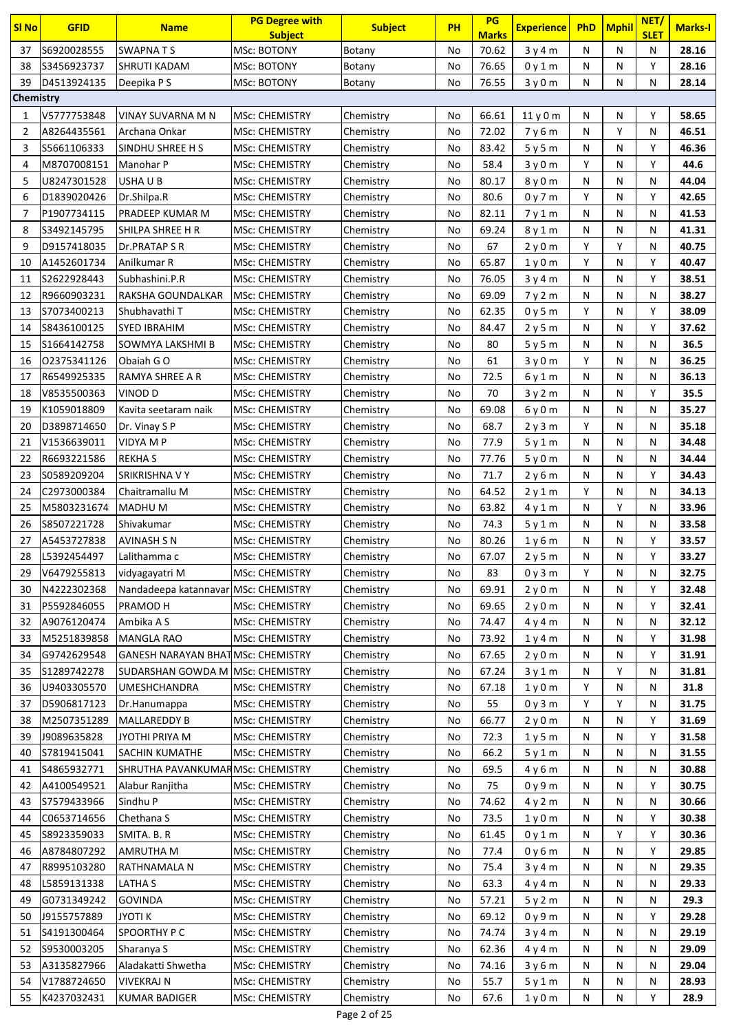| Sl No          | <b>GFID</b>                | <b>Name</b>                              | <b>PG Degree with</b><br><b>Subject</b> | <b>Subject</b>         | <b>PH</b> | <b>PG</b><br><b>Marks</b> | <b>Experience</b> | <b>PhD</b> | <b>Mphil</b> | NET/<br><b>SLET</b> | <b>Marks-I</b> |
|----------------|----------------------------|------------------------------------------|-----------------------------------------|------------------------|-----------|---------------------------|-------------------|------------|--------------|---------------------|----------------|
| 37             | S6920028555                | <b>SWAPNATS</b>                          | <b>MSc: BOTONY</b>                      | Botany                 | No        | 70.62                     | 3y4m              | N          | N            | N                   | 28.16          |
| 38             | S3456923737                | SHRUTI KADAM                             | MSc: BOTONY                             | Botany                 | No        | 76.65                     | 0 y 1 m           | N          | Ν            | Υ                   | 28.16          |
| 39             | D4513924135                | Deepika P S                              | MSc: BOTONY                             | Botany                 | No        | 76.55                     | 3y0m              | N          | N            | N                   | 28.14          |
| Chemistry      |                            |                                          |                                         |                        |           |                           |                   |            |              |                     |                |
| 1              | V5777753848                | VINAY SUVARNA M N                        | <b>MSc: CHEMISTRY</b>                   | Chemistry              | No        | 66.61                     | 11y0m             | N          | N            | Y                   | 58.65          |
| 2              | A8264435561                | Archana Onkar                            | <b>MSc: CHEMISTRY</b>                   | Chemistry              | No        | 72.02                     | 7y6m              | N          | Υ            | Ν                   | 46.51          |
| 3              | S5661106333                | SINDHU SHREE H S                         | <b>MSc: CHEMISTRY</b>                   | Chemistry              | No        | 83.42                     | 5y5m              | N          | N            | Υ                   | 46.36          |
| 4              | M8707008151                | Manohar P                                | <b>MSc: CHEMISTRY</b>                   | Chemistry              | No        | 58.4                      | 3y0m              | Y          | N            | Υ                   | 44.6           |
| 5              | U8247301528                | USHA U B                                 | <b>MSc: CHEMISTRY</b>                   | Chemistry              | No        | 80.17                     | 8y0m              | N          | N            | N                   | 44.04          |
| 6              | D1839020426                | Dr.Shilpa.R                              | <b>MSc: CHEMISTRY</b>                   | Chemistry              | No        | 80.6                      | 0y7m              | Y          | N            | Y                   | 42.65          |
| $\overline{7}$ | P1907734115                | PRADEEP KUMAR M                          | <b>MSc: CHEMISTRY</b>                   | Chemistry              | No        | 82.11                     | 7y1m              | N          | N            | N                   | 41.53          |
| 8              | S3492145795                | SHILPA SHREE H R                         | <b>MSc: CHEMISTRY</b>                   | Chemistry              | No        | 69.24                     | 8 y 1 m           | N          | N            | N                   | 41.31          |
| 9              | D9157418035                | Dr.PRATAP S R                            | <b>MSc: CHEMISTRY</b>                   | Chemistry              | No        | 67                        | 2y0m              | Y          | Υ            | Ν                   | 40.75          |
| 10             | A1452601734                | Anilkumar R                              | <b>MSc: CHEMISTRY</b>                   | Chemistry              | No        | 65.87                     | 1y0m              | Y          | N            | Y                   | 40.47          |
| 11             | S2622928443                | Subhashini.P.R                           | <b>MSc: CHEMISTRY</b>                   | Chemistry              | No        | 76.05                     | 3y4m              | N          | N            | Y                   | 38.51          |
| 12             | R9660903231                | RAKSHA GOUNDALKAR                        | <b>MSc: CHEMISTRY</b>                   | Chemistry              | No        | 69.09                     | 7y2m              | N          | N            | N                   | 38.27          |
| 13             | S7073400213                | Shubhavathi T                            | <b>MSc: CHEMISTRY</b>                   | Chemistry              | No        | 62.35                     | 0y5m              | Y          | N            | Υ                   | 38.09          |
| 14             | S8436100125                | <b>SYED IBRAHIM</b>                      | <b>MSc: CHEMISTRY</b>                   | Chemistry              | No        | 84.47                     | 2y5m              | N          | N            | Υ                   | 37.62          |
| 15             | S1664142758                | SOWMYA LAKSHMI B                         | <b>MSc: CHEMISTRY</b>                   | Chemistry              | No        | 80                        | 5y5m              | N          | N            | N                   | 36.5           |
| 16             | 02375341126                | Obaiah G O                               | MSc: CHEMISTRY                          | Chemistry              | No        | 61                        | 3y0m              | Y          | N            | Ν                   | 36.25          |
| 17             | R6549925335                | RAMYA SHREE A R                          | <b>MSc: CHEMISTRY</b>                   | Chemistry              | No        | 72.5                      | 6y1m              | N          | N            | Ν                   | 36.13          |
| 18             | V8535500363                | VINOD D                                  | <b>MSc: CHEMISTRY</b>                   | Chemistry              | No        | 70                        | 3y2m              | N          | N            | Y                   | 35.5           |
| 19             | K1059018809                | Kavita seetaram naik                     | <b>MSC: CHEMISTRY</b>                   | Chemistry              | No        | 69.08                     | 6y0m              | N          | N            | Ν                   | 35.27          |
| 20             | D3898714650                | Dr. Vinay S P                            | <b>MSc: CHEMISTRY</b>                   | Chemistry              | No        | 68.7                      | 2y3m              | Y          | N            | N                   | 35.18          |
| 21             | V1536639011                | VIDYA M P                                | <b>MSc: CHEMISTRY</b>                   | Chemistry              | No        | 77.9                      | 5y1m              | N          | N            | Ν                   | 34.48          |
| 22             | R6693221586                | <b>REKHAS</b>                            | <b>MSc: CHEMISTRY</b>                   | Chemistry              | No        | 77.76                     | 5y0m              | N          | N            | N                   | 34.44          |
| 23             | S0589209204                | SRIKRISHNA V Y                           | <b>MSc: CHEMISTRY</b>                   | Chemistry              | No        | 71.7                      | 2y6m              | N          | N            | Y                   | 34.43          |
| 24             | C2973000384                | Chaitramallu M                           | <b>MSc: CHEMISTRY</b>                   | Chemistry              | No        | 64.52                     | 2y1m              | Y          | N            | N                   | 34.13          |
| 25             | M5803231674                | MADHU M                                  | MSc: CHEMISTRY                          | Chemistry              | No        | 63.82                     | 4y1m              | N          | Υ            | Ν                   | 33.96          |
| 26             | S8507221728                | Shivakumar                               | <b>MSc: CHEMISTRY</b>                   | Chemistry              | No        | 74.3                      | 5y1m              | N          | N            | N                   | 33.58          |
| 27             | A5453727838                | AVINASH S N                              | <b>MSc: CHEMISTRY</b>                   | Chemistry              | No        | 80.26                     | 1y6m              | N          | N            | Y                   | 33.57          |
| 28             | L5392454497                | Lalithamma c                             | <b>MSc: CHEMISTRY</b>                   | Chemistry              | No        | 67.07                     | 2y5m              | N          | N            | Y                   | 33.27          |
| 29             | V6479255813                | vidyagayatri M                           | <b>MSc: CHEMISTRY</b>                   | Chemistry              | No        | 83                        | 0y3m              | Y          | N            | N                   | 32.75          |
| 30             | N4222302368                | Nandadeepa katannavar MSc: CHEMISTRY     |                                         | Chemistry              | No        | 69.91                     | 2y0m              | N          | N            | Υ                   | 32.48          |
| 31             | P5592846055                | PRAMOD H                                 | <b>MSc: CHEMISTRY</b>                   | Chemistry              | No        | 69.65                     | 2y0m              | N          | N            | Υ                   | 32.41          |
| 32             | A9076120474                | Ambika A S                               | <b>MSc: CHEMISTRY</b>                   | Chemistry              | No        | 74.47                     | 4y4m              | N          | N            | Ν                   | 32.12          |
| 33             | M5251839858                | <b>MANGLA RAO</b>                        | <b>MSc: CHEMISTRY</b>                   | Chemistry              | No        | 73.92                     | 1y4m              | N          | N            | Υ                   | 31.98          |
| 34             | G9742629548                | <b>GANESH NARAYAN BHATMSC: CHEMISTRY</b> |                                         | Chemistry              | No        | 67.65                     | 2y0m              | N          | N            | Y                   | 31.91          |
| 35             | S1289742278                | SUDARSHAN GOWDA M MSc: CHEMISTRY         |                                         | Chemistry              | No        | 67.24                     | 3y1m              | N          | Υ            | N                   | 31.81          |
| 36             | U9403305570                | <b>UMESHCHANDRA</b>                      | <b>MSc: CHEMISTRY</b>                   | Chemistry              | No        | 67.18                     | 1y0m              | Y          | N            | Ν                   | 31.8           |
| 37             | D5906817123<br>M2507351289 | Dr.Hanumappa<br>MALLAREDDY B             | <b>MSc: CHEMISTRY</b>                   | Chemistry              | No<br>No  | 55<br>66.77               | 0y3m              | Y<br>N     | Υ<br>N       | N<br>Υ              | 31.75<br>31.69 |
| 38<br>39       | J9089635828                | JYOTHI PRIYA M                           | MSc: CHEMISTRY<br><b>MSc: CHEMISTRY</b> | Chemistry<br>Chemistry | No        | 72.3                      | 2y0m<br>1y5m      | N          | N            | Υ                   | 31.58          |
| 40             | S7819415041                | SACHIN KUMATHE                           | <b>MSc: CHEMISTRY</b>                   | Chemistry              | No        | 66.2                      | 5y1m              | Ν          | N            | Ν                   | 31.55          |
| 41             | S4865932771                | SHRUTHA PAVANKUMARMSC: CHEMISTRY         |                                         | Chemistry              | No        | 69.5                      | 4y6m              | N          | N            | Ν                   | 30.88          |
| 42             | A4100549521                | Alabur Ranjitha                          | <b>MSc: CHEMISTRY</b>                   | Chemistry              | No        | 75                        | 0y9m              | N          | N            | Υ                   | 30.75          |
| 43             | S7579433966                | Sindhu P                                 | <b>MSc: CHEMISTRY</b>                   | Chemistry              | No        | 74.62                     | 4y2m              | N          | N            | Ν                   | 30.66          |
| 44             | C0653714656                | Chethana S                               | <b>MSc: CHEMISTRY</b>                   | Chemistry              | No        | 73.5                      | 1y0m              | N          | N            | Υ                   | 30.38          |
| 45             | S8923359033                | SMITA. B. R                              | <b>MSc: CHEMISTRY</b>                   | Chemistry              | No        | 61.45                     | 0y1m              | N          | Υ            | Υ                   | 30.36          |
| 46             | A8784807292                | <b>AMRUTHA M</b>                         | <b>MSc: CHEMISTRY</b>                   | Chemistry              | No        | 77.4                      | 0y6m              | N          | N            | Υ                   | 29.85          |
| 47             | R8995103280                | RATHNAMALA N                             | MSc: CHEMISTRY                          | Chemistry              | No        | 75.4                      | 3y4m              | N          | N            | N                   | 29.35          |
| 48             | L5859131338                | LATHA S                                  | <b>MSc: CHEMISTRY</b>                   | Chemistry              | No        | 63.3                      | 4y4m              | N          | N            | N                   | 29.33          |
| 49             | G0731349242                | <b>GOVINDA</b>                           | <b>MSc: CHEMISTRY</b>                   | Chemistry              | No        | 57.21                     | 5y2m              | N          | N            | N                   | 29.3           |
| 50             | J9155757889                | <b>JYOTIK</b>                            | <b>MSc: CHEMISTRY</b>                   | Chemistry              | No        | 69.12                     | 0y9m              | N          | N            | Υ                   | 29.28          |
| 51             | S4191300464                | SPOORTHY P C                             | <b>MSc: CHEMISTRY</b>                   | Chemistry              | No        | 74.74                     | 3y4m              | N          | N            | Ν                   | 29.19          |
| 52             | S9530003205                | Sharanya S                               | <b>MSc: CHEMISTRY</b>                   | Chemistry              | No        | 62.36                     | 4y4m              | N          | N            | Ν                   | 29.09          |
| 53             | A3135827966                | Aladakatti Shwetha                       | <b>MSc: CHEMISTRY</b>                   | Chemistry              | No        | 74.16                     | 3y6m              | N          | N            | Ν                   | 29.04          |
| 54             | V1788724650                | <b>VIVEKRAJ N</b>                        | <b>MSc: CHEMISTRY</b>                   | Chemistry              | No        | 55.7                      | 5y1m              | Ν          | Ν            | Ν                   | 28.93          |
| 55             | K4237032431                | <b>KUMAR BADIGER</b>                     | <b>MSc: CHEMISTRY</b>                   | Chemistry              | No        | 67.6                      | 1y0m              | N          | Ν            | Υ                   | 28.9           |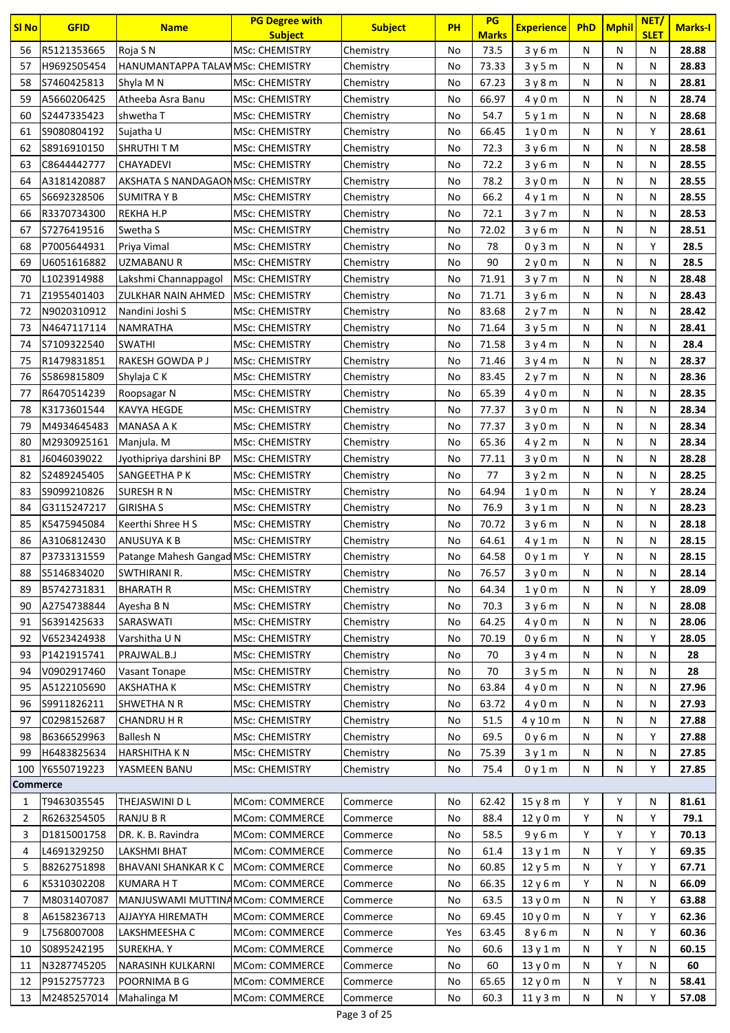| <b>SI No</b>    | <b>GFID</b> | <b>Name</b>                          | <b>PG Degree with</b>                   | <b>Subject</b>       | <b>PH</b> | PG                   | <b>Experience</b> | <b>PhD</b> | <b>Mphil</b> | NET/<br><b>SLET</b> | <b>Marks-I</b> |
|-----------------|-------------|--------------------------------------|-----------------------------------------|----------------------|-----------|----------------------|-------------------|------------|--------------|---------------------|----------------|
| 56              | R5121353665 | Roja S N                             | <b>Subject</b><br><b>MSc: CHEMISTRY</b> | Chemistry            | No        | <b>Marks</b><br>73.5 | 3y6m              | N          | N            | N                   | 28.88          |
| 57              | H9692505454 | HANUMANTAPPA TALAWMSC: CHEMISTRY     |                                         |                      |           | 73.33                |                   | N          | N            | N                   | 28.83          |
| 58              | S7460425813 |                                      |                                         | Chemistry            | No<br>No  | 67.23                | 3y5m              |            | N            |                     | 28.81          |
|                 | A5660206425 | Shyla M N                            | <b>MSc: CHEMISTRY</b>                   | Chemistry            |           | 66.97                | 3y8m              | N          |              | Ν                   | 28.74          |
| 59              |             | Atheeba Asra Banu                    | <b>MSc: CHEMISTRY</b>                   | Chemistry            | No        |                      | 4y0m              | Ν          | N            | Ν                   |                |
| 60              | S2447335423 | shwetha T                            | <b>MSc: CHEMISTRY</b>                   | Chemistry            | No        | 54.7                 | 5y1m              | N          | N            | Ν                   | 28.68          |
| 61              | S9080804192 | Sujatha U                            | <b>MSc: CHEMISTRY</b>                   | Chemistry            | No        | 66.45                | 1y0m              | N          | N            | Υ                   | 28.61          |
| 62              | S8916910150 | SHRUTHI T M                          | <b>MSc: CHEMISTRY</b>                   | Chemistry            | No        | 72.3                 | 3y6m              | N          | N            | N                   | 28.58          |
| 63              | C8644442777 | CHAYADEVI                            | <b>MSc: CHEMISTRY</b>                   | Chemistry            | No        | 72.2                 | 3y6m              | N          | N            | N                   | 28.55          |
| 64              | A3181420887 | AKSHATA S NANDAGAONMSc: CHEMISTRY    |                                         | Chemistry            | No        | 78.2                 | 3y0m              | N          | N            | N                   | 28.55          |
| 65              | S6692328506 | <b>SUMITRAY B</b>                    | <b>MSC: CHEMISTRY</b>                   | Chemistry            | No        | 66.2                 | 4y1m              | N          | N            | N                   | 28.55          |
| 66              | R3370734300 | <b>REKHA H.P</b>                     | <b>MSc: CHEMISTRY</b>                   | Chemistry            | No        | 72.1                 | 3y7m              | N          | N            | N                   | 28.53          |
| 67              | S7276419516 | Swetha S                             | <b>MSc: CHEMISTRY</b>                   | Chemistry            | No        | 72.02                | 3y6m              | N          | N            | Ν                   | 28.51          |
| 68              | P7005644931 | Priya Vimal                          | <b>MSc: CHEMISTRY</b>                   | Chemistry            | No        | 78                   | 0y3m              | N          | N            | Y                   | 28.5           |
| 69              | U6051616882 | UZMABANU R                           | <b>MSc: CHEMISTRY</b>                   | Chemistry            | No        | 90                   | 2y0m              | N          | N            | Ν                   | 28.5           |
| 70              | L1023914988 | Lakshmi Channappagol                 | <b>MSc: CHEMISTRY</b>                   | Chemistry            | No        | 71.91                | 3y7m              | N          | N            | Ν                   | 28.48          |
| 71              | Z1955401403 | ZULKHAR NAIN AHMED                   | <b>MSc: CHEMISTRY</b>                   | Chemistry            | No        | 71.71                | 3y6m              | N          | N            | N                   | 28.43          |
| 72              | N9020310912 | Nandini Joshi S                      | <b>MSc: CHEMISTRY</b>                   | Chemistry            | No        | 83.68                | 2y7m              | N          | N            | N                   | 28.42          |
| 73              | N4647117114 | <b>NAMRATHA</b>                      | <b>MSc: CHEMISTRY</b>                   | Chemistry            | No        | 71.64                | 3y5m              | N          | N            | N                   | 28.41          |
| 74              | S7109322540 | <b>SWATHI</b>                        | <b>MSc: CHEMISTRY</b>                   | Chemistry            | No        | 71.58                | 3y4m              | N          | N            | N                   | 28.4           |
| 75              | R1479831851 | RAKESH GOWDA P J                     | <b>MSc: CHEMISTRY</b>                   | Chemistry            | No        | 71.46                | 3y4m              | N          | N            | N                   | 28.37          |
| 76              | S5869815809 | Shylaja C K                          | <b>MSc: CHEMISTRY</b>                   | Chemistry            | No        | 83.45                | 2y7m              | N          | N            | N                   | 28.36          |
| 77              | R6470514239 | Roopsagar N                          | <b>MSc: CHEMISTRY</b>                   | Chemistry            | No        | 65.39                | 4y0m              | N          | N            | Ν                   | 28.35          |
| 78              | K3173601544 | KAVYA HEGDE                          | <b>MSC: CHEMISTRY</b>                   | Chemistry            | No        | 77.37                | 3y0m              | Ν          | N            | Ν                   | 28.34          |
| 79              | M4934645483 | MANASA A K                           | <b>MSc: CHEMISTRY</b>                   | Chemistry            | No        | 77.37                | 3y0m              | N          | N            | N                   | 28.34          |
| 80              | M2930925161 | Manjula. M                           | <b>MSc: CHEMISTRY</b>                   | Chemistry            | No        | 65.36                | 4y2m              | N          | Ν            | N                   | 28.34          |
| 81              | J6046039022 | Jyothipriya darshini BP              | <b>MSc: CHEMISTRY</b>                   | Chemistry            | No        | 77.11                | 3y0m              | N          | N            | Ν                   | 28.28          |
| 82              | S2489245405 | SANGEETHA P K                        | <b>MSc: CHEMISTRY</b>                   | Chemistry            | No        | 77                   | 3y2m              | N          | N            | Ν                   | 28.25          |
| 83              | S9099210826 | SURESH R N                           | <b>MSc: CHEMISTRY</b>                   | Chemistry            | No        | 64.94                | 1y0m              | N          | N            | Y                   | 28.24          |
| 84              | G3115247217 | <b>GIRISHA S</b>                     | <b>MSc: CHEMISTRY</b>                   | Chemistry            | No        | 76.9                 | 3y1m              | N          | N            | N                   | 28.23          |
| 85              | K5475945084 | Keerthi Shree H S                    | <b>MSc: CHEMISTRY</b>                   | Chemistry            | No        | 70.72                | 3y6m              | N          | N            | N                   | 28.18          |
| 86              | A3106812430 | ANUSUYA K B                          | <b>MSc: CHEMISTRY</b>                   | Chemistry            | No        | 64.61                | 4y1m              | N          | N            | Ν                   | 28.15          |
| 87              | P3733131559 | Patange Mahesh Gangad MSc: CHEMISTRY |                                         | Chemistry            | No        | 64.58                | 0y1m              | Y          | N            | N                   | 28.15          |
| 88              | S5146834020 | SWTHIRANI R.                         | <b>MSc: CHEMISTRY</b>                   | Chemistry            | No        | 76.57                | 3y0m              | N          | N            | Ν                   | 28.14          |
| 89              | B5742731831 | <b>BHARATH R</b>                     | MSc: CHEMISTRY                          | Chemistry            | No        | 64.34                | 1y0m              | Ν          | Ν            | Υ                   | 28.09          |
| 90              | A2754738844 | Ayesha B N                           | <b>MSc: CHEMISTRY</b>                   | Chemistry            | No        | 70.3                 | 3y6m              | N          | N            | Ν                   | 28.08          |
| 91              | S6391425633 | SARASWATI                            | <b>MSc: CHEMISTRY</b>                   | Chemistry            | No        | 64.25                | 4y0m              | N          | N            | Ν                   | 28.06          |
| 92              | V6523424938 | Varshitha U N                        | <b>MSc: CHEMISTRY</b>                   | Chemistry            | No        | 70.19                | 0y6m              | N          | N            | Υ                   | 28.05          |
| 93              | P1421915741 | PRAJWAL.B.J                          | <b>MSc: CHEMISTRY</b>                   | Chemistry            | No        | 70                   | 3y4m              | N          | N            | Ν                   | 28             |
| 94              | V0902917460 | <b>Vasant Tonape</b>                 | <b>MSc: CHEMISTRY</b>                   | Chemistry            | No        | 70                   | 3y5m              | N          | N            | N                   | 28             |
| 95              | A5122105690 | <b>AKSHATHAK</b>                     | <b>MSc: CHEMISTRY</b>                   | Chemistry            | No        | 63.84                | 4y0m              | N          | N            | Ν                   | 27.96          |
| 96              | S9911826211 | <b>SHWETHANR</b>                     | <b>MSc: CHEMISTRY</b>                   | Chemistry            | No        | 63.72                | 4y0m              | Ν          | N            | Ν                   | 27.93          |
| 97              | C0298152687 | <b>CHANDRU H R</b>                   | <b>MSc: CHEMISTRY</b>                   | Chemistry            | No        | 51.5                 | 4y10m             | Ν          | N            | Ν                   | 27.88          |
| 98              | B6366529963 | <b>Ballesh N</b>                     | <b>MSc: CHEMISTRY</b>                   | Chemistry            | No        | 69.5                 | 0y6m              | Ν          | N            | Υ                   | 27.88          |
| 99              | H6483825634 | <b>HARSHITHA KN</b>                  | <b>MSc: CHEMISTRY</b>                   | Chemistry            | No        | 75.39                | 3y1m              | Ν          | N            | Ν                   | 27.85          |
| 100             | Y6550719223 | YASMEEN BANU                         | <b>MSc: CHEMISTRY</b>                   | Chemistry            | No        | 75.4                 | 0y1m              | Ν          | N            | Y                   | 27.85          |
| <b>Commerce</b> |             |                                      |                                         |                      |           |                      |                   |            |              |                     |                |
| 1               | T9463035545 | THEJASWINI D L                       | <b>MCom: COMMERCE</b>                   | Commerce             | No        | 62.42                | 15 y 8 m          | Y          | Υ            | Ν                   | 81.61          |
| 2               | R6263254505 | <b>RANJU B R</b>                     | MCom: COMMERCE                          | Commerce             | No        | 88.4                 | 12y0m             | Y          | N            | Υ                   | 79.1           |
| 3               | D1815001758 | DR. K. B. Ravindra                   | MCom: COMMERCE                          | Commerce             | No        | 58.5                 | 9y6m              | Υ          | Υ            | Υ                   | 70.13          |
| 4               | L4691329250 | LAKSHMI BHAT                         | MCom: COMMERCE                          | Commerce             | No        | 61.4                 | 13y1m             | N          | Υ            | Y                   | 69.35          |
| 5               | B8262751898 | <b>BHAVANI SHANKAR K C</b>           | MCom: COMMERCE                          | Commerce             | No        | 60.85                | 12y5m             | Ν          | Υ            | Υ                   | 67.71          |
| 6               | K5310302208 | <b>KUMARA HT</b>                     | MCom: COMMERCE                          | Commerce             | No        | 66.35                | 12 y 6 m          | Y          | N            | Ν                   | 66.09          |
| 7               | M8031407087 | MANJUSWAMI MUTTINAMCom: COMMERCE     |                                         | Commerce             | No        | 63.5                 | 13 y 0 m          | Ν          | N            | Υ                   | 63.88          |
| 8               | A6158236713 | AJJAYYA HIREMATH                     | MCom: COMMERCE                          | Commerce             | No        | 69.45                | 10y0m             | Ν          | Y            | Υ                   | 62.36          |
| 9               | L7568007008 | LAKSHMEESHA C                        | MCom: COMMERCE                          | Commerce             | Yes       | 63.45                | 8y6m              | N          | N            | Υ                   | 60.36          |
|                 | S0895242195 | <b>SUREKHA.Y</b>                     | MCom: COMMERCE                          |                      |           | 60.6                 |                   | N          | Υ            | Ν                   | 60.15          |
| 10              | N3287745205 | NARASINH KULKARNI                    | MCom: COMMERCE                          | Commerce             | No<br>No  | 60                   | 13y1m             | N          | Υ            | Ν                   | 60             |
| 11<br>12        | P9152757723 | POORNIMA B G                         | MCom: COMMERCE                          | Commerce<br>Commerce |           | 65.65                | 13 y 0 m          |            | Υ            |                     | 58.41          |
|                 |             |                                      | <b>MCom: COMMERCE</b>                   |                      | No        |                      | 12 y 0 m          | N          |              | Ν<br>Y              |                |
| 13              | M2485257014 | Mahalinga M                          |                                         | Commerce             | No        | 60.3                 | 11y3m             | Ν          | N            |                     | 57.08          |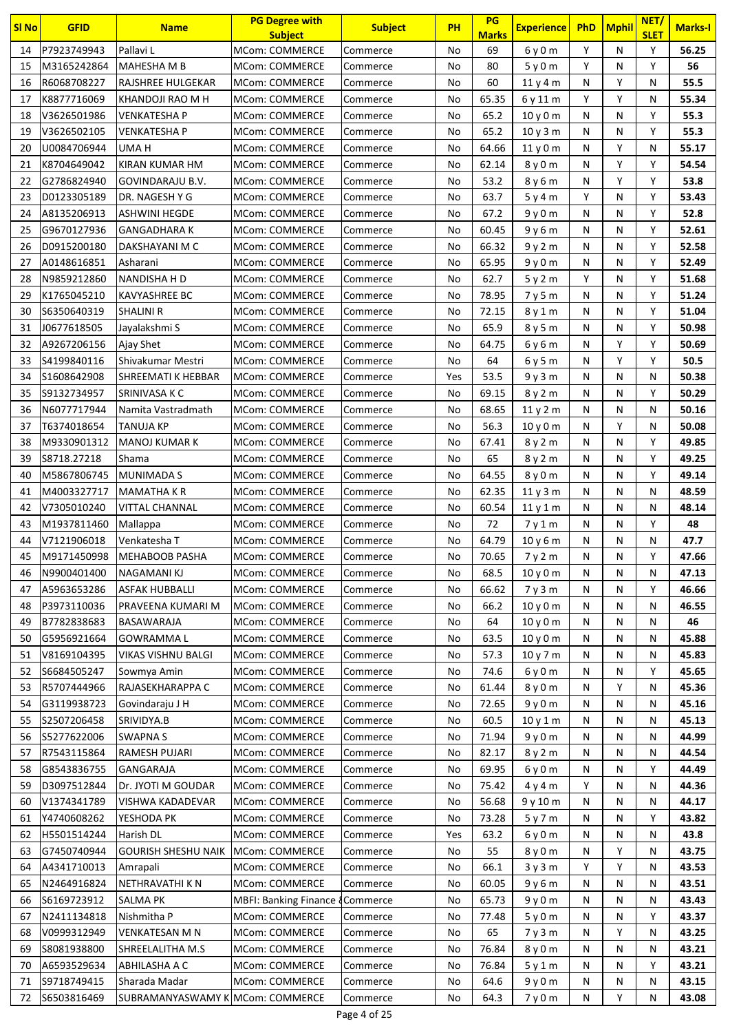| <b>SI No</b> | <b>GFID</b>                | <b>Name</b>                             | <b>PG Degree with</b>                   | <b>Subject</b>   | <b>PH</b> | PG<br><b>Marks</b> | <b>Experience</b> | PhD    | <b>Mphil</b> | NET/<br><b>SLET</b> | <b>Marks-I</b> |
|--------------|----------------------------|-----------------------------------------|-----------------------------------------|------------------|-----------|--------------------|-------------------|--------|--------------|---------------------|----------------|
| 14           | P7923749943                | Pallavi L                               | <b>Subject</b><br><b>MCom: COMMERCE</b> | Commerce         | No        | 69                 | 6 y 0 m           | Υ      | ${\sf N}$    | Υ                   | 56.25          |
| 15           | M3165242864                | MAHESHA M B                             | <b>MCom: COMMERCE</b>                   |                  | No        | 80                 |                   | Y      | N            | Y                   | 56             |
| 16           | R6068708227                | <b>RAJSHREE HULGEKAR</b>                | <b>MCom: COMMERCE</b>                   | Commerce         |           | 60                 | 5y0m              | N      | Υ            | N                   | 55.5           |
|              | K8877716069                |                                         | <b>MCom: COMMERCE</b>                   | Commerce         | No        | 65.35              | 11y4m             | Y      | Y            |                     | 55.34          |
| 17<br>18     | V3626501986                | KHANDOJI RAO M H<br><b>VENKATESHA P</b> | <b>MCom: COMMERCE</b>                   | Commerce         | No        | 65.2               | 6y11m             | N      | N            | N<br>Υ              | 55.3           |
|              |                            |                                         |                                         | Commerce         | No        |                    | 10y0m             | N      | N            | Y                   | 55.3           |
| 19<br>20     | V3626502105<br>U0084706944 | <b>VENKATESHA P</b><br>UMA H            | <b>MCom: COMMERCE</b><br>MCom: COMMERCE | Commerce         | No        | 65.2<br>64.66      | 10y3m             | N      | Y            | N                   | 55.17          |
| 21           | K8704649042                | KIRAN KUMAR HM                          |                                         | Commerce         | No        |                    | 11y0m             | N      | Y            | Y                   |                |
| 22           | G2786824940                |                                         | <b>MCom: COMMERCE</b>                   | Commerce         | No        | 62.14              | 8y0m              | N      | Υ            | Υ                   | 54.54<br>53.8  |
|              |                            | GOVINDARAJU B.V.                        | <b>MCom: COMMERCE</b>                   | Commerce         | No        | 53.2<br>63.7       | 8y6m              | Y      | ${\sf N}$    | Y                   |                |
| 23           | D0123305189                | DR. NAGESH Y G                          | MCom: COMMERCE                          | Commerce         | No        | 67.2               | 5y4m              |        | ${\sf N}$    | Y                   | 53.43<br>52.8  |
| 24           | A8135206913                | <b>ASHWINI HEGDE</b>                    | <b>MCom: COMMERCE</b>                   | Commerce         | No        |                    | 9y0m              | N      |              | Υ                   |                |
| 25           | G9670127936                | <b>GANGADHARA K</b>                     | <b>MCom: COMMERCE</b>                   | Commerce         | No        | 60.45              | 9y6m              | N      | N            |                     | 52.61          |
| 26<br>27     | D0915200180                | DAKSHAYANI M C                          | MCom: COMMERCE<br><b>MCom: COMMERCE</b> | Commerce         | No        | 66.32              | 9y2m              | N      | N            | Y<br>Y              | 52.58<br>52.49 |
|              | A0148616851                | Asharani                                |                                         | Commerce         | No        | 65.95              | 9y0m              | N<br>Y | N            | Υ                   |                |
| 28           | N9859212860                | NANDISHA H D                            | <b>MCom: COMMERCE</b>                   | Commerce         | No        | 62.7               | 5y2m              |        | N            | Y                   | 51.68          |
| 29           | K1765045210                | <b>KAVYASHREE BC</b>                    | MCom: COMMERCE                          | Commerce         | No        | 78.95              | 7y5m              | N      | N            |                     | 51.24          |
| 30           | S6350640319                | <b>SHALINI R</b>                        | <b>MCom: COMMERCE</b>                   | Commerce         | No        | 72.15              | 8y1m              | N      | ${\sf N}$    | Y                   | 51.04          |
| 31           | J0677618505                | Jayalakshmi S                           | <b>MCom: COMMERCE</b>                   | Commerce         | No        | 65.9               | 8y5m              | N      | N            | Υ                   | 50.98          |
| 32           | A9267206156                | Ajay Shet                               | MCom: COMMERCE                          | Commerce         | No        | 64.75              | 6y6m              | N      | Y            | Y                   | 50.69          |
| 33           | S4199840116                | Shivakumar Mestri                       | MCom: COMMERCE                          | Commerce         | No        | 64                 | 6y5m              | N      | Y            | Y                   | 50.5           |
| 34           | S1608642908                | SHREEMATI K HEBBAR                      | <b>MCom: COMMERCE</b>                   | Commerce         | Yes       | 53.5               | 9 y 3 m           | N      | ${\sf N}$    | N                   | 50.38          |
| 35           | S9132734957                | SRINIVASA K C                           | <b>MCom: COMMERCE</b>                   | Commerce         | No        | 69.15              | 8y2m              | N      | N            | Υ                   | 50.29          |
| 36           | N6077717944                | Namita Vastradmath                      | MCom: COMMERCE                          | Commerce         | No        | 68.65              | 11y2m             | N      | ${\sf N}$    | N                   | 50.16          |
| 37           | T6374018654                | <b>TANUJA KP</b>                        | MCom: COMMERCE                          | Commerce         | No        | 56.3               | 10y0m             | N      | Y            | N                   | 50.08          |
| 38           | M9330901312                | <b>MANOJ KUMAR K</b>                    | MCom: COMMERCE                          | Commerce         | No        | 67.41              | 8y2m              | N      | N            | Y                   | 49.85          |
| 39           | S8718.27218                | Shama                                   | <b>MCom: COMMERCE</b>                   | Commerce         | No        | 65                 | 8y2m              | N      | ${\sf N}$    | Y                   | 49.25          |
| 40           | M5867806745                | MUNIMADA S                              | MCom: COMMERCE                          | Commerce         | No        | 64.55              | 8 y 0 m           | N      | ${\sf N}$    | Y                   | 49.14          |
| 41           | M4003327717                | <b>MAMATHAKR</b>                        | MCom: COMMERCE                          | Commerce         | No        | 62.35              | 11y3m             | N      | ${\sf N}$    | N                   | 48.59          |
| 42           | V7305010240                | <b>VITTAL CHANNAL</b>                   | <b>MCom: COMMERCE</b>                   | Commerce         | No        | 60.54              | 11y1m             | N      | ${\sf N}$    | N                   | 48.14          |
| 43           | M1937811460                | Mallappa                                | <b>MCom: COMMERCE</b>                   | Commerce         | No        | 72                 | 7y1m              | N      | ${\sf N}$    | Υ                   | 48             |
| 44           | V7121906018                | Venkatesha T                            | <b>MCom: COMMERCE</b>                   | Commerce         | No        | 64.79              | 10 y 6 m          | N      | ${\sf N}$    | N                   | 47.7           |
| 45           | M9171450998                | <b>MEHABOOB PASHA</b>                   | MCom: COMMERCE                          | Commerce         | No        | 70.65              | 7 y 2 m           | N      | N            | Y                   | 47.66          |
| 46           | N9900401400                | NAGAMANI KJ                             | <b>MCom: COMMERCE</b>                   | Commerce         | No        | 68.5               | 10y0m             | N      | N            | N                   | 47.13          |
| 47           | A5963653286                | <b>ASFAK HUBBALLI</b>                   | MCom: COMMERCE                          | Commerce         | No        | 66.62              | 7y3m              | N      | N            | Υ                   | 46.66          |
| 48           | P3973110036                | PRAVEENA KUMARI M                       | MCom: COMMERCE                          | Commerce         | No        | 66.2               | 10y0m             | N      | N            | N                   | 46.55          |
| 49           | B7782838683                | BASAWARAJA                              | <b>MCom: COMMERCE</b>                   | Commerce         | No        | 64                 | 10y0m             | N      | N            | N                   | 46             |
| 50           | G5956921664                | <b>GOWRAMMAL</b>                        | MCom: COMMERCE                          | Commerce         | No        | 63.5               | 10y0m             | Ν      | N            | N                   | 45.88          |
| 51           | V8169104395                | VIKAS VISHNU BALGI                      | MCom: COMMERCE                          | Commerce         | No        | 57.3               | 10y7m             | N      | N            | N                   | 45.83          |
| 52           | S6684505247                | Sowmya Amin                             | <b>MCom: COMMERCE</b>                   | Commerce         | No        | 74.6               | 6y0m              | N      | Ν            | Υ                   | 45.65          |
| 53           | R5707444966                | RAJASEKHARAPPA C                        | <b>MCom: COMMERCE</b>                   | Commerce         | No        | 61.44              | 8 y 0 m           | N      | Y            | N                   | 45.36          |
| 54           | G3119938723                | Govindaraju J H                         | <b>MCom: COMMERCE</b>                   | Commerce         | No        | 72.65              | 9y0m              | N      | ${\sf N}$    | N                   | 45.16          |
| 55           | S2507206458                | SRIVIDYA.B                              | <b>MCom: COMMERCE</b>                   | Commerce         | No        | 60.5               | 10y1m             | N      | N            | N                   | 45.13          |
| 56           | S5277622006                | <b>SWAPNAS</b>                          | MCom: COMMERCE                          | Commerce         | No        | 71.94              | 9y0m              | N      | N            | N                   | 44.99          |
| 57           | R7543115864                | RAMESH PUJARI                           | MCom: COMMERCE                          | Commerce         | No        | 82.17              | 8y2m              | N      | N            | N                   | 44.54          |
| 58           | G8543836755                | GANGARAJA                               | MCom: COMMERCE                          | Commerce         | No        | 69.95              | 6 y 0 m           | N      | N            | Υ                   | 44.49          |
| 59           | D3097512844                | Dr. JYOTI M GOUDAR                      | MCom: COMMERCE                          | Commerce         | No        | 75.42              | 4 y 4 m           | Υ      | N            | N                   | 44.36          |
| 60           | V1374341789                | VISHWA KADADEVAR                        | MCom: COMMERCE                          | Commerce         | No        | 56.68              | 9 y 10 m          | N      | N            | N                   | 44.17          |
| 61           | Y4740608262                | YESHODA PK                              | MCom: COMMERCE                          | Commerce         | No        | 73.28              | 5y7m              | N      | N            | Y                   | 43.82          |
| 62           | H5501514244                | Harish DL                               | <b>MCom: COMMERCE</b>                   | Commerce         | Yes       | 63.2               | 6y0m              | N      | N            | N                   | 43.8           |
| 63           | G7450740944                | <b>GOURISH SHESHU NAIK</b>              | MCom: COMMERCE                          | Commerce         | No        | 55                 | 8 y 0 m           | N      | Y            | N                   | 43.75          |
| 64           | A4341710013                | Amrapali                                | MCom: COMMERCE                          | Commerce         | No        | 66.1               | 3y3m              | Y      | Y            | N                   | 43.53          |
| 65           | N2464916824                | NETHRAVATHI K N                         | MCom: COMMERCE                          | Commerce         | No        | 60.05              | 9y6m              | N      | N            | N                   | 43.51          |
| 66           | S6169723912                | SALMA PK                                | <b>MBFI: Banking Finance</b>            | <b>{Commerce</b> | No        | 65.73              | 9y0m              | N      | N            | N                   | 43.43          |
| 67           | N2411134818                | Nishmitha P                             | MCom: COMMERCE                          | Commerce         | No        | 77.48              | 5y0m              | Ν      | N            | Υ                   | 43.37          |
| 68           | V0999312949                | <b>VENKATESAN M N</b>                   | MCom: COMMERCE                          | Commerce         | No        | 65                 | 7y3m              | N      | Y            | N                   | 43.25          |
| 69           | S8081938800                | SHREELALITHA M.S                        | MCom: COMMERCE                          | Commerce         | No        | 76.84              | 8 y 0 m           | Ν      | N            | N                   | 43.21          |
| 70           | A6593529634                | ABHILASHA A C                           | MCom: COMMERCE                          | Commerce         | No        | 76.84              | 5y1m              | N      | N            | Υ                   | 43.21          |
| 71           | S9718749415                | Sharada Madar                           | MCom: COMMERCE                          | Commerce         | No        | 64.6               | 9y0m              | Ν      | N            | N                   | 43.15          |
| 72           | S6503816469                | SUBRAMANYASWAMY K MCom: COMMERCE        |                                         | Commerce         | No        | 64.3               | 7y0m              | N      | Y            | N                   | 43.08          |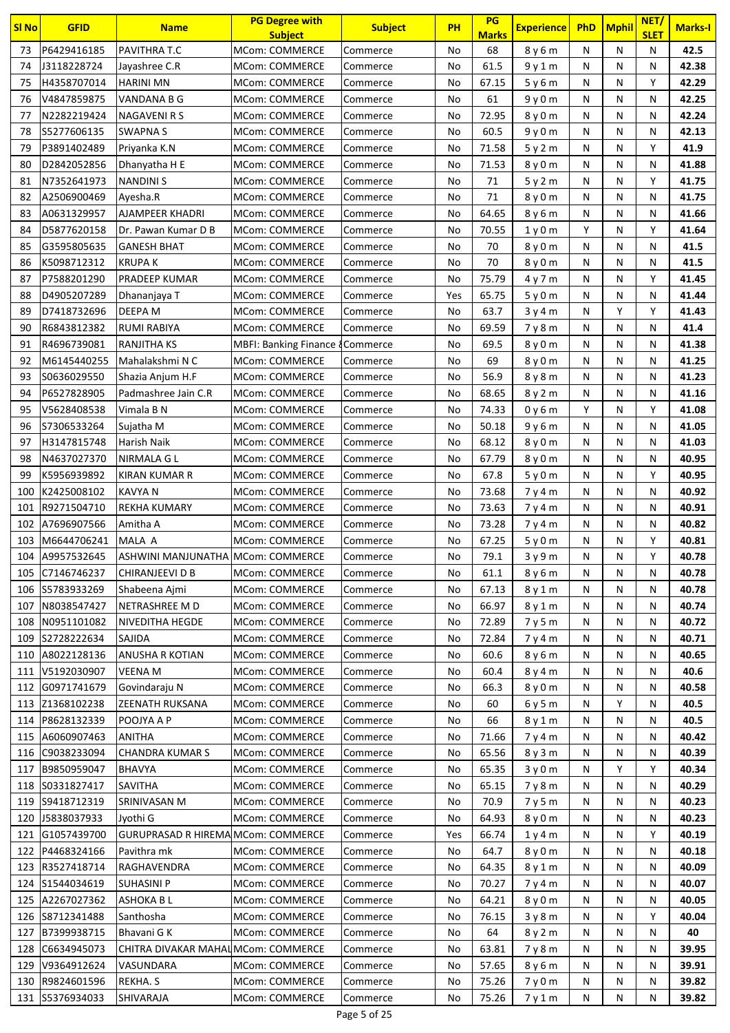| <b>SI No</b> | <b>GFID</b>     | <b>Name</b>                               | <b>PG Degree with</b><br><b>Subject</b>     | <b>Subject</b> | <b>PH</b> | PG<br><b>Marks</b> | <b>Experience</b>             | <b>PhD</b> | <b>Mphil</b> | NET/<br><b>SLET</b> | <b>Marks-I</b> |
|--------------|-----------------|-------------------------------------------|---------------------------------------------|----------------|-----------|--------------------|-------------------------------|------------|--------------|---------------------|----------------|
| 73           | P6429416185     | PAVITHRA T.C                              | MCom: COMMERCE                              | Commerce       | No        | 68                 | 8 y 6 m                       | N          | N            | N                   | 42.5           |
| 74           | J3118228724     | Jayashree C.R                             | <b>MCom: COMMERCE</b>                       | Commerce       | No        | 61.5               | 9 y 1 m                       | N          | N            | N                   | 42.38          |
| 75           | H4358707014     | <b>HARINI MN</b>                          | MCom: COMMERCE                              | Commerce       | No        | 67.15              | 5y6m                          | N          | N            | Y                   | 42.29          |
| 76           | V4847859875     | VANDANA B G                               | <b>MCom: COMMERCE</b>                       | Commerce       | No        | 61                 | 9y0m                          | N          | N            | N                   | 42.25          |
| 77           | N2282219424     | NAGAVENI R S                              | <b>MCom: COMMERCE</b>                       | Commerce       | No        | 72.95              | 8y0m                          | N          | N            | N                   | 42.24          |
| 78           | S5277606135     | <b>SWAPNAS</b>                            | <b>MCom: COMMERCE</b>                       | Commerce       | No        | 60.5               | 9y0m                          | N          | N            | N                   | 42.13          |
| 79           | P3891402489     | Priyanka K.N                              | MCom: COMMERCE                              | Commerce       | No        | 71.58              | 5y2m                          | N          | N            | Υ                   | 41.9           |
| 80           | D2842052856     | Dhanyatha H E                             | <b>MCom: COMMERCE</b>                       | Commerce       | No        | 71.53              | 8y0m                          | N          | N            | N                   | 41.88          |
| 81           | N7352641973     | <b>NANDINIS</b>                           | <b>MCom: COMMERCE</b>                       | Commerce       | No        | 71                 | 5y2m                          | N          | N            | Y                   | 41.75          |
| 82           | A2506900469     | Ayesha.R                                  | <b>MCom: COMMERCE</b>                       | Commerce       | No        | 71                 | 8 y 0 m                       | N          | N            | N                   | 41.75          |
| 83           | A0631329957     | AJAMPEER KHADRI                           | <b>MCom: COMMERCE</b>                       | Commerce       | No        | 64.65              | 8 y 6 m                       | N          | N            | N                   | 41.66          |
| 84           | D5877620158     | Dr. Pawan Kumar D B                       | MCom: COMMERCE                              | Commerce       | No        | 70.55              | 1 <sub>y</sub> 0 <sub>m</sub> | Y          | N            | Υ                   | 41.64          |
| 85           | G3595805635     | <b>GANESH BHAT</b>                        | <b>MCom: COMMERCE</b>                       | Commerce       | No        | 70                 | 8 y 0 m                       | N          | N            | N                   | 41.5           |
| 86           | K5098712312     | <b>KRUPAK</b>                             | <b>MCom: COMMERCE</b>                       | Commerce       | No        | 70                 | 8y0m                          | N          | N            | N                   | 41.5           |
| 87           | P7588201290     | <b>PRADEEP KUMAR</b>                      | <b>MCom: COMMERCE</b>                       | Commerce       | No        | 75.79              | 4v7m                          | N          | N            | Y                   | 41.45          |
| 88           | D4905207289     | Dhananjaya T                              | MCom: COMMERCE                              | Commerce       | Yes       | 65.75              | 5y0m                          | N          | N            | N                   | 41.44          |
| 89           | D7418732696     | DEEPA M                                   | <b>MCom: COMMERCE</b>                       | Commerce       | No        | 63.7               | 3y4m                          | N          | Υ            | Υ                   | 41.43          |
| 90           | R6843812382     | <b>RUMI RABIYA</b>                        | MCom: COMMERCE                              | Commerce       | No        | 69.59              | 7y8m                          | N          | N            | N                   | 41.4           |
| 91           | R4696739081     | <b>RANJITHA KS</b>                        | <b>MBFI: Banking Finance &amp; Commerce</b> |                | No        | 69.5               | 8y0m                          | N          | N            | N                   | 41.38          |
| 92           | M6145440255     | Mahalakshmi N C                           | <b>MCom: COMMERCE</b>                       | Commerce       | No        | 69                 | 8y0m                          | N          | N            | N                   | 41.25          |
| 93           | S0636029550     | Shazia Anjum H.F                          | MCom: COMMERCE                              | Commerce       | No        | 56.9               | 8 y 8 m                       | N          | N            | Ν                   | 41.23          |
| 94           | P6527828905     | Padmashree Jain C.R                       | <b>MCom: COMMERCE</b>                       | Commerce       | No        | 68.65              | 8y2m                          | N          | N            | Ν                   | 41.16          |
| 95           | V5628408538     | Vimala B N                                | <b>MCom: COMMERCE</b>                       | Commerce       | No        | 74.33              | 0 y 6 m                       | Y          | N            | Y                   | 41.08          |
| 96           | \$7306533264    | Sujatha M                                 | MCom: COMMERCE                              | Commerce       | No        | 50.18              | 9y6m                          | N          | N            | N                   | 41.05          |
| 97           | H3147815748     | Harish Naik                               | <b>MCom: COMMERCE</b>                       | Commerce       | No        | 68.12              | 8y0m                          | N          | N            | N                   | 41.03          |
| 98           | N4637027370     | NIRMALA G L                               | <b>MCom: COMMERCE</b>                       | Commerce       | No        | 67.79              | 8y0m                          | N          | N            | Ν                   | 40.95          |
| 99           | K5956939892     | KIRAN KUMAR R                             | <b>MCom: COMMERCE</b>                       | Commerce       | No        | 67.8               | 5y0m                          | N          | N            | Y                   | 40.95          |
| 100          | K2425008102     | <b>KAVYAN</b>                             | <b>MCom: COMMERCE</b>                       | Commerce       | No        | 73.68              | 7y4m                          | N          | N            | N                   | 40.92          |
| 101          | R9271504710     | <b>REKHA KUMARY</b>                       | MCom: COMMERCE                              | Commerce       | No        | 73.63              | 7y4m                          | N          | N            | N                   | 40.91          |
| 102          | A7696907566     | Amitha A                                  | MCom: COMMERCE                              | Commerce       | No        | 73.28              | 7y4m                          | N          | N            | Ν                   | 40.82          |
| 103          | M6644706241     | MALA A                                    | <b>MCom: COMMERCE</b>                       | Commerce       | No        | 67.25              | 5y0m                          | N          | N            | Υ                   | 40.81          |
| 104          | A9957532645     | ASHWINI MANJUNATHA MCom: COMMERCE         |                                             | Commerce       | No        | 79.1               | 3y9m                          | N          | N            | Y                   | 40.78          |
| 105          | C7146746237     | CHIRANJEEVI D B                           | <b>MCom: COMMERCE</b>                       | Commerce       | No        | 61.1               | 8 y 6 m                       | N          | N            | Ν                   | 40.78          |
| 106          | S5783933269     | Shabeena Ajmi                             | MCom: COMMERCE                              | Commerce       | No        | 67.13              | 8 y 1 m                       | N          | N            | N                   | 40.78          |
| 107          | N8038547427     | NETRASHREE M D                            | <b>MCom: COMMERCE</b>                       | Commerce       | No        | 66.97              | 8y1m                          | N          | N            | Ν                   | 40.74          |
| 108          | N0951101082     | <b>NIVEDITHA HEGDE</b>                    | MCom: COMMERCE                              | Commerce       | No        | 72.89              | 7 y 5 m                       | N          | N            | N                   | 40.72          |
| 109          | S2728222634     | SAJIDA                                    | MCom: COMMERCE                              | Commerce       | No        | 72.84              | 7y4m                          | N          | N            | N                   | 40.71          |
| 110          | A8022128136     | ANUSHA R KOTIAN                           | MCom: COMMERCE                              | Commerce       | No        | 60.6               | 8y6m                          | N          | N            | N                   | 40.65          |
| 111          | V5192030907     | <b>VEENA M</b>                            | MCom: COMMERCE                              | Commerce       | No        | 60.4               | 8 y 4 m                       | N          | N            | Ν                   | 40.6           |
| 112          | G0971741679     | Govindaraju N                             | MCom: COMMERCE                              | Commerce       | No        | 66.3               | 8y0m                          | N          | N            | N                   | 40.58          |
|              | 113 Z1368102238 | <b>ZEENATH RUKSANA</b>                    | MCom: COMMERCE                              | Commerce       | No        | 60                 | 6y5m                          | N          | Y            | N                   | 40.5           |
| 114          | P8628132339     | POOJYA A P                                | MCom: COMMERCE                              | Commerce       | No        | 66                 | 8y1m                          | N          | N            | N                   | 40.5           |
| 115          | A6060907463     | <b>ANITHA</b>                             | MCom: COMMERCE                              | Commerce       | No        | 71.66              | 7y4m                          | N          | N            | N                   | 40.42          |
| 116          | C9038233094     | <b>CHANDRA KUMAR S</b>                    | MCom: COMMERCE                              | Commerce       | No        | 65.56              | 8y3m                          | N          | N            | Ν                   | 40.39          |
| 117          | B9850959047     | <b>BHAVYA</b>                             | MCom: COMMERCE                              | Commerce       | No        | 65.35              | 3y0m                          | N          | Y            | Υ                   | 40.34          |
| 118          | S0331827417     | <b>SAVITHA</b>                            | MCom: COMMERCE                              | Commerce       | No        | 65.15              | 7y8m                          | N          | N            | N                   | 40.29          |
| 119          | S9418712319     | SRINIVASAN M                              | MCom: COMMERCE                              | Commerce       | No        | 70.9               | 7y5m                          | N          | N            | N                   | 40.23          |
| 120          | J5838037933     | Jyothi G                                  | MCom: COMMERCE                              | Commerce       | No        | 64.93              | 8 y 0 m                       | N          | N            | Ν                   | 40.23          |
| 121          | G1057439700     | <b>GURUPRASAD R HIREMA MCom: COMMERCE</b> |                                             | Commerce       | Yes       | 66.74              | 1y4m                          | N          | N            | Y                   | 40.19          |
| 122          | P4468324166     | Pavithra mk                               | MCom: COMMERCE                              | Commerce       | No        | 64.7               | 8 y 0 m                       | N          | N            | N                   | 40.18          |
| 123          | R3527418714     | RAGHAVENDRA                               | MCom: COMMERCE                              | Commerce       | No        | 64.35              | 8y1m                          | N          | N            | N                   | 40.09          |
| 124          | S1544034619     | <b>SUHASINI P</b>                         | MCom: COMMERCE                              | Commerce       | No        | 70.27              | 7y4m                          | N          | N            | N                   | 40.07          |
| 125          | A2267027362     | <b>ASHOKA BL</b>                          | <b>MCom: COMMERCE</b>                       | Commerce       | No        | 64.21              | 8 y 0 m                       | N          | N            | Ν                   | 40.05          |
| 126          | S8712341488     | Santhosha                                 | MCom: COMMERCE                              | Commerce       | No        | 76.15              | 3y8m                          | N          | N            | Υ                   | 40.04          |
| 127          | B7399938715     | Bhavani G K                               | MCom: COMMERCE                              | Commerce       | No        | 64                 | 8y2m                          | N          | N            | N                   | 40             |
| 128          | C6634945073     | CHITRA DIVAKAR MAHALMCom: COMMERCE        |                                             | Commerce       | No        | 63.81              | 7y8m                          | N          | N            | N                   | 39.95          |
| 129          | V9364912624     | VASUNDARA                                 | MCom: COMMERCE                              | Commerce       | No        | 57.65              | 8v6m                          | N          | N            | N                   | 39.91          |
| 130          | R9824601596     | REKHA. S                                  | MCom: COMMERCE                              | Commerce       | No        | 75.26              | 7 <sub>V</sub> 0 <sub>m</sub> | N          | N            | Ν                   | 39.82          |
|              | 131 S5376934033 | SHIVARAJA                                 | MCom: COMMERCE                              | Commerce       | No        | 75.26              | 7 y 1 m                       | N          | N            | Ν                   | 39.82          |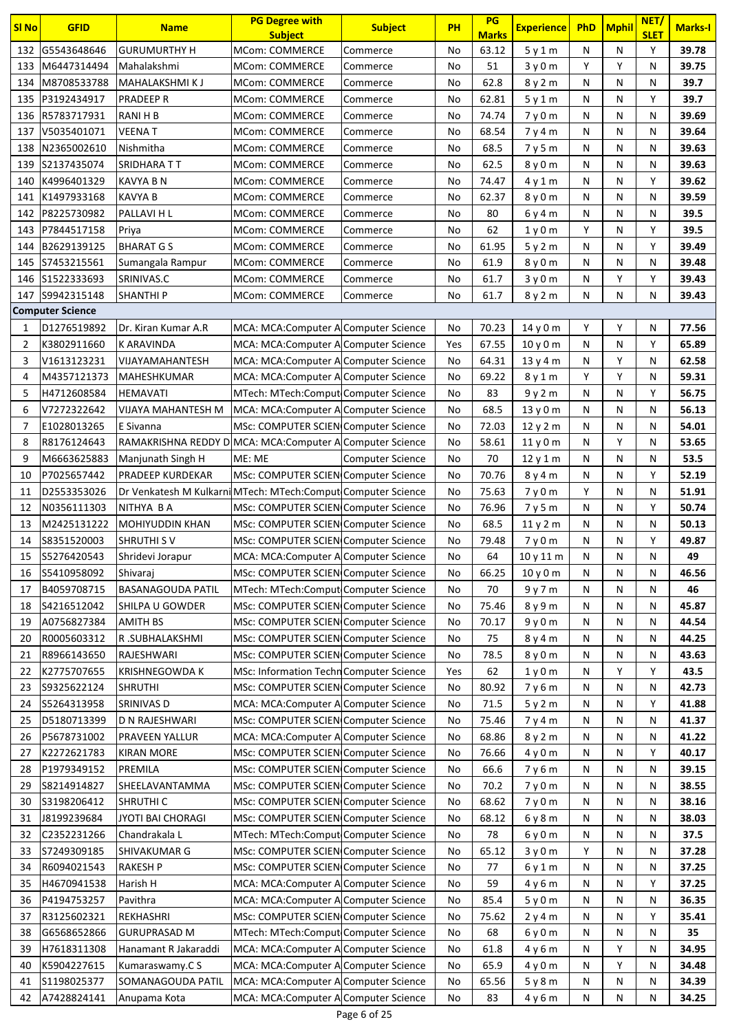| <b>SI No</b>   | <b>GFID</b>             | <b>Name</b>                                                   | <b>PG Degree with</b>                       | <b>Subject</b>          | <b>PH</b> | PG<br><b>Marks</b> | <b>Experience</b>              | PhD | <b>Mphil</b> | NET/<br><b>SLET</b> | <b>Marks-I</b> |
|----------------|-------------------------|---------------------------------------------------------------|---------------------------------------------|-------------------------|-----------|--------------------|--------------------------------|-----|--------------|---------------------|----------------|
| 132            | G5543648646             | <b>GURUMURTHY H</b>                                           | <b>Subject</b><br><b>MCom: COMMERCE</b>     |                         | No        | 63.12              |                                | N   | ${\sf N}$    | Υ                   | 39.78          |
|                | M6447314494             |                                                               |                                             | Commerce                |           |                    | 5y1m                           | Y   | Y            |                     |                |
| 133            |                         | Mahalakshmi                                                   | <b>MCom: COMMERCE</b>                       | Commerce                | No        | 51                 | 3y0m                           |     |              | N                   | 39.75          |
| 134            | M8708533788             | MAHALAKSHMI K J                                               | <b>MCom: COMMERCE</b>                       | Commerce                | No        | 62.8               | 8y2m                           | N   | N            | N                   | 39.7           |
| 135            | P3192434917             | <b>PRADEEP R</b>                                              | <b>MCom: COMMERCE</b>                       | Commerce                | No        | 62.81              | 5y1m                           | N   | ${\sf N}$    | Y                   | 39.7           |
| 136            | R5783717931             | RANI H B                                                      | <b>MCom: COMMERCE</b>                       | Commerce                | No        | 74.74              | 7y0m                           | N   | N            | N                   | 39.69          |
| 137            | V5035401071             | <b>VEENAT</b>                                                 | <b>MCom: COMMERCE</b>                       | Commerce                | No        | 68.54              | 7y4m                           | N   | N            | N                   | 39.64          |
| 138            | N2365002610             | Nishmitha                                                     | <b>MCom: COMMERCE</b>                       | Commerce                | No        | 68.5               | 7y5m                           | N   | N            | N                   | 39.63          |
| 139            | S2137435074             | SRIDHARA TT                                                   | <b>MCom: COMMERCE</b>                       | Commerce                | No        | 62.5               | 8y0m                           | N   | ${\sf N}$    | N                   | 39.63          |
| 140            | K4996401329             | <b>KAVYA B N</b>                                              | <b>MCom: COMMERCE</b>                       | Commerce                | No        | 74.47              | 4y1m                           | N   | N            | Υ                   | 39.62          |
| 141            | K1497933168             | <b>KAVYA B</b>                                                | <b>MCom: COMMERCE</b>                       | Commerce                | No        | 62.37              | 8 y 0 m                        | N   | ${\sf N}$    | N                   | 39.59          |
| 142            | P8225730982             | PALLAVI H L                                                   | <b>MCom: COMMERCE</b>                       | Commerce                | No        | 80                 | 6 y 4 m                        | N   | ${\sf N}$    | N                   | 39.5           |
| 143            | P7844517158             | Priya                                                         | <b>MCom: COMMERCE</b>                       | Commerce                | No        | 62                 | 1y0m                           | Y   | N            | Y                   | 39.5           |
| 144            | B2629139125             | <b>BHARAT GS</b>                                              | <b>MCom: COMMERCE</b>                       | Commerce                | No        | 61.95              | 5y2m                           | N   | N            | Y                   | 39.49          |
| 145            | S7453215561             | Sumangala Rampur                                              | <b>MCom: COMMERCE</b>                       | Commerce                | No        | 61.9               | 8y0m                           | N   | N            | N                   | 39.48          |
| 146            | S1522333693             | SRINIVAS.C                                                    | <b>MCom: COMMERCE</b>                       | Commerce                | No        | 61.7               | 3y0m                           | N   | Y            | Υ                   | 39.43          |
| 147            | S9942315148             | <b>SHANTHIP</b>                                               | MCom: COMMERCE                              | Commerce                | No        | 61.7               | 8y2m                           | N   | N            | N                   | 39.43          |
|                | <b>Computer Science</b> |                                                               |                                             |                         |           |                    |                                |     |              |                     |                |
| 1              | D1276519892             | Dr. Kiran Kumar A.R                                           | MCA: MCA: Computer A Computer Science       |                         | No        | 70.23              | 14 y 0 m                       | Y   | Υ            | N                   | 77.56          |
| $\overline{2}$ | K3802911660             | K ARAVINDA                                                    | MCA: MCA: Computer A Computer Science       |                         | Yes       | 67.55              | 10y0m                          | N   | ${\sf N}$    | Y                   | 65.89          |
| 3              | V1613123231             | VIJAYAMAHANTESH                                               | MCA: MCA: Computer A Computer Science       |                         | No        | 64.31              | 13y4m                          | N   | Y            | N                   | 62.58          |
| 4              | M4357121373             | MAHESHKUMAR                                                   | MCA: MCA: Computer A Computer Science       |                         | No        | 69.22              | 8 y 1 m                        | Y   | Υ            | N                   | 59.31          |
| 5              | H4712608584             | <b>HEMAVATI</b>                                               | MTech: MTech:Comput Computer Science        |                         | No        | 83                 | 9y2m                           | N   | N            | Υ                   | 56.75          |
| 6              | V7272322642             | VIJAYA MAHANTESH M                                            | MCA: MCA:Computer A Computer Science        |                         | No        | 68.5               | 13y0m                          | N   | ${\sf N}$    | N                   | 56.13          |
| 7              | E1028013265             | E Sivanna                                                     | MSc: COMPUTER SCIEN Computer Science        |                         | No        | 72.03              | 12y2m                          | N   | ${\sf N}$    | N                   | 54.01          |
| 8              | R8176124643             | RAMAKRISHNA REDDY D MCA: MCA: Computer A Computer Science     |                                             |                         | No        | 58.61              | 11y0m                          | N   | Y            | N                   | 53.65          |
| 9              | M6663625883             | Manjunath Singh H                                             | ME: ME                                      | <b>Computer Science</b> | No        | 70                 | 12y1m                          | N   | ${\sf N}$    | N                   | 53.5           |
| 10             | P7025657442             | <b>PRADEEP KURDEKAR</b>                                       | MSc: COMPUTER SCIEN Computer Science        |                         | No        | 70.76              | 8y4m                           | N   | ${\sf N}$    | Y                   | 52.19          |
| 11             | D2553353026             | Dr Venkatesh M Kulkarni MTech: MTech: Comput Computer Science |                                             |                         | No        | 75.63              | 7y0m                           | Y   | ${\sf N}$    | N                   | 51.91          |
| 12             | N0356111303             | NITHYA B A                                                    | MSc: COMPUTER SCIEN Computer Science        |                         | No        | 76.96              | 7y5m                           | N   | ${\sf N}$    | Y                   | 50.74          |
| 13             | M2425131222             | <b>MOHIYUDDIN KHAN</b>                                        | <b>MSc: COMPUTER SCIEN Computer Science</b> |                         | No        | 68.5               | 11y2m                          | N   | ${\sf N}$    | N                   | 50.13          |
| 14             | S8351520003             | <b>SHRUTHI SV</b>                                             | MSc: COMPUTER SCIEN Computer Science        |                         | No        | 79.48              | 7y0m                           | N   | ${\sf N}$    | Υ                   | 49.87          |
| 15             | S5276420543             | Shridevi Jorapur                                              | MCA: MCA:Computer A Computer Science        |                         | No        | 64                 | 10 y 11 m                      | N   | N            | N                   | 49             |
| 16             | S5410958092             | Shivaraj                                                      | MSc: COMPUTER SCIEN Computer Science        |                         | No        | 66.25              | 10 <sub>V</sub> 0 <sub>m</sub> | N   | N            | N                   | 46.56          |
| 17             | B4059708715             | <b>BASANAGOUDA PATIL</b>                                      | MTech: MTech:Comput Computer Science        |                         | No        | 70                 | 9y7m                           | N   | N            | N                   | 46             |
| 18             | S4216512042             | SHILPA U GOWDER                                               | MSc: COMPUTER SCIEN Computer Science        |                         | No        | 75.46              | 8 y 9 m                        | N   | N            | N                   | 45.87          |
| 19             | A0756827384             | <b>AMITH BS</b>                                               | MSc: COMPUTER SCIEN Computer Science        |                         | No        | 70.17              | 9y0m                           | N   | N            | N                   | 44.54          |
| 20             | R0005603312             | R.SUBHALAKSHMI                                                | MSc: COMPUTER SCIEN Computer Science        |                         | No        | 75                 |                                | Ν   | N            | N                   | 44.25          |
|                |                         | RAJESHWARI                                                    |                                             |                         |           |                    | 8y4m                           |     | N            |                     |                |
| 21             | R8966143650             |                                                               | MSc: COMPUTER SCIEN Computer Science        |                         | No        | 78.5               | 8y0m                           | N   |              | N                   | 43.63          |
| 22             | K2775707655             | <b>KRISHNEGOWDA K</b>                                         | MSc: Information Techn Computer Science     |                         | Yes       | 62                 | 1 <sub>y</sub> 0 <sub>m</sub>  | N   | Υ            | Y                   | 43.5           |
| 23             | S9325622124             | <b>SHRUTHI</b>                                                | MSc: COMPUTER SCIEN Computer Science        |                         | No        | 80.92              | 7y6m                           | N   | N            | N                   | 42.73          |
| 24             | S5264313958             | SRINIVAS D                                                    | MCA: MCA: Computer A Computer Science       |                         | No        | 71.5               | 5y2m                           | N   | N            | Y                   | 41.88          |
| 25             | D5180713399             | D N RAJESHWARI                                                | MSc: COMPUTER SCIEN Computer Science        |                         | No        | 75.46              | 7y4m                           | N   | ${\sf N}$    | N                   | 41.37          |
| 26             | P5678731002             | PRAVEEN YALLUR                                                | MCA: MCA:Computer A Computer Science        |                         | No        | 68.86              | 8 y 2 m                        | N   | N            | N                   | 41.22          |
| 27             | K2272621783             | <b>KIRAN MORE</b>                                             | MSc: COMPUTER SCIEN Computer Science        |                         | No        | 76.66              | 4y0m                           | N   | N            | Υ                   | 40.17          |
| 28             | P1979349152             | PREMILA                                                       | MSc: COMPUTER SCIEN Computer Science        |                         | No        | 66.6               | 7y6m                           | N   | N            | N                   | 39.15          |
| 29             | S8214914827             | SHEELAVANTAMMA                                                | MSc: COMPUTER SCIEN Computer Science        |                         | No        | 70.2               | 7y0m                           | Ν   | N            | N                   | 38.55          |
| 30             | S3198206412             | <b>SHRUTHI C</b>                                              | MSc: COMPUTER SCIEN Computer Science        |                         | No        | 68.62              | 7y0m                           | N   | ${\sf N}$    | N                   | 38.16          |
| 31             | J8199239684             | JYOTI BAI CHORAGI                                             | MSc: COMPUTER SCIEN Computer Science        |                         | No        | 68.12              | 6 y 8 m                        | N   | N            | N                   | 38.03          |
| 32             | C2352231266             | Chandrakala L                                                 | MTech: MTech:Comput Computer Science        |                         | No        | 78                 | 6y0m                           | N   | N            | N                   | 37.5           |
| 33             | S7249309185             | SHIVAKUMAR G                                                  | MSc: COMPUTER SCIEN Computer Science        |                         | No        | 65.12              | 3y0m                           | Υ   | N            | N                   | 37.28          |
| 34             | R6094021543             | <b>RAKESH P</b>                                               | MSc: COMPUTER SCIEN Computer Science        |                         | No        | 77                 | 6y1m                           | N   | N            | N                   | 37.25          |
| 35             | H4670941538             | Harish H                                                      | MCA: MCA:Computer A Computer Science        |                         | No        | 59                 | 4y6m                           | N   | N            | Υ                   | 37.25          |
| 36             | P4194753257             | Pavithra                                                      | MCA: MCA:Computer A Computer Science        |                         | No        | 85.4               | 5y0m                           | Ν   | N            | N                   | 36.35          |
| 37             | R3125602321             | REKHASHRI                                                     | MSc: COMPUTER SCIEN Computer Science        |                         | No        | 75.62              | 2y4m                           | N   | N            | Υ                   | 35.41          |
| 38             | G6568652866             | <b>GURUPRASAD M</b>                                           | MTech: MTech:Comput Computer Science        |                         | No        | 68                 | 6y0m                           | Ν   | N            | N                   | 35             |
| 39             | H7618311308             | Hanamant R Jakaraddi                                          | MCA: MCA: Computer A Computer Science       |                         | No        | 61.8               | 4y6m                           | Ν   | Y            | N                   | 34.95          |
| 40             | K5904227615             | Kumaraswamy.C S                                               | MCA: MCA: Computer A Computer Science       |                         | No        | 65.9               | 4 y 0 m                        | N   | Y            | N                   | 34.48          |
| 41             | S1198025377             | SOMANAGOUDA PATIL                                             | MCA: MCA:Computer A Computer Science        |                         | No        | 65.56              | 5y8m                           | N   | N            | N                   | 34.39          |
| 42             | A7428824141             | Anupama Kota                                                  | MCA: MCA:Computer A Computer Science        |                         | No        | 83                 | 4y6m                           | N   | N            | N                   | 34.25          |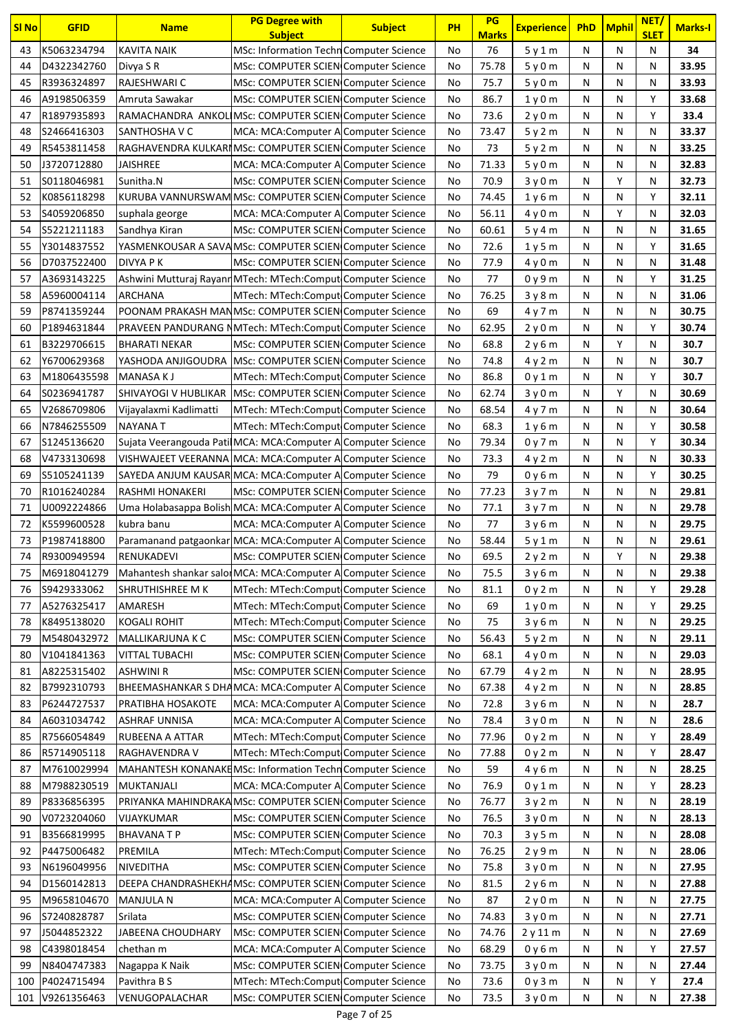| <b>SI No</b> | <b>GFID</b>                | <b>Name</b>                                                   | <b>PG Degree with</b><br><b>Subject</b>                                      | <b>Subject</b> | <b>PH</b> | PG<br><b>Marks</b> | <b>Experience</b> | <b>PhD</b> | <b>Mphil</b> | NET/<br><b>SLET</b> | <b>Marks-I</b> |
|--------------|----------------------------|---------------------------------------------------------------|------------------------------------------------------------------------------|----------------|-----------|--------------------|-------------------|------------|--------------|---------------------|----------------|
| 43           | K5063234794                | <b>KAVITA NAIK</b>                                            | <b>MSc: Information Techn Computer Science</b>                               |                | No        | 76                 | 5y1m              | N          | N            | N                   | 34             |
| 44           | D4322342760                | Divya S R                                                     | MSc: COMPUTER SCIEN Computer Science                                         |                | No        | 75.78              | 5y0m              | N          | N            | N                   | 33.95          |
| 45           | R3936324897                | RAJESHWARI C                                                  | MSc: COMPUTER SCIEN Computer Science                                         |                | No        | 75.7               | 5y0m              | N          | N            | N                   | 33.93          |
| 46           | A9198506359                | Amruta Sawakar                                                | MSc: COMPUTER SCIEN Computer Science                                         |                | No        | 86.7               | 1y0m              | N          | N            | Y                   | 33.68          |
| 47           | R1897935893                | RAMACHANDRA ANKOLIMSc: COMPUTER SCIEN Computer Science        |                                                                              |                | No        | 73.6               | 2y0m              | N          | N            | Y                   | 33.4           |
| 48           | S2466416303                | SANTHOSHA V C                                                 | MCA: MCA: Computer A Computer Science                                        |                | No        | 73.47              | 5y2m              | N          | N            | N                   | 33.37          |
| 49           | R5453811458                | RAGHAVENDRA KULKARIMSc: COMPUTER SCIEN Computer Science       |                                                                              |                | No        | 73                 | 5y2m              | N          | N            | N                   | 33.25          |
| 50           | J3720712880                | <b>JAISHREE</b>                                               | MCA: MCA:Computer A Computer Science                                         |                | No        | 71.33              | 5y0m              | N          | N            | Ν                   | 32.83          |
| 51           | S0118046981                | Sunitha.N                                                     | MSc: COMPUTER SCIEN Computer Science                                         |                | No        | 70.9               | 3y0m              | N          | Y            | Ν                   | 32.73          |
| 52           | K0856118298                | KURUBA VANNURSWAM MSc: COMPUTER SCIEN Computer Science        |                                                                              |                | No        | 74.45              | 1y6m              | N          | N            | Υ                   | 32.11          |
| 53           | S4059206850                | suphala george                                                | MCA: MCA:Computer A Computer Science                                         |                | No        | 56.11              | 4y0m              | N          | Υ            | N                   | 32.03          |
| 54           | S5221211183                | Sandhya Kiran                                                 | MSc: COMPUTER SCIEN Computer Science                                         |                | No        | 60.61              | 5y4m              | N          | N            | N                   | 31.65          |
| 55           | Y3014837552                | YASMENKOUSAR A SAVAMSC: COMPUTER SCIEN Computer Science       |                                                                              |                | No        | 72.6               | 1y5m              | N          | N            | Y                   | 31.65          |
| 56           | D7037522400                | DIVYA P K                                                     | MSc: COMPUTER SCIEN Computer Science                                         |                | No        | 77.9               | 4y0m              | N          | N            | N                   | 31.48          |
| 57           | A3693143225                | Ashwini Mutturaj Rayann MTech: MTech: Comput Computer Science |                                                                              |                | No        | 77                 | 0 y 9 m           | N          | N            | Υ                   | 31.25          |
| 58           | A5960004114                | ARCHANA                                                       | MTech: MTech:Comput Computer Science                                         |                | No        | 76.25              | 3y8m              | N          | N            | N                   | 31.06          |
| 59           | P8741359244                | POONAM PRAKASH MANMSC: COMPUTER SCIEN Computer Science        |                                                                              |                | No        | 69                 | 4 y 7 m           | N          | N            | N                   | 30.75          |
| 60           | P1894631844                | PRAVEEN PANDURANG NMTech: MTech:Comput Computer Science       |                                                                              |                | No        | 62.95              | 2y0m              | N          | N            | Υ                   | 30.74          |
| 61           | B3229706615                | <b>BHARATI NEKAR</b>                                          | MSc: COMPUTER SCIEN Computer Science                                         |                | No        | 68.8               | 2y6m              | N          | Y            | Ν                   | 30.7           |
| 62           | Y6700629368                | YASHODA ANJIGOUDRA MSc: COMPUTER SCIEN Computer Science       |                                                                              |                | No        | 74.8               | 4y2m              | N          | N            | N                   | 30.7           |
| 63           | M1806435598                | <b>MANASA KJ</b>                                              | MTech: MTech:Comput Computer Science                                         |                | No        | 86.8               | 0 y 1 m           | N          | N            | Υ                   | 30.7           |
| 64           | S0236941787                | SHIVAYOGI V HUBLIKAR   MSc: COMPUTER SCIEN Computer Science   |                                                                              |                | No        | 62.74              | 3y0m              | N          | Y            | N                   | 30.69          |
| 65           | V2686709806                | Vijayalaxmi Kadlimatti                                        | MTech: MTech:Comput Computer Science                                         |                | No        | 68.54              | 4 y 7 m           | N          | N            | N                   | 30.64          |
| 66           | N7846255509                | <b>NAYANA T</b>                                               | MTech: MTech:Comput Computer Science                                         |                | No        | 68.3               | 1y6m              | N          | N            | Y                   | 30.58          |
| 67           | \$1245136620               | Sujata Veerangouda PatilMCA: MCA:Computer A Computer Science  |                                                                              |                | No        | 79.34              | 0y7m              | N          | N            | Υ                   | 30.34          |
| 68           | V4733130698                | VISHWAJEET VEERANNA MCA: MCA: Computer A Computer Science     |                                                                              |                | No        | 73.3               | 4y2m              | N          | N            | N                   | 30.33          |
| 69           | S5105241139                | SAYEDA ANJUM KAUSAR MCA: MCA: Computer A Computer Science     |                                                                              |                | No        | 79                 | 0y6m              | N          | N            | Υ                   | 30.25          |
| 70           | R1016240284                | RASHMI HONAKERI                                               | MSc: COMPUTER SCIEN Computer Science                                         |                | No        | 77.23              | 3y7m              | N          | N            | N                   | 29.81          |
| 71           | U0092224866                | Uma Holabasappa Bolish MCA: MCA: Computer A Computer Science  |                                                                              |                | No        | 77.1               | 3y7m              | N          | N            | N                   | 29.78          |
| 72           | K5599600528                | kubra banu                                                    | MCA: MCA: Computer A Computer Science                                        |                | No        | 77                 | 3y6m              | N          | N            | Ν                   | 29.75          |
| 73           | P1987418800                | Paramanand patgaonkar MCA: MCA: Computer A Computer Science   |                                                                              |                | No        | 58.44              | 5y1m              | N          | N            | Ν                   | 29.61          |
| 74           | R9300949594                | RENUKADEVI                                                    | MSc: COMPUTER SCIEN Computer Science                                         |                | No        | 69.5               | 2y2m              | N          | Υ            | N                   | 29.38          |
| 75           | M6918041279                | Mahantesh shankar salor MCA: MCA: Computer A Computer Science |                                                                              |                | No        | 75.5               | 3y6m              | N          | N            | Ν                   | 29.38          |
| 76           | S9429333062                | SHRUTHISHREE M K                                              | MTech: MTech:Comput Computer Science                                         |                | No        | 81.1               | 0y2m              | Ν          | N            | Y                   | 29.28          |
| 77           | A5276325417                | AMARESH                                                       | MTech: MTech:Comput Computer Science                                         |                | No        | 69                 | 1y0m              | N          | N            | Υ                   | 29.25          |
| 78           | K8495138020                | <b>KOGALI ROHIT</b>                                           | MTech: MTech:Comput Computer Science                                         |                | No        | 75                 | 3y6m              | N          | N            | N                   | 29.25          |
| 79           | M5480432972                | MALLIKARJUNA K C                                              | MSc: COMPUTER SCIEN Computer Science                                         |                | No        | 56.43              | 5y2m              | N          | N            | Ν                   | 29.11          |
| 80           | V1041841363                | <b>VITTAL TUBACHI</b>                                         | MSc: COMPUTER SCIEN Computer Science                                         |                | No        | 68.1               | 4y0m              | N          | N            | Ν                   | 29.03          |
| 81           | A8225315402                | <b>ASHWINI R</b>                                              | MSc: COMPUTER SCIEN Computer Science                                         |                | No        | 67.79              | 4 y 2 m           | N          | N            | Ν                   | 28.95          |
| 82           | B7992310793                | BHEEMASHANKAR S DHAMCA: MCA: Computer A Computer Science      |                                                                              |                | No        | 67.38              | 4y2m              | N          | N            | Ν                   | 28.85          |
| 83           | P6244727537                | PRATIBHA HOSAKOTE                                             | MCA: MCA:Computer A Computer Science                                         |                | No        | 72.8               | 3y6m              | N          | N            | Ν                   | 28.7           |
| 84           | A6031034742                | <b>ASHRAF UNNISA</b>                                          | MCA: MCA:Computer A Computer Science                                         |                | No        | 78.4               | 3y0m              | N          | N            | Ν                   | 28.6           |
| 85<br>86     | R7566054849                | RUBEENA A ATTAR<br>RAGHAVENDRA V                              | MTech: MTech:Comput Computer Science<br>MTech: MTech:Comput Computer Science |                | No<br>No  | 77.96<br>77.88     | 0y2m              | N<br>N     | N<br>N       | Y<br>Υ              | 28.49<br>28.47 |
| 87           | R5714905118<br>M7610029994 | MAHANTESH KONANAKEMSc: Information Techn Computer Science     |                                                                              |                | No        | 59                 | 0y2m<br>4y6m      | N          | N            | N                   | 28.25          |
| 88           | M7988230519                | <b>MUKTANJALI</b>                                             | MCA: MCA:Computer A Computer Science                                         |                | No        | 76.9               | 0y1m              | N          | N            | Υ                   | 28.23          |
| 89           | P8336856395                | PRIYANKA MAHINDRAKA MSc: COMPUTER SCIEN Computer Science      |                                                                              |                | No        | 76.77              | 3y2m              | N          | N            | Ν                   | 28.19          |
| 90           | V0723204060                | VIJAYKUMAR                                                    | MSc: COMPUTER SCIEN Computer Science                                         |                | No        | 76.5               | 3y0m              | N          | N            | Ν                   | 28.13          |
| 91           | B3566819995                | <b>BHAVANATP</b>                                              | MSc: COMPUTER SCIEN Computer Science                                         |                | No        | 70.3               | 3y5m              | N          | N            | Ν                   | 28.08          |
| 92           | P4475006482                | PREMILA                                                       | MTech: MTech:Comput Computer Science                                         |                | No        | 76.25              | 2y9m              | N          | N            | Ν                   | 28.06          |
| 93           | N6196049956                | <b>NIVEDITHA</b>                                              | MSc: COMPUTER SCIEN Computer Science                                         |                | No        | 75.8               | 3y0m              | N          | N            | Ν                   | 27.95          |
| 94           | D1560142813                | DEEPA CHANDRASHEKHAMSc: COMPUTER SCIEN Computer Science       |                                                                              |                | No        | 81.5               | 2y6m              | N          | N            | Ν                   | 27.88          |
| 95           | M9658104670                | <b>MANJULA N</b>                                              | MCA: MCA:Computer A Computer Science                                         |                | No        | 87                 | 2y0m              | N          | N            | Ν                   | 27.75          |
| 96           | S7240828787                | Srilata                                                       | MSc: COMPUTER SCIEN Computer Science                                         |                | No        | 74.83              | 3y0m              | N          | N            | N                   | 27.71          |
| 97           | J5044852322                | JABEENA CHOUDHARY                                             | MSc: COMPUTER SCIEN Computer Science                                         |                | No        | 74.76              | 2y11m             | N          | N            | Ν                   | 27.69          |
| 98           | C4398018454                | chethan m                                                     | MCA: MCA:Computer A Computer Science                                         |                | No        | 68.29              | 0y6m              | N          | N            | Υ                   | 27.57          |
| 99           | N8404747383                | Nagappa K Naik                                                | MSc: COMPUTER SCIEN Computer Science                                         |                | No        | 73.75              | 3y0m              | N          | N            | Ν                   | 27.44          |
| 100          | P4024715494                | Pavithra B S                                                  | MTech: MTech:Comput Computer Science                                         |                | No        | 73.6               | 0y3m              | N          | N            | Υ                   | 27.4           |
| 101          | V9261356463                | VENUGOPALACHAR                                                | MSc: COMPUTER SCIEN Computer Science                                         |                | No        | 73.5               | 3y0m              | N          | Ν            | N                   | 27.38          |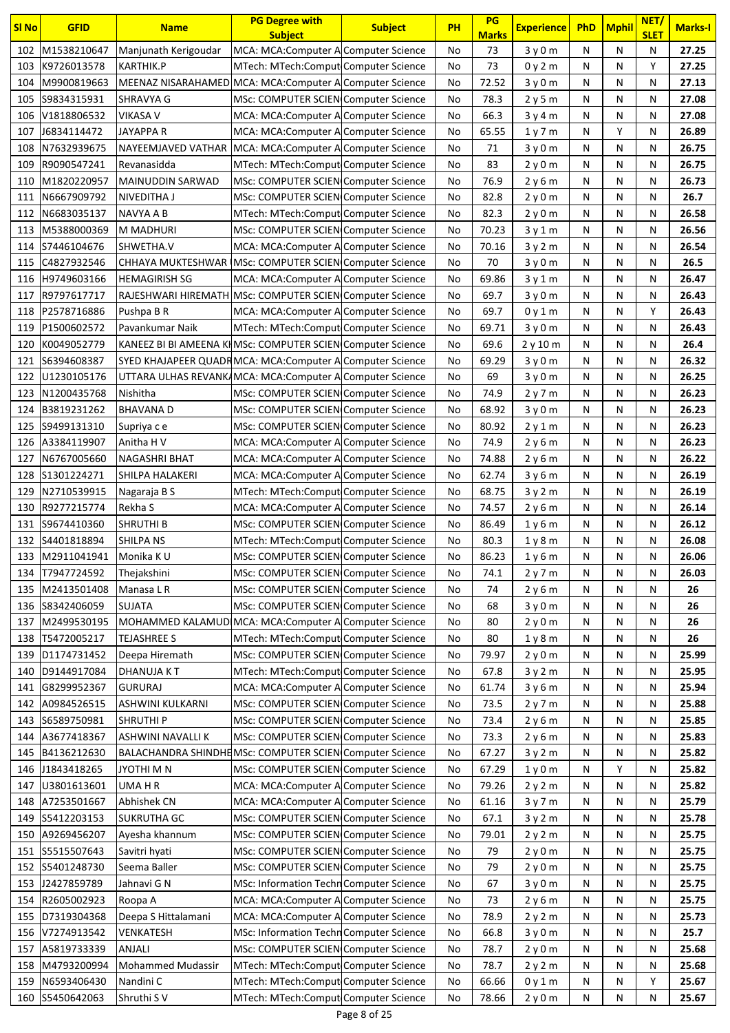| <b>SI No</b> | <b>GFID</b>     | <b>Name</b>                                                | <b>PG Degree with</b><br><b>Subject</b> | <b>Subject</b> | <b>PH</b> | PG<br><b>Marks</b> | <b>Experience</b> | <b>PhD</b> | <b>Mphil</b> | NET/<br><b>SLET</b> | <b>Marks-I</b> |
|--------------|-----------------|------------------------------------------------------------|-----------------------------------------|----------------|-----------|--------------------|-------------------|------------|--------------|---------------------|----------------|
| 102          | M1538210647     | Manjunath Kerigoudar                                       | MCA: MCA: Computer A Computer Science   |                | No        | 73                 | 3y0m              | N          | N            | N                   | 27.25          |
| 103          | K9726013578     | KARTHIK.P                                                  | MTech: MTech:Comput Computer Science    |                | No        | 73                 | 0y2m              | N          | N            | Υ                   | 27.25          |
| 104          | M9900819663     | MEENAZ NISARAHAMED MCA: MCA: Computer A Computer Science   |                                         |                | No        | 72.52              | 3y0m              | N          | N            | N                   | 27.13          |
| 105          | S9834315931     | SHRAVYA G                                                  | MSc: COMPUTER SCIEN Computer Science    |                | No        | 78.3               | 2y5m              | N          | N            | N                   | 27.08          |
| 106          | V1818806532     | <b>VIKASA V</b>                                            | MCA: MCA: Computer A Computer Science   |                | No        | 66.3               | 3y4m              | N          | N            | N                   | 27.08          |
| 107          | J6834114472     | JAYAPPA R                                                  | MCA: MCA:Computer A Computer Science    |                | No        | 65.55              | 1y7m              | N          | Y            | N                   | 26.89          |
| 108          | N7632939675     | NAYEEMJAVED VATHAR   MCA: MCA: Computer A Computer Science |                                         |                | No        | 71                 | 3y0m              | N          | N            | N                   | 26.75          |
| 109          | R9090547241     | Revanasidda                                                | MTech: MTech:Comput Computer Science    |                | No        | 83                 | 2v0m              | N          | N            | N                   | 26.75          |
| 110          | M1820220957     | <b>MAINUDDIN SARWAD</b>                                    | MSc: COMPUTER SCIEN Computer Science    |                | No        | 76.9               | 2v6m              | N          | N            | N                   | 26.73          |
| 111          | N6667909792     | NIVEDITHA J                                                | MSc: COMPUTER SCIEN Computer Science    |                | No        | 82.8               | 2y0m              | N          | N            | N                   | 26.7           |
| 112          | N6683035137     | NAVYA A B                                                  | MTech: MTech:Comput Computer Science    |                | No        | 82.3               | 2y0m              | N          | N            | N                   | 26.58          |
| 113          | M5388000369     | M MADHURI                                                  | MSc: COMPUTER SCIEN Computer Science    |                | No        | 70.23              | 3y1m              | N          | N            | N                   | 26.56          |
| 114          | S7446104676     | SHWETHA.V                                                  | MCA: MCA:Computer A Computer Science    |                | No        | 70.16              | 3y2m              | N          | N            | N                   | 26.54          |
| 115          | C4827932546     | CHHAYA MUKTESHWAR MSc: COMPUTER SCIEN Computer Science     |                                         |                | No        | 70                 | 3y0m              | N          | N            | N                   | 26.5           |
| 116          | H9749603166     | <b>HEMAGIRISH SG</b>                                       | MCA: MCA: Computer A Computer Science   |                | No        | 69.86              | 3y1m              | N          | N            | N                   | 26.47          |
| 117          | R9797617717     | RAJESHWARI HIREMATH MSc: COMPUTER SCIEN Computer Science   |                                         |                | No        | 69.7               | 3y0m              | N          | N            | N                   | 26.43          |
| 118          | P2578716886     | Pushpa B R                                                 | MCA: MCA: Computer A Computer Science   |                | No        | 69.7               | 0y1m              | N          | N            | Υ                   | 26.43          |
| 119          | P1500602572     | Pavankumar Naik                                            | MTech: MTech:Comput Computer Science    |                | No        | 69.71              | 3y0m              | N          | N            | N                   | 26.43          |
| 120          | K0049052779     | KANEEZ BI BI AMEENA KHMSc: COMPUTER SCIEN Computer Science |                                         |                | No        | 69.6               | 2y10m             | N          | N            | N                   | 26.4           |
| 121          | S6394608387     | SYED KHAJAPEER QUADRMCA: MCA: Computer A Computer Science  |                                         |                | No        | 69.29              | 3y0m              | N          | N            | N                   | 26.32          |
| 122          | U1230105176     | UTTARA ULHAS REVANKAMCA: MCA: Computer A Computer Science  |                                         |                | No        | 69                 | 3y0m              | N          | N            | N                   | 26.25          |
| 123          | N1200435768     | Nishitha                                                   | MSc: COMPUTER SCIEN Computer Science    |                | No        | 74.9               | 2y7m              | N          | N            | N                   | 26.23          |
| 124          | B3819231262     | <b>BHAVANA D</b>                                           | MSc: COMPUTER SCIEN Computer Science    |                | No        | 68.92              | 3y0m              | N          | N            | N                   | 26.23          |
| 125          | S9499131310     | Supriya c e                                                | MSc: COMPUTER SCIEN Computer Science    |                | No        | 80.92              | 2y1m              | N          | N            | N                   | 26.23          |
| 126          | A3384119907     | Anitha H V                                                 | MCA: MCA: Computer A Computer Science   |                | No        | 74.9               | 2y6m              | N          | N            | N                   | 26.23          |
| 127          | N6767005660     | NAGASHRI BHAT                                              | MCA: MCA: Computer A Computer Science   |                | No        | 74.88              | 2y6m              | N          | N            | N                   | 26.22          |
| 128          | S1301224271     | SHILPA HALAKERI                                            | MCA: MCA:Computer A Computer Science    |                | No        | 62.74              | 3y6m              | N          | N            | N                   | 26.19          |
| 129          | N2710539915     | Nagaraja B S                                               | MTech: MTech:Comput Computer Science    |                | No        | 68.75              | 3y2m              | N          | N            | N                   | 26.19          |
| 130          | R9277215774     | Rekha S                                                    | MCA: MCA: Computer A Computer Science   |                | No        | 74.57              | 2y6m              | N          | N            | N                   | 26.14          |
| 131          | S9674410360     | <b>SHRUTHI B</b>                                           | MSc: COMPUTER SCIEN Computer Science    |                | No        | 86.49              | 1y6m              | N          | N            | N                   | 26.12          |
| 132          | S4401818894     | SHILPA NS                                                  | MTech: MTech:Comput Computer Science    |                | No        | 80.3               | 1y8m              | N          | N            | N                   | 26.08          |
|              | 133 M2911041941 | Monika K U                                                 | MSc: COMPUTER SCIEN Computer Science    |                | No        | 86.23              | 1y6m              | N          | N            | N                   | 26.06          |
| 134          | T7947724592     | Thejakshini                                                | MSc: COMPUTER SCIEN Computer Science    |                | No        | 74.1               | 2y7m              | N          | N            | N                   | 26.03          |
| 135          | M2413501408     | Manasa L R                                                 | MSc: COMPUTER SCIEN Computer Science    |                | No        | 74                 | 2y6m              | N          | Ν            | N                   | 26             |
| 136          | S8342406059     | <b>SUJATA</b>                                              | MSc: COMPUTER SCIEN Computer Science    |                | No        | 68                 | 3y0m              | N          | N            | N                   | 26             |
| 137          | M2499530195     | MOHAMMED KALAMUD MCA: MCA: Computer A Computer Science     |                                         |                | No        | 80                 | 2y0m              | N          | N            | N                   | 26             |
| 138          | T5472005217     | <b>TEJASHREE S</b>                                         | MTech: MTech:Comput Computer Science    |                | No        | 80                 | 1y8m              | N          | N            | N                   | 26             |
| 139          | D1174731452     | Deepa Hiremath                                             | MSc: COMPUTER SCIEN Computer Science    |                | No        | 79.97              | 2y0m              | N          | N            | N                   | 25.99          |
| 140          | D9144917084     | <b>DHANUJA KT</b>                                          | MTech: MTech:Comput Computer Science    |                | No        | 67.8               | 3y2m              | N          | N            | Ν                   | 25.95          |
| 141          | G8299952367     | <b>GURURAJ</b>                                             | MCA: MCA:Computer A Computer Science    |                | No        | 61.74              | 3y6m              | Ν          | N            | N                   | 25.94          |
| 142          | A0984526515     | ASHWINI KULKARNI                                           | MSc: COMPUTER SCIEN Computer Science    |                | No        | 73.5               | 2y7m              | N          | Ν            | N                   | 25.88          |
| 143          | S6589750981     | <b>SHRUTHIP</b>                                            | MSc: COMPUTER SCIEN Computer Science    |                | No        | 73.4               | 2y6m              | N          | N            | N                   | 25.85          |
| 144          | A3677418367     | ASHWINI NAVALLI K                                          | MSc: COMPUTER SCIEN Computer Science    |                | No        | 73.3               | 2y6m              | N          | Ν            | Ν                   | 25.83          |
| 145          | B4136212630     | BALACHANDRA SHINDHEMSc: COMPUTER SCIEN Computer Science    |                                         |                | No        | 67.27              | 3y2m              | N          | N            | N                   | 25.82          |
| 146          | J1843418265     | JYOTHI M N                                                 | MSc: COMPUTER SCIEN Computer Science    |                | No        | 67.29              | 1y0m              | N          | Υ            | N                   | 25.82          |
| 147          | U3801613601     | UMA H R                                                    | MCA: MCA:Computer A Computer Science    |                | No        | 79.26              | 2y2m              | N          | N            | N                   | 25.82          |
| 148          | A7253501667     | Abhishek CN                                                | MCA: MCA: Computer A Computer Science   |                | No        | 61.16              | 3y7m              | N          | N            | N                   | 25.79          |
| 149          | S5412203153     | <b>SUKRUTHA GC</b>                                         | MSc: COMPUTER SCIEN Computer Science    |                | No        | 67.1               | 3y2m              | N          | N            | N                   | 25.78          |
| 150          | A9269456207     | Ayesha khannum                                             | MSc: COMPUTER SCIEN Computer Science    |                | No        | 79.01              | 2y2m              | Ν          | N            | Ν                   | 25.75          |
| 151          | S5515507643     | Savitri hyati                                              | MSc: COMPUTER SCIEN Computer Science    |                | No        | 79                 | 2y0m              | N          | N            | N                   | 25.75          |
| 152          | S5401248730     | Seema Baller                                               | MSc: COMPUTER SCIEN Computer Science    |                | No        | 79                 | 2y0m              | N          | N            | N                   | 25.75          |
| 153          | J2427859789     | Jahnavi G N                                                | MSc: Information Techn Computer Science |                | No        | 67                 | 3y0m              | N          | N            | N                   | 25.75          |
| 154          | R2605002923     | Roopa A                                                    | MCA: MCA: Computer A Computer Science   |                | No        | 73                 | 2y6m              | N          | N            | N                   | 25.75          |
| 155          | D7319304368     | Deepa S Hittalamani                                        | MCA: MCA:Computer A Computer Science    |                | No        | 78.9               | 2y2m              | N          | N            | N                   | 25.73          |
| 156          | V7274913542     | <b>VENKATESH</b>                                           | MSc: Information Techn Computer Science |                | No        | 66.8               | 3y0m              | N          | N            | N                   | 25.7           |
| 157          | A5819733339     | ANJALI                                                     | MSc: COMPUTER SCIEN Computer Science    |                | No        | 78.7               | 2y0m              | N          | N            | N                   | 25.68          |
| 158          | M4793200994     | <b>Mohammed Mudassir</b>                                   | MTech: MTech:Comput Computer Science    |                | No        | 78.7               | 2y2m              | N          | N            | N                   | 25.68          |
| 159          | N6593406430     | Nandini C                                                  | MTech: MTech:Comput Computer Science    |                | No        | 66.66              | 0y1m              | Ν          | N            | Υ                   | 25.67          |
|              | 160 S5450642063 | Shruthi SV                                                 | MTech: MTech:Comput Computer Science    |                | No        | 78.66              | 2y0m              | N          | Ν            | N                   | 25.67          |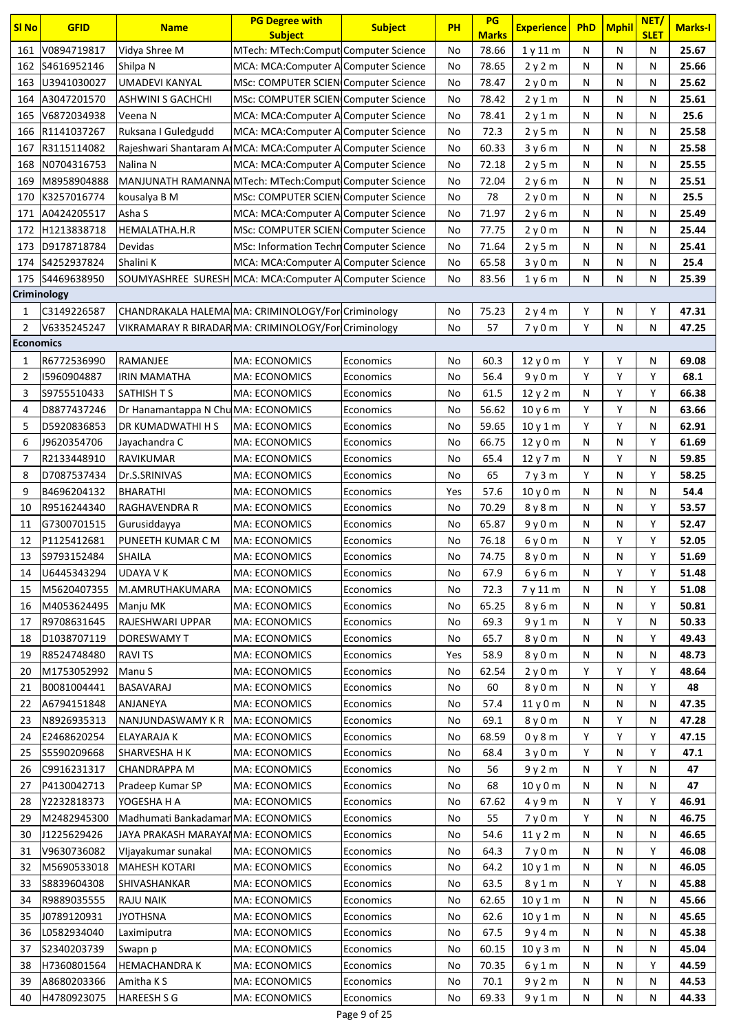| <b>SI No</b>     | <b>GFID</b> | <b>Name</b>                                                  | <b>PG Degree with</b><br><b>Subject</b> | <b>Subject</b> | PH  | PG<br><b>Marks</b> | <b>Experience</b> | <b>PhD</b> | <b>Mphil</b> | NET/<br><b>SLET</b> | <b>Marks-I</b> |
|------------------|-------------|--------------------------------------------------------------|-----------------------------------------|----------------|-----|--------------------|-------------------|------------|--------------|---------------------|----------------|
| 161              | V0894719817 | Vidya Shree M                                                | MTech: MTech:Comput Computer Science    |                | No  | 78.66              | 1y11m             | N          | N            | N                   | 25.67          |
| 162              | S4616952146 | Shilpa N                                                     | MCA: MCA:Computer A Computer Science    |                | No  | 78.65              | 2y2m              | N          | N            | N                   | 25.66          |
| 163              | U3941030027 | UMADEVI KANYAL                                               | MSc: COMPUTER SCIEN Computer Science    |                | No  | 78.47              | 2y0m              | N          | N            | Ν                   | 25.62          |
| 164              | A3047201570 | <b>ASHWINI S GACHCHI</b>                                     | MSc: COMPUTER SCIEN Computer Science    |                | No  | 78.42              | 2y1m              | N          | N            | Ν                   | 25.61          |
| 165              | V6872034938 | Veena N                                                      | MCA: MCA:Computer A Computer Science    |                | No  | 78.41              | 2y1m              | N          | N            | Ν                   | 25.6           |
| 166              | R1141037267 | Ruksana I Guledgudd                                          | MCA: MCA: Computer A Computer Science   |                | No  | 72.3               | 2y5m              | N          | N            | Ν                   | 25.58          |
| 167              | R3115114082 | Rajeshwari Shantaram ArMCA: MCA: Computer A Computer Science |                                         |                | No  | 60.33              | 3y6m              | N          | N            | N                   | 25.58          |
| 168              | N0704316753 | Nalina N                                                     | MCA: MCA: Computer A Computer Science   |                | No  | 72.18              | 2y5m              | N          | N            | N                   | 25.55          |
| 169              | M8958904888 | MANJUNATH RAMANNA MTech: MTech: Comput Computer Science      |                                         |                | No  | 72.04              | 2y6m              | N          | N            | Ν                   | 25.51          |
| 170              | K3257016774 | kousalya B M                                                 | MSc: COMPUTER SCIEN Computer Science    |                | No  | 78                 | 2y0m              | N          | N            | N                   | 25.5           |
| 171              | A0424205517 | Asha S                                                       | MCA: MCA: Computer A Computer Science   |                | No  | 71.97              | 2y6m              | N          | N            | N                   | 25.49          |
| 172              | H1213838718 | HEMALATHA.H.R                                                | MSc: COMPUTER SCIEN Computer Science    |                | No  | 77.75              | 2y0m              | N          | N            | Ν                   | 25.44          |
| 173              | D9178718784 | Devidas                                                      | MSc: Information Techn Computer Science |                | No  | 71.64              | 2y5m              | N          | N            | Ν                   | 25.41          |
| 174              | S4252937824 | Shalini K                                                    | MCA: MCA:Computer A Computer Science    |                | No  | 65.58              | 3y0m              | N          | N            | Ν                   | 25.4           |
| 175              | S4469638950 | SOUMYASHREE SURESH MCA: MCA: Computer A Computer Science     |                                         |                | No  | 83.56              | 1y6m              | N          | N            | Ν                   | 25.39          |
| Criminology      |             |                                                              |                                         |                |     |                    |                   |            |              |                     |                |
| 1                | C3149226587 | CHANDRAKALA HALEMA MA: CRIMINOLOGY/For Criminology           |                                         |                | No  | 75.23              | 2y4m              | Y          | N            | Y                   | 47.31          |
| 2                | V6335245247 | VIKRAMARAY R BIRADAR MA: CRIMINOLOGY/For Criminology         |                                         |                | No  | 57                 | 7y0m              | Y          | N            | N                   | 47.25          |
| <b>Economics</b> |             |                                                              |                                         |                |     |                    |                   |            |              |                     |                |
| 1                | R6772536990 | RAMANJEE                                                     | MA: ECONOMICS                           | Economics      | No  | 60.3               | 12y0m             | Y          | Υ            | N                   | 69.08          |
| $\overline{2}$   | 15960904887 | <b>IRIN MAMATHA</b>                                          | <b>MA: ECONOMICS</b>                    | Economics      | No  | 56.4               | 9y0m              | Υ          | Υ            | Υ                   | 68.1           |
| 3                | S9755510433 | <b>SATHISH T S</b>                                           | <b>MA: ECONOMICS</b>                    | Economics      | No  | 61.5               | 12 y 2 m          | N          | Υ            | Υ                   | 66.38          |
| 4                | D8877437246 | Dr Hanamantappa N Chu MA: ECONOMICS                          |                                         | Economics      | No  | 56.62              | 10y6m             | Y          | Υ            | Ν                   | 63.66          |
| 5                | D5920836853 | DR KUMADWATHI H S                                            | MA: ECONOMICS                           | Economics      | No  | 59.65              | 10y1m             | Y          | Υ            | N                   | 62.91          |
| 6                | J9620354706 | Jayachandra C                                                | MA: ECONOMICS                           | Economics      | No  | 66.75              | 12y0m             | N          | N            | Y                   | 61.69          |
| 7                | R2133448910 | RAVIKUMAR                                                    | MA: ECONOMICS                           | Economics      | No  | 65.4               | 12 y 7 m          | N          | Υ            | Ν                   | 59.85          |
| 8                | D7087537434 | Dr.S.SRINIVAS                                                | <b>MA: ECONOMICS</b>                    | Economics      | No  | 65                 | 7y3m              | Y          | N            | Y                   | 58.25          |
| 9                | B4696204132 | BHARATHI                                                     | <b>MA: ECONOMICS</b>                    | Economics      | Yes | 57.6               | 10y0m             | N          | $\mathsf{N}$ | Ν                   | 54.4           |
| 10               | R9516244340 | <b>RAGHAVENDRA R</b>                                         | MA: ECONOMICS                           | Economics      | No  | 70.29              | 8y8m              | N          | N            | Y                   | 53.57          |
| 11               | G7300701515 | Gurusiddayya                                                 | MA: ECONOMICS                           | Economics      | No  | 65.87              | 9y0m              | N          | N            | Υ                   | 52.47          |
| 12               | P1125412681 | PUNEETH KUMAR C M                                            | MA: ECONOMICS                           | Economics      | No  | 76.18              | 6y0m              | N          | Υ            | Υ                   | 52.05          |
| 13               | S9793152484 | <b>SHAILA</b>                                                | <b>MA: ECONOMICS</b>                    | Economics      | No  | 74.75              | 8y0m              | И          | N            | Υ                   | 51.69          |
| 14               | U6445343294 | <b>UDAYA V K</b>                                             | MA: ECONOMICS                           | Economics      | No  | 67.9               | 6 y 6 m           | N          | Υ            | Υ                   | 51.48          |
| 15               | M5620407355 | M.AMRUTHAKUMARA                                              | MA: ECONOMICS                           | Economics      | No  | 72.3               | 7y11m             | N          | N            | Υ                   | 51.08          |
| 16               | M4053624495 | Manju MK                                                     | MA: ECONOMICS                           | Economics      | No  | 65.25              | 8 y 6 m           | N          | N            | Υ                   | 50.81          |
| 17               | R9708631645 | RAJESHWARI UPPAR                                             | MA: ECONOMICS                           | Economics      | No  | 69.3               | 9y1m              | N          | Υ            | Ν                   | 50.33          |
| 18               | D1038707119 | DORESWAMY T                                                  | MA: ECONOMICS                           | Economics      | No  | 65.7               | 8 y 0 m           | N          | N            | Υ                   | 49.43          |
| 19               | R8524748480 | <b>RAVITS</b>                                                | MA: ECONOMICS                           | Economics      | Yes | 58.9               | 8y0m              | N          | N            | Ν                   | 48.73          |
| 20               | M1753052992 | Manu S                                                       | MA: ECONOMICS                           | Economics      | No  | 62.54              | 2y0m              | Y          | Υ            | Υ                   | 48.64          |
| 21               | B0081004441 | BASAVARAJ                                                    | MA: ECONOMICS                           | Economics      | No  | 60                 | 8 y 0 m           | N          | N            | Υ                   | 48             |
| 22               | A6794151848 | ANJANEYA                                                     | <b>MA: ECONOMICS</b>                    | Economics      | No  | 57.4               | 11y0m             | N          | N            | Ν                   | 47.35          |
| 23               | N8926935313 | NANJUNDASWAMY K R                                            | MA: ECONOMICS                           | Economics      | No  | 69.1               | 8y0m              | N          | Υ            | Ν                   | 47.28          |
| 24               | E2468620254 | ELAYARAJA K                                                  | MA: ECONOMICS                           | Economics      | No  | 68.59              | 0y8m              | Y          | Y            | Υ                   | 47.15          |
| 25               | S5590209668 | SHARVESHA H K                                                | MA: ECONOMICS                           | Economics      | No  | 68.4               | 3y0m              | Y          | N            | Υ                   | 47.1           |
| 26               | C9916231317 | <b>CHANDRAPPA M</b>                                          | MA: ECONOMICS                           | Economics      | No  | 56                 | 9y2m              | N          | Y            | Ν                   | 47             |
| 27               | P4130042713 | Pradeep Kumar SP                                             | MA: ECONOMICS                           | Economics      | No  | 68                 | 10y0m             | N          | N            | Ν                   | 47             |
| 28               | Y2232818373 | YOGESHA H A                                                  | MA: ECONOMICS                           | Economics      | No  | 67.62              | 4 y 9 m           | N          | Υ            | Υ                   | 46.91          |
| 29               | M2482945300 | Madhumati BankadamanMA: ECONOMICS                            |                                         | Economics      | No  | 55                 | 7y0m              | Y          | N            | Ν                   | 46.75          |
| 30               | J1225629426 | JAYA PRAKASH MARAYANMA: ECONOMICS                            |                                         | Economics      | No  | 54.6               | 11y2m             | N          | N            | N                   | 46.65          |
| 31               | V9630736082 | Vljayakumar sunakal                                          | <b>MA: ECONOMICS</b>                    | Economics      | No  | 64.3               | 7y0m              | N          | N            | Y                   | 46.08          |
| 32               | M5690533018 | <b>MAHESH KOTARI</b>                                         | MA: ECONOMICS                           | Economics      | No  | 64.2               | 10y1m             | N          | N            | Ν                   | 46.05          |
| 33               | S8839604308 | SHIVASHANKAR                                                 | MA: ECONOMICS                           | Economics      | No  | 63.5               | 8y1m              | Ν          | Y            | Ν                   | 45.88          |
| 34               | R9889035555 | <b>RAJU NAIK</b>                                             | MA: ECONOMICS                           | Economics      | No  | 62.65              | 10y1m             | N          | N            | Ν                   | 45.66          |
| 35               | J0789120931 | <b>JYOTHSNA</b>                                              | MA: ECONOMICS                           | Economics      | No  | 62.6               | 10y1m             | N          | N            | Ν                   | 45.65          |
| 36               | L0582934040 | Laximiputra                                                  | MA: ECONOMICS                           | Economics      | No  | 67.5               | 9y4m              | N          | N            | Ν                   | 45.38          |
| 37               | S2340203739 | Swapn p                                                      | MA: ECONOMICS                           | Economics      | No  | 60.15              | 10y3m             | N          | N            | Ν                   | 45.04          |
| 38               | H7360801564 | <b>HEMACHANDRAK</b>                                          | MA: ECONOMICS                           | Economics      | No  | 70.35              | 6y1m              | N          | N            | Υ                   | 44.59          |
| 39               | A8680203366 | Amitha K S                                                   | MA: ECONOMICS                           | Economics      | No  | 70.1               | 9y2m              | N          | N            | Ν                   | 44.53          |
| 40               | H4780923075 | <b>HAREESH S G</b>                                           | MA: ECONOMICS                           | Economics      | No  | 69.33              | 9y1m              | Ν          | Ν            | Ν                   | 44.33          |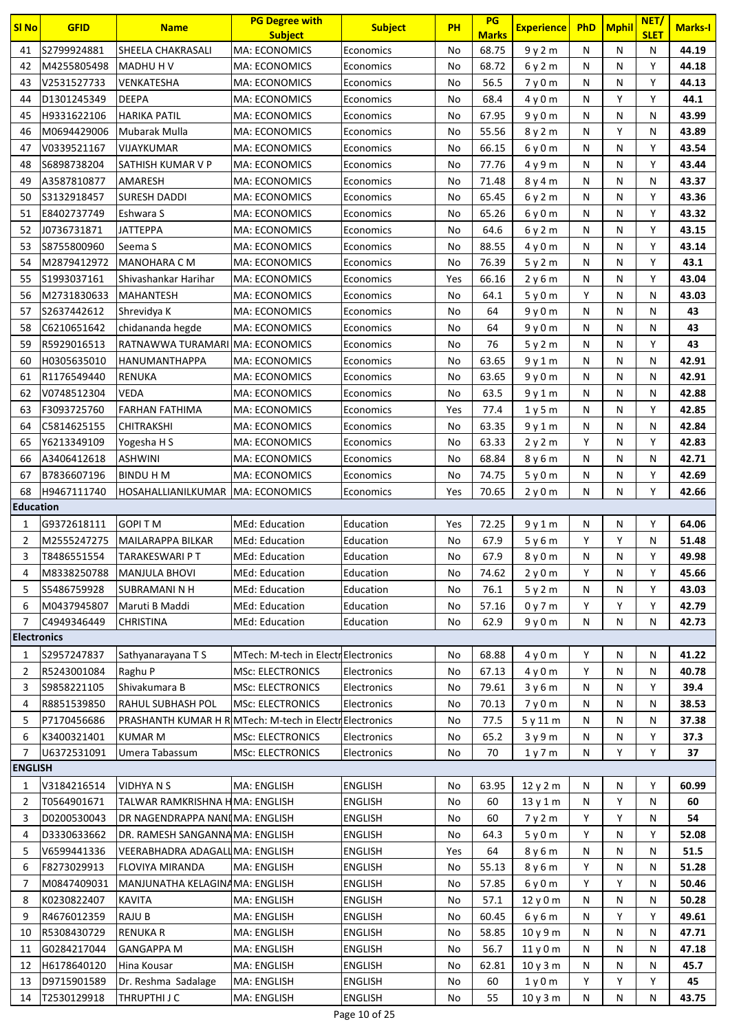| <b>SI No</b>       | <b>GFID</b>                | <b>Name</b>                                                    | <b>PG Degree with</b>                  | <b>Subject</b>         | PH       | PG                    | <b>Experience</b> | PhD    | <b>Mphil</b> | NET/             | <b>Marks-I</b> |
|--------------------|----------------------------|----------------------------------------------------------------|----------------------------------------|------------------------|----------|-----------------------|-------------------|--------|--------------|------------------|----------------|
|                    | S2799924881                | SHEELA CHAKRASALI                                              | <b>Subject</b><br><b>MA: ECONOMICS</b> |                        |          | <b>Marks</b><br>68.75 |                   |        | N            | <b>SLET</b><br>N | 44.19          |
| 41                 |                            |                                                                |                                        | Economics              | No       | 68.72                 | 9y2m              | N      | N            | Υ                | 44.18          |
| 42<br>43           | M4255805498<br>V2531527733 | MADHU H V<br>VENKATESHA                                        | <b>MA: ECONOMICS</b><br>MA: ECONOMICS  | Economics              | No<br>No | 56.5                  | 6y2m              | N<br>N | N            | Υ                | 44.13          |
| 44                 | D1301245349                | <b>DEEPA</b>                                                   | <b>MA: ECONOMICS</b>                   | Economics<br>Economics | No       | 68.4                  | 7y0m              | N      | Υ            | Y                | 44.1           |
| 45                 | H9331622106                | <b>HARIKA PATIL</b>                                            | MA: ECONOMICS                          | Economics              | No       | 67.95                 | 4y0m              | N      | N            | N                | 43.99          |
| 46                 | M0694429006                | Mubarak Mulla                                                  | <b>MA: ECONOMICS</b>                   | Economics              | No       | 55.56                 | 9y0m<br>8y2m      | N      | Υ            | N                | 43.89          |
| 47                 | V0339521167                | VIJAYKUMAR                                                     | MA: ECONOMICS                          | Economics              | No       | 66.15                 | 6y0m              | N      | N            | Υ                | 43.54          |
| 48                 | S6898738204                | SATHISH KUMAR V P                                              | <b>MA: ECONOMICS</b>                   | Economics              | No       | 77.76                 | 4 y 9 m           | N      | N            | Υ                | 43.44          |
| 49                 | A3587810877                | AMARESH                                                        | MA: ECONOMICS                          | Economics              | No       | 71.48                 | 8y4m              | N      | N            | N                | 43.37          |
| 50                 | S3132918457                | <b>SURESH DADDI</b>                                            | <b>MA: ECONOMICS</b>                   | Economics              | No       | 65.45                 | 6y2m              | N      | N            | Y                | 43.36          |
| 51                 | E8402737749                | Eshwara S                                                      | <b>MA: ECONOMICS</b>                   | Economics              | No       | 65.26                 | 6y0m              | N      | N            | Υ                | 43.32          |
| 52                 | J0736731871                | JATTEPPA                                                       | MA: ECONOMICS                          | Economics              | No       | 64.6                  | 6y2m              | N      | N            | Υ                | 43.15          |
| 53                 | \$8755800960               | Seema S                                                        | <b>MA: ECONOMICS</b>                   | Economics              | No       | 88.55                 | 4y0m              | N      | N            | Y                | 43.14          |
| 54                 | M2879412972                | <b>MANOHARA C M</b>                                            | MA: ECONOMICS                          | Economics              | No       | 76.39                 | 5y2m              | N      | N            | Υ                | 43.1           |
| 55                 | S1993037161                | Shivashankar Harihar                                           | <b>MA: ECONOMICS</b>                   | Economics              | Yes      | 66.16                 | 2y6m              | N      | N            | Υ                | 43.04          |
| 56                 | M2731830633                | <b>MAHANTESH</b>                                               | <b>MA: ECONOMICS</b>                   | Economics              | No       | 64.1                  | 5y0m              | Y      | N            | N                | 43.03          |
| 57                 | S2637442612                | Shrevidya K                                                    | <b>MA: ECONOMICS</b>                   | Economics              | No       | 64                    | 9 y 0 m           | N      | N            | Ν                | 43             |
| 58                 | C6210651642                | chidananda hegde                                               | <b>MA: ECONOMICS</b>                   | Economics              | No       | 64                    | 9y0m              | N      | N            | N                | 43             |
| 59                 | R5929016513                | RATNAWWA TURAMARI MA: ECONOMICS                                |                                        | Economics              | No       | 76                    | 5y2m              | N      | N            | Y                | 43             |
| 60                 | H0305635010                | HANUMANTHAPPA                                                  | <b>MA: ECONOMICS</b>                   | Economics              | No       | 63.65                 | 9y1m              | N      | N            | N                | 42.91          |
| 61                 | R1176549440                | RENUKA                                                         | MA: ECONOMICS                          | Economics              | No       | 63.65                 | 9y0m              | N      | N            | N                | 42.91          |
| 62                 | V0748512304                | VEDA                                                           | <b>MA: ECONOMICS</b>                   | Economics              | No       | 63.5                  | 9y1m              | N      | N            | N                | 42.88          |
| 63                 | F3093725760                | <b>FARHAN FATHIMA</b>                                          | MA: ECONOMICS                          | Economics              | Yes      | 77.4                  | 1y5m              | N      | N            | Υ                | 42.85          |
| 64                 | C5814625155                | <b>CHITRAKSHI</b>                                              | <b>MA: ECONOMICS</b>                   | Economics              | No       | 63.35                 | 9y1m              | N      | N            | Ν                | 42.84          |
| 65                 | Y6213349109                | Yogesha H S                                                    | MA: ECONOMICS                          | Economics              | No       | 63.33                 | 2y2m              | Y      | N            | Υ                | 42.83          |
| 66                 | A3406412618                | ASHWINI                                                        | <b>MA: ECONOMICS</b>                   | Economics              | No       | 68.84                 | 8 y 6 m           | N      | N            | Ν                | 42.71          |
| 67                 | B7836607196                | <b>BINDU H M</b>                                               | <b>MA: ECONOMICS</b>                   | Economics              | No       | 74.75                 | 5y0m              | N      | N            | Y                | 42.69          |
| 68                 | H9467111740                | HOSAHALLIANILKUMAR   MA: ECONOMICS                             |                                        | Economics              | Yes      | 70.65                 | 2y0m              | N      | N            | Y                | 42.66          |
| <b>Education</b>   |                            |                                                                |                                        |                        |          |                       |                   |        |              |                  |                |
| 1                  | G9372618111                | <b>GOPITM</b>                                                  | <b>MEd: Education</b>                  | Education              | Yes      | 72.25                 | 9y1m              | N      | N            | Y                | 64.06          |
| $\overline{2}$     | M2555247275                | MAILARAPPA BILKAR                                              | MEd: Education                         | Education              | No       | 67.9                  | 5y6m              | Y      | Υ            | N                | 51.48          |
| 3                  | T8486551554                | TARAKESWARI P T                                                | MEd: Education                         | Education              | No       | 67.9                  | 8 y 0 m           | N      | N            | Y                | 49.98          |
| 4                  | M8338250788                | <b>MANJULA BHOVI</b>                                           | MEd: Education                         | Education              | No       | 74.62                 | 2y0m              | Y      | N            | Υ                | 45.66          |
| 5                  | S5486759928                | <b>SUBRAMANI N H</b>                                           | <b>MEd: Education</b>                  | Education              | No       | 76.1                  | 5y2m              | N      | N            | Υ                | 43.03          |
| 6                  | M0437945807                | Maruti B Maddi                                                 | MEd: Education                         | Education              | No       | 57.16                 | 0y7m              | Y      | Υ            | Υ                | 42.79          |
| $\overline{7}$     | C4949346449                | <b>CHRISTINA</b>                                               | MEd: Education                         | Education              | No       | 62.9                  | 9y0m              | N      | N            | Ν                | 42.73          |
| <b>Electronics</b> |                            |                                                                |                                        |                        |          |                       |                   |        |              |                  |                |
| 1                  | S2957247837                | Sathyanarayana TS                                              | MTech: M-tech in Electr Electronics    |                        | No       | 68.88                 | 4y0m              | Y      | N            | Ν                | 41.22          |
| 2                  | R5243001084                | Raghu P                                                        | <b>MSc: ELECTRONICS</b>                | Electronics            | No       | 67.13                 | 4 y 0 m           | Y      | N            | Ν                | 40.78          |
| 3                  | S9858221105                | Shivakumara B                                                  | <b>MSc: ELECTRONICS</b>                | Electronics            | No       | 79.61                 | 3y6m              | N      | N            | Υ                | 39.4           |
| 4                  | R8851539850                | RAHUL SUBHASH POL                                              | <b>MSc: ELECTRONICS</b>                | Electronics            | No       | 70.13                 | 7y0m              | N      | N            | Ν                | 38.53          |
| 5                  | P7170456686                | <b>PRASHANTH KUMAR H RIMTech: M-tech in ElectriElectronics</b> |                                        |                        | No       | 77.5                  | 5y11m             | N      | N            | Ν                | 37.38          |
| 6                  | K3400321401                | <b>KUMAR M</b>                                                 | <b>MSc: ELECTRONICS</b>                | Electronics            | No       | 65.2                  | 3y9m              | N      | N            | Υ                | 37.3           |
| 7                  | U6372531091                | Umera Tabassum                                                 | <b>MSc: ELECTRONICS</b>                | Electronics            | No       | 70                    | 1y7m              | Ν      | Υ            | Υ                | 37             |
| <b>ENGLISH</b>     |                            |                                                                |                                        |                        |          |                       |                   |        |              |                  |                |
| 1                  | V3184216514                | <b>VIDHYANS</b>                                                | MA: ENGLISH                            | <b>ENGLISH</b>         | No       | 63.95                 | 12y2m             | N      | N            | Υ                | 60.99          |
| 2                  | T0564901671                | TALWAR RAMKRISHNA HMA: ENGLISH                                 |                                        | <b>ENGLISH</b>         | No       | 60                    | 13y1m             | N      | Υ            | Ν                | 60             |
| 3                  | D0200530043                | DR NAGENDRAPPA NANIMA: ENGLISH                                 |                                        | <b>ENGLISH</b>         | No       | 60                    | 7y2m              | Y      | Υ            | Ν                | 54             |
| 4                  | D3330633662                | DR. RAMESH SANGANNAMA: ENGLISH                                 |                                        | <b>ENGLISH</b>         | No       | 64.3                  | 5y0m              | Y      | N            | Υ                | 52.08          |
| 5                  | V6599441336                | VEERABHADRA ADAGALI MA: ENGLISH                                |                                        | <b>ENGLISH</b>         | Yes      | 64                    | 8 y 6 m           | N      | N            | N                | 51.5           |
| 6                  | F8273029913                | FLOVIYA MIRANDA                                                | MA: ENGLISH                            | <b>ENGLISH</b>         | No       | 55.13                 | 8y6m              | Υ      | N            | Ν                | 51.28          |
| 7                  | M0847409031                | MANJUNATHA KELAGINAMA: ENGLISH                                 |                                        | <b>ENGLISH</b>         | No       | 57.85                 | 6y0m              | Y      | Y            | Ν                | 50.46          |
| 8                  | K0230822407                | <b>KAVITA</b>                                                  | <b>MA: ENGLISH</b>                     | <b>ENGLISH</b>         | No       | 57.1                  | 12 y 0 m          | Ν      | Ν            | Ν                | 50.28          |
| 9                  | R4676012359                | RAJU B                                                         | <b>MA: ENGLISH</b>                     | <b>ENGLISH</b>         | No       | 60.45                 | 6 y 6 m           | N      | Υ            | Υ                | 49.61          |
| 10                 | R5308430729                | <b>RENUKA R</b>                                                | MA: ENGLISH                            | <b>ENGLISH</b>         | No       | 58.85                 | 10 y 9 m          | N      | N            | Ν                | 47.71          |
| 11                 | G0284217044                | <b>GANGAPPA M</b>                                              | <b>MA: ENGLISH</b>                     | <b>ENGLISH</b>         | No       | 56.7                  | 11y0m             | N      | N            | Ν                | 47.18          |
| 12                 | H6178640120                | Hina Kousar                                                    | MA: ENGLISH                            | <b>ENGLISH</b>         | No       | 62.81                 | 10y3m             | N      | N            | Ν                | 45.7           |
| 13                 | D9715901589                | Dr. Reshma Sadalage                                            | MA: ENGLISH                            | <b>ENGLISH</b>         | No       | 60                    | 1y0m              | Y      | Υ            | Υ                | 45             |
| 14                 | T2530129918                | THRUPTHI J C                                                   | MA: ENGLISH                            | <b>ENGLISH</b>         | No       | 55                    | 10y3m             | N      | Ν            | N                | 43.75          |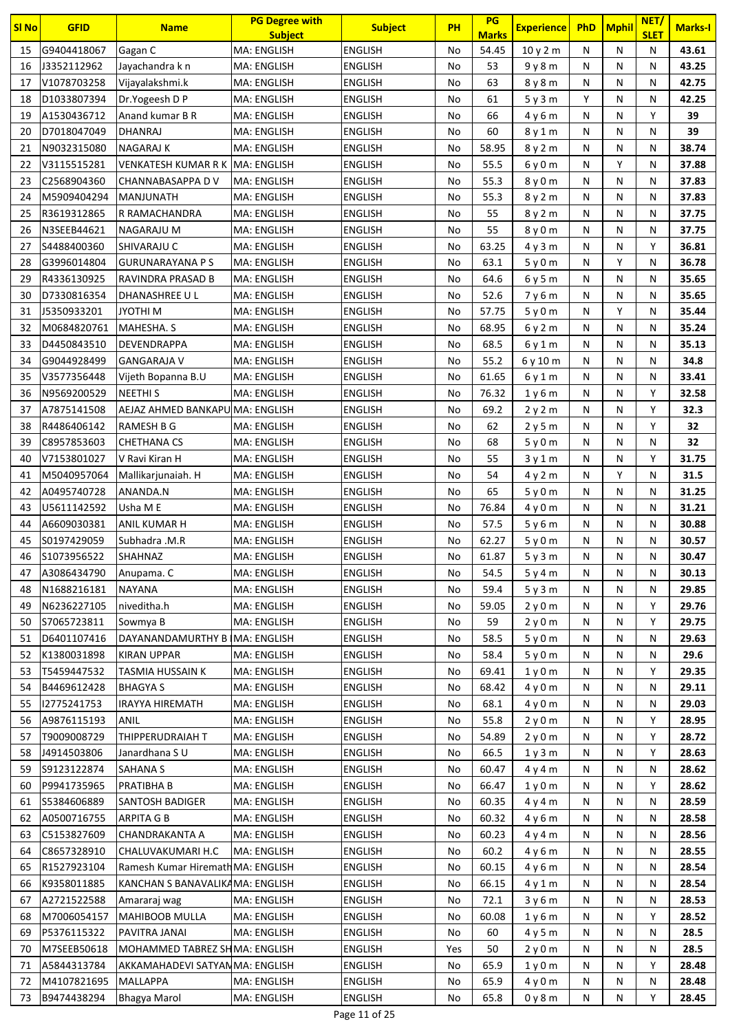| <b>SI No</b> | <b>GFID</b>                | <b>Name</b>                       | <b>PG Degree with</b><br><b>Subject</b> | <b>Subject</b>                   | PH       | PG<br><b>Marks</b> | <b>Experience</b>             | <b>PhD</b> | <b>Mphil</b> | NET/<br><b>SLET</b> | <b>Marks-I</b> |
|--------------|----------------------------|-----------------------------------|-----------------------------------------|----------------------------------|----------|--------------------|-------------------------------|------------|--------------|---------------------|----------------|
| 15           | G9404418067                | Gagan C                           | <b>MA: ENGLISH</b>                      | <b>ENGLISH</b>                   | No       | 54.45              | 10y2m                         | N          | N            | N                   | 43.61          |
| 16           | J3352112962                | Jayachandra k n                   | MA: ENGLISH                             | <b>ENGLISH</b>                   | No       | 53                 | 9y8m                          | N          | N            | N                   | 43.25          |
| 17           | V1078703258                | Vijayalakshmi.k                   | MA: ENGLISH                             | <b>ENGLISH</b>                   | No       | 63                 | 8y8m                          | N          | N            | N                   | 42.75          |
| 18           | D1033807394                | Dr.Yogeesh D P                    | <b>MA: ENGLISH</b>                      | <b>ENGLISH</b>                   | No       | 61                 | 5y3m                          | Y          | N            | N                   | 42.25          |
| 19           | A1530436712                | Anand kumar B R                   | MA: ENGLISH                             | <b>ENGLISH</b>                   | No       | 66                 | 4 y 6 m                       | N          | N            | Y                   | 39             |
| 20           | D7018047049                | <b>DHANRAJ</b>                    | MA: ENGLISH                             | <b>ENGLISH</b>                   | No       | 60                 | 8y1m                          | N          | N            | N                   | 39             |
| 21           | N9032315080                | NAGARAJ K                         | MA: ENGLISH                             | <b>ENGLISH</b>                   | No       | 58.95              | 8y2m                          | N          | N            | Ν                   | 38.74          |
| 22           | V3115515281                | VENKATESH KUMAR R K               | <b>MA: ENGLISH</b>                      | <b>ENGLISH</b>                   | No       | 55.5               | 6y0m                          | N          | Υ            | Ν                   | 37.88          |
| 23           | C2568904360                | CHANNABASAPPA DV                  | <b>MA: ENGLISH</b>                      | <b>ENGLISH</b>                   | No       | 55.3               | 8 y 0 m                       | N          | N            | N                   | 37.83          |
| 24           | M5909404294                | <b>MANJUNATH</b>                  | <b>MA: ENGLISH</b>                      | <b>ENGLISH</b>                   | No       | 55.3               | 8y2m                          | N          | N            | Ν                   | 37.83          |
| 25           | R3619312865                | R RAMACHANDRA                     | MA: ENGLISH                             | <b>ENGLISH</b>                   | No       | 55                 | 8y2m                          | N          | N            | N                   | 37.75          |
| 26           | N3SEEB44621                | NAGARAJU M                        | <b>MA: ENGLISH</b>                      | <b>ENGLISH</b>                   | No       | 55                 | 8 y 0 m                       | N          | N            | Ν                   | 37.75          |
| 27           | S4488400360                | SHIVARAJU C                       | <b>MA: ENGLISH</b>                      | <b>ENGLISH</b>                   | No       | 63.25              | 4y3m                          | N          | N            | Y                   | 36.81          |
| 28           | G3996014804                | <b>GURUNARAYANA PS</b>            | MA: ENGLISH                             | <b>ENGLISH</b>                   | No       | 63.1               | 5y0m                          | N          | Υ            | N                   | 36.78          |
| 29           | R4336130925                | RAVINDRA PRASAD B                 | MA: ENGLISH                             | <b>ENGLISH</b>                   | No       | 64.6               | 6y5m                          | N          | N            | N                   | 35.65          |
| 30           | D7330816354                | DHANASHREE U L                    | <b>MA: ENGLISH</b>                      | <b>ENGLISH</b>                   | No       | 52.6               | 7y6m                          | N          | N            | Ν                   | 35.65          |
| 31           | J5350933201                | <b>N IHTOYL</b>                   | <b>MA: ENGLISH</b>                      | <b>ENGLISH</b>                   | No       | 57.75              | 5y0m                          | N          | Υ            | Ν                   | 35.44          |
| 32           | M0684820761                | MAHESHA. S                        | <b>MA: ENGLISH</b>                      | <b>ENGLISH</b>                   | No       | 68.95              | 6y2m                          | N          | N            | N                   | 35.24          |
| 33           | D4450843510                | DEVENDRAPPA                       | <b>MA: ENGLISH</b>                      | <b>ENGLISH</b>                   | No       | 68.5               | 6y1m                          | N          | N            | Ν                   | 35.13          |
| 34           | G9044928499                | <b>GANGARAJA V</b>                | MA: ENGLISH                             | <b>ENGLISH</b>                   | No       | 55.2               | 6y10m                         | N          | N            | N                   | 34.8           |
| 35           | V3577356448                | Vijeth Bopanna B.U                | <b>MA: ENGLISH</b>                      | <b>ENGLISH</b>                   | No       | 61.65              | 6 y 1 m                       | N          | N            | Ν                   | 33.41          |
| 36           | N9569200529                | <b>NEETHIS</b>                    | <b>MA: ENGLISH</b>                      | <b>ENGLISH</b>                   | No       | 76.32              | 1y6m                          | N          | N            | Y                   | 32.58          |
| 37           | A7875141508                | AEJAZ AHMED BANKAPU MA: ENGLISH   |                                         | <b>ENGLISH</b>                   | No       | 69.2               | 2y2m                          | N          | N            | Y                   | 32.3           |
| 38           | R4486406142                | <b>RAMESH B G</b>                 | MA: ENGLISH                             | <b>ENGLISH</b>                   | No       | 62                 | 2y5m                          | N          | N            | Υ                   | 32             |
| 39           | C8957853603                | <b>CHETHANA CS</b>                | MA: ENGLISH                             | <b>ENGLISH</b>                   | No       | 68                 | 5y0m                          | N          | N            | N                   | 32             |
| 40           | V7153801027                | V Ravi Kiran H                    | MA: ENGLISH                             | <b>ENGLISH</b>                   | No       | 55                 | 3y1m                          | N          | N            | Υ                   | 31.75          |
| 41           | M5040957064                | Mallikarjunaiah. H                | <b>MA: ENGLISH</b>                      | <b>ENGLISH</b>                   | No       | 54                 | 4y2m                          | N          | Υ            | N                   | 31.5           |
| 42           | A0495740728                | ANANDA.N                          | <b>MA: ENGLISH</b>                      | <b>ENGLISH</b>                   | No       | 65                 | 5v0m                          | N          | N            | Ν                   | 31.25          |
| 43           | U5611142592                | Usha M E                          | <b>MA: ENGLISH</b>                      | <b>ENGLISH</b>                   | No       | 76.84              | 4y0m                          | N          | N            | N                   | 31.21<br>30.88 |
| 44           | A6609030381                | ANIL KUMAR H<br>Subhadra .M.R     | MA: ENGLISH<br>MA: ENGLISH              | <b>ENGLISH</b>                   | No<br>No | 57.5               | 5y6m                          | N<br>N     | N            | Ν                   |                |
| 45<br>46     | S0197429059<br>S1073956522 | SHAHNAZ                           | MA: ENGLISH                             | <b>ENGLISH</b><br><b>ENGLISH</b> | No       | 62.27<br>61.87     | 5y0m                          | N          | N<br>N       | Ν<br>Ν              | 30.57<br>30.47 |
| 47           | A3086434790                | Anupama. C                        | MA: ENGLISH                             | <b>ENGLISH</b>                   | No       | 54.5               | 5y3m<br>5y4m                  | N          | N            | Ν                   | 30.13          |
| 48           | N1688216181                | <b>NAYANA</b>                     | MA: ENGLISH                             | <b>ENGLISH</b>                   | No       | 59.4               | 5y3m                          | N          | N            | Ν                   | 29.85          |
| 49           | N6236227105                | niveditha.h                       | MA: ENGLISH                             | <b>ENGLISH</b>                   | No       | 59.05              | 2y0m                          | N          | N            | Υ                   | 29.76          |
| 50           | S7065723811                | Sowmya B                          | MA: ENGLISH                             | <b>ENGLISH</b>                   | No       | 59                 | 2y0m                          | N          | N            | Υ                   | 29.75          |
| 51           | D6401107416                | DAYANANDAMURTHY B IMA: ENGLISH    |                                         | <b>ENGLISH</b>                   | No       | 58.5               | 5y0m                          | Ν          | N            | Ν                   | 29.63          |
| 52           | K1380031898                | <b>KIRAN UPPAR</b>                | MA: ENGLISH                             | <b>ENGLISH</b>                   | No       | 58.4               | 5y0m                          | N          | N            | Ν                   | 29.6           |
| 53           | T5459447532                | TASMIA HUSSAIN K                  | <b>MA: ENGLISH</b>                      | <b>ENGLISH</b>                   | No       | 69.41              | 1 <sub>y</sub> 0 <sub>m</sub> | N          | N            | Υ                   | 29.35          |
| 54           | B4469612428                | <b>BHAGYA S</b>                   | <b>MA: ENGLISH</b>                      | <b>ENGLISH</b>                   | No       | 68.42              | 4y0m                          | N          | N            | Ν                   | 29.11          |
| 55           | 12775241753                | <b>IRAYYA HIREMATH</b>            | MA: ENGLISH                             | <b>ENGLISH</b>                   | No       | 68.1               | 4y0m                          | N          | N            | Ν                   | 29.03          |
| 56           | A9876115193                | ANIL                              | MA: ENGLISH                             | <b>ENGLISH</b>                   | No       | 55.8               | 2y0m                          | N          | N            | Υ                   | 28.95          |
| 57           | T9009008729                | THIPPERUDRAIAH T                  | MA: ENGLISH                             | <b>ENGLISH</b>                   | No       | 54.89              | 2y0m                          | N          | N            | Υ                   | 28.72          |
| 58           | J4914503806                | Janardhana S U                    | MA: ENGLISH                             | <b>ENGLISH</b>                   | No       | 66.5               | 1y3m                          | N          | N            | Υ                   | 28.63          |
| 59           | S9123122874                | <b>SAHANA S</b>                   | MA: ENGLISH                             | <b>ENGLISH</b>                   | No       | 60.47              | 4y4m                          | N          | N            | N                   | 28.62          |
| 60           | P9941735965                | PRATIBHA B                        | <b>MA: ENGLISH</b>                      | <b>ENGLISH</b>                   | No       | 66.47              | 1y0m                          | Ν          | N            | Υ                   | 28.62          |
| 61           | \$5384606889               | SANTOSH BADIGER                   | <b>MA: ENGLISH</b>                      | <b>ENGLISH</b>                   | No       | 60.35              | 4y4m                          | N          | N            | Ν                   | 28.59          |
| 62           | A0500716755                | <b>ARPITA G B</b>                 | MA: ENGLISH                             | <b>ENGLISH</b>                   | No       | 60.32              | 4 y 6 m                       | Ν          | N            | Ν                   | 28.58          |
| 63           | C5153827609                | CHANDRAKANTA A                    | <b>MA: ENGLISH</b>                      | <b>ENGLISH</b>                   | No       | 60.23              | 4y4m                          | N          | N            | Ν                   | 28.56          |
| 64           | C8657328910                | CHALUVAKUMARI H.C                 | MA: ENGLISH                             | <b>ENGLISH</b>                   | No       | 60.2               | 4y6m                          | N          | N            | Ν                   | 28.55          |
| 65           | R1527923104                | Ramesh Kumar Hiremath MA: ENGLISH |                                         | <b>ENGLISH</b>                   | No       | 60.15              | 4y6m                          | N          | N            | Ν                   | 28.54          |
| 66           | K9358011885                | KANCHAN S BANAVALIKAMA: ENGLISH   |                                         | <b>ENGLISH</b>                   | No       | 66.15              | 4y1m                          | N          | N            | N                   | 28.54          |
| 67           | A2721522588                | Amararaj wag                      | MA: ENGLISH                             | <b>ENGLISH</b>                   | No       | 72.1               | 3y6m                          | N          | N            | Ν                   | 28.53          |
| 68           | M7006054157                | <b>MAHIBOOB MULLA</b>             | MA: ENGLISH                             | <b>ENGLISH</b>                   | No       | 60.08              | 1y6m                          | N          | N            | Υ                   | 28.52          |
| 69           | P5376115322                | PAVITRA JANAI                     | MA: ENGLISH                             | <b>ENGLISH</b>                   | No       | 60                 | 4y5m                          | Ν          | N            | Ν                   | 28.5           |
| 70           | M7SEEB50618                | MOHAMMED TABREZ SHMA: ENGLISH     |                                         | <b>ENGLISH</b>                   | Yes      | 50                 | 2y0m                          | N          | N            | Ν                   | 28.5           |
| 71           | A5844313784                | AKKAMAHADEVI SATYANMA: ENGLISH    |                                         | <b>ENGLISH</b>                   | No       | 65.9               | 1y0m                          | N          | N            | Y                   | 28.48          |
| 72           | M4107821695                | <b>MALLAPPA</b>                   | <b>MA: ENGLISH</b>                      | <b>ENGLISH</b>                   | No       | 65.9               | 4y0m                          | N          | N            | Ν                   | 28.48          |
| 73           | B9474438294                | <b>Bhagya Marol</b>               | MA: ENGLISH                             | <b>ENGLISH</b>                   | No       | 65.8               | 0y8m                          | N          | Ν            | Υ                   | 28.45          |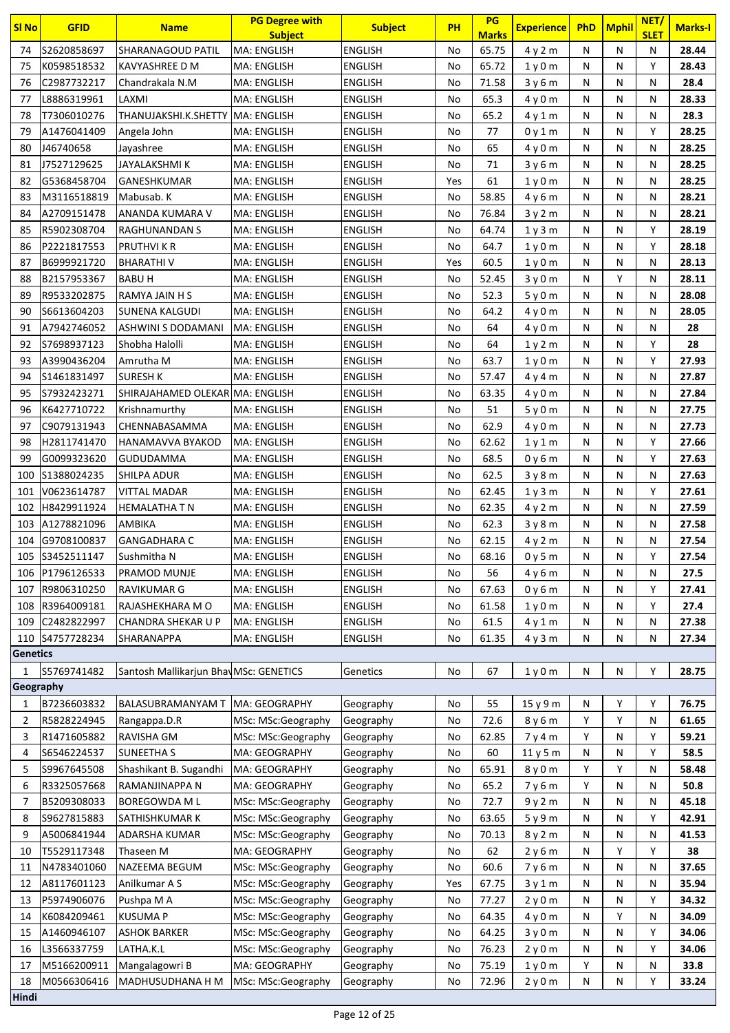| SI <sub>No</sub> | <b>GFID</b>                        | <b>Name</b>                            | <b>PG Degree with</b><br><b>Subject</b> | <b>Subject</b>                   | <b>PH</b> | PG<br><b>Marks</b> | <b>Experience</b> | <b>PhD</b> | Mphil        | NET/<br><b>SLET</b> | <b>Marks-I</b> |
|------------------|------------------------------------|----------------------------------------|-----------------------------------------|----------------------------------|-----------|--------------------|-------------------|------------|--------------|---------------------|----------------|
| 74               | S2620858697                        | SHARANAGOUD PATIL                      | MA: ENGLISH                             | <b>ENGLISH</b>                   | No        | 65.75              | 4y2m              | N          | N            | N                   | 28.44          |
| 75               | K0598518532                        | KAVYASHREE D M                         | MA: ENGLISH                             | ENGLISH                          | No        | 65.72              | 1y0m              | N          | N            | Υ                   | 28.43          |
| 76               | C2987732217                        | Chandrakala N.M                        | MA: ENGLISH                             | <b>ENGLISH</b>                   | No        | 71.58              | 3y6m              | N          | N            | N                   | 28.4           |
| 77               | L8886319961                        | LAXMI                                  | <b>MA: ENGLISH</b>                      | <b>ENGLISH</b>                   | No        | 65.3               | 4y0m              | N          | N            | N                   | 28.33          |
| 78               | T7306010276                        | THANUJAKSHI.K.SHETTY   MA: ENGLISH     |                                         | ENGLISH                          | No        | 65.2               | 4 y 1 m           | N          | N            | N                   | 28.3           |
| 79               | A1476041409                        | Angela John                            | MA: ENGLISH                             | ENGLISH                          | No        | 77                 | 0y1m              | N          | N            | Υ                   | 28.25          |
| 80               | J46740658                          | Jayashree                              | MA: ENGLISH                             | ENGLISH                          | No        | 65                 | 4 y 0 m           | N          | N            | N                   | 28.25          |
| 81               | J7527129625                        | JAYALAKSHMI K                          | MA: ENGLISH                             | <b>ENGLISH</b>                   | No        | 71                 | 3y6m              | N          | N            | N                   | 28.25          |
| 82               | G5368458704                        | <b>GANESHKUMAR</b>                     | MA: ENGLISH                             | <b>ENGLISH</b>                   | Yes       | 61                 | 1y0m              | N          | N            | N                   | 28.25          |
| 83               | M3116518819                        | Mabusab. K                             | MA: ENGLISH                             | ENGLISH                          | No        | 58.85              | 4y6m              | N          | $\mathsf{N}$ | N                   | 28.21          |
| 84               | A2709151478                        | ANANDA KUMARA V                        | MA: ENGLISH                             | ENGLISH                          | No        | 76.84              | 3y2m              | N          | N            | N                   | 28.21          |
| 85               | R5902308704                        | RAGHUNANDAN S                          | MA: ENGLISH                             | <b>ENGLISH</b>                   | No        | 64.74              | 1y3m              | N          | N            | Y                   | 28.19          |
| 86               | P2221817553                        | <b>PRUTHVIKR</b>                       | <b>MA: ENGLISH</b>                      | <b>ENGLISH</b>                   | No        | 64.7               | 1y0m              | N          | N            | Y                   | 28.18          |
| 87               | B6999921720                        | <b>BHARATHIV</b>                       | MA: ENGLISH                             | <b>ENGLISH</b>                   | Yes       | 60.5               | 1y0m              | N          | N            | N                   | 28.13          |
| 88               | B2157953367                        | <b>BABUH</b>                           | MA: ENGLISH                             | ENGLISH                          | No        | 52.45              | 3y0m              | N          | Υ            | N                   | 28.11          |
| 89               | R9533202875                        | RAMYA JAIN H S                         | MA: ENGLISH                             | ENGLISH                          | No        | 52.3               | 5y0m              | N          | N            | N                   | 28.08          |
| 90               | S6613604203                        | <b>SUNENA KALGUDI</b>                  | MA: ENGLISH                             | <b>ENGLISH</b>                   | No        | 64.2               | 4y0m              | N          | N            | N                   | 28.05          |
| 91               | A7942746052                        | ASHWINI S DODAMANI                     | MA: ENGLISH                             | <b>ENGLISH</b>                   | No        | 64                 | 4y0m              | N          | N            | N                   | 28             |
| 92               | S7698937123                        | Shobha Halolli                         | MA: ENGLISH                             | ENGLISH                          | No        | 64                 | 1y2m              | N          | N            | Υ                   | 28             |
| 93               | A3990436204                        | Amrutha M                              | MA: ENGLISH                             | <b>ENGLISH</b>                   | No        | 63.7               | 1y0m              | N          | N            | Y                   | 27.93          |
| 94               | S1461831497                        | <b>SURESH K</b>                        | MA: ENGLISH                             | ENGLISH                          | No        | 57.47              | 4y4m              | N          | N            | N                   | 27.87          |
| 95               | S7932423271                        | SHIRAJAHAMED OLEKAR MA: ENGLISH        |                                         | <b>ENGLISH</b>                   | No        | 63.35              | 4y0m              | N          | N            | N                   | 27.84          |
| 96               | K6427710722                        | Krishnamurthy                          | MA: ENGLISH                             | ENGLISH                          | No        | 51                 | 5y0m              | N          | N            | N                   | 27.75          |
| 97               | C9079131943                        | CHENNABASAMMA                          | MA: ENGLISH                             | ENGLISH                          | No        | 62.9               | 4y0m              | N          | N            | N                   | 27.73          |
| 98               | H2811741470                        | HANAMAVVA BYAKOD                       | MA: ENGLISH                             | ENGLISH                          | No        | 62.62              | 1 y 1 m           | N          | N            | Υ                   | 27.66          |
| 99               | G0099323620                        | <b>GUDUDAMMA</b>                       | MA: ENGLISH                             | <b>ENGLISH</b>                   | No        | 68.5               | 0y6m              | N          | N            | Υ                   | 27.63          |
| 100              | S1388024235                        | SHILPA ADUR                            | MA: ENGLISH                             | <b>ENGLISH</b>                   | No        | 62.5               | 3y8m              | N          | N            | N                   | 27.63          |
| 101              | V0623614787                        | <b>VITTAL MADAR</b>                    | MA: ENGLISH                             | ENGLISH                          | No        | 62.45              | 1y3m              | N          | N            | Y                   | 27.61          |
| 102              | H8429911924                        | <b>HEMALATHA T N</b>                   | MA: ENGLISH                             | ENGLISH                          | No        | 62.35              | 4y2m              | N          | N            | N                   | 27.59          |
|                  | 103 A1278821096                    | AMBIKA                                 | MA: ENGLISH<br><b>MA: ENGLISH</b>       | ENGLISH                          | No        | 62.3               | 3y8m              | N          | N            | N                   | 27.58          |
|                  | 104 G9708100837<br>105 S3452511147 | <b>GANGADHARA C</b><br>Sushmitha N     |                                         | <b>ENGLISH</b><br><b>ENGLISH</b> | No<br>No  | 62.15<br>68.16     | 4y2m              | N<br>N     | N<br>N       | N<br>Y              | 27.54<br>27.54 |
| 106              | P1796126533                        | PRAMOD MUNJE                           | MA: ENGLISH<br>MA: ENGLISH              | <b>ENGLISH</b>                   | No        | 56                 | 0y5m<br>4y6m      | N          | N            | N                   | 27.5           |
| 107              | R9806310250                        | <b>RAVIKUMAR G</b>                     | MA: ENGLISH                             | <b>ENGLISH</b>                   | No        | 67.63              | 0y6m              | N          | Ν            | Υ                   | 27.41          |
| 108              | R3964009181                        | RAJASHEKHARA M O                       | MA: ENGLISH                             | <b>ENGLISH</b>                   | No        | 61.58              | 1y0m              | N          | N            | Υ                   | 27.4           |
| 109              | C2482822997                        | CHANDRA SHEKAR U P                     | MA: ENGLISH                             | <b>ENGLISH</b>                   | No        | 61.5               | 4y1m              | N          | N            | Ν                   | 27.38          |
|                  | 110 S4757728234                    | SHARANAPPA                             | MA: ENGLISH                             | <b>ENGLISH</b>                   | No        | 61.35              | 4y3m              | N          | N            | N                   | 27.34          |
| <b>Genetics</b>  |                                    |                                        |                                         |                                  |           |                    |                   |            |              |                     |                |
|                  | S5769741482                        | Santosh Mallikarjun Bhav MSc: GENETICS |                                         | Genetics                         | No        | 67                 | 1y0m              | N          | N            | Υ                   | 28.75          |
| Geography        |                                    |                                        |                                         |                                  |           |                    |                   |            |              |                     |                |
| 1                | B7236603832                        | BALASUBRAMANYAM T                      | MA: GEOGRAPHY                           | Geography                        | No        | 55                 | 15 y 9 m          | N          | Υ            | Υ                   | 76.75          |
| 2                | R5828224945                        | Rangappa.D.R                           | MSc: MSc:Geography                      | Geography                        | No        | 72.6               | 8 y 6 m           | Υ          | Υ            | N                   | 61.65          |
| 3                | R1471605882                        | RAVISHA GM                             | MSc: MSc:Geography                      | Geography                        | No        | 62.85              | 7y4m              | Υ          | Ν            | Υ                   | 59.21          |
| 4                | S6546224537                        | <b>SUNEETHA S</b>                      | MA: GEOGRAPHY                           | Geography                        | No        | 60                 | 11 y 5 m          | Ν          | N            | Υ                   | 58.5           |
| 5                | S9967645508                        | Shashikant B. Sugandhi                 | MA: GEOGRAPHY                           | Geography                        | No        | 65.91              | 8y0m              | Υ          | Υ            | Ν                   | 58.48          |
| 6                | R3325057668                        | RAMANJINAPPA N                         | MA: GEOGRAPHY                           | Geography                        | No        | 65.2               | 7y6m              | Y          | N            | N                   | 50.8           |
| 7                | B5209308033                        | <b>BOREGOWDA ML</b>                    | MSc: MSc:Geography                      | Geography                        | No        | 72.7               | 9y2m              | N          | N            | Ν                   | 45.18          |
| 8                | S9627815883                        | SATHISHKUMAR K                         | MSc: MSc:Geography                      | Geography                        | No        | 63.65              | 5y9m              | N          | N            | Υ                   | 42.91          |
| 9                | A5006841944                        | ADARSHA KUMAR                          | MSc: MSc:Geography                      | Geography                        | No        | 70.13              | 8 y 2 m           | Ν          | N            | N                   | 41.53          |
| 10               | T5529117348                        | Thaseen M                              | MA: GEOGRAPHY                           | Geography                        | No        | 62                 | 2y6m              | N          | Υ            | Υ                   | 38             |
| 11               | N4783401060                        | NAZEEMA BEGUM                          | MSc: MSc:Geography                      | Geography                        | No        | 60.6               | 7 y 6 m           | N          | N            | Ν                   | 37.65          |
| 12               | A8117601123                        | Anilkumar A S                          | MSc: MSc:Geography                      | Geography                        | Yes       | 67.75              | 3y1m              | N          | N            | N                   | 35.94          |
| 13               | P5974906076                        | Pushpa M A                             | MSc: MSc:Geography                      | Geography                        | No        | 77.27              | 2y0m              | N          | N            | Υ                   | 34.32          |
| 14               | K6084209461                        | <b>KUSUMA P</b>                        | MSc: MSc:Geography                      | Geography                        | No        | 64.35              | 4y0m              | N          | Υ            | N                   | 34.09          |
| 15               | A1460946107                        | <b>ASHOK BARKER</b>                    | MSc: MSc:Geography                      | Geography                        | No        | 64.25              | 3y0m              | N          | N            | Υ                   | 34.06          |
| 16               | L3566337759                        | LATHA.K.L                              | MSc: MSc:Geography                      | Geography                        | No        | 76.23              | 2y0m              | N          | N            | Υ                   | 34.06          |
| 17               | M5166200911                        | Mangalagowri B                         | MA: GEOGRAPHY                           | Geography                        | No        | 75.19              | 1y0m              | Υ          | N            | Ν                   | 33.8           |
| 18               | M0566306416                        | MADHUSUDHANA H M                       | MSc: MSc:Geography                      | Geography                        | No        | 72.96              | 2y0m              | N          | N            | Υ                   | 33.24          |
| Hindi            |                                    |                                        |                                         |                                  |           |                    |                   |            |              |                     |                |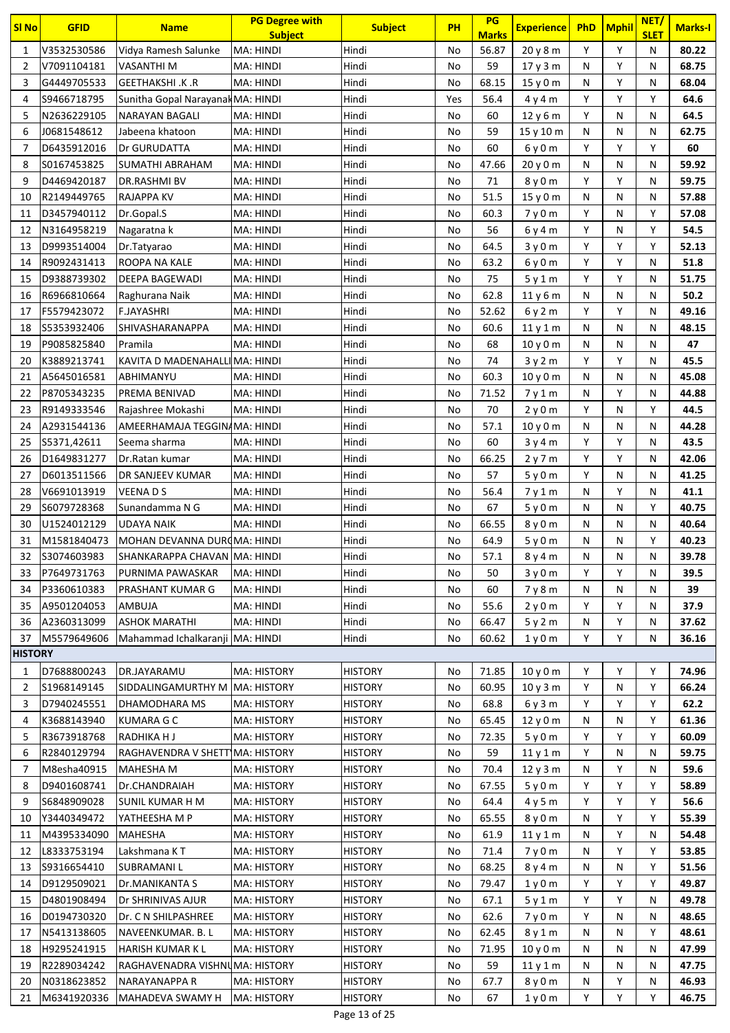| <b>SI No</b>   | <b>GFID</b>                | <b>Name</b>                        | <b>PG Degree with</b><br><b>Subject</b> | <b>Subject</b>                   | <b>PH</b> | PG<br><b>Marks</b> | <b>Experience</b> | <b>PhD</b> | <b>Mphil</b> | NET/<br><b>SLET</b> | <b>Marks-I</b> |
|----------------|----------------------------|------------------------------------|-----------------------------------------|----------------------------------|-----------|--------------------|-------------------|------------|--------------|---------------------|----------------|
| 1              | V3532530586                | Vidya Ramesh Salunke               | MA: HINDI                               | Hindi                            | No        | 56.87              | 20 y 8 m          | Y          | Υ            | N                   | 80.22          |
| 2              | V7091104181                | <b>VASANTHI M</b>                  | MA: HINDI                               | Hindi                            | No        | 59                 | 17y3m             | N          | Υ            | N                   | 68.75          |
| 3              | G4449705533                | <b>GEETHAKSHI .K .R</b>            | MA: HINDI                               | Hindi                            | No        | 68.15              | 15y0m             | N          | Υ            | N                   | 68.04          |
| 4              | S9466718795                | Sunitha Gopal Narayanak MA: HINDI  |                                         | Hindi                            | Yes       | 56.4               | 4y4m              | Y          | Υ            | Y                   | 64.6           |
| 5              | N2636229105                | NARAYAN BAGALI                     | MA: HINDI                               | Hindi                            | No        | 60                 | 12y6m             | Y          | N            | N                   | 64.5           |
| 6              | J0681548612                | Jabeena khatoon                    | MA: HINDI                               | Hindi                            | No        | 59                 | 15 y 10 m         | N          | N            | Ν                   | 62.75          |
| 7              | D6435912016                | Dr GURUDATTA                       | MA: HINDI                               | Hindi                            | No        | 60                 | 6y0m              | Y          | Υ            | Y                   | 60             |
| 8              | S0167453825                | SUMATHI ABRAHAM                    | MA: HINDI                               | Hindi                            | No        | 47.66              | 20y0m             | N          | N            | Ν                   | 59.92          |
| 9              | D4469420187                | DR.RASHMI BV                       | MA: HINDI                               | Hindi                            | No        | 71                 | 8y0m              | Y          | Υ            | Ν                   | 59.75          |
| 10             | R2149449765                | <b>RAJAPPA KV</b>                  | MA: HINDI                               | Hindi                            | No        | 51.5               | 15y0m             | N          | N            | Ν                   | 57.88          |
| 11             | D3457940112                | Dr.Gopal.S                         | MA: HINDI                               | Hindi                            | No        | 60.3               | 7y0m              | Y          | N            | Υ                   | 57.08          |
| 12             | N3164958219                | Nagaratna k                        | MA: HINDI                               | Hindi                            | No        | 56                 | 6y4m              | Y          | N            | Y                   | 54.5           |
| 13             | D9993514004                | Dr.Tatyarao                        | MA: HINDI                               | Hindi                            | No        | 64.5               | 3y0m              | Y          | Υ            | Y                   | 52.13          |
| 14             | R9092431413                | ROOPA NA KALE                      | MA: HINDI                               | Hindi                            | No        | 63.2               | 6y0m              | Y          | Υ            | Ν                   | 51.8           |
| 15             | D9388739302                | DEEPA BAGEWADI                     | MA: HINDI                               | Hindi                            | No        | 75                 | 5v1m              | Y          | Υ            | N                   | 51.75          |
| 16             | R6966810664                | Raghurana Naik                     | MA: HINDI                               | Hindi                            | No        | 62.8               | 11y6m             | N          | N            | N                   | 50.2           |
| 17             | F5579423072                | <b>F.JAYASHRI</b>                  | MA: HINDI                               | Hindi                            | No        | 52.62              | 6y2m              | Y          | Υ            | Ν                   | 49.16          |
| 18             | S5353932406                | SHIVASHARANAPPA                    | MA: HINDI                               | Hindi                            | No        | 60.6               | 11y1m             | N          | $\mathsf{N}$ | Ν                   | 48.15          |
| 19             | P9085825840                | Pramila                            | MA: HINDI                               | Hindi                            | No        | 68                 | 10y0m             | N          | N            | Ν                   | 47             |
| 20             | K3889213741                | KAVITA D MADENAHALLI MA: HINDI     |                                         | Hindi                            | No        | 74                 | 3y2m              | Y          | Y            | Ν                   | 45.5           |
| 21             | A5645016581                | ABHIMANYU                          | MA: HINDI                               | Hindi                            | No        | 60.3               | 10y0m             | N          | N            | Ν                   | 45.08          |
| 22             | P8705343235                | PREMA BENIVAD                      | MA: HINDI                               | Hindi                            | No        | 71.52              | 7y1m              | N          | Υ            | N                   | 44.88          |
| 23             | R9149333546                | Rajashree Mokashi                  | MA: HINDI                               | Hindi                            | No        | 70                 | 2y0m              | Y          | N            | Y                   | 44.5           |
| 24             | A2931544136                | AMEERHAMAJA TEGGINAMA: HINDI       |                                         | Hindi                            | No        | 57.1               | 10y0m             | N          | N            | Ν                   | 44.28          |
| 25             | S5371,42611                | Seema sharma                       | MA: HINDI                               | Hindi                            | No        | 60                 | 3y4m              | Y          | Y            | N                   | 43.5           |
| 26             | D1649831277                | Dr.Ratan kumar                     | MA: HINDI                               | Hindi                            | No        | 66.25              | 2y7m              | Υ          | Υ            | Ν                   | 42.06          |
| 27             | D6013511566                | DR SANJEEV KUMAR                   | MA: HINDI                               | Hindi                            | No        | 57                 | 5y0m              | Y          | $\mathsf{N}$ | N                   | 41.25          |
| 28             | V6691013919                | <b>VEENADS</b>                     | MA: HINDI                               | Hindi                            | No        | 56.4               | 7y1m              | N          | Υ            | Ν                   | 41.1           |
| 29             | S6079728368                | Sunandamma N G                     | MA: HINDI                               | Hindi                            | No        | 67                 | 5y0m              | N          | N            | Υ                   | 40.75          |
| 30             | U1524012129                | UDAYA NAIK                         | MA: HINDI                               | Hindi                            | No        | 66.55              | 8y0m              | N          | N            | Ν                   | 40.64          |
| 31             | M1581840473                | MOHAN DEVANNA DUROMA: HINDI        |                                         | Hindi                            | No        | 64.9               | 5y0m              | N          | N            | Y                   | 40.23          |
| 32             | S3074603983                | SHANKARAPPA CHAVAN   MA: HINDI     |                                         | Hindi                            | No        | 57.1               | 8y4m              | N          | N            | Ν                   | 39.78          |
| 33             | P7649731763                | PURNIMA PAWASKAR                   | MA: HINDI                               | Hindi                            | No        | 50                 | 3y0m              | Y          | Υ            | Ν                   | 39.5           |
| 34             | P3360610383                | PRASHANT KUMAR G                   | MA: HINDI                               | Hindi                            | No        | 60                 | 7y8m              | N          | N            | Ν                   | 39             |
| 35             | A9501204053                | AMBUJA                             | MA: HINDI                               | Hindi                            | No        | 55.6               | 2y0m              | Y          | Υ            | Ν                   | 37.9           |
| 36             | A2360313099                | <b>ASHOK MARATHI</b>               | MA: HINDI                               | Hindi                            | No        | 66.47              | 5y2m              | N          | Υ            | N                   | 37.62          |
| 37             | M5579649606                | Mahammad Ichalkaranji MA: HINDI    |                                         | Hindi                            | No        | 60.62              | 1y0m              | Υ          | Υ            | Ν                   | 36.16          |
| <b>HISTORY</b> |                            |                                    |                                         |                                  |           |                    |                   |            |              |                     |                |
| 1              | D7688800243                | DR.JAYARAMU                        | MA: HISTORY                             | <b>HISTORY</b>                   | No        | 71.85              | 10 y 0 m          | Y          | Υ            | Υ                   | 74.96          |
| $\overline{2}$ | S1968149145                | SIDDALINGAMURTHY M                 | <b>MA: HISTORY</b>                      | <b>HISTORY</b>                   | No        | 60.95              | 10y3m             | Υ          | N            | Υ                   | 66.24          |
| 3<br>4         | D7940245551<br>K3688143940 | DHAMODHARA MS<br><b>KUMARA G C</b> | MA: HISTORY<br>MA: HISTORY              | <b>HISTORY</b><br><b>HISTORY</b> | No<br>No  | 68.8<br>65.45      | 6y3m              | Υ<br>N     | Υ<br>N       | Υ<br>Υ              | 62.2<br>61.36  |
| 5              | R3673918768                | RADHIKA H J                        | MA: HISTORY                             | <b>HISTORY</b>                   | No        | 72.35              | 12y0m<br>5y0m     | Υ          | Υ            | Y                   | 60.09          |
| 6              | R2840129794                | RAGHAVENDRA V SHETT MA: HISTORY    |                                         | <b>HISTORY</b>                   | No        | 59                 | 11y1m             | Y          | N            | N                   | 59.75          |
| 7              | M8esha40915                | <b>MAHESHA M</b>                   | MA: HISTORY                             | <b>HISTORY</b>                   | No        | 70.4               | 12y3m             | N          | Υ            | N                   | 59.6           |
| 8              | D9401608741                | Dr.CHANDRAIAH                      | MA: HISTORY                             | <b>HISTORY</b>                   | No        | 67.55              | 5y0m              | Υ          | Υ            | Y                   | 58.89          |
| 9              | S6848909028                | <b>SUNIL KUMAR H M</b>             | MA: HISTORY                             | <b>HISTORY</b>                   | No        | 64.4               | 4y5m              | Y          | Υ            | Y                   | 56.6           |
| 10             | Y3440349472                | YATHEESHA M P                      | MA: HISTORY                             | <b>HISTORY</b>                   | No        | 65.55              | 8y0m              | N          | Υ            | Y                   | 55.39          |
| 11             | M4395334090                | MAHESHA                            | MA: HISTORY                             | <b>HISTORY</b>                   | No        | 61.9               | 11y1m             | N          | Υ            | Ν                   | 54.48          |
| 12             | L8333753194                | Lakshmana K T                      | MA: HISTORY                             | <b>HISTORY</b>                   | No        | 71.4               | 7y0m              | N          | Y            | Υ                   | 53.85          |
| 13             | S9316654410                | SUBRAMANI L                        | MA: HISTORY                             | <b>HISTORY</b>                   | No        | 68.25              | 8y4m              | N          | N            | Υ                   | 51.56          |
| 14             | D9129509021                | Dr.MANIKANTA S                     | MA: HISTORY                             | <b>HISTORY</b>                   | No        | 79.47              | 1y0m              | Y          | Υ            | Υ                   | 49.87          |
| 15             | D4801908494                | Dr SHRINIVAS AJUR                  | MA: HISTORY                             | <b>HISTORY</b>                   | No        | 67.1               | 5y1m              | Υ          | Υ            | Ν                   | 49.78          |
| 16             | D0194730320                | Dr. C N SHILPASHREE                | MA: HISTORY                             | <b>HISTORY</b>                   | No        | 62.6               | 7y0m              | Υ          | N            | N                   | 48.65          |
| 17             | N5413138605                | NAVEENKUMAR. B. L                  | <b>MA: HISTORY</b>                      | <b>HISTORY</b>                   | No        | 62.45              | 8 y 1 m           | N          | N            | Y                   | 48.61          |
| 18             | H9295241915                | <b>HARISH KUMAR KL</b>             | <b>MA: HISTORY</b>                      | <b>HISTORY</b>                   | No        | 71.95              | 10 y 0 m          | N          | N            | Ν                   | 47.99          |
| 19             | R2289034242                | RAGHAVENADRA VISHNUMA: HISTORY     |                                         | <b>HISTORY</b>                   | No        | 59                 | 11y1m             | Ν          | N            | N                   | 47.75          |
| 20             | N0318623852                | NARAYANAPPA R                      | MA: HISTORY                             | <b>HISTORY</b>                   | No        | 67.7               | 8 y 0 m           | N          | Υ            | Ν                   | 46.93          |
| 21             | M6341920336                | MAHADEVA SWAMY H                   | <b>MA: HISTORY</b>                      | <b>HISTORY</b>                   | No        | 67                 | 1y0m              | Y          | Υ            | Υ                   | 46.75          |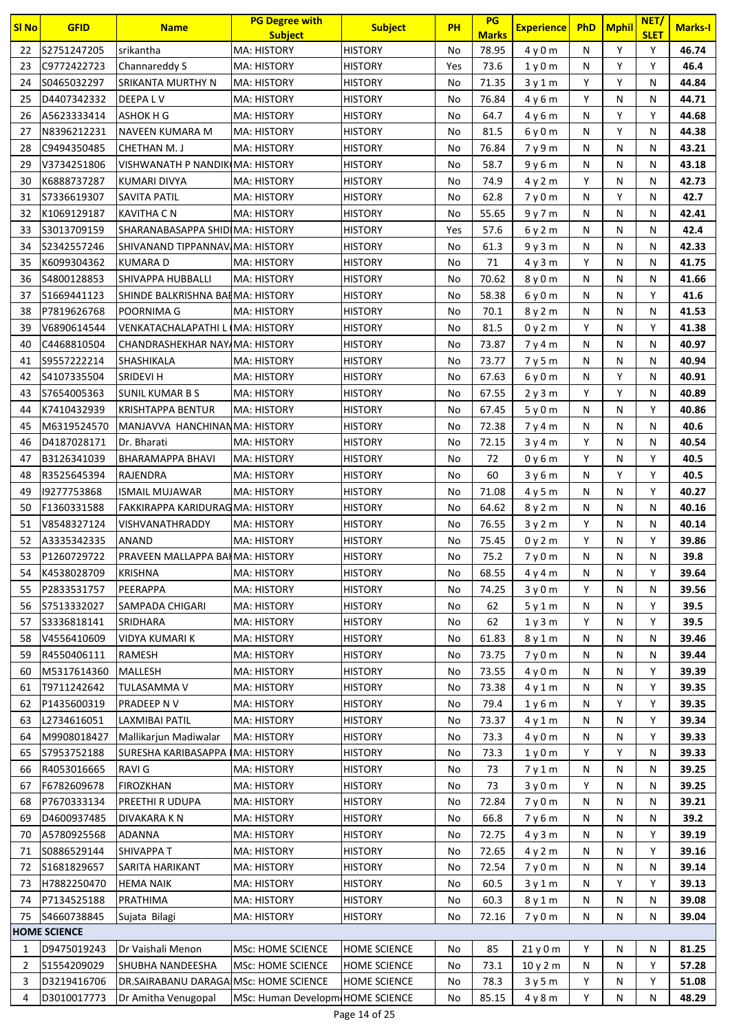| <b>SI No</b> | <b>GFID</b>                | <b>Name</b>                                               | <b>PG Degree with</b><br><b>Subject</b>              | <b>Subject</b>                      | PH       | PG<br><b>Marks</b> | <b>Experience</b>             |        | PhD Mphil    | NET/<br><b>SLET</b> | <b>Marks-I</b> |
|--------------|----------------------------|-----------------------------------------------------------|------------------------------------------------------|-------------------------------------|----------|--------------------|-------------------------------|--------|--------------|---------------------|----------------|
| 22           | S2751247205                | srikantha                                                 | <b>MA: HISTORY</b>                                   | <b>HISTORY</b>                      | No       | 78.95              | 4y0m                          | N      | Y            | Y                   | 46.74          |
| 23           | C9772422723                | Channareddy S                                             | <b>MA: HISTORY</b>                                   | <b>HISTORY</b>                      | Yes      | 73.6               | 1y0m                          | N      | Y            | Υ                   | 46.4           |
| 24           | S0465032297                | SRIKANTA MURTHY N                                         | <b>MA: HISTORY</b>                                   | <b>HISTORY</b>                      | No       | 71.35              | 3y1m                          | Υ      | Υ            | Ν                   | 44.84          |
| 25           | D4407342332                | DEEPA L V                                                 | <b>MA: HISTORY</b>                                   | <b>HISTORY</b>                      | No       | 76.84              | 4y6m                          | Y      | N            | N                   | 44.71          |
| 26           | A5623333414                | ASHOK H G                                                 | <b>MA: HISTORY</b>                                   | <b>HISTORY</b>                      | No       | 64.7               | 4y6m                          | N      | Y            | Y                   | 44.68          |
| 27           | N8396212231                | NAVEEN KUMARA M                                           | <b>MA: HISTORY</b>                                   | <b>HISTORY</b>                      | No       | 81.5               | 6y0m                          | N      | Y            | Ν                   | 44.38          |
| 28           | C9494350485                | CHETHAN M. J                                              | MA: HISTORY                                          | <b>HISTORY</b>                      | No       | 76.84              | 7y9m                          | N      | N            | N                   | 43.21          |
| 29           | V3734251806                | VISHWANATH P NANDIKIMA: HISTORY                           |                                                      | <b>HISTORY</b>                      | No       | 58.7               | 9y6m                          | N      | N            | N                   | 43.18          |
| 30           | K6888737287                | KUMARI DIVYA                                              | <b>MA: HISTORY</b>                                   | <b>HISTORY</b>                      | No       | 74.9               | 4y2m                          | Y      | N            | N                   | 42.73          |
| 31           | S7336619307                | SAVITA PATIL                                              | <b>MA: HISTORY</b>                                   | <b>HISTORY</b>                      | No       | 62.8               | 7y0m                          | N      | Υ            | Ν                   | 42.7           |
| 32           | K1069129187                | KAVITHA C N                                               | <b>MA: HISTORY</b>                                   | <b>HISTORY</b>                      | No       | 55.65              | 9y7m                          | N      | N            | N                   | 42.41          |
| 33           | S3013709159                | SHARANABASAPPA SHIDIMA: HISTORY                           |                                                      | <b>HISTORY</b>                      | Yes      | 57.6               | 6y2m                          | N      | N            | Ν                   | 42.4           |
| 34           | S2342557246                | SHIVANAND TIPPANNAV/MA: HISTORY                           |                                                      | <b>HISTORY</b>                      | No       | 61.3               | 9y3m                          | N      | N            | Ν                   | 42.33          |
| 35           | K6099304362                | <b>KUMARA D</b>                                           | <b>MA: HISTORY</b>                                   | <b>HISTORY</b>                      | No       | 71                 | 4y3m                          | Y      | N            | Ν                   | 41.75          |
| 36           | S4800128853                | SHIVAPPA HUBBALLI                                         | <b>MA: HISTORY</b>                                   | <b>HISTORY</b>                      | No       | 70.62              | 8y0m                          | N      | N            | Ν                   | 41.66          |
| 37           | S1669441123                | SHINDE BALKRISHNA BAIMA: HISTORY                          |                                                      | <b>HISTORY</b>                      | No       | 58.38              | 6y0m                          | N      | N            | Y                   | 41.6           |
| 38           | P7819626768                | POORNIMA G                                                | <b>MA: HISTORY</b>                                   | <b>HISTORY</b>                      | No       | 70.1               | 8y2m                          | N      | N            | N                   | 41.53          |
| 39           | V6890614544                | <b>VENKATACHALAPATHI L (MA: HISTORY</b>                   |                                                      | <b>HISTORY</b>                      | No       | 81.5               | 0y2m                          | Y      | N            | Y                   | 41.38          |
| 40           | C4468810504                | CHANDRASHEKHAR NAYAMA: HISTORY                            |                                                      | <b>HISTORY</b>                      | No       | 73.87              | 7y4m                          | N      | N            | Ν                   | 40.97          |
| 41           | S9557222214                | SHASHIKALA                                                | <b>MA: HISTORY</b>                                   | <b>HISTORY</b>                      | No       | 73.77              | 7y5m                          | N      | $\mathsf{N}$ | N                   | 40.94          |
| 42           | S4107335504                | SRIDEVI H                                                 | <b>MA: HISTORY</b>                                   | <b>HISTORY</b>                      | No       | 67.63              | 6y0m                          | N      | Υ            | Ν                   | 40.91          |
| 43           | S7654005363                | SUNIL KUMAR B S                                           | <b>MA: HISTORY</b>                                   | <b>HISTORY</b>                      | No       | 67.55              | 2y3m                          | Y      | Y            | N                   | 40.89          |
| 44           | K7410432939                | <b>KRISHTAPPA BENTUR</b>                                  | <b>MA: HISTORY</b>                                   | <b>HISTORY</b>                      | No       | 67.45              | 5y0m                          | N      | N            | Y                   | 40.86          |
| 45           | M6319524570                | MANJAVVA HANCHINANMA: HISTORY                             |                                                      | <b>HISTORY</b>                      | No       | 72.38              | 7 y 4 m                       | N      | N            | N                   | 40.6           |
| 46           | D4187028171                | Dr. Bharati                                               | <b>MA: HISTORY</b>                                   | <b>HISTORY</b>                      | No       | 72.15              | 3y4m                          | Y      | N            | N                   | 40.54          |
| 47           | B3126341039                | BHARAMAPPA BHAVI                                          | <b>MA: HISTORY</b>                                   | <b>HISTORY</b>                      | No       | 72                 | 0y6m                          | Y      | N            | Y                   | 40.5           |
| 48           | R3525645394                | <b>RAJENDRA</b>                                           | <b>MA: HISTORY</b>                                   | <b>HISTORY</b>                      | No       | 60                 | 3y6m                          | N      | Υ            | Y                   | 40.5           |
| 49           | 19277753868                | <b>ISMAIL MUJAWAR</b>                                     | <b>MA: HISTORY</b>                                   | <b>HISTORY</b>                      | No       | 71.08              | 4y5m                          | N      | N            | Υ                   | 40.27          |
| 50           | F1360331588                | FAKKIRAPPA KARIDURAGMA: HISTORY                           |                                                      | <b>HISTORY</b>                      | No       | 64.62              | 8y2m                          | N      | N            | N                   | 40.16          |
| 51           | V8548327124                | VISHVANATHRADDY                                           | <b>MA: HISTORY</b>                                   | <b>HISTORY</b>                      | No       | 76.55              | 3y2m                          | Y      | N            | Ν                   | 40.14          |
| 52           | A3335342335                | ANAND                                                     | <b>MA: HISTORY</b>                                   | <b>HISTORY</b>                      | No       | 75.45              | 0y2m                          | Y      | N            | Υ                   | 39.86          |
| 53           | P1260729722                | PRAVEEN MALLAPPA BAI MA: HISTORY                          |                                                      | <b>HISTORY</b>                      | No       | 75.2               | 7y0m                          | N      | N            | Ν                   | 39.8           |
| 54           | K4538028709                | <b>KRISHNA</b>                                            | MA: HISTORY                                          | <b>HISTORY</b>                      | No       | 68.55              | 4y4m                          | N      | N            | Υ                   | 39.64          |
| 55           | P2833531757                | PEERAPPA                                                  | MA: HISTORY                                          | <b>HISTORY</b>                      | No       | 74.25              | 3y0m                          | Y      | N            | Ν                   | 39.56          |
| 56           | S7513332027                | SAMPADA CHIGARI                                           | MA: HISTORY                                          | <b>HISTORY</b>                      | No       | 62                 | 5y1m                          | N      | N            | Υ                   | 39.5           |
| 57           | S3336818141                | SRIDHARA                                                  | <b>MA: HISTORY</b>                                   | <b>HISTORY</b>                      | No       | 62                 | 1y3m                          | Y      | N            | Υ                   | 39.5           |
| 58           | V4556410609                | VIDYA KUMARI K                                            | <b>MA: HISTORY</b>                                   | <b>HISTORY</b>                      | No       | 61.83              | 8y1m                          | N      | N            | Ν                   | 39.46          |
| 59           | R4550406111                | RAMESH                                                    | MA: HISTORY                                          | <b>HISTORY</b>                      | No       | 73.75              | 7y0m                          | N      | N            | Ν                   | 39.44          |
| 60           | M5317614360                | MALLESH                                                   | MA: HISTORY                                          | <b>HISTORY</b>                      | No       | 73.55              | 4y0m                          | N      | N            | Υ                   | 39.39          |
| 61           | T9711242642                | TULASAMMA V                                               | MA: HISTORY                                          | <b>HISTORY</b>                      | No       | 73.38              | 4y1m                          | N      | N            | Υ                   | 39.35          |
| 62           | P1435600319                | PRADEEP N V                                               | <b>MA: HISTORY</b>                                   | <b>HISTORY</b>                      | No       | 79.4               | 1y6m                          | N      | Y            | Y                   | 39.35          |
| 63           | L2734616051                | LAXMIBAI PATIL                                            | <b>MA: HISTORY</b>                                   | <b>HISTORY</b>                      | No       | 73.37              | 4y1m                          | N      | N            | Υ                   | 39.34          |
| 64           | M9908018427                | Mallikarjun Madiwalar                                     | <b>MA: HISTORY</b>                                   | <b>HISTORY</b>                      | No       | 73.3               | 4y0m                          | N      | N            | Υ                   | 39.33          |
| 65           | S7953752188                | SURESHA KARIBASAPPA                                       | MA: HISTORY                                          | <b>HISTORY</b>                      | No       | 73.3               | 1 <sub>V</sub> 0 <sub>m</sub> | Υ      | Υ            | Ν                   | 39.33          |
| 66           | R4053016665                | RAVI G                                                    | <b>MA: HISTORY</b>                                   | <b>HISTORY</b>                      | No       | 73                 | 7y1m                          | N      | N            | Ν                   | 39.25          |
| 67           | F6782609678                | <b>FIROZKHAN</b>                                          | <b>MA: HISTORY</b>                                   | <b>HISTORY</b>                      | No       | 73                 | 3y0m                          | Y      | $\mathsf{N}$ | Ν                   | 39.25          |
| 68           | P7670333134                | PREETHI R UDUPA                                           | MA: HISTORY                                          | <b>HISTORY</b>                      | No       | 72.84              | 7y0m                          | N      | N            | Ν                   | 39.21          |
| 69           | D4600937485                | DIVAKARA K N                                              | MA: HISTORY                                          | <b>HISTORY</b>                      | No       | 66.8               | 7 y 6 m                       | N      | N            | Ν                   | 39.2           |
| 70           | A5780925568                | <b>ADANNA</b>                                             | MA: HISTORY                                          | <b>HISTORY</b>                      | No       | 72.75              | 4y3m                          | N      | N            | Y                   | 39.19          |
| 71           | S0886529144                | SHIVAPPA T                                                | <b>MA: HISTORY</b>                                   | <b>HISTORY</b>                      | No       | 72.65              | 4y2m                          | N      | N            | Υ                   | 39.16          |
| 72           | S1681829657                | SARITA HARIKANT                                           | <b>MA: HISTORY</b>                                   | <b>HISTORY</b>                      | No       | 72.54              | 7y0m                          | N      | N            | Ν                   | 39.14          |
| 73           | H7882250470                | <b>HEMA NAIK</b>                                          | MA: HISTORY                                          | <b>HISTORY</b>                      | No       | 60.5               | 3y1m                          | N      | Υ            | Υ                   | 39.13          |
| 74           | P7134525188                | PRATHIMA                                                  | MA: HISTORY                                          | <b>HISTORY</b>                      | No       | 60.3               | 8y1m                          | N      | N            | N                   | 39.08          |
| 75           | S4660738845                | Sujata Bilagi                                             | <b>MA: HISTORY</b>                                   | <b>HISTORY</b>                      | No       | 72.16              | 7y0m                          | N      | N            | Ν                   | 39.04          |
|              | <b>HOME SCIENCE</b>        |                                                           |                                                      |                                     |          |                    |                               |        |              |                     |                |
| 1            | D9475019243                | Dr Vaishali Menon                                         | <b>MSc: HOME SCIENCE</b><br><b>MSc: HOME SCIENCE</b> | <b>HOME SCIENCE</b>                 | No       | 85                 | 21y0m                         | Y      | N            | Ν<br>Υ              | 81.25          |
| 2<br>3       | S1554209029<br>D3219416706 | SHUBHA NANDEESHA<br>DR.SAIRABANU DARAGAIMSc: HOME SCIENCE |                                                      | HOME SCIENCE<br><b>HOME SCIENCE</b> | No<br>No | 73.1<br>78.3       | 10y2m                         | N<br>Υ | N<br>N       | Υ                   | 57.28<br>51.08 |
| 4            | D3010017773                | Dr Amitha Venugopal                                       | MSc: Human Developm HOME SCIENCE                     |                                     | No       | 85.15              | 3y5m<br>4y8m                  | Υ      | N            | N                   | 48.29          |
|              |                            |                                                           |                                                      |                                     |          |                    |                               |        |              |                     |                |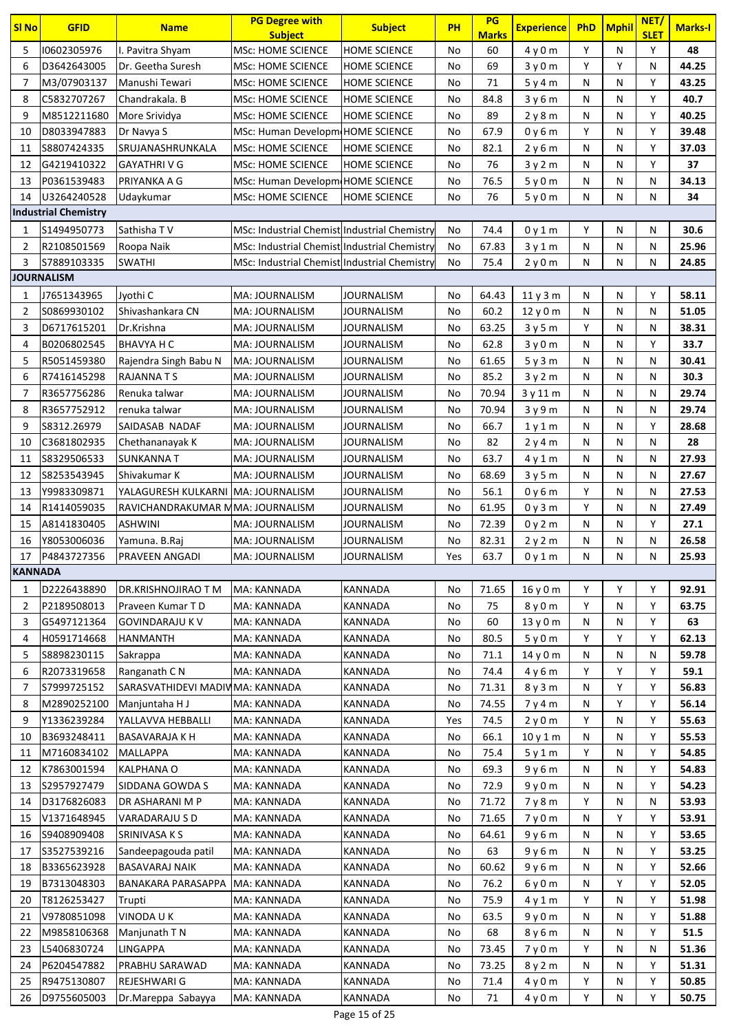| <b>SI No</b>   | <b>GFID</b>                 | <b>Name</b>                              | <b>PG Degree with</b><br><b>Subject</b>      | <b>Subject</b>      | PH        | PG<br><b>Marks</b> | <b>Experience</b>             | PhD    | <b>Mphil</b> | NET/<br><b>SLET</b> | <b>Marks-I</b> |
|----------------|-----------------------------|------------------------------------------|----------------------------------------------|---------------------|-----------|--------------------|-------------------------------|--------|--------------|---------------------|----------------|
| 5              | 10602305976                 | I. Pavitra Shyam                         | <b>MSc: HOME SCIENCE</b>                     | <b>HOME SCIENCE</b> | No        | 60                 | 4y0m                          | Y      | N            | Υ                   | 48             |
| 6              | D3642643005                 | Dr. Geetha Suresh                        | <b>MSc: HOME SCIENCE</b>                     | <b>HOME SCIENCE</b> | No        | 69                 | 3y0m                          | Y      | Y            | N                   | 44.25          |
| 7              | M3/07903137                 | Manushi Tewari                           | <b>MSc: HOME SCIENCE</b>                     | <b>HOME SCIENCE</b> | No        | 71                 | 5y4m                          | N      | N            | Υ                   | 43.25          |
| 8              | C5832707267                 | Chandrakala. B                           | MSc: HOME SCIENCE                            | <b>HOME SCIENCE</b> | No        | 84.8               | 3y6m                          | N      | N            | Υ                   | 40.7           |
| 9              | M8512211680                 | More Srividya                            | <b>MSc: HOME SCIENCE</b>                     | <b>HOME SCIENCE</b> | No        | 89                 | 2y8m                          | N      | N            | Υ                   | 40.25          |
| 10             | D8033947883                 | Dr Navya S                               | MSc: Human Developm HOME SCIENCE             |                     | No        | 67.9               | 0y6m                          | Y      | N            | Υ                   | 39.48          |
| 11             | S8807424335                 | SRUJANASHRUNKALA                         | <b>MSc: HOME SCIENCE</b>                     | <b>HOME SCIENCE</b> | No        | 82.1               | 2y6m                          | N      | N            | Υ                   | 37.03          |
| 12             | G4219410322                 | <b>GAYATHRIVG</b>                        | <b>MSc: HOME SCIENCE</b>                     | <b>HOME SCIENCE</b> | No        | 76                 | 3y2m                          | N      | N            | Υ                   | 37             |
| 13             | P0361539483                 | PRIYANKA A G                             | MSc: Human Developm HOME SCIENCE             |                     | No        | 76.5               | 5y0m                          | N      | N            | N                   | 34.13          |
| 14             | U3264240528                 | Udaykumar                                | <b>MSc: HOME SCIENCE</b>                     | <b>HOME SCIENCE</b> | No        | 76                 | 5y0m                          | N      | N            | N                   | 34             |
|                | <b>Industrial Chemistry</b> |                                          |                                              |                     |           |                    |                               |        |              |                     |                |
| 1              | S1494950773                 | Sathisha TV                              | MSc: Industrial Chemist Industrial Chemistry |                     | No        | 74.4               | 0y1m                          | Υ      | N            | N                   | 30.6           |
| 2              | R2108501569                 | Roopa Naik                               | MSc: Industrial Chemist Industrial Chemistry |                     | No        | 67.83              | 3y1m                          | N      | N            | N                   | 25.96          |
| 3              | S7889103335                 | <b>SWATHI</b>                            | MSc: Industrial Chemist Industrial Chemistry |                     | No        | 75.4               | 2y0m                          | N      | N            | N                   | 24.85          |
|                | <b>JOURNALISM</b>           |                                          |                                              |                     |           |                    |                               |        |              |                     |                |
| 1              | J7651343965                 | Jyothi C                                 | MA: JOURNALISM                               | JOURNALISM          | No        | 64.43              | 11y3m                         | N      | N            | Υ                   | 58.11          |
| 2              | S0869930102                 | Shivashankara CN                         | MA: JOURNALISM                               | JOURNALISM          | No        | 60.2               | 12y0m                         | N      | N            | N                   | 51.05          |
| 3              | D6717615201                 | Dr.Krishna                               | MA: JOURNALISM                               | <b>JOURNALISM</b>   | No        | 63.25              | 3y5m                          | Y      | N            | N                   | 38.31          |
| 4              | B0206802545                 | <b>BHAVYA H C</b>                        | MA: JOURNALISM                               | JOURNALISM          | No        | 62.8               | 3y0m                          | N      | N            | Υ                   | 33.7           |
| 5              | R5051459380                 | Rajendra Singh Babu N                    | MA: JOURNALISM                               | JOURNALISM          | No        | 61.65              | 5y3m                          | N      | N            | N                   | 30.41          |
| 6              | R7416145298                 | RAJANNA T S                              | MA: JOURNALISM                               | JOURNALISM          | No        | 85.2               | 3y2m                          | N      | N            | N                   | 30.3           |
| 7              | R3657756286                 | Renuka talwar                            | MA: JOURNALISM                               | <b>JOURNALISM</b>   | No        | 70.94              | 3 y 11 m                      | N      | N            | N                   | 29.74          |
| 8              | R3657752912                 | renuka talwar                            | MA: JOURNALISM                               | JOURNALISM          | No        | 70.94              | 3y9m                          | N      | N            | N                   | 29.74          |
| 9              | S8312.26979                 | SAIDASAB NADAF                           | MA: JOURNALISM                               | JOURNALISM          | No        | 66.7               | 1y1m                          | N      | N            | Y                   | 28.68          |
| 10             | C3681802935                 | Chethananayak K                          | MA: JOURNALISM                               | JOURNALISM          | No        | 82                 | 2y4m                          | N      | N            | N                   | 28             |
| 11             | \$8329506533                | <b>SUNKANNAT</b>                         | MA: JOURNALISM                               | JOURNALISM          | No        | 63.7               |                               | N      | N            | N                   | 27.93          |
| 12             | S8253543945                 | Shivakumar K                             | MA: JOURNALISM                               | <b>JOURNALISM</b>   | No        | 68.69              | 4y1m                          | N      | N            | N                   | 27.67          |
| 13             | Y9983309871                 | YALAGURESH KULKARNI MA: JOURNALISM       |                                              | JOURNALISM          | No        | 56.1               | 3y5m                          | Y      | N            | N                   | 27.53          |
| 14             | R1414059035                 | RAVICHANDRAKUMAR MMA: JOURNALISM         |                                              | <b>JOURNALISM</b>   | No        | 61.95              | 0y6m<br>0y3m                  | Y      | N            | N                   | 27.49          |
| 15             | A8141830405                 | <b>ASHWINI</b>                           | MA: JOURNALISM                               | JOURNALISM          | No        | 72.39              | 0y2m                          | N      | N            | Υ                   | 27.1           |
| 16             | Y8053006036                 | Yamuna. B.Raj                            | MA: JOURNALISM                               | JOURNALISM          | No        | 82.31              |                               | N      | N            | N                   | 26.58          |
| 17             | P4843727356                 | <b>PRAVEEN ANGADI</b>                    | MA: JOURNALISM                               | <b>JOURNALISM</b>   | Yes       | 63.7               | 2y2m                          | N      | N            | N                   | 25.93          |
| <b>KANNADA</b> |                             |                                          |                                              |                     |           |                    | 0y1m                          |        |              |                     |                |
| 1              | D2226438890                 | DR.KRISHNOJIRAO T M                      | MA: KANNADA                                  | KANNADA             | No        | 71.65              | 16y0m                         | Y      | Υ            | Υ                   | 92.91          |
| 2              | P2189508013                 | Praveen Kumar TD                         | MA: KANNADA                                  | KANNADA             | No        | 75                 | 8 <sub>V</sub> 0 <sub>m</sub> | Y      | N            | Υ                   | 63.75          |
| 3              | G5497121364                 | <b>GOVINDARAJU K V</b>                   | MA: KANNADA                                  | KANNADA             | No        | 60                 | 13y0m                         | N      | N            | Υ                   | 63             |
| 4              | H0591714668                 | HANMANTH                                 | MA: KANNADA                                  | KANNADA             | No        | 80.5               | 5y0m                          | Y      | Υ            | Y                   | 62.13          |
| 5              | S8898230115                 | Sakrappa                                 | MA: KANNADA                                  | KANNADA             | No        | 71.1               | 14y0m                         | N      | N            | N                   | 59.78          |
|                | R2073319658                 | Ranganath C N                            | MA: KANNADA                                  | KANNADA             |           | 74.4               | 4y6m                          | Υ      | Υ            | Υ                   | 59.1           |
| 6<br>7         | S7999725152                 | SARASVATHIDEVI MADIVIMA: KANNADA         |                                              | KANNADA             | No<br>No  | 71.31              |                               | N      | Υ            | Υ                   | 56.83          |
|                |                             |                                          |                                              | KANNADA             |           |                    | 8y3m                          |        | Υ            | Υ                   | 56.14          |
| 8<br>9         | M2890252100<br>Y1336239284  | Manjuntaha H J<br>YALLAVVA HEBBALLI      | MA: KANNADA<br>MA: KANNADA                   | KANNADA             | No<br>Yes | 74.55<br>74.5      | 7y4m                          | N<br>Y | N            | Y                   | 55.63          |
|                |                             |                                          |                                              |                     |           |                    | 2y0m                          |        |              | Υ                   |                |
| 10<br>11       | B3693248411<br>M7160834102  | <b>BASAVARAJA K H</b><br><b>MALLAPPA</b> | MA: KANNADA<br>MA: KANNADA                   | KANNADA<br>KANNADA  | No<br>No  | 66.1<br>75.4       | 10y1m<br>5y1m                 | N<br>Y | N<br>N       | Υ                   | 55.53<br>54.85 |
| 12             | K7863001594                 | KALPHANA O                               | MA: KANNADA                                  | KANNADA             | No        | 69.3               | 9y6m                          | N      | N            | Υ                   | 54.83          |
| 13             | S2957927479                 | SIDDANA GOWDA S                          | MA: KANNADA                                  | KANNADA             | No        | 72.9               | 9y0m                          | N      | N            | Υ                   | 54.23          |
| 14             | D3176826083                 | DR ASHARANI M P                          | MA: KANNADA                                  | KANNADA             | No        | 71.72              | 7y8m                          | Υ      | N            | N                   | 53.93          |
| 15             | V1371648945                 | VARADARAJU S D                           | MA: KANNADA                                  | KANNADA             | No        | 71.65              | 7 <sub>V</sub> 0 <sub>m</sub> | N      | Υ            | Υ                   | 53.91          |
|                | S9408909408                 | <b>SRINIVASA K S</b>                     | MA: KANNADA                                  | KANNADA             |           |                    |                               |        |              | Υ                   | 53.65          |
| 16<br>17       | S3527539216                 | Sandeepagouda patil                      | MA: KANNADA                                  | KANNADA             | No<br>No  | 64.61<br>63        | 9y6m                          | N<br>N | N<br>N       | Υ                   | 53.25          |
|                |                             |                                          |                                              |                     |           |                    | 9y6m                          | N      |              | Y                   |                |
| 18             | B3365623928                 | <b>BASAVARAJ NAIK</b>                    | MA: KANNADA<br>MA: KANNADA                   | KANNADA<br>KANNADA  | No<br>No  | 60.62<br>76.2      | 9y6m                          | N      | N<br>Y       | Y                   | 52.66<br>52.05 |
| 19             | B7313048303<br>T8126253427  | BANAKARA PARASAPPA                       | MA: KANNADA                                  | KANNADA             |           | 75.9               | 6 y 0 m                       | Y      | N            | Υ                   | 51.98          |
| 20             |                             | Trupti<br><b>VINODA U K</b>              |                                              |                     | No        |                    | 4 y 1 m                       |        |              |                     |                |
| 21             | V9780851098                 |                                          | MA: KANNADA                                  | KANNADA             | No        | 63.5               | 9y0m                          | N      | N            | Υ<br>Υ              | 51.88          |
| 22             | M9858106368                 | Manjunath T N                            | MA: KANNADA                                  | KANNADA             | No        | 68                 | 8y6m                          | N<br>Y | N            |                     | 51.5           |
| 23             | L5406830724                 | <b>LINGAPPA</b>                          | MA: KANNADA                                  | KANNADA             | No        | 73.45              | 7y0m                          |        | N            | N<br>Υ              | 51.36          |
| 24             | P6204547882<br>R9475130807  | PRABHU SARAWAD<br>REJESHWARI G           | MA: KANNADA<br>MA: KANNADA                   | KANNADA<br>KANNADA  | No        | 73.25              | 8y2m                          | N      | N            |                     | 51.31<br>50.85 |
| 25             |                             |                                          |                                              |                     | No        | 71.4               | 4y0m                          | Y<br>Y | Ν            | Υ<br>Y              |                |
| 26             | D9755605003                 | Dr.Mareppa Sabayya                       | MA: KANNADA                                  | KANNADA             | No        | 71                 | 4y0m                          |        | N            |                     | 50.75          |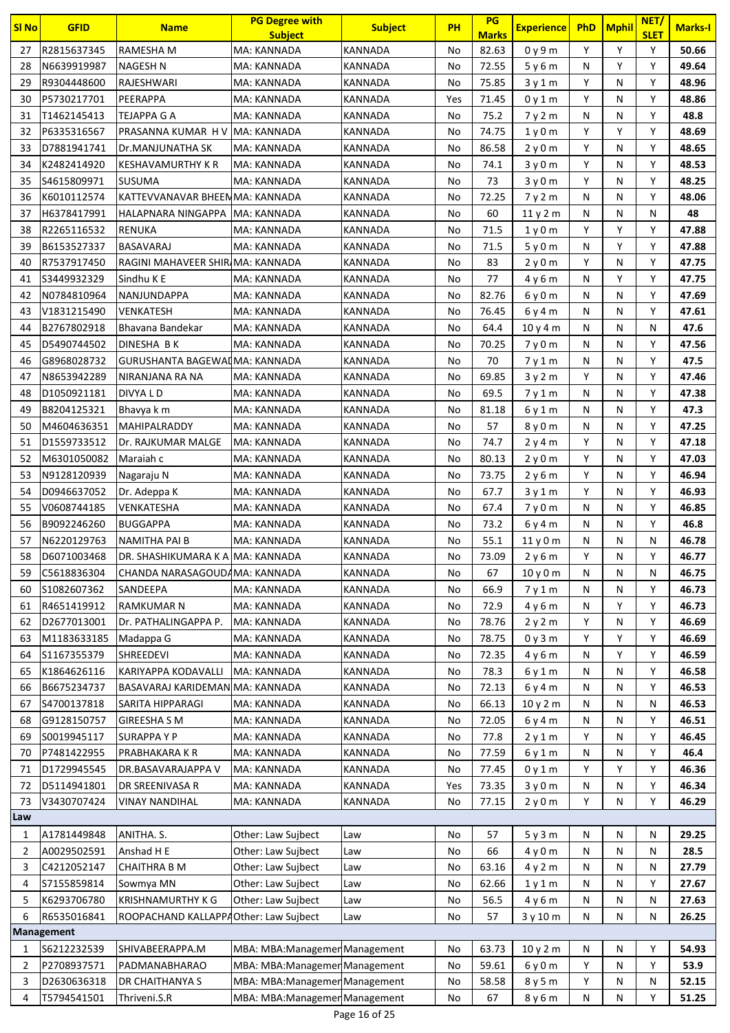| <b>SI No</b> | <b>GFID</b>       | <b>Name</b>                           | <b>PG Degree with</b><br><b>Subject</b> | <b>Subject</b> | PH  | PG<br><b>Marks</b> | <b>Experience</b>             | <b>PhD</b> | Mphil | NET/<br><b>SLET</b> | <b>Marks-I</b> |
|--------------|-------------------|---------------------------------------|-----------------------------------------|----------------|-----|--------------------|-------------------------------|------------|-------|---------------------|----------------|
| 27           | R2815637345       | RAMESHA M                             | MA: KANNADA                             | KANNADA        | No  | 82.63              | 0y9m                          | Y          | Y     | Y                   | 50.66          |
| 28           | N6639919987       | <b>NAGESH N</b>                       | MA: KANNADA                             | KANNADA        | No  | 72.55              | 5y6m                          | N          | Y     | Υ                   | 49.64          |
| 29           | R9304448600       | RAJESHWARI                            | MA: KANNADA                             | KANNADA        | No  | 75.85              | 3y1m                          | Y          | N     | Y                   | 48.96          |
| 30           | P5730217701       | PEERAPPA                              | MA: KANNADA                             | KANNADA        | Yes | 71.45              | 0y1m                          | Y          | N     | Y                   | 48.86          |
| 31           | T1462145413       | TEJAPPA G A                           | MA: KANNADA                             | KANNADA        | No  | 75.2               | 7y2m                          | N          | N     | Y                   | 48.8           |
| 32           | P6335316567       | PRASANNA KUMAR H V MA: KANNADA        |                                         | KANNADA        | No  | 74.75              | 1y0m                          | Y          | Y     | Y                   | 48.69          |
| 33           | D7881941741       | Dr.MANJUNATHA SK                      | MA: KANNADA                             | KANNADA        | No  | 86.58              | 2y0m                          | Y          | N     | Y                   | 48.65          |
| 34           | K2482414920       | KESHAVAMURTHY K R                     | MA: KANNADA                             | KANNADA        | No  | 74.1               | 3y0m                          | Y          | N     | Υ                   | 48.53          |
| 35           | S4615809971       | <b>SUSUMA</b>                         | MA: KANNADA                             | KANNADA        | No  | 73                 | 3y0m                          | Υ          | N     | Y                   | 48.25          |
| 36           | K6010112574       | KATTEVVANAVAR BHEENMA: KANNADA        |                                         | KANNADA        | No  | 72.25              | 7y2m                          | N          | N     | Υ                   | 48.06          |
| 37           | H6378417991       | HALAPNARA NINGAPPA   MA: KANNADA      |                                         | KANNADA        | No  | 60                 | 11y2m                         | N          | N     | N                   | 48             |
| 38           | R2265116532       | RENUKA                                | MA: KANNADA                             | KANNADA        | No  | 71.5               | 1 <sub>y</sub> 0 <sub>m</sub> | Y          | Y     | Y                   | 47.88          |
| 39           | B6153527337       | <b>BASAVARAJ</b>                      | MA: KANNADA                             | KANNADA        | No  | 71.5               | 5y0m                          | N          | Y     | Υ                   | 47.88          |
| 40           | R7537917450       | RAGINI MAHAVEER SHIRIMA: KANNADA      |                                         | KANNADA        | No  | 83                 | 2y0m                          | Y          | N     | Y                   | 47.75          |
| 41           | \$3449932329      | Sindhu K E                            | MA: KANNADA                             | KANNADA        | No  | 77                 | 4 y 6 m                       | N          | Y     | Y                   | 47.75          |
| 42           | N0784810964       | NANJUNDAPPA                           | MA: KANNADA                             | KANNADA        | No  | 82.76              | 6y0m                          | N          | N     | Y                   | 47.69          |
| 43           | V1831215490       | VENKATESH                             | MA: KANNADA                             | KANNADA        | No  | 76.45              | 6y4m                          | N          | N     | Υ                   | 47.61          |
| 44           | B2767802918       | Bhavana Bandekar                      | MA: KANNADA                             | KANNADA        | No  | 64.4               | 10y4m                         | N          | N     | N                   | 47.6           |
| 45           | D5490744502       | DINESHA B K                           | MA: KANNADA                             | KANNADA        | No  | 70.25              | 7y0m                          | N          | N     | Υ                   | 47.56          |
| 46           | G8968028732       | GURUSHANTA BAGEWAIMA: KANNADA         |                                         | KANNADA        | No  | 70                 | 7y1m                          | N          | N     | Y                   | 47.5           |
| 47           | N8653942289       | NIRANJANA RA NA                       | MA: KANNADA                             | KANNADA        | No  | 69.85              | 3y2m                          | Y          | N     | Y                   | 47.46          |
| 48           | D1050921181       | DIVYA L D                             | MA: KANNADA                             | KANNADA        | No  | 69.5               | 7y1m                          | N          | N     | Y                   | 47.38          |
| 49           | B8204125321       | Bhavya k m                            | MA: KANNADA                             | KANNADA        | No  | 81.18              | 6y1m                          | N          | N     | Y                   | 47.3           |
| 50           | M4604636351       | <b>MAHIPALRADDY</b>                   | MA: KANNADA                             | KANNADA        | No  | 57                 | 8y0m                          | N          | N     | Υ                   | 47.25          |
| 51           | D1559733512       | Dr. RAJKUMAR MALGE                    | MA: KANNADA                             | KANNADA        | No  | 74.7               | 2y4m                          | Y          | N     | Υ                   | 47.18          |
| 52           | M6301050082       | Maraiah c                             | MA: KANNADA                             | KANNADA        | No  | 80.13              | 2y0m                          | Y          | N     | Υ                   | 47.03          |
| 53           | N9128120939       | Nagaraju N                            | MA: KANNADA                             | KANNADA        | No  | 73.75              | 2y6m                          | Y          | N     | Y                   | 46.94          |
| 54           | D0946637052       | Dr. Adeppa K                          | MA: KANNADA                             | KANNADA        | No  | 67.7               | 3y1m                          | Y          | N     | Υ                   | 46.93          |
| 55           | V0608744185       | VENKATESHA                            | MA: KANNADA                             | KANNADA        | No  | 67.4               | 7y0m                          | N          | N     | Υ                   | 46.85          |
| 56           | B9092246260       | <b>BUGGAPPA</b>                       | MA: KANNADA                             | KANNADA        | No  | 73.2               | 6 y 4 m                       | N          | N     | Υ                   | 46.8           |
| 57           | N6220129763       | <b>NAMITHA PAI B</b>                  | MA: KANNADA                             | KANNADA        | No  | 55.1               | 11y0m                         | N          | N     | N                   | 46.78          |
| 58           | D6071003468       | DR. SHASHIKUMARA K A MA: KANNADA      |                                         | KANNADA        | No  | 73.09              | 2y6m                          | Y          | N     | Y                   | 46.77          |
| 59           | C5618836304       | CHANDA NARASAGOUDAMA: KANNADA         |                                         | KANNADA        | No  | 67                 | 10 y 0 m                      | N          | N     | Ν                   | 46.75          |
| 60           | S1082607362       | SANDEEPA                              | MA: KANNADA                             | KANNADA        | No  | 66.9               | 7y1m                          | N          | N     | Υ                   | 46.73          |
| 61           | R4651419912       | <b>RAMKUMAR N</b>                     | MA: KANNADA                             | KANNADA        | No  | 72.9               | 4v6m                          | N          | Υ     | Υ                   | 46.73          |
| 62           | D2677013001       | Dr. PATHALINGAPPA P.                  | MA: KANNADA                             | <b>KANNADA</b> | No  | 78.76              | 2y2m                          | Y          | N     | Υ                   | 46.69          |
| 63           | M1183633185       | Madappa G                             | MA: KANNADA                             | KANNADA        | No  | 78.75              | 0y3m                          | Y          | Υ     | Υ                   | 46.69          |
| 64           | S1167355379       | SHREEDEVI                             | MA: KANNADA                             | KANNADA        | No  | 72.35              | 4y6m                          | N          | Y     | Υ                   | 46.59          |
| 65           | K1864626116       | KARIYAPPA KODAVALLI                   | MA: KANNADA                             | KANNADA        | No  | 78.3               | 6y1m                          | N          | N     | Υ                   | 46.58          |
| 66           | B6675234737       | BASAVARAJ KARIDEMAN MA: KANNADA       |                                         | KANNADA        | No  | 72.13              | 6 y 4 m                       | N          | N     | Υ                   | 46.53          |
| 67           | S4700137818       | SARITA HIPPARAGI                      | MA: KANNADA                             | KANNADA        | No  | 66.13              | 10y2m                         | Ν          | N     | Ν                   | 46.53          |
| 68           | G9128150757       | <b>GIREESHA S M</b>                   | MA: KANNADA                             | KANNADA        | No  | 72.05              | 6 y 4 m                       | Ν          | N     | Υ                   | 46.51          |
| 69           | S0019945117       | <b>SURAPPAYP</b>                      | MA: KANNADA                             | KANNADA        | No  | 77.8               | 2y1m                          | Υ          | N     | Υ                   | 46.45          |
| 70           | P7481422955       | PRABHAKARA K R                        | MA: KANNADA                             | KANNADA        | No  | 77.59              | 6y1m                          | Ν          | N     | Y                   | 46.4           |
| 71           | D1729945545       | DR.BASAVARAJAPPA V                    | MA: KANNADA                             | KANNADA        | No  | 77.45              | 0y1m                          | Y          | Y     | Υ                   | 46.36          |
| 72           | D5114941801       | DR SREENIVASA R                       | MA: KANNADA                             | KANNADA        | Yes | 73.35              | 3y0m                          | Ν          | N     | Υ                   | 46.34          |
| 73           | V3430707424       | VINAY NANDIHAL                        | MA: KANNADA                             | KANNADA        | No  | 77.15              | 2y0m                          | Y          | N     | Υ                   | 46.29          |
| Law          |                   |                                       |                                         |                |     |                    |                               |            |       |                     |                |
| 1            | A1781449848       | ANITHA. S.                            | Other: Law Sujbect                      | Law            | No  | 57                 | 5y3m                          | N          | N     | Ν                   | 29.25          |
| 2            | A0029502591       | Anshad H E                            | Other: Law Sujbect                      | Law            | No  | 66                 | 4y0m                          | Ν          | N     | Ν                   | 28.5           |
| 3            | C4212052147       | <b>CHAITHRA B M</b>                   | Other: Law Sujbect                      | Law            | No  | 63.16              | 4y2m                          | N          | N     | Ν                   | 27.79          |
| 4            | S7155859814       | Sowmya MN                             | Other: Law Sujbect                      | Law            | No  | 62.66              | 1y1m                          | N          | N     | Υ                   | 27.67          |
| 5            | K6293706780       | <b>KRISHNAMURTHY K G</b>              | Other: Law Sujbect                      | Law            | No  | 56.5               | 4y6m                          | Ν          | N     | N                   | 27.63          |
| 6            | R6535016841       | ROOPACHAND KALLAPPAOther: Law Sujbect |                                         | Law            | No  | 57                 | 3y10m                         | N          | N     | Ν                   | 26.25          |
|              | <b>Management</b> |                                       |                                         |                |     |                    |                               |            |       |                     |                |
| 1            | S6212232539       | SHIVABEERAPPA.M                       | MBA: MBA: Managemen Management          |                | No  | 63.73              | 10y2m                         | N          | N     | Υ                   | 54.93          |
| 2            | P2708937571       | PADMANABHARAO                         | MBA: MBA: Managemen Management          |                | No  | 59.61              | 6 y 0 m                       | Y          | N     | Y                   | 53.9           |
| 3            | D2630636318       | DR CHAITHANYA S                       | MBA: MBA: Managemen Management          |                | No  | 58.58              | 8y5m                          | Y          | N     | Ν                   | 52.15          |
| 4            | T5794541501       | Thriveni.S.R                          | MBA: MBA: Managemer Management          |                | No  | 67                 | 8 y 6 m                       | N          | Ν     | Υ                   | 51.25          |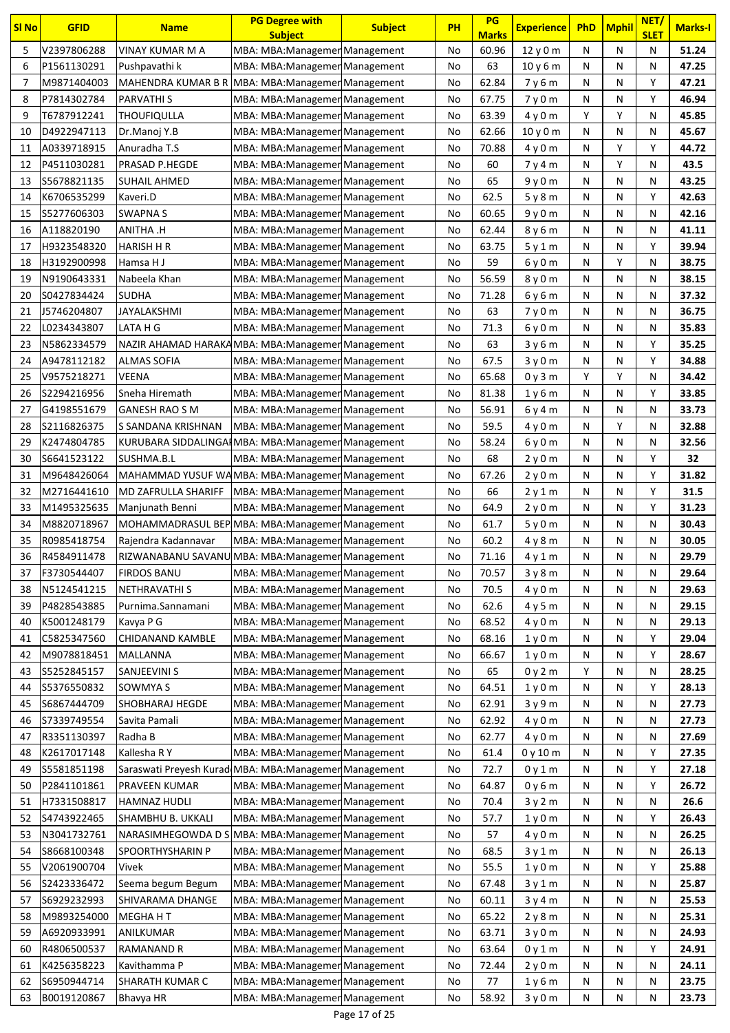| <b>SI No</b> | <b>GFID</b>  | <b>Name</b>                                            | <b>PG Degree with</b><br><b>Subject</b>                          | <b>Subject</b> | <b>PH</b> | PG<br><b>Marks</b> | <b>Experience</b> | <b>PhD</b> | <b>Mphil</b> | NET/<br><b>SLET</b> | <b>Marks-I</b> |
|--------------|--------------|--------------------------------------------------------|------------------------------------------------------------------|----------------|-----------|--------------------|-------------------|------------|--------------|---------------------|----------------|
| 5            | V2397806288  | VINAY KUMAR M A                                        | MBA: MBA: Managemen Management                                   |                | No        | 60.96              | 12y0m             | N          | N            | N                   | 51.24          |
| 6            | P1561130291  | Pushpavathi k                                          | MBA: MBA: Managemen Management                                   |                | No        | 63                 | 10y6m             | N          | N            | Ν                   | 47.25          |
| 7            | M9871404003  | MAHENDRA KUMAR B R                                     | MBA: MBA: Managemen Management                                   |                | No        | 62.84              | 7v6m              | N          | N            | Υ                   | 47.21          |
| 8            | P7814302784  | PARVATHI S                                             | MBA: MBA: Managemen Management                                   |                | No        | 67.75              | 7y0m              | N          | N            | Υ                   | 46.94          |
| 9            | T6787912241  | THOUFIQULLA                                            | MBA: MBA: Managemen Management                                   |                | No        | 63.39              | 4y0m              | Y          | Y            | Ν                   | 45.85          |
| 10           | D4922947113  |                                                        |                                                                  |                | No        | 62.66              | 10y0m             | N          | N            | N                   | 45.67          |
| 11           | A0339718915  | Dr.Manoj Y.B<br>Anuradha T.S                           | MBA: MBA: Managemen Management<br>MBA: MBA: Managemen Management |                | No        | 70.88              | 4y0m              | Ν          | Υ            | Y                   | 44.72          |
| 12           | P4511030281  | PRASAD P.HEGDE                                         | MBA: MBA: Managemer Management                                   |                | No        | 60                 | 7y4m              | N          | Υ            | Ν                   | 43.5           |
| 13           | S5678821135  | SUHAIL AHMED                                           |                                                                  |                | No        | 65                 | 9y0m              | N          | N            | Ν                   | 43.25          |
|              | K6706535299  |                                                        | MBA: MBA: Managemen Management                                   |                |           | 62.5               |                   |            |              | Υ                   | 42.63          |
| 14           |              | Kaveri.D                                               | MBA: MBA: Managemen Management                                   |                | No        |                    | 5y8m              | N          | N            |                     |                |
| 15           | S5277606303  | <b>SWAPNAS</b>                                         | MBA: MBA: Managemen Management                                   |                | No        | 60.65              | 9y0m              | N          | N            | Ν                   | 42.16          |
| 16           | A118820190   | H. ANITHA                                              | MBA: MBA: Managemen Management                                   |                | No        | 62.44              | 8 y 6 m           | N          | N            | Ν                   | 41.11          |
| 17           | H9323548320  | <b>HARISH H R</b>                                      | MBA: MBA: Managemer Management                                   |                | No        | 63.75              | 5 y 1 m           | N          | N            | Υ                   | 39.94          |
| 18           | H3192900998  | Hamsa H J                                              | MBA: MBA: Managemen Management                                   |                | No        | 59                 | 6y0m              | N          | Y            | Ν                   | 38.75          |
| 19           | N9190643331  | Nabeela Khan                                           | MBA: MBA: Managemen Management                                   |                | No        | 56.59              | 8y0m              | N          | N            | Ν                   | 38.15          |
| 20           | S0427834424  | SUDHA                                                  | MBA: MBA: Managemen Management                                   |                | No        | 71.28              | 6 y 6 m           | Ν          | N            | N                   | 37.32          |
| 21           | J5746204807  | JAYALAKSHMI                                            | MBA: MBA: Managemer Management                                   |                | No        | 63                 | 7y0m              | N          | N            | Ν                   | 36.75          |
| 22           | L0234343807  | LATA H G                                               | MBA: MBA: Managemen Management                                   |                | No        | 71.3               | 6y0m              | N          | N            | Ν                   | 35.83          |
| 23           | N5862334579  | NAZIR AHAMAD HARAKAMBA: MBA: Managemen Management      |                                                                  |                | No        | 63                 | 3y6m              | N          | N            | Υ                   | 35.25          |
| 24           | A9478112182  | <b>ALMAS SOFIA</b>                                     | MBA: MBA: Managemen Management                                   |                | No        | 67.5               | 3y0m              | Ν          | N            | Υ                   | 34.88          |
| 25           | V9575218271  | VEENA                                                  | MBA: MBA: Managemen Management                                   |                | No        | 65.68              | 0y3m              | Υ          | Υ            | Ν                   | 34.42          |
| 26           | S2294216956  | Sneha Hiremath                                         | MBA: MBA: Managemen Management                                   |                | No        | 81.38              | 1y6m              | N          | N            | Υ                   | 33.85          |
| 27           | G4198551679  | GANESH RAO S M                                         | MBA: MBA: Managemen Management                                   |                | No        | 56.91              | 6y4m              | N          | N            | Ν                   | 33.73          |
| 28           | S2116826375  | S SANDANA KRISHNAN                                     | MBA: MBA: Managemen Management                                   |                | No        | 59.5               | 4y0m              | N          | Υ            | N                   | 32.88          |
| 29           | K2474804785  | KURUBARA SIDDALINGAIMBA: MBA: Managemen Management     |                                                                  |                | No        | 58.24              | 6 y 0 m           | Ν          | N            | Ν                   | 32.56          |
| 30           | S6641523122  | SUSHMA.B.L                                             | MBA: MBA: Managemen Management                                   |                | No        | 68                 | 2y0m              | N          | N            | Υ                   | 32             |
| 31           | M9648426064  | MAHAMMAD YUSUF WAMBA: MBA: Managemen Management        |                                                                  |                | No        | 67.26              | 2y0m              | N          | N            | Υ                   | 31.82          |
| 32           | M2716441610  | MD ZAFRULLA SHARIFF                                    | [MBA: MBA: Managemen Management]                                 |                | No        | 66                 | 2 y 1 m           | N          | N            | Υ                   | 31.5           |
| 33           | M1495325635  | Manjunath Benni                                        | MBA: MBA: Managemen Management                                   |                | No        | 64.9               | 2y0m              | N          | N            | Y                   | 31.23          |
| 34           | M8820718967  | MOHAMMADRASUL BEP MBA: MBA: Managemen  Management      |                                                                  |                | No        | 61.7               | 5y0m              | N          | N            | Ν                   | 30.43          |
| 35           | R0985418754  | Rajendra Kadannavar                                    | MBA: MBA: Managemen Management                                   |                | No        | 60.2               | 4y8m              | N          | N            | Ν                   | 30.05          |
| 36           | R4584911478  | RIZWANABANU SAVANU MBA: MBA: Managemen Management      |                                                                  |                | No        | 71.16              | 4 y 1 m           | N          | N            | Ν                   | 29.79          |
| 37           | F3730544407  | <b>FIRDOS BANU</b>                                     | MBA: MBA: Managemen Management                                   |                | No        | 70.57              | 3y8m              | Ν          | N            | Ν                   | 29.64          |
| 38           | N5124541215  | <b>NETHRAVATHI S</b>                                   | MBA: MBA: Managemen Management                                   |                | No        | 70.5               | 4y0m              | Ν          | N            | Ν                   | 29.63          |
| 39           | P4828543885  | Purnima.Sannamani                                      | MBA: MBA: Managemen Management                                   |                | No        | 62.6               | 4y5m              | N          | N            | N                   | 29.15          |
| 40           | K5001248179  | Kavya P G                                              | MBA: MBA: Managemen Management                                   |                | No        | 68.52              | 4y0m              | N          | N            | Ν                   | 29.13          |
| 41           | C5825347560  | CHIDANAND KAMBLE                                       | MBA: MBA: Managemen Management                                   |                | No        | 68.16              | 1 y 0 m           | N          | N            | Υ                   | 29.04          |
| 42           | M9078818451  | MALLANNA                                               | MBA: MBA: Managemen Management                                   |                | No        | 66.67              | 1y0m              | Ν          | N            | Υ                   | 28.67          |
| 43           | S5252845157  | SANJEEVINI S                                           | MBA: MBA: Managemen Management                                   |                | No        | 65                 | 0y2m              | Υ          | N            | N                   | 28.25          |
| 44           | \$5376550832 | SOWMYA S                                               | MBA: MBA: Managemen Management                                   |                | No        | 64.51              | 1y0m              | N          | N            | Υ                   | 28.13          |
| 45           | S6867444709  | SHOBHARAJ HEGDE                                        | MBA: MBA: Managemen Management                                   |                | No        | 62.91              | 3y9m              | N          | N            | N                   | 27.73          |
| 46           | S7339749554  | Savita Pamali                                          | MBA: MBA: Managemen Management                                   |                | No        | 62.92              | 4y0m              | N          | N            | Ν                   | 27.73          |
| 47           | R3351130397  | Radha B                                                | MBA: MBA: Managemen Management                                   |                | No        | 62.77              | 4y0m              | Ν          | N            | Ν                   | 27.69          |
| 48           | K2617017148  | Kallesha R Y                                           | MBA: MBA: Managemen Management                                   |                | No        | 61.4               | 0y10m             | N          | N            | Υ                   | 27.35          |
| 49           | S5581851198  | Saraswati Preyesh Kurad MBA: MBA: Managemen Management |                                                                  |                | No        | 72.7               | 0y1m              | N          | N            | Υ                   | 27.18          |
| 50           | P2841101861  | PRAVEEN KUMAR                                          | MBA: MBA: Managemen Management                                   |                | No        | 64.87              | 0y6m              | N          | N            | Υ                   | 26.72          |
| 51           | H7331508817  | HAMNAZ HUDLI                                           | MBA: MBA: Managemen Management                                   |                | No        | 70.4               | 3y2m              | Ν          | N            | Ν                   | 26.6           |
| 52           | S4743922465  | SHAMBHU B. UKKALI                                      | MBA: MBA: Managemen Management                                   |                | No        | 57.7               | 1y0m              | Ν          | N            | Υ                   | 26.43          |
| 53           | N3041732761  | NARASIMHEGOWDA D S MBA: MBA:ManagemenManagement        |                                                                  |                | No        | 57                 | 4y0m              | N          | N            | N                   | 26.25          |
| 54           | S8668100348  | SPOORTHYSHARIN P                                       | MBA: MBA: Managemen Management                                   |                | No        | 68.5               | 3 y 1 m           | N          | N            | Ν                   | 26.13          |
| 55           | V2061900704  | Vivek                                                  | MBA: MBA: Managemen Management                                   |                | No        | 55.5               | 1y0m              | N          | N            | Υ                   | 25.88          |
| 56           | S2423336472  | Seema begum Begum                                      | MBA: MBA: Managemen Management                                   |                | No        | 67.48              | 3 y 1 m           | N          | N            | Ν                   | 25.87          |
| 57           | S6929232993  | SHIVARAMA DHANGE                                       | MBA: MBA: Managemen Management                                   |                | No        | 60.11              | 3y4m              | N          | N            | N                   | 25.53          |
| 58           | M9893254000  | <b>MEGHAHT</b>                                         | MBA: MBA: Managemen Management                                   |                | No        | 65.22              | 2y8m              | N          | N            | Ν                   | 25.31          |
| 59           | A6920933991  | ANILKUMAR                                              | MBA: MBA: Managemen Management                                   |                | No        | 63.71              | 3y0m              | N          | N            | Ν                   | 24.93          |
| 60           | R4806500537  | <b>RAMANAND R</b>                                      | MBA: MBA: Managemen Management                                   |                | No        | 63.64              | 0y1m              | Ν          | N            | Υ                   | 24.91          |
| 61           | K4256358223  | Kavithamma P                                           |                                                                  |                | No        | 72.44              | 2y0m              | Ν          | N            | N                   | 24.11          |
| 62           | S6950944714  | SHARATH KUMAR C                                        | MBA: MBA: Managemen Management                                   |                |           | 77                 |                   |            |              |                     | 23.75          |
| 63           | B0019120867  |                                                        | MBA: MBA: Managemen Management                                   |                | No        |                    | 1y6m              | N<br>N     | N<br>Ν       | N<br>N              |                |
|              |              | Bhavya HR                                              | MBA: MBA: Managemen Management                                   |                | No        | 58.92              | 3y0m              |            |              |                     | 23.73          |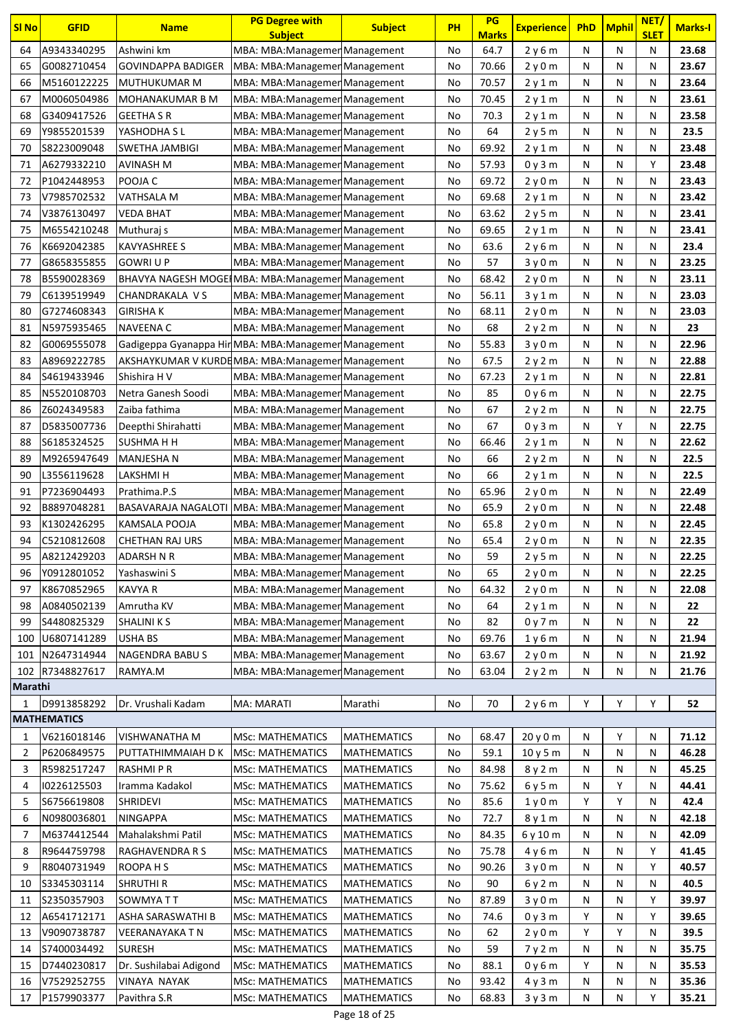| <b>SI No</b>   | <b>GFID</b>                | <b>Name</b>                                           | <b>PG Degree with</b><br><b>Subject</b>                          | <b>Subject</b>     | <b>PH</b> | PG<br><b>Marks</b> | <b>Experience</b> | <b>PhD</b> | <b>Mphil</b> | NET/<br><b>SLET</b> | <b>Marks-I</b> |
|----------------|----------------------------|-------------------------------------------------------|------------------------------------------------------------------|--------------------|-----------|--------------------|-------------------|------------|--------------|---------------------|----------------|
| 64             | A9343340295                | Ashwini km                                            | MBA: MBA: Managemen Management                                   |                    | No        | 64.7               | 2y6m              | N          | N            | N                   | 23.68          |
| 65             | G0082710454                | GOVINDAPPA BADIGER                                    | MBA: MBA: Managemen Management                                   |                    | No        | 70.66              | 2y0m              | N          | N            | N                   | 23.67          |
| 66             | M5160122225                | MUTHUKUMAR M                                          | MBA: MBA: Managemer Management                                   |                    | No        | 70.57              | 2y1m              | N          | N            | N                   | 23.64          |
| 67             | M0060504986                | MOHANAKUMAR B M                                       | MBA: MBA: Managemen Management                                   |                    | No        | 70.45              | 2y1m              | N          | N            | N                   | 23.61          |
| 68             | G3409417526                | <b>GEETHA S R</b>                                     | MBA: MBA: Managemen Management                                   |                    | No        | 70.3               | 2y1m              | N          | N            | N                   | 23.58          |
| 69             | Y9855201539                | YASHODHA S L                                          | MBA: MBA: Managemen Management                                   |                    | No        | 64                 | 2y5m              | N          | Ν            | N                   | 23.5           |
| 70             | S8223009048                | SWETHA JAMBIGI                                        | MBA: MBA: Managemer Management                                   |                    | No        | 69.92              | 2y1m              | N          | Ν            | N                   | 23.48          |
| 71             | A6279332210                | AVINASH M                                             | MBA: MBA: Managemen Management                                   |                    | No        | 57.93              | 0y3m              | N          | Ν            | Υ                   | 23.48          |
| 72             | P1042448953                | POOJA C                                               | MBA: MBA: Managemer Management                                   |                    | No        | 69.72              | 2y0m              | N          | N            | N                   | 23.43          |
| 73             | V7985702532                | VATHSALA M                                            | MBA: MBA: Managemen Management                                   |                    | No        | 69.68              | 2y1m              | N          | N            | N                   | 23.42          |
| 74             | V3876130497                | VEDA BHAT                                             | MBA: MBA: Managemen Management                                   |                    | No        | 63.62              | 2y5m              | N          | N            | N                   | 23.41          |
| 75             | M6554210248                | Muthuraj s                                            | MBA: MBA: Managemen Management                                   |                    | No        | 69.65              | 2y1m              | N          | N            | N                   | 23.41          |
| 76             | K6692042385                | KAVYASHREE S                                          | MBA: MBA: Managemen Management                                   |                    | No        | 63.6               | 2y6m              | N          | N            | N                   | 23.4           |
| 77             | G8658355855                | GOWRI U P                                             | MBA: MBA: Managemen Management                                   |                    | No        | 57                 | 3 y 0 m           | N          | N            | N                   | 23.25          |
| 78             | B5590028369                | BHAVYA NAGESH MOGE IMBA: MBA: Managemen Management    |                                                                  |                    | No        | 68.42              | 2y0m              | N          | Ν            | N                   | 23.11          |
| 79             | C6139519949                | CHANDRAKALA V S                                       | MBA: MBA: Managemen Management                                   |                    | No        | 56.11              | 3y1m              | N          | Ν            | N                   | 23.03          |
| 80             | G7274608343                | <b>GIRISHA K</b>                                      | MBA: MBA: Managemen Management                                   |                    | No        | 68.11              | 2y0m              | N          | Ν            | N                   | 23.03          |
| 81             | N5975935465                | NAVEENA C                                             | MBA: MBA: Managemen Management                                   |                    | No        | 68                 | 2y2m              | N          | N            | N                   | 23             |
| 82             | G0069555078                | Gadigeppa Gyanappa Hir MBA: MBA: Managemen Management |                                                                  |                    | No        | 55.83              | 3y0m              | N          | N            | N                   | 22.96          |
| 83             | A8969222785                | AKSHAYKUMAR V KURDEMBA: MBA: Managemen Management     |                                                                  |                    | No        | 67.5               | 2y2m              | N          | N            | N                   | 22.88          |
| 84             | S4619433946                | Shishira H V                                          | MBA: MBA: Managemen Management                                   |                    | No        | 67.23              | 2y1m              | N          | N            | N                   | 22.81          |
| 85             | N5520108703                | Netra Ganesh Soodi                                    | MBA: MBA: Managemen Management                                   |                    | No        | 85                 | 0y6m              | N          | N            | N                   | 22.75          |
| 86             | Z6024349583                | Zaiba fathima                                         |                                                                  |                    | No        | 67                 | 2y2m              | N          | Ν            | N                   | 22.75          |
| 87             | D5835007736                | Deepthi Shirahatti                                    | MBA: MBA: Managemen Management<br>MBA: MBA: Managemer Management |                    | No        | 67                 | 0y3m              | N          | Υ            | N                   | 22.75          |
| 88             | S6185324525                | SUSHMA H H                                            |                                                                  |                    | No        | 66.46              | 2y1m              | N          | N            | N                   | 22.62          |
| 89             | M9265947649                | <b>MANJESHAN</b>                                      | MBA: MBA: Managemer Management                                   |                    | No        | 66                 |                   | N          | Ν            | N                   | 22.5           |
| 90             |                            |                                                       | MBA: MBA: Managemen Management                                   |                    | No        | 66                 | 2y2m              | N          | N            | N                   | 22.5           |
| 91             | L3556119628<br>P7236904493 | LAKSHMI H<br>Prathima.P.S                             | MBA: MBA: Managemer Management                                   |                    |           | 65.96              | 2y1m              | N          | N            | N                   | 22.49          |
| 92             | B8897048281                |                                                       | MBA: MBA: Managemer Management                                   |                    | No<br>No  | 65.9               | 2y0m<br>2y0m      | N          | N            | N                   | 22.48          |
| 93             | K1302426295                | BASAVARAJA NAGALOTI MBA: MBA: Managemen Management    |                                                                  |                    |           | 65.8               |                   | N          | N            | N                   | 22.45          |
| 94             | C5210812608                | KAMSALA POOJA<br>CHETHAN RAJ URS                      | MBA: MBA: Managemen Management<br>MBA: MBA: Managemen Management |                    | No<br>No  | 65.4               | 2y0m<br>2y0m      | N          | Ν            | N                   | 22.35          |
| 95             | A8212429203                | ADARSH N R                                            | MBA: MBA: Managemen Management                                   |                    | No        | 59                 | 2 y 5 m           | N          | Ν            | N                   | 22.25          |
| 96             | Y0912801052                | Yashaswini S                                          | MBA: MBA: Managemen Management                                   |                    | No        | 65                 | 2y0m              | N          | N            | N                   | 22.25          |
| 97             | K8670852965                | <b>KAVYA R</b>                                        | MBA: MBA: Managemen Management                                   |                    | No        | 64.32              | 2y0m              | N          | N            | N                   | 22.08          |
| 98             | A0840502139                | Amrutha KV                                            | MBA: MBA: Managemen Management                                   |                    | No        | 64                 | 2y1m              | Ν          | N            | Ν                   | 22             |
| 99             | S4480825329                | <b>SHALINI K S</b>                                    | MBA: MBA: Managemen Management                                   |                    | No        | 82                 |                   | N          | N            | N                   | 22             |
| 100            | U6807141289                | <b>USHA BS</b>                                        | MBA: MBA: Managemer Management                                   |                    | No        | 69.76              | 0y7m<br>1y6m      | N          | N            | N                   | 21.94          |
| 101            | N2647314944                | NAGENDRA BABUS                                        | MBA: MBA: Managemen Management                                   |                    | No        | 63.67              | 2y0m              | N          | Ν            | N                   | 21.92          |
| 102            | R7348827617                | RAMYA.M                                               | MBA: MBA: Managemen Management                                   |                    | No        | 63.04              | 2y2m              | N          | N            | N                   | 21.76          |
| Marathi        |                            |                                                       |                                                                  |                    |           |                    |                   |            |              |                     |                |
| 1              | D9913858292                | Dr. Vrushali Kadam                                    | MA: MARATI                                                       | Marathi            | No        | 70                 | 2y6m              | Υ          | Y            | Y                   | 52             |
|                | <b>MATHEMATICS</b>         |                                                       |                                                                  |                    |           |                    |                   |            |              |                     |                |
| 1              | V6216018146                | VISHWANATHA M                                         | <b>MSc: MATHEMATICS</b>                                          | <b>MATHEMATICS</b> | No        | 68.47              | 20y0m             | N          | Υ            | N                   | 71.12          |
| 2              | P6206849575                | PUTTATHIMMAIAH D K                                    | <b>MSc: MATHEMATICS</b>                                          | <b>MATHEMATICS</b> | No        | 59.1               | 10y5m             | N          | N            | Ν                   | 46.28          |
| 3              | R5982517247                | <b>RASHMIPR</b>                                       | <b>MSc: MATHEMATICS</b>                                          | <b>MATHEMATICS</b> | No        | 84.98              | 8 y 2 m           | N          | N            | N                   | 45.25          |
| 4              | 10226125503                | Iramma Kadakol                                        | <b>MSc: MATHEMATICS</b>                                          | <b>MATHEMATICS</b> | No        | 75.62              | 6y5m              | N          | Υ            | N                   | 44.41          |
| 5              | S6756619808                | <b>SHRIDEVI</b>                                       | <b>MSc: MATHEMATICS</b>                                          | <b>MATHEMATICS</b> | No        | 85.6               | 1y0m              | Υ          | Υ            | N                   | 42.4           |
| 6              | N0980036801                | NINGAPPA                                              | <b>MSc: MATHEMATICS</b>                                          | <b>MATHEMATICS</b> | No        | 72.7               | 8 y 1 m           | Ν          | N            | N                   | 42.18          |
| $\overline{7}$ | M6374412544                | Mahalakshmi Patil                                     | <b>MSc: MATHEMATICS</b>                                          | <b>MATHEMATICS</b> | No        | 84.35              | 6 y 10 m          | N          | N            | N                   | 42.09          |
| 8              | R9644759798                | RAGHAVENDRA R S                                       | <b>MSc: MATHEMATICS</b>                                          | <b>MATHEMATICS</b> | No        | 75.78              | 4y6m              | N          | N            | Υ                   | 41.45          |
| 9              | R8040731949                | ROOPA H S                                             | <b>MSc: MATHEMATICS</b>                                          | <b>MATHEMATICS</b> | No        | 90.26              | 3y0m              | N          | N            | Υ                   | 40.57          |
| 10             | S3345303114                | <b>SHRUTHI R</b>                                      | <b>MSc: MATHEMATICS</b>                                          | <b>MATHEMATICS</b> | No        | 90                 | 6 y 2 m           | N          | N            | N                   | 40.5           |
| 11             | S2350357903                | SOWMYA TT                                             | <b>MSc: MATHEMATICS</b>                                          | <b>MATHEMATICS</b> | No        | 87.89              | 3y0m              | N          | N            | Υ                   | 39.97          |
| 12             | A6541712171                | ASHA SARASWATHI B                                     | <b>MSc: MATHEMATICS</b>                                          | <b>MATHEMATICS</b> | No        | 74.6               | 0y3m              | Υ          | N            | Υ                   | 39.65          |
| 13             | V9090738787                | VEERANAYAKA T N                                       | <b>MSc: MATHEMATICS</b>                                          | <b>MATHEMATICS</b> | No        | 62                 | 2y0m              | Y          | Υ            | N                   | 39.5           |
| 14             | S7400034492                | <b>SURESH</b>                                         | <b>MSc: MATHEMATICS</b>                                          | <b>MATHEMATICS</b> | No        | 59                 | 7y2m              | Ν          | N            | N                   | 35.75          |
| 15             | D7440230817                | Dr. Sushilabai Adigond                                | <b>MSc: MATHEMATICS</b>                                          | <b>MATHEMATICS</b> | No        | 88.1               | 0y6m              | Υ          | N            | N                   | 35.53          |
| 16             | V7529252755                | VINAYA NAYAK                                          | <b>MSc: MATHEMATICS</b>                                          | <b>MATHEMATICS</b> | No        | 93.42              | 4y3m              | Ν          | Ν            | N                   | 35.36          |
| 17             | P1579903377                | Pavithra S.R                                          | <b>MSc: MATHEMATICS</b>                                          | <b>MATHEMATICS</b> | No        | 68.83              | 3y3m              | N          | Ν            | Υ                   | 35.21          |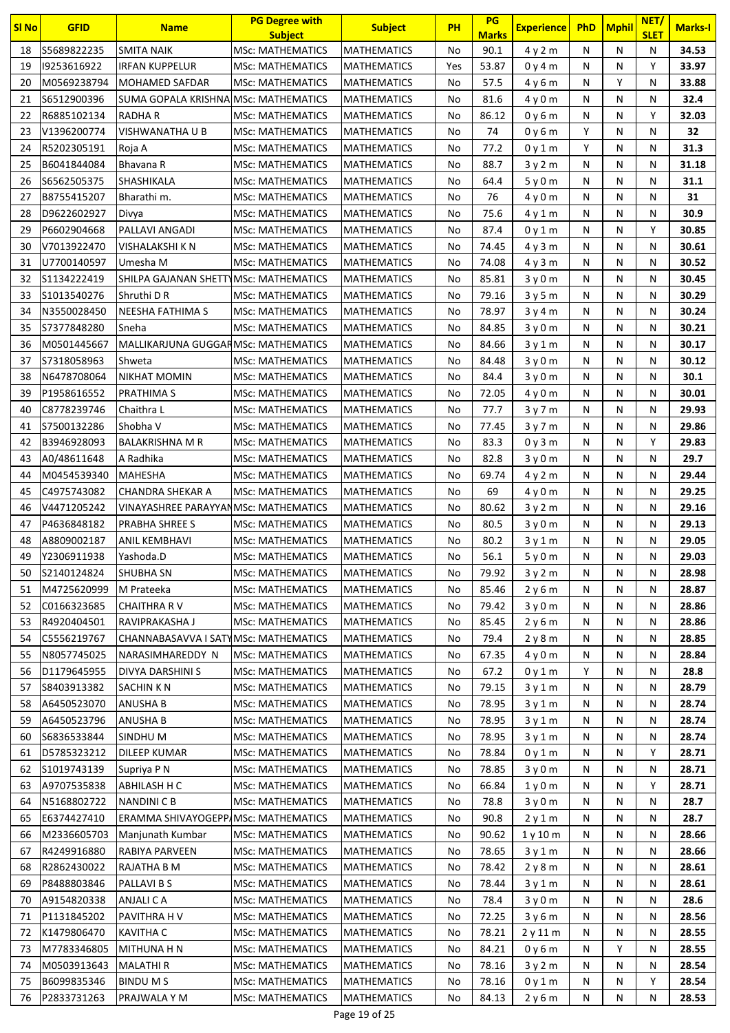| <b>SI No</b> | <b>GFID</b>                | <b>Name</b>                           | <b>PG Degree with</b><br><b>Subject</b> | <b>Subject</b>                           | PH       | PG<br><b>Marks</b> | <b>Experience</b> | <b>PhD</b> | <b>Mphil</b> | NET/<br><b>SLET</b> | <b>Marks-I</b> |
|--------------|----------------------------|---------------------------------------|-----------------------------------------|------------------------------------------|----------|--------------------|-------------------|------------|--------------|---------------------|----------------|
| 18           | S5689822235                | SMITA NAIK                            | <b>MSc: MATHEMATICS</b>                 | <b>MATHEMATICS</b>                       | No       | 90.1               | 4y2m              | N          | N            | N                   | 34.53          |
| 19           | 19253616922                | <b>IRFAN KUPPELUR</b>                 | <b>MSc: MATHEMATICS</b>                 | <b>MATHEMATICS</b>                       | Yes      | 53.87              | 0 y 4 m           | N          | N            | Y                   | 33.97          |
| 20           | M0569238794                | MOHAMED SAFDAR                        | <b>MSc: MATHEMATICS</b>                 | <b>MATHEMATICS</b>                       | No       | 57.5               | 4y6m              | N          | Υ            | N                   | 33.88          |
| 21           | S6512900396                | SUMA GOPALA KRISHNA MSc: MATHEMATICS  |                                         | <b>MATHEMATICS</b>                       | No       | 81.6               | 4y0m              | N          | N            | N                   | 32.4           |
| 22           | R6885102134                | <b>RADHAR</b>                         | <b>MSc: MATHEMATICS</b>                 | <b>MATHEMATICS</b>                       | No       | 86.12              | 0y6m              | N          | N            | Y                   | 32.03          |
| 23           | V1396200774                | VISHWANATHA U B                       | <b>MSc: MATHEMATICS</b>                 | <b>MATHEMATICS</b>                       | No       | 74                 | 0y6m              | Y          | N            | N                   | 32             |
| 24           | R5202305191                | Roja A                                | <b>MSc: MATHEMATICS</b>                 | <b>MATHEMATICS</b>                       | No       | 77.2               | 0v1m              | Υ          | N            | N                   | 31.3           |
| 25           | B6041844084                | Bhavana R                             | <b>MSc: MATHEMATICS</b>                 | <b>MATHEMATICS</b>                       | No       | 88.7               | 3y2m              | N          | N            | N                   | 31.18          |
| 26           | S6562505375                | <b>SHASHIKALA</b>                     | <b>MSc: MATHEMATICS</b>                 | <b>MATHEMATICS</b>                       | No       | 64.4               | 5y0m              | N          | N            | N                   | 31.1           |
| 27           | B8755415207                | Bharathi m.                           | <b>MSc: MATHEMATICS</b>                 | <b>MATHEMATICS</b>                       | No       | 76                 | 4y0m              | N          | N            | N                   | 31             |
| 28           | D9622602927                | Divya                                 | <b>MSc: MATHEMATICS</b>                 | <b>MATHEMATICS</b>                       | No       | 75.6               | 4y1m              | N          | N            | N                   | 30.9           |
| 29           | P6602904668                | PALLAVI ANGADI                        | <b>MSc: MATHEMATICS</b>                 | <b>MATHEMATICS</b>                       | No       | 87.4               | 0y1m              | N          | N            | Υ                   | 30.85          |
| 30           | V7013922470                | VISHALAKSHI K N                       | <b>MSc: MATHEMATICS</b>                 | <b>MATHEMATICS</b>                       | No       | 74.45              |                   | N          | N            | N                   | 30.61          |
| 31           | U7700140597                | Umesha M                              | MSc: MATHEMATICS                        | <b>MATHEMATICS</b>                       | No       | 74.08              | 4y3m              | N          | N            | Ν                   | 30.52          |
| 32           | S1134222419                | SHILPA GAJANAN SHETTYMSc: MATHEMATICS |                                         |                                          | No       | 85.81              | 4y3m              | N          | N            | N                   | 30.45          |
| 33           | S1013540276                | Shruthi D R                           | MSc: MATHEMATICS                        | <b>MATHEMATICS</b><br><b>MATHEMATICS</b> | No       | 79.16              | 3y0m<br>3y5m      | N          | N            | N                   | 30.29          |
| 34           | N3550028450                | NEESHA FATHIMA S                      | <b>MSc: MATHEMATICS</b>                 | <b>MATHEMATICS</b>                       | No       | 78.97              |                   | N          | N            | N                   | 30.24          |
| 35           | S7377848280                | Sneha                                 | <b>MSc: MATHEMATICS</b>                 | <b>MATHEMATICS</b>                       | No       | 84.85              | 3y4m              | N          | N            | N                   | 30.21          |
|              |                            |                                       |                                         |                                          |          |                    | 3y0m              | N          |              | N                   | 30.17          |
| 36<br>37     | M0501445667<br>S7318058963 | MALLIKARJUNA GUGGARMSC: MATHEMATICS   |                                         | <b>MATHEMATICS</b>                       | No<br>No | 84.66<br>84.48     | 3y1m              | N          | N<br>N       | N                   | 30.12          |
|              |                            | Shweta                                | <b>MSc: MATHEMATICS</b>                 | <b>MATHEMATICS</b>                       |          |                    | 3y0m              |            |              |                     | 30.1           |
| 38<br>39     | N6478708064                | NIKHAT MOMIN                          | <b>MSc: MATHEMATICS</b>                 | <b>MATHEMATICS</b>                       | No       | 84.4               | 3y0m              | N          | N<br>N       | Ν                   | 30.01          |
|              | P1958616552                | PRATHIMA S                            | <b>MSc: MATHEMATICS</b>                 | <b>MATHEMATICS</b>                       | No       | 72.05              | 4y0m              | N          |              | N                   |                |
| 40           | C8778239746                | Chaithra L                            | <b>MSc: MATHEMATICS</b>                 | <b>MATHEMATICS</b>                       | No       | 77.7               | 3y7m              | N          | N            | Ν                   | 29.93          |
| 41           | \$7500132286               | Shobha V                              | <b>MSc: MATHEMATICS</b>                 | <b>MATHEMATICS</b>                       | No       | 77.45              | 3y7m              | N          | N            | N                   | 29.86          |
| 42           | B3946928093                | BALAKRISHNA M R                       | MSc: MATHEMATICS                        | <b>MATHEMATICS</b>                       | No       | 83.3               | 0y3m              | N          | N            | Υ                   | 29.83          |
| 43           | A0/48611648                | A Radhika                             | <b>MSc: MATHEMATICS</b>                 | <b>MATHEMATICS</b>                       | No       | 82.8               | 3y0m              | N          | N            | Ν                   | 29.7           |
| 44           | M0454539340                | <b>MAHESHA</b>                        | <b>MSc: MATHEMATICS</b>                 | <b>MATHEMATICS</b>                       | No       | 69.74              | 4y2m              | N          | N            | N                   | 29.44          |
| 45           | C4975743082                | <b>CHANDRA SHEKAR A</b>               | <b>MSc: MATHEMATICS</b>                 | <b>MATHEMATICS</b>                       | No       | 69                 | 4 y 0 m           | N          | N            | N                   | 29.25          |
| 46           | V4471205242                | VINAYASHREE PARAYYANMSc: MATHEMATICS  |                                         | <b>MATHEMATICS</b>                       | No       | 80.62              | 3y2m              | N          | N            | N                   | 29.16          |
| 47           | P4636848182                | PRABHA SHREE S                        | <b>MSc: MATHEMATICS</b>                 | <b>MATHEMATICS</b>                       | No       | 80.5               | 3y0m              | N          | N            | Ν                   | 29.13          |
| 48           | A8809002187                | <b>ANIL KEMBHAVI</b>                  | <b>MSc: MATHEMATICS</b>                 | <b>MATHEMATICS</b>                       | No       | 80.2               | 3y1m              | N          | N            | N                   | 29.05          |
| 49           | Y2306911938                | Yashoda.D                             | <b>MSc: MATHEMATICS</b>                 | <b>MATHEMATICS</b>                       | No       | 56.1               | 5y0m              | N          | N            | N                   | 29.03          |
| 50           | S2140124824                | <b>SHUBHA SN</b>                      | <b>MSc: MATHEMATICS</b>                 | MATHEMATICS                              | No       | 79.92              | 3y2m              | N          | N            | Ν                   | 28.98          |
| 51           | M4725620999                | M Prateeka                            | <b>MSc: MATHEMATICS</b>                 | <b>MATHEMATICS</b>                       | No       | 85.46              | 2y6m              | N          | Ν            | Ν                   | 28.87          |
| 52           | C0166323685                | <b>CHAITHRA RV</b>                    | <b>MSc: MATHEMATICS</b>                 | <b>MATHEMATICS</b>                       | No       | 79.42              | 3y0m              | N          | N            | Ν                   | 28.86          |
| 53           | R4920404501                | RAVIPRAKASHA J                        | <b>MSc: MATHEMATICS</b>                 | <b>MATHEMATICS</b>                       | No       | 85.45              | 2y6m              | N          | N            | Ν                   | 28.86          |
| 54           | C5556219767                | CHANNABASAVVA I SATYMSc: MATHEMATICS  |                                         | <b>MATHEMATICS</b>                       | No       | 79.4               | 2y8m              | N          | N            | Ν                   | 28.85          |
| 55           | N8057745025                | NARASIMHAREDDY N                      | <b>MSc: MATHEMATICS</b>                 | <b>MATHEMATICS</b>                       | No       | 67.35              | 4y0m              | N          | N            | Ν                   | 28.84          |
| 56           | D1179645955                | DIVYA DARSHINI S                      | <b>MSc: MATHEMATICS</b>                 | <b>MATHEMATICS</b>                       | No       | 67.2               | 0y1m              | Y          | N            | Ν                   | 28.8           |
| 57           | S8403913382                | <b>SACHINKN</b>                       | <b>MSc: MATHEMATICS</b>                 | <b>MATHEMATICS</b>                       | No       | 79.15              | 3y1m              | N          | N            | N                   | 28.79          |
| 58           | A6450523070                | <b>ANUSHA B</b>                       | <b>MSc: MATHEMATICS</b>                 | <b>MATHEMATICS</b>                       | No       | 78.95              | 3y1m              | Ν          | N            | Ν                   | 28.74          |
| 59           | A6450523796                | <b>ANUSHA B</b>                       | <b>MSc: MATHEMATICS</b>                 | <b>MATHEMATICS</b>                       | No       | 78.95              | 3y1m              | N          | N            | Ν                   | 28.74          |
| 60           | S6836533844                | SINDHU M                              | <b>MSc: MATHEMATICS</b>                 | <b>MATHEMATICS</b>                       | No       | 78.95              | 3y1m              | N          | N            | Ν                   | 28.74          |
| 61           | D5785323212                | <b>DILEEP KUMAR</b>                   | <b>MSc: MATHEMATICS</b>                 | <b>MATHEMATICS</b>                       | No       | 78.84              | 0y1m              | N          | N            | Υ                   | 28.71          |
| 62           | S1019743139                | Supriya P N                           | <b>MSc: MATHEMATICS</b>                 | <b>MATHEMATICS</b>                       | No       | 78.85              | 3y0m              | N          | N            | Ν                   | 28.71          |
| 63           | A9707535838                | ABHILASH H C                          | <b>MSc: MATHEMATICS</b>                 | <b>MATHEMATICS</b>                       | No       | 66.84              | 1y0m              | N          | N            | Υ                   | 28.71          |
| 64           | N5168802722                | <b>NANDINI C B</b>                    | <b>MSc: MATHEMATICS</b>                 | <b>MATHEMATICS</b>                       | No       | 78.8               | 3y0m              | N          | N            | N                   | 28.7           |
| 65           | E6374427410                | ERAMMA SHIVAYOGEPP/MSc: MATHEMATICS   |                                         | <b>MATHEMATICS</b>                       | No       | 90.8               | 2y1m              | N          | N            | Ν                   | 28.7           |
| 66           | M2336605703                | Manjunath Kumbar                      | <b>MSc: MATHEMATICS</b>                 | <b>MATHEMATICS</b>                       | No       | 90.62              | 1y10m             | N          | N            | N                   | 28.66          |
| 67           | R4249916880                | RABIYA PARVEEN                        | <b>MSc: MATHEMATICS</b>                 | <b>MATHEMATICS</b>                       | No       | 78.65              | 3y1m              | Ν          | N            | Ν                   | 28.66          |
| 68           | R2862430022                | RAJATHA B M                           | <b>MSc: MATHEMATICS</b>                 | <b>MATHEMATICS</b>                       | No       | 78.42              | 2y8m              | N          | N            | Ν                   | 28.61          |
| 69           | P8488803846                | PALLAVI B S                           | <b>MSc: MATHEMATICS</b>                 | <b>MATHEMATICS</b>                       | No       | 78.44              | 3y1m              | Ν          | N            | Ν                   | 28.61          |
| 70           | A9154820338                | ANJALI C A                            | <b>MSc: MATHEMATICS</b>                 | <b>MATHEMATICS</b>                       | No       | 78.4               | 3y0m              | N          | N            | Ν                   | 28.6           |
| 71           | P1131845202                | PAVITHRA H V                          | <b>MSc: MATHEMATICS</b>                 | <b>MATHEMATICS</b>                       | No       | 72.25              | 3y6m              | N          | N            | Ν                   | 28.56          |
| 72           | K1479806470                | <b>KAVITHA C</b>                      | <b>MSc: MATHEMATICS</b>                 | <b>MATHEMATICS</b>                       | No       | 78.21              | 2y11m             | N          | N            | Ν                   | 28.55          |
| 73           | M7783346805                | <b>MITHUNA H N</b>                    | <b>MSc: MATHEMATICS</b>                 | <b>MATHEMATICS</b>                       | No       | 84.21              | 0y6m              | N          | Y            | Ν                   | 28.55          |
| 74           | M0503913643                | <b>MALATHIR</b>                       | MSc: MATHEMATICS                        | <b>MATHEMATICS</b>                       | No       | 78.16              | 3y2m              | N          | N            | Ν                   | 28.54          |
| 75           | B6099835346                | <b>BINDUMS</b>                        | <b>MSc: MATHEMATICS</b>                 | <b>MATHEMATICS</b>                       | No       | 78.16              | 0y1m              | N          | N            | Υ                   | 28.54          |
| 76           | P2833731263                | PRAJWALA Y M                          | <b>MSc: MATHEMATICS</b>                 | <b>MATHEMATICS</b>                       | No       | 84.13              | 2y6m              | N          | Ν            | Ν                   | 28.53          |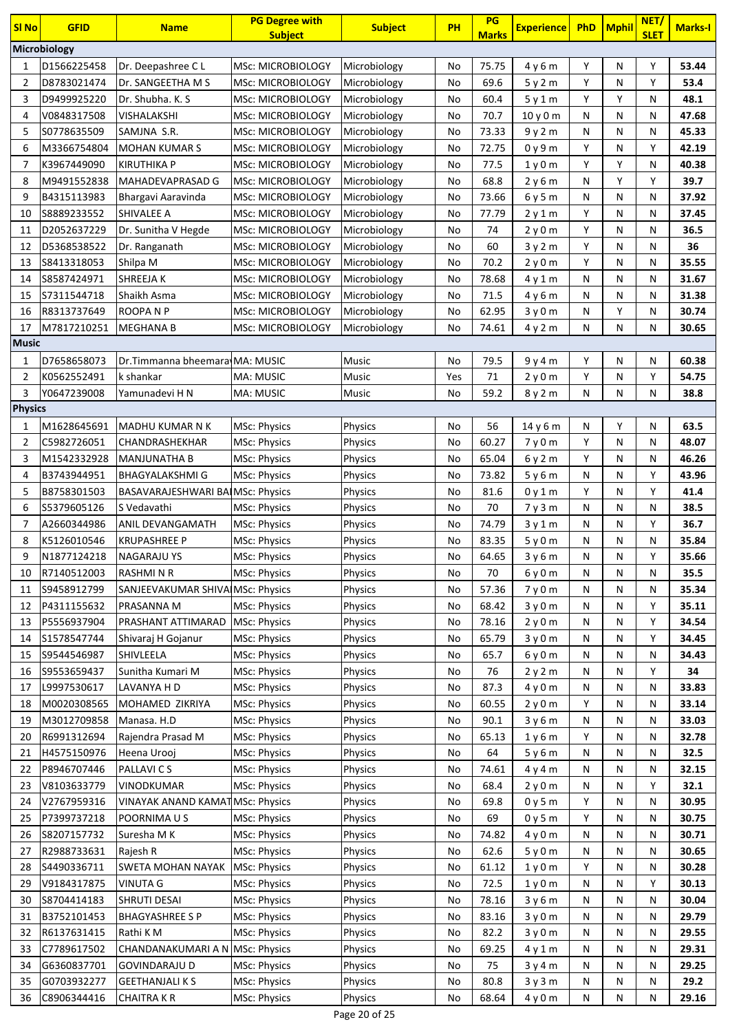| <b>SI No</b>   | <b>GFID</b>  | <b>Name</b>                             | <b>PG Degree with</b>    | <b>Subject</b> | <b>PH</b> | PG           | <b>Experience</b> | PhD | <b>Mphil</b> | NET/        | <b>Marks-I</b> |
|----------------|--------------|-----------------------------------------|--------------------------|----------------|-----------|--------------|-------------------|-----|--------------|-------------|----------------|
|                | Microbiology |                                         | <b>Subject</b>           |                |           | <b>Marks</b> |                   |     |              | <b>SLET</b> |                |
| 1              | D1566225458  | Dr. Deepashree CL                       | <b>MSc: MICROBIOLOGY</b> | Microbiology   | No        | 75.75        | 4y6m              | Υ   | N            | Y           | 53.44          |
| $\overline{2}$ | D8783021474  | Dr. SANGEETHA M S                       | MSc: MICROBIOLOGY        | Microbiology   | No        | 69.6         | 5y2m              | Υ   | N            | Υ           | 53.4           |
| 3              | D9499925220  | Dr. Shubha. K. S.                       | <b>MSc: MICROBIOLOGY</b> | Microbiology   | No        | 60.4         | 5y1m              | Y   | Υ            | N           | 48.1           |
| 4              | V0848317508  | VISHALAKSHI                             | MSc: MICROBIOLOGY        | Microbiology   | No        | 70.7         | 10y0m             | N   | N            | N           | 47.68          |
| 5              | S0778635509  | SAMJNA S.R.                             | MSc: MICROBIOLOGY        | Microbiology   | No        | 73.33        | 9y2m              | N   | N            | N           | 45.33          |
| 6              | M3366754804  | <b>MOHAN KUMAR S</b>                    | <b>MSc: MICROBIOLOGY</b> | Microbiology   | No        | 72.75        | 0y9m              | Υ   | N            | Υ           | 42.19          |
| $\overline{7}$ | K3967449090  | <b>KIRUTHIKA P</b>                      | <b>MSc: MICROBIOLOGY</b> | Microbiology   | No        | 77.5         | 1y0m              | Y   | Y            | N           | 40.38          |
| 8              | M9491552838  | MAHADEVAPRASAD G                        | <b>MSc: MICROBIOLOGY</b> | Microbiology   | No        | 68.8         | 2y6m              | N   | Υ            | Y           | 39.7           |
| 9              | B4315113983  | Bhargavi Aaravinda                      | <b>MSc: MICROBIOLOGY</b> | Microbiology   | No        | 73.66        | 6y5m              | N   | N            | N           | 37.92          |
| 10             | S8889233552  | SHIVALEE A                              | <b>MSc: MICROBIOLOGY</b> | Microbiology   | No        | 77.79        | 2y1m              | Υ   | N            | N           | 37.45          |
| 11             | D2052637229  | Dr. Sunitha V Hegde                     | <b>MSc: MICROBIOLOGY</b> | Microbiology   | No        | 74           | 2y0m              | Y   | N            | N           | 36.5           |
| 12             | D5368538522  | Dr. Ranganath                           | <b>MSc: MICROBIOLOGY</b> | Microbiology   | No        | 60           | 3 y 2 m           | Y   | N            | N           | 36             |
| 13             | S8413318053  | Shilpa M                                | MSc: MICROBIOLOGY        | Microbiology   | No        | 70.2         | 2y0m              | Y   | N            | N           | 35.55          |
| 14             | S8587424971  | SHREEJA K                               | MSc: MICROBIOLOGY        | Microbiology   | No        | 78.68        | 4 y 1 m           | N   | N            | N           | 31.67          |
| 15             | S7311544718  | Shaikh Asma                             | <b>MSc: MICROBIOLOGY</b> | Microbiology   | No        | 71.5         | 4y6m              | N   | N            | N           | 31.38          |
| 16             | R8313737649  | ROOPA N P                               | <b>MSc: MICROBIOLOGY</b> | Microbiology   | No        | 62.95        | 3y0m              | N   | Υ            | N           | 30.74          |
| 17             | M7817210251  | <b>MEGHANA B</b>                        | <b>MSc: MICROBIOLOGY</b> | Microbiology   | No        | 74.61        | 4y2m              | N   | N            | N           | 30.65          |
| <b>Music</b>   |              |                                         |                          |                |           |              |                   |     |              |             |                |
| 1              | D7658658073  | Dr.Timmanna bheemara MA: MUSIC          |                          | Music          | No        | 79.5         | 9y4m              | Υ   | N            | N           | 60.38          |
| $\overline{2}$ | K0562552491  | k shankar                               | MA: MUSIC                | Music          | Yes       | 71           | 2y0m              | Y   | N            | Y           | 54.75          |
| 3              | Y0647239008  | Yamunadevi H N                          | <b>MA: MUSIC</b>         | Music          | No        | 59.2         | 8y2m              | N   | N            | N           | 38.8           |
| <b>Physics</b> |              |                                         |                          |                |           |              |                   |     |              |             |                |
| 1              | M1628645691  | MADHU KUMAR N K                         | <b>MSc: Physics</b>      | Physics        | No        | 56           | 14y6m             | N   | Y            | N           | 63.5           |
| $\overline{2}$ | C5982726051  | CHANDRASHEKHAR                          | MSc: Physics             | Physics        | No        | 60.27        | 7y0m              | Υ   | N            | N           | 48.07          |
| 3              | M1542332928  | <b>MANJUNATHA B</b>                     | <b>MSc: Physics</b>      | Physics        | No        | 65.04        | 6y2m              | Y   | N            | N           | 46.26          |
| 4              | B3743944951  | <b>BHAGYALAKSHMIG</b>                   | <b>MSc: Physics</b>      | Physics        | No        | 73.82        | 5y6m              | N   | N            | Υ           | 43.96          |
| 5              | B8758301503  | <b>BASAVARAJESHWARI BAIMSC: Physics</b> |                          | Physics        | No        | 81.6         | 0 y 1 m           | Y   | N            | Y           | 41.4           |
| 6              | S5379605126  | S Vedavathi                             | MSc: Physics             | Physics        | No        | 70           | 7y3m              | N   | N            | N           | 38.5           |
| $\overline{7}$ | A2660344986  | ANIL DEVANGAMATH                        | MSc: Physics             | Physics        | No        | 74.79        | 3y1m              | N   | N            | Υ           | 36.7           |
| 8              | K5126010546  | <b>KRUPASHREE P</b>                     | MSc: Physics             | Physics        | No        | 83.35        | 5y0m              | N   | N            | N           | 35.84          |
| 9              | N1877124218  | <b>NAGARAJU YS</b>                      | <b>MSc: Physics</b>      | Physics        | No        | 64.65        | 3y6m              | N   | N            | Υ           | 35.66          |
| 10             | R7140512003  | <b>RASHMINR</b>                         | <b>MSc: Physics</b>      | Physics        | No        | 70           | 6v0m              | N   | N            | N           | 35.5           |
| 11             | S9458912799  | SANJEEVAKUMAR SHIVAIMSc: Physics        |                          | Physics        | No        | 57.36        | 7y0m              | N   | N            | N           | 35.34          |
| 12             | P4311155632  | PRASANNA M                              | <b>MSc: Physics</b>      | Physics        | No        | 68.42        | 3y0m              | N   | N            | Υ           | 35.11          |
| 13             | P5556937904  | PRASHANT ATTIMARAD                      | <b>MSc: Physics</b>      | Physics        | No        | 78.16        | 2y0m              | N   | N            | Υ           | 34.54          |
| 14             | S1578547744  | Shivaraj H Gojanur                      | MSc: Physics             | <b>Physics</b> | No        | 65.79        | 3y0m              | N   | N            | Υ           | 34.45          |
| 15             | S9544546987  | SHIVLEELA                               | MSc: Physics             | Physics        | No        | 65.7         | 6 y 0 m           | N   | N            | N           | 34.43          |
| 16             | S9553659437  | Sunitha Kumari M                        | MSc: Physics             | Physics        | No        | 76           | 2y2m              | N   | N            | Υ           | 34             |
| 17             | L9997530617  | LAVANYA H D                             | <b>MSc: Physics</b>      | Physics        | No        | 87.3         | 4y0m              | N   | N            | N           | 33.83          |
| 18             | M0020308565  | MOHAMED ZIKRIYA                         | <b>MSc: Physics</b>      | Physics        | No        | 60.55        | 2y0m              | Y   | N            | N           | 33.14          |
| 19             | M3012709858  | Manasa. H.D                             | <b>MSc: Physics</b>      | <b>Physics</b> | No        | 90.1         | 3y6m              | N   | N            | N           | 33.03          |
| 20             | R6991312694  | Rajendra Prasad M                       | <b>MSc: Physics</b>      | Physics        | No        | 65.13        | 1y6m              | Υ   | N            | N           | 32.78          |
| 21             | H4575150976  | Heena Urooj                             | <b>MSc: Physics</b>      | Physics        | No        | 64           | 5y6m              | N   | N            | N           | 32.5           |
| 22             | P8946707446  | PALLAVI C S                             | <b>MSc: Physics</b>      | Physics        | No        | 74.61        | 4y4m              | N   | N            | N           | 32.15          |
| 23             | V8103633779  | VINODKUMAR                              | MSc: Physics             | <b>Physics</b> | No        | 68.4         | 2y0m              | N   | N            | Υ           | 32.1           |
| 24             | V2767959316  | VINAYAK ANAND KAMAT MSc: Physics        |                          | Physics        | No        | 69.8         | 0y5m              | Υ   | N            | N           | 30.95          |
| 25             | P7399737218  | POORNIMA U S                            | <b>MSc: Physics</b>      | Physics        | No        | 69           | 0y5m              | Y   | N            | N           | 30.75          |
| 26             | S8207157732  | Suresha M K                             | <b>MSc: Physics</b>      | Physics        | No        | 74.82        | 4y0m              | N   | N            | N           | 30.71          |
| 27             | R2988733631  | Rajesh R                                | <b>MSc: Physics</b>      | Physics        | No        | 62.6         | 5y0m              | N   | N            | N           | 30.65          |
| 28             | S4490336711  | SWETA MOHAN NAYAK                       | <b>MSc: Physics</b>      | Physics        | No        | 61.12        | 1y0m              | Υ   | N            | N           | 30.28          |
| 29             | V9184317875  | <b>VINUTA G</b>                         | <b>MSc: Physics</b>      | Physics        | No        | 72.5         | 1y0m              | N   | N            | Υ           | 30.13          |
| 30             | S8704414183  | <b>SHRUTI DESAI</b>                     | <b>MSc: Physics</b>      | Physics        | No        | 78.16        | 3y6m              | N   | N            | N           | 30.04          |
| 31             | B3752101453  | <b>BHAGYASHREE S P</b>                  | <b>MSc: Physics</b>      | Physics        | No        | 83.16        | 3y0m              | N   | N            | N           | 29.79          |
| 32             | R6137631415  | Rathi K M                               | MSc: Physics             | <b>Physics</b> | No        | 82.2         | 3y0m              | N   | N            | N           | 29.55          |
| 33             | C7789617502  | CHANDANAKUMARI A N MSc: Physics         |                          | Physics        | No        | 69.25        | 4y1m              | N   | N            | N           | 29.31          |
| 34             | G6360837701  | <b>GOVINDARAJU D</b>                    | <b>MSc: Physics</b>      | Physics        | No        | 75           | 3y4m              | N   | N            | N           | 29.25          |
| 35             | G0703932277  | <b>GEETHANJALI K S</b>                  | <b>MSc: Physics</b>      | Physics        | No        | 80.8         |                   |     |              | N           | 29.2           |
|                | C8906344416  |                                         |                          |                |           |              | 3y3m              | N   | N            |             |                |
| 36             |              | <b>CHAITRAKR</b>                        | MSc: Physics             | Physics        | No        | 68.64        | 4y0m              | N   | N            | N           | 29.16          |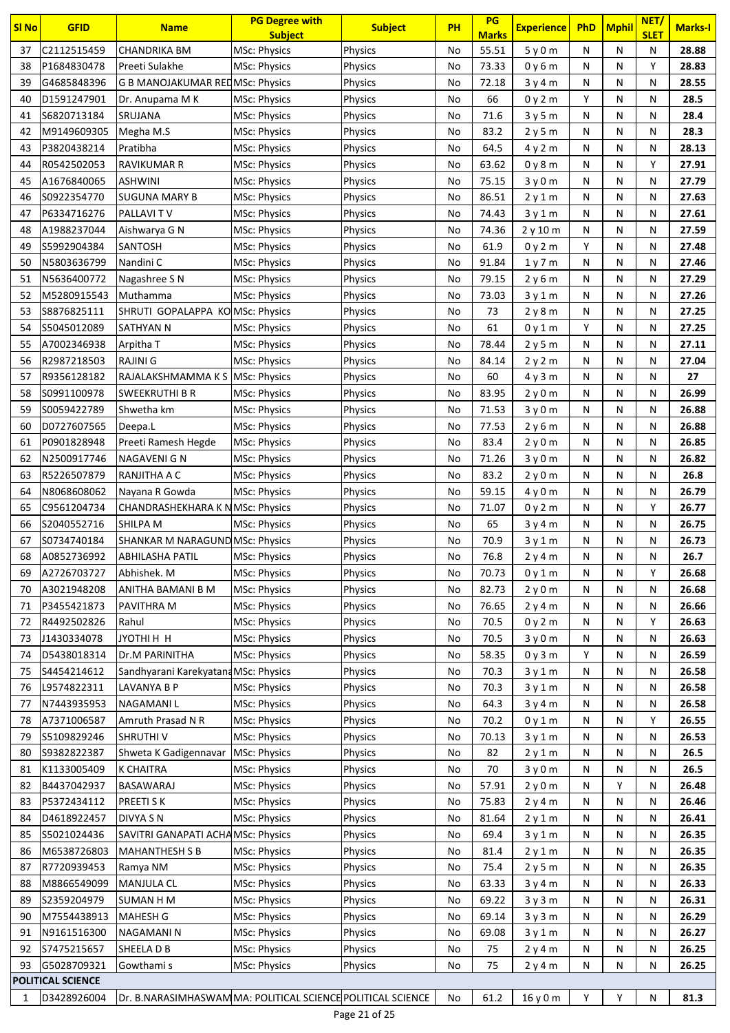| <b>SI No</b> | <b>GFID</b>                | <b>Name</b>                                                | <b>PG Degree with</b><br><b>Subject</b> | <b>Subject</b>     | <b>PH</b> | PG<br><b>Marks</b> | <b>Experience</b> | <b>PhD</b> | <b>Mphil</b> | NET/<br><b>SLET</b> | <b>Marks-I</b> |
|--------------|----------------------------|------------------------------------------------------------|-----------------------------------------|--------------------|-----------|--------------------|-------------------|------------|--------------|---------------------|----------------|
| 37           | C2112515459                | <b>CHANDRIKA BM</b>                                        | MSc: Physics                            | Physics            | No        | 55.51              | 5y0m              | N          | N            | N                   | 28.88          |
| 38           | P1684830478                | Preeti Sulakhe                                             | <b>MSc: Physics</b>                     | Physics            | No        | 73.33              | 0 y 6 m           | N          | N            | Y                   | 28.83          |
| 39           | G4685848396                | <b>G B MANOJAKUMAR REDMSC: Physics</b>                     |                                         | Physics            | No        | 72.18              | 3y4m              | N          | N            | N                   | 28.55          |
| 40           | D1591247901                | Dr. Anupama M K                                            | <b>MSc: Physics</b>                     | Physics            | No        | 66                 | 0y2m              | Y          | N            | Ν                   | 28.5           |
| 41           | S6820713184                | SRUJANA                                                    | MSc: Physics                            | Physics            | No        | 71.6               | 3y5m              | N          | N            | N                   | 28.4           |
| 42           | M9149609305                | Megha M.S                                                  | <b>MSc: Physics</b>                     | <b>Physics</b>     | No        | 83.2               | 2y5m              | N          | N            | Ν                   | 28.3           |
| 43           | P3820438214                | Pratibha                                                   | <b>MSc: Physics</b>                     | Physics            | No        | 64.5               | 4y2m              | N          | N            | N                   | 28.13          |
| 44           | R0542502053                | RAVIKUMAR R                                                | <b>MSc: Physics</b>                     | Physics            | No        | 63.62              | 0 y 8 m           | N          | N            | Y                   | 27.91          |
| 45           | A1676840065                | <b>ASHWINI</b>                                             | <b>MSc: Physics</b>                     | Physics            | No        | 75.15              | 3y0m              | N          | N            | Ν                   | 27.79          |
| 46           | S0922354770                | SUGUNA MARY B                                              | <b>MSc: Physics</b>                     | Physics            | No        | 86.51              | 2 y 1 m           | N          | N            | Ν                   | 27.63          |
| 47           | P6334716276                | PALLAVI TV                                                 | <b>MSc: Physics</b>                     | Physics            | No        | 74.43              | 3y1m              | N          | N            | Ν                   | 27.61          |
| 48           | A1988237044                | Aishwarya G N                                              | <b>MSc: Physics</b>                     | Physics            | No        | 74.36              | 2y10m             | N          | N            | Ν                   | 27.59          |
| 49           | S5992904384                | SANTOSH                                                    | <b>MSc: Physics</b>                     | Physics            | No        | 61.9               | 0y2m              | Y          | N            | Ν                   | 27.48          |
| 50           | N5803636799                | Nandini C                                                  | <b>MSc: Physics</b>                     | Physics            | No        | 91.84              | 1y7m              | N          | N            | N                   | 27.46          |
| 51           | N5636400772                | Nagashree S N                                              | <b>MSc: Physics</b>                     | Physics            | No        | 79.15              | 2y6m              | N          | N            | Ν                   | 27.29          |
| 52           | M5280915543                | Muthamma<br>SHRUTI GOPALAPPA KOMSC: Physics                | <b>MSc: Physics</b>                     | Physics            | No        | 73.03              | 3y1m              | N          | N            | Ν                   | 27.26          |
| 53<br>54     | S8876825111<br>S5045012089 | SATHYAN N                                                  | <b>MSc: Physics</b>                     | Physics<br>Physics | No<br>No  | 73<br>61           | 2 y 8 m           | N<br>Y     | N<br>N       | Ν<br>Ν              | 27.25<br>27.25 |
| 55           | A7002346938                | Arpitha T                                                  | <b>MSc: Physics</b>                     | Physics            | No        | 78.44              | 0y1m<br>2y5m      | N          | N            | Ν                   | 27.11          |
| 56           | R2987218503                | RAJINI G                                                   | <b>MSc: Physics</b>                     | Physics            | No        | 84.14              | 2y2m              | N          | N            | N                   | 27.04          |
| 57           | R9356128182                | RAJALAKSHMAMMA K S MSc: Physics                            |                                         | Physics            | No        | 60                 | 4y3m              | N          | N            | N                   | 27             |
| 58           | S0991100978                | SWEEKRUTHI B R                                             | <b>MSc: Physics</b>                     | Physics            | No        | 83.95              | 2y0m              | N          | N            | Ν                   | 26.99          |
| 59           | S0059422789                | Shwetha km                                                 | <b>MSc: Physics</b>                     | Physics            | No        | 71.53              | 3y0m              | N          | N            | N                   | 26.88          |
| 60           | D0727607565                | Deepa.L                                                    | <b>MSc: Physics</b>                     | Physics            | No        | 77.53              | 2y6m              | N          | N            | Ν                   | 26.88          |
| 61           | P0901828948                | Preeti Ramesh Hegde                                        | <b>MSc: Physics</b>                     | Physics            | No        | 83.4               | 2y0m              | N          | N            | N                   | 26.85          |
| 62           | N2500917746                | NAGAVENI G N                                               | <b>MSc: Physics</b>                     | Physics            | No        | 71.26              | 3y0m              | N          | N            | Ν                   | 26.82          |
| 63           | R5226507879                | RANJITHA A C                                               | <b>MSc: Physics</b>                     | Physics            | No        | 83.2               | 2y0m              | N          | N            | Ν                   | 26.8           |
| 64           | N8068608062                | Nayana R Gowda                                             | <b>MSc: Physics</b>                     | Physics            | No        | 59.15              | 4y0m              | N          | N            | Ν                   | 26.79          |
| 65           | C9561204734                | CHANDRASHEKHARA K N MSc: Physics                           |                                         | Physics            | No        | 71.07              | 0y2m              | N          | N            | Υ                   | 26.77          |
| 66           | S2040552716                | SHILPA M                                                   | <b>MSc: Physics</b>                     | Physics            | No        | 65                 | 3y4m              | N          | N            | N                   | 26.75          |
| 67           | S0734740184                | SHANKAR M NARAGUND MSc: Physics                            |                                         | <b>Physics</b>     | No        | 70.9               | 3y1m              | N          | N            | Ν                   | 26.73          |
| 68           | A0852736992                | <b>ABHILASHA PATIL</b>                                     | <b>MSc: Physics</b>                     | Physics            | No        | 76.8               | 2y4m              | N          | N            | Ν                   | 26.7           |
| 69           | A2726703727                | Abhishek. M                                                | <b>MSc: Physics</b>                     | Physics            | No        | 70.73              | 0y1m              | N          | N            | Υ                   | 26.68          |
| 70           | A3021948208                | ANITHA BAMANI B M                                          | MSc: Physics                            | Physics            | No        | 82.73              | 2y0m              | N          | N            | Ν                   | 26.68          |
| 71           | P3455421873                | PAVITHRA M                                                 | MSc: Physics                            | <b>Physics</b>     | No        | 76.65              | 2y4m              | N          | N            | Ν                   | 26.66          |
| 72           | R4492502826                | Rahul                                                      | <b>MSc: Physics</b>                     | Physics            | No        | 70.5               | 0y2m              | N          | N            | Υ                   | 26.63          |
| 73           | J1430334078                | <b>H H IHTOYL</b>                                          | <b>MSc: Physics</b>                     | Physics            | No        | 70.5               | 3y0m              | N          | N            | Ν                   | 26.63          |
| 74           | D5438018314                | Dr.M PARINITHA                                             | <b>MSc: Physics</b>                     | Physics            | No        | 58.35              | 0y3m              | Y          | N            | Ν                   | 26.59          |
| 75           | S4454214612                | Sandhyarani KarekyatanaMSc: Physics                        |                                         | <b>Physics</b>     | No        | 70.3               | 3y1m              | N          | N            | Ν                   | 26.58          |
| 76           | L9574822311                | LAVANYA B P                                                | <b>MSc: Physics</b>                     | Physics            | No        | 70.3               | 3y1m              | N          | N            | Ν                   | 26.58          |
| 77           | N7443935953                | <b>NAGAMANIL</b>                                           | <b>MSc: Physics</b>                     | <b>Physics</b>     | No        | 64.3               | 3y4m              | N          | N            | N                   | 26.58          |
| 78           | A7371006587                | Amruth Prasad N R                                          | <b>MSc: Physics</b>                     | Physics            | No        | 70.2               | 0y1m              | N          | N            | Υ                   | 26.55          |
| 79           | S5109829246                | <b>SHRUTHIV</b>                                            | <b>MSc: Physics</b>                     | <b>Physics</b>     | No        | 70.13              | 3y1m              | N          | N            | Ν                   | 26.53          |
| 80           | S9382822387                | Shweta K Gadigennavar                                      | <b>MSc: Physics</b>                     | Physics            | No        | 82                 | 2y1m              | N          | N            | Ν                   | 26.5           |
| 81           | K1133005409                | <b>K CHAITRA</b>                                           | <b>MSc: Physics</b>                     | <b>Physics</b>     | No        | 70                 | 3y0m              | N          | N            | Ν                   | 26.5           |
| 82           | B4437042937                | BASAWARAJ                                                  | <b>MSc: Physics</b>                     | Physics            | No        | 57.91              | 2y0m              | N          | Υ            | Ν                   | 26.48          |
| 83           | P5372434112                | <b>PREETI SK</b>                                           | <b>MSc: Physics</b>                     | Physics            | No        | 75.83              | 2y4m              | N          | N            | Ν                   | 26.46          |
| 84           | D4618922457                | DIVYA SN                                                   | <b>MSc: Physics</b>                     | Physics            | No        | 81.64              | 2y1m              | N          | N            | Ν                   | 26.41          |
| 85           | S5021024436                | SAVITRI GANAPATI ACHAMSC: Physics                          |                                         | Physics            | No        | 69.4               | 3y1m              | Ν          | N            | Ν                   | 26.35          |
| 86           | M6538726803                | <b>MAHANTHESH S B</b>                                      | <b>MSc: Physics</b>                     | Physics            | No        | 81.4               | 2y1m              | N          | N            | Ν                   | 26.35          |
| 87           | R7720939453                | Ramya NM                                                   | <b>MSc: Physics</b>                     | Physics            | No        | 75.4               | 2y5m              | N          | N            | Ν                   | 26.35          |
| 88           | M8866549099                | <b>MANJULA CL</b>                                          | MSc: Physics                            | Physics            | No        | 63.33              | 3y4m              | N          | N            | Ν                   | 26.33          |
| 89           | S2359204979                | <b>SUMAN H M</b>                                           | MSc: Physics                            | <b>Physics</b>     | No        | 69.22              | 3y3m              | Ν          | N            | Ν                   | 26.31          |
| 90           | M7554438913                | <b>MAHESH G</b>                                            | <b>MSc: Physics</b>                     | <b>Physics</b>     | No        | 69.14              | 3y3m              | N          | N            | Ν                   | 26.29          |
| 91           | N9161516300                | <b>NAGAMANIN</b>                                           | <b>MSc: Physics</b>                     | Physics            | No        | 69.08              | 3y1m              | N          | N            | Ν                   | 26.27          |
| 92           | S7475215657                | SHEELA D B                                                 | <b>MSc: Physics</b>                     | Physics            | No        | 75                 | 2y4m              | N          | N            | Ν                   | 26.25          |
| 93           | G5028709321                | Gowthami s                                                 | <b>MSc: Physics</b>                     | Physics            | No        | 75                 | 2y4m              | N          | N            | Ν                   | 26.25          |
|              | POLITICAL SCIENCE          |                                                            |                                         |                    |           |                    |                   |            |              |                     |                |
| 1            | D3428926004                | Dr. B.NARASIMHASWAMMA: POLITICAL SCIENCE POLITICAL SCIENCE |                                         | $D200$ 21 of $25$  | No        | 61.2               | 16 y 0 m          | Υ          | Υ            | Ν                   | 81.3           |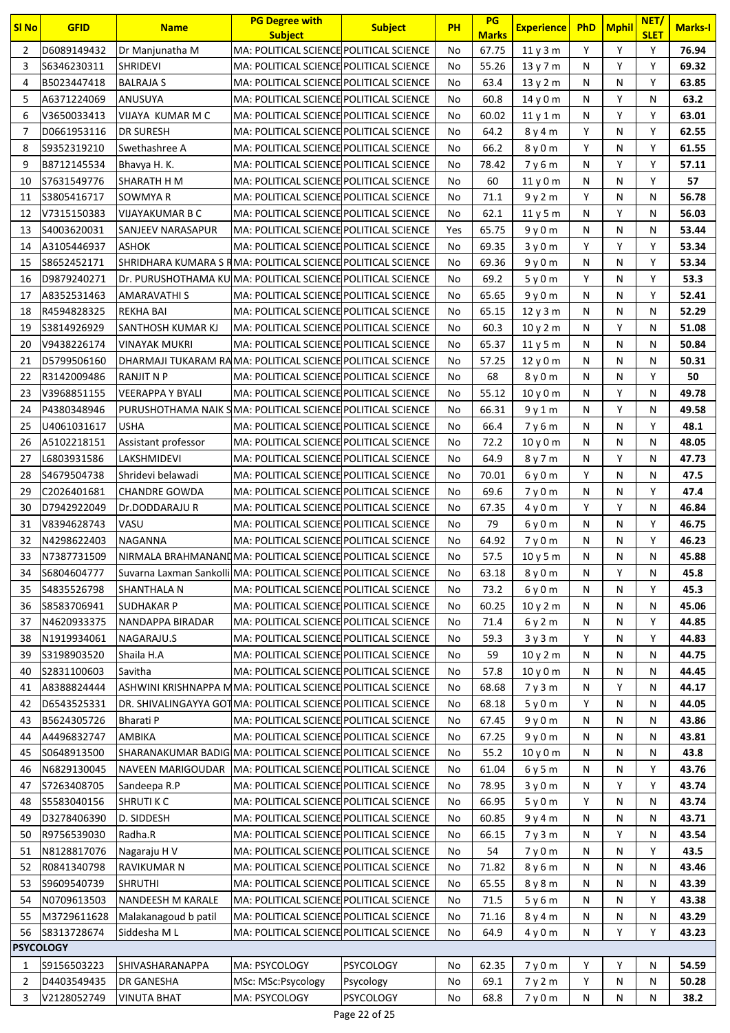| Υ<br>D6089149432<br>MA: POLITICAL SCIENCE POLITICAL SCIENCE<br>Y<br>Y<br>76.94<br>$\overline{2}$<br>Dr Manjunatha M<br>67.75<br>11y3m<br>No<br>3<br>MA: POLITICAL SCIENCE POLITICAL SCIENCE<br>55.26<br>Υ<br>Y<br>69.32<br>\$6346230311<br><b>SHRIDEVI</b><br>13y7m<br>N<br>No<br>B5023447418<br><b>BALRAJA S</b><br>MA: POLITICAL SCIENCE POLITICAL SCIENCE<br>63.4<br>13 y 2 m<br>N<br>Υ<br>63.85<br>4<br>No<br>N<br>Y<br>A6371224069<br>MA: POLITICAL SCIENCE POLITICAL SCIENCE<br>63.2<br>5<br>ANUSUYA<br>60.8<br>14 y 0 m<br>N<br>N<br>No<br>Υ<br>6<br>Y<br>63.01<br>V3650033413<br>VIJAYA KUMAR M C<br>MA: POLITICAL SCIENCE POLITICAL SCIENCE<br>60.02<br>N<br>No<br>11y1m<br>Y<br>Y<br>D0661953116<br><b>DR SURESH</b><br>MA: POLITICAL SCIENCE POLITICAL SCIENCE<br>64.2<br>8 y 4 m<br>N<br>62.55<br>7<br>No<br>Y<br>MA: POLITICAL SCIENCE POLITICAL SCIENCE<br>Y<br>8<br>S9352319210<br>66.2<br>N<br>61.55<br>Swethashree A<br>No<br>8y0m<br>9<br>MA: POLITICAL SCIENCE POLITICAL SCIENCE<br>Y<br>Y<br>B8712145534<br>78.42<br>7y6m<br>N<br>57.11<br>Bhavya H. K.<br>No<br>S7631549776<br>MA: POLITICAL SCIENCE POLITICAL SCIENCE<br>Y<br>57<br>10<br>SHARATH H M<br>60<br>N<br>N<br>No<br>11y0m<br>Y<br>S3805416717<br>SOWMYA R<br>MA: POLITICAL SCIENCE POLITICAL SCIENCE<br>71.1<br>9y2m<br>N<br>Ν<br>56.78<br>11<br>No<br>Υ<br>MA: POLITICAL SCIENCE POLITICAL SCIENCE<br>62.1<br>56.03<br>12<br>V7315150383<br><b>VIJAYAKUMAR B C</b><br>No<br>11y5m<br>N<br>N<br>13<br>S4003620031<br>MA: POLITICAL SCIENCE POLITICAL SCIENCE<br>65.75<br>9y0m<br>N<br>53.44<br>SANJEEV NARASAPUR<br>Yes<br>N<br>Ν<br>A3105446937<br>MA: POLITICAL SCIENCE POLITICAL SCIENCE<br>Y<br>Υ<br>53.34<br><b>ASHOK</b><br>69.35<br>3y0m<br>Υ<br>14<br>No<br>SHRIDHARA KUMARA S RMA: POLITICAL SCIENCE POLITICAL SCIENCE<br>Y<br>S8652452171<br>69.36<br>N<br>N<br>53.34<br>15<br>No<br>9y0m<br>Y<br>Y<br>53.3<br>D9879240271<br>Dr. PURUSHOTHAMA KU MA: POLITICAL SCIENCE POLITICAL SCIENCE<br>69.2<br>5y0m<br>N<br>16<br>No<br>MA: POLITICAL SCIENCE POLITICAL SCIENCE<br>Y<br>52.41<br>17<br>A8352531463<br>65.65<br>N<br>N<br>AMARAVATHI S<br>No<br>9y0m<br>MA: POLITICAL SCIENCE POLITICAL SCIENCE<br>18<br>R4594828325<br><b>REKHA BAI</b><br>65.15<br>N<br>N<br>N<br>52.29<br>No<br>12y3m<br>S3814926929<br>MA: POLITICAL SCIENCE POLITICAL SCIENCE<br>Υ<br>51.08<br>19<br>SANTHOSH KUMAR KJ<br>60.3<br>N<br>Ν<br>No<br>10y2m<br>50.84<br>20<br>V9438226174<br><b>VINAYAK MUKRI</b><br>MA: POLITICAL SCIENCE POLITICAL SCIENCE<br>65.37<br>11y5m<br>N<br>N<br>N<br>No<br>50.31<br>21<br>D5799506160<br>DHARMAJI TUKARAM RAMA: POLITICAL SCIENCE POLITICAL SCIENCE<br>No<br>57.25<br>12 y 0 m<br>N<br>N<br>N<br>22<br>R3142009486<br>MA: POLITICAL SCIENCE POLITICAL SCIENCE<br>68<br>8y0m<br>N<br>Υ<br>50<br>RANJIT N P<br>No<br>N<br>Y<br>V3968851155<br>49.78<br>23<br><b>VEERAPPA Y BYALI</b><br>MA: POLITICAL SCIENCE POLITICAL SCIENCE<br>55.12<br>10 y 0 m<br>N<br>No<br>N<br>Υ<br>P4380348946<br>PURUSHOTHAMA NAIK SMA: POLITICAL SCIENCE POLITICAL SCIENCE<br>66.31<br>9y1m<br>N<br>N<br>49.58<br>24<br>No<br><b>USHA</b><br>Y<br>48.1<br>25<br>U4061031617<br>MA: POLITICAL SCIENCE POLITICAL SCIENCE<br>66.4<br>7y6m<br>N<br>N<br>No<br>MA: POLITICAL SCIENCE POLITICAL SCIENCE<br>A5102218151<br>Assistant professor<br>72.2<br>N<br>N<br>48.05<br>26<br>No<br>10y0m<br>N<br>27<br>L6803931586<br>MA: POLITICAL SCIENCE POLITICAL SCIENCE<br>64.9<br>Υ<br>LAKSHMIDEVI<br>8y7m<br>47.73<br>No<br>N<br>Ν<br>S4679504738<br>MA: POLITICAL SCIENCE POLITICAL SCIENCE<br>Υ<br>47.5<br>28<br>Shridevi belawadi<br>70.01<br>6y0m<br>N<br>Ν<br>No<br>MA: POLITICAL SCIENCE POLITICAL SCIENCE<br>69.6<br>Y<br>29<br>C2026401681<br><b>CHANDRE GOWDA</b><br>No<br>N<br>N<br>47.4<br>7y0m<br>Y<br>Υ<br>MA: POLITICAL SCIENCE POLITICAL SCIENCE<br>67.35<br>46.84<br>30<br>D7942922049<br>Dr.DODDARAJU R<br>No<br>4y0m<br>N<br>Y<br>31<br>V8394628743<br>VASU<br>MA: POLITICAL SCIENCE POLITICAL SCIENCE<br>79<br>6y0m<br>N<br>N<br>46.75<br>No<br>32<br>64.92<br>Y<br>46.23<br>N4298622403<br>NAGANNA<br>MA: POLITICAL SCIENCE POLITICAL SCIENCE<br>7y0m<br>N<br>No<br>N<br>N<br>N<br>57.5<br>N<br>45.88<br>33<br>N7387731509<br>NIRMALA BRAHMANANDMA: POLITICAL SCIENCE POLITICAL SCIENCE<br>10y5m<br>No<br>Suvarna Laxman Sankolli MA: POLITICAL SCIENCE POLITICAL SCIENCE<br>S6804604777<br>Υ<br>45.8<br>63.18<br>8 y 0 m<br>Ν<br>34<br>No<br>N<br>MA: POLITICAL SCIENCE POLITICAL SCIENCE<br>S4835526798<br>6y0m<br>Y<br>45.3<br>35<br><b>SHANTHALA N</b><br>73.2<br>N<br>N<br>No<br>MA: POLITICAL SCIENCE POLITICAL SCIENCE<br>45.06<br>S8583706941<br><b>SUDHAKAR P</b><br>60.25<br>10y2m<br>Ν<br>36<br>No<br>N<br>N<br>MA: POLITICAL SCIENCE POLITICAL SCIENCE<br>N4620933375<br>NANDAPPA BIRADAR<br>N<br>Υ<br>44.85<br>37<br>71.4<br>6y2m<br>N<br>No<br>MA: POLITICAL SCIENCE POLITICAL SCIENCE<br>Υ<br>Υ<br>N1919934061<br>NAGARAJU.S<br>59.3<br>3y3m<br>N<br>44.83<br>38<br>No<br>MA: POLITICAL SCIENCE POLITICAL SCIENCE<br>59<br>44.75<br>39<br>S3198903520<br>Shaila H.A<br>10y2m<br>N<br>N<br>Ν<br>No<br>MA: POLITICAL SCIENCE POLITICAL SCIENCE<br>S2831100603<br>Savitha<br>57.8<br>10y0m<br>Ν<br>N<br>Ν<br>44.45<br>40<br>No<br>A8388824444<br>ASHWINI KRISHNAPPA MMA: POLITICAL SCIENCE POLITICAL SCIENCE<br>Υ<br>44.17<br>68.68<br>7y3m<br>N<br>Ν<br>41<br>No<br>Υ<br>DR. SHIVALINGAYYA GOTMA: POLITICAL SCIENCE POLITICAL SCIENCE<br>N<br>44.05<br>D6543525331<br>68.18<br>5y0m<br>Ν<br>42<br>No<br>B5624305726<br><b>Bharati P</b><br>MA: POLITICAL SCIENCE POLITICAL SCIENCE<br>43.86<br>43<br>67.45<br>9y0m<br>N<br>N<br>N<br>No<br>MA: POLITICAL SCIENCE POLITICAL SCIENCE<br>A4496832747<br>43.81<br>AMBIKA<br>67.25<br>9y0m<br>Ν<br>N<br>Ν<br>No<br>44<br>SHARANAKUMAR BADIG MA: POLITICAL SCIENCE POLITICAL SCIENCE<br>S0648913500<br>55.2<br>10 y 0 m<br>N<br>43.8<br>45<br>No<br>N<br>Ν<br>NAVEEN MARIGOUDAR   MA: POLITICAL SCIENCE POLITICAL SCIENCE<br>N6829130045<br>61.04<br>Υ<br>43.76<br>6 y 5 m<br>N<br>N<br>46<br>No<br>MA: POLITICAL SCIENCE POLITICAL SCIENCE<br>Υ<br>Υ<br>S7263408705<br>Sandeepa R.P<br>78.95<br>43.74<br>47<br>No<br>3y0m<br>N<br>Y<br>MA: POLITICAL SCIENCE POLITICAL SCIENCE<br>43.74<br>S5583040156<br><b>SHRUTI K C</b><br>66.95<br>5y0m<br>N<br>Ν<br>48<br>No<br>MA: POLITICAL SCIENCE POLITICAL SCIENCE<br>43.71<br>D3278406390<br>D. SIDDESH<br>60.85<br>Ν<br>N<br>Ν<br>49<br>No<br>9y4m<br>R9756539030<br>MA: POLITICAL SCIENCE POLITICAL SCIENCE<br>Υ<br>Radha.R<br>66.15<br>7y3m<br>N<br>Ν<br>43.54<br>50<br>No<br>N8128817076<br>MA: POLITICAL SCIENCE POLITICAL SCIENCE<br>Y<br>43.5<br>51<br>Nagaraju H V<br>54<br>7y0m<br>N<br>N<br>No<br>MA: POLITICAL SCIENCE POLITICAL SCIENCE<br>R0841340798<br>RAVIKUMAR N<br>71.82<br>43.46<br>52<br>8 y 6 m<br>N<br>N<br>N<br>No<br>MA: POLITICAL SCIENCE POLITICAL SCIENCE<br>S9609540739<br>43.39<br><b>SHRUTHI</b><br>65.55<br>8y8m<br>N<br>N<br>Ν<br>53<br>No<br>NANDEESH M KARALE<br>MA: POLITICAL SCIENCE POLITICAL SCIENCE<br>N0709613503<br>71.5<br>5y6m<br>Υ<br>43.38<br>54<br>No<br>N<br>N<br>M3729611628<br>MA: POLITICAL SCIENCE POLITICAL SCIENCE<br>Malakanagoud b patil<br>43.29<br>55<br>71.16<br>8 y 4 m<br>Ν<br>N<br>Ν<br>No<br>MA: POLITICAL SCIENCE POLITICAL SCIENCE<br>Y<br>Y<br>56<br>S8313728674<br>Siddesha M L<br>64.9<br>4y0m<br>43.23<br>No<br>N<br><b>PSYCOLOGY</b><br><b>PSYCOLOGY</b><br>Υ<br>Υ<br>S9156503223<br>SHIVASHARANAPPA<br>MA: PSYCOLOGY<br>62.35<br>7y0m<br>Ν<br>54.59<br>No<br>1<br>D4403549435<br>Υ<br>$\overline{2}$<br>DR GANESHA<br>MSc: MSc:Psycology<br>Psycology<br>69.1<br>7y2m<br>N<br>Ν<br>50.28<br>No<br>V2128052749<br><b>VINUTA BHAT</b><br>MA: PSYCOLOGY<br><b>PSYCOLOGY</b><br>Ν<br>Ν<br>38.2<br>3<br>68.8<br>7y0m<br>N<br>No | <b>SI No</b> | <b>GFID</b> | <b>Name</b> | <b>PG Degree with</b><br><b>Subject</b> | <b>Subject</b> | <b>PH</b> | PG<br><b>Marks</b> | <b>Experience</b> | <b>PhD</b> | Mphil | NET/<br><b>SLET</b> | <b>Marks-I</b> |
|--------------------------------------------------------------------------------------------------------------------------------------------------------------------------------------------------------------------------------------------------------------------------------------------------------------------------------------------------------------------------------------------------------------------------------------------------------------------------------------------------------------------------------------------------------------------------------------------------------------------------------------------------------------------------------------------------------------------------------------------------------------------------------------------------------------------------------------------------------------------------------------------------------------------------------------------------------------------------------------------------------------------------------------------------------------------------------------------------------------------------------------------------------------------------------------------------------------------------------------------------------------------------------------------------------------------------------------------------------------------------------------------------------------------------------------------------------------------------------------------------------------------------------------------------------------------------------------------------------------------------------------------------------------------------------------------------------------------------------------------------------------------------------------------------------------------------------------------------------------------------------------------------------------------------------------------------------------------------------------------------------------------------------------------------------------------------------------------------------------------------------------------------------------------------------------------------------------------------------------------------------------------------------------------------------------------------------------------------------------------------------------------------------------------------------------------------------------------------------------------------------------------------------------------------------------------------------------------------------------------------------------------------------------------------------------------------------------------------------------------------------------------------------------------------------------------------------------------------------------------------------------------------------------------------------------------------------------------------------------------------------------------------------------------------------------------------------------------------------------------------------------------------------------------------------------------------------------------------------------------------------------------------------------------------------------------------------------------------------------------------------------------------------------------------------------------------------------------------------------------------------------------------------------------------------------------------------------------------------------------------------------------------------------------------------------------------------------------------------------------------------------------------------------------------------------------------------------------------------------------------------------------------------------------------------------------------------------------------------------------------------------------------------------------------------------------------------------------------------------------------------------------------------------------------------------------------------------------------------------------------------------------------------------------------------------------------------------------------------------------------------------------------------------------------------------------------------------------------------------------------------------------------------------------------------------------------------------------------------------------------------------------------------------------------------------------------------------------------------------------------------------------------------------------------------------------------------------------------------------------------------------------------------------------------------------------------------------------------------------------------------------------------------------------------------------------------------------------------------------------------------------------------------------------------------------------------------------------------------------------------------------------------------------------------------------------------------------------------------------------------------------------------------------------------------------------------------------------------------------------------------------------------------------------------------------------------------------------------------------------------------------------------------------------------------------------------------------------------------------------------------------------------------------------------------------------------------------------------------------------------------------------------------------------------------------------------------------------------------------------------------------------------------------------------------------------------------------------------------------------------------------------------------------------------------------------------------------------------------------------------------------------------------------------------------------------------------------------------------------------------------------------------------------------------------------------------------------------------------------------------------------------------------------------------------------------------------------------------------------------------------------------------------------------------------------------------------------------------------------------------------------------------------------------------------------------------------------------------------------------------------------------------------------------------------------------------------------------------------------------------------------------------------------------------------------------------------------------------------------------------------------------------------------------------------------------------------------------------------------------------------------------------------------------------------------------------------------------------------------------------------------------------------------------------------------------------------------------------------------------------------------------------------------------------------------------------------------------------------------------------------------------------------------------------------------------------------------------------------------------------------------------------------------------------------|--------------|-------------|-------------|-----------------------------------------|----------------|-----------|--------------------|-------------------|------------|-------|---------------------|----------------|
|                                                                                                                                                                                                                                                                                                                                                                                                                                                                                                                                                                                                                                                                                                                                                                                                                                                                                                                                                                                                                                                                                                                                                                                                                                                                                                                                                                                                                                                                                                                                                                                                                                                                                                                                                                                                                                                                                                                                                                                                                                                                                                                                                                                                                                                                                                                                                                                                                                                                                                                                                                                                                                                                                                                                                                                                                                                                                                                                                                                                                                                                                                                                                                                                                                                                                                                                                                                                                                                                                                                                                                                                                                                                                                                                                                                                                                                                                                                                                                                                                                                                                                                                                                                                                                                                                                                                                                                                                                                                                                                                                                                                                                                                                                                                                                                                                                                                                                                                                                                                                                                                                                                                                                                                                                                                                                                                                                                                                                                                                                                                                                                                                                                                                                                                                                                                                                                                                                                                                                                                                                                                                                                                                                                                                                                                                                                                                                                                                                                                                                                                                                                                                                                                                                                                                                                                                                                                                                                                                                                                                                                                                                                                                                                                                                                                                                                                                                                                                                                                                                                                                                                                                                                                                                                                                                                                        |              |             |             |                                         |                |           |                    |                   |            |       |                     |                |
|                                                                                                                                                                                                                                                                                                                                                                                                                                                                                                                                                                                                                                                                                                                                                                                                                                                                                                                                                                                                                                                                                                                                                                                                                                                                                                                                                                                                                                                                                                                                                                                                                                                                                                                                                                                                                                                                                                                                                                                                                                                                                                                                                                                                                                                                                                                                                                                                                                                                                                                                                                                                                                                                                                                                                                                                                                                                                                                                                                                                                                                                                                                                                                                                                                                                                                                                                                                                                                                                                                                                                                                                                                                                                                                                                                                                                                                                                                                                                                                                                                                                                                                                                                                                                                                                                                                                                                                                                                                                                                                                                                                                                                                                                                                                                                                                                                                                                                                                                                                                                                                                                                                                                                                                                                                                                                                                                                                                                                                                                                                                                                                                                                                                                                                                                                                                                                                                                                                                                                                                                                                                                                                                                                                                                                                                                                                                                                                                                                                                                                                                                                                                                                                                                                                                                                                                                                                                                                                                                                                                                                                                                                                                                                                                                                                                                                                                                                                                                                                                                                                                                                                                                                                                                                                                                                                                        |              |             |             |                                         |                |           |                    |                   |            |       |                     |                |
|                                                                                                                                                                                                                                                                                                                                                                                                                                                                                                                                                                                                                                                                                                                                                                                                                                                                                                                                                                                                                                                                                                                                                                                                                                                                                                                                                                                                                                                                                                                                                                                                                                                                                                                                                                                                                                                                                                                                                                                                                                                                                                                                                                                                                                                                                                                                                                                                                                                                                                                                                                                                                                                                                                                                                                                                                                                                                                                                                                                                                                                                                                                                                                                                                                                                                                                                                                                                                                                                                                                                                                                                                                                                                                                                                                                                                                                                                                                                                                                                                                                                                                                                                                                                                                                                                                                                                                                                                                                                                                                                                                                                                                                                                                                                                                                                                                                                                                                                                                                                                                                                                                                                                                                                                                                                                                                                                                                                                                                                                                                                                                                                                                                                                                                                                                                                                                                                                                                                                                                                                                                                                                                                                                                                                                                                                                                                                                                                                                                                                                                                                                                                                                                                                                                                                                                                                                                                                                                                                                                                                                                                                                                                                                                                                                                                                                                                                                                                                                                                                                                                                                                                                                                                                                                                                                                                        |              |             |             |                                         |                |           |                    |                   |            |       |                     |                |
|                                                                                                                                                                                                                                                                                                                                                                                                                                                                                                                                                                                                                                                                                                                                                                                                                                                                                                                                                                                                                                                                                                                                                                                                                                                                                                                                                                                                                                                                                                                                                                                                                                                                                                                                                                                                                                                                                                                                                                                                                                                                                                                                                                                                                                                                                                                                                                                                                                                                                                                                                                                                                                                                                                                                                                                                                                                                                                                                                                                                                                                                                                                                                                                                                                                                                                                                                                                                                                                                                                                                                                                                                                                                                                                                                                                                                                                                                                                                                                                                                                                                                                                                                                                                                                                                                                                                                                                                                                                                                                                                                                                                                                                                                                                                                                                                                                                                                                                                                                                                                                                                                                                                                                                                                                                                                                                                                                                                                                                                                                                                                                                                                                                                                                                                                                                                                                                                                                                                                                                                                                                                                                                                                                                                                                                                                                                                                                                                                                                                                                                                                                                                                                                                                                                                                                                                                                                                                                                                                                                                                                                                                                                                                                                                                                                                                                                                                                                                                                                                                                                                                                                                                                                                                                                                                                                                        |              |             |             |                                         |                |           |                    |                   |            |       |                     |                |
|                                                                                                                                                                                                                                                                                                                                                                                                                                                                                                                                                                                                                                                                                                                                                                                                                                                                                                                                                                                                                                                                                                                                                                                                                                                                                                                                                                                                                                                                                                                                                                                                                                                                                                                                                                                                                                                                                                                                                                                                                                                                                                                                                                                                                                                                                                                                                                                                                                                                                                                                                                                                                                                                                                                                                                                                                                                                                                                                                                                                                                                                                                                                                                                                                                                                                                                                                                                                                                                                                                                                                                                                                                                                                                                                                                                                                                                                                                                                                                                                                                                                                                                                                                                                                                                                                                                                                                                                                                                                                                                                                                                                                                                                                                                                                                                                                                                                                                                                                                                                                                                                                                                                                                                                                                                                                                                                                                                                                                                                                                                                                                                                                                                                                                                                                                                                                                                                                                                                                                                                                                                                                                                                                                                                                                                                                                                                                                                                                                                                                                                                                                                                                                                                                                                                                                                                                                                                                                                                                                                                                                                                                                                                                                                                                                                                                                                                                                                                                                                                                                                                                                                                                                                                                                                                                                                                        |              |             |             |                                         |                |           |                    |                   |            |       |                     |                |
|                                                                                                                                                                                                                                                                                                                                                                                                                                                                                                                                                                                                                                                                                                                                                                                                                                                                                                                                                                                                                                                                                                                                                                                                                                                                                                                                                                                                                                                                                                                                                                                                                                                                                                                                                                                                                                                                                                                                                                                                                                                                                                                                                                                                                                                                                                                                                                                                                                                                                                                                                                                                                                                                                                                                                                                                                                                                                                                                                                                                                                                                                                                                                                                                                                                                                                                                                                                                                                                                                                                                                                                                                                                                                                                                                                                                                                                                                                                                                                                                                                                                                                                                                                                                                                                                                                                                                                                                                                                                                                                                                                                                                                                                                                                                                                                                                                                                                                                                                                                                                                                                                                                                                                                                                                                                                                                                                                                                                                                                                                                                                                                                                                                                                                                                                                                                                                                                                                                                                                                                                                                                                                                                                                                                                                                                                                                                                                                                                                                                                                                                                                                                                                                                                                                                                                                                                                                                                                                                                                                                                                                                                                                                                                                                                                                                                                                                                                                                                                                                                                                                                                                                                                                                                                                                                                                                        |              |             |             |                                         |                |           |                    |                   |            |       |                     |                |
|                                                                                                                                                                                                                                                                                                                                                                                                                                                                                                                                                                                                                                                                                                                                                                                                                                                                                                                                                                                                                                                                                                                                                                                                                                                                                                                                                                                                                                                                                                                                                                                                                                                                                                                                                                                                                                                                                                                                                                                                                                                                                                                                                                                                                                                                                                                                                                                                                                                                                                                                                                                                                                                                                                                                                                                                                                                                                                                                                                                                                                                                                                                                                                                                                                                                                                                                                                                                                                                                                                                                                                                                                                                                                                                                                                                                                                                                                                                                                                                                                                                                                                                                                                                                                                                                                                                                                                                                                                                                                                                                                                                                                                                                                                                                                                                                                                                                                                                                                                                                                                                                                                                                                                                                                                                                                                                                                                                                                                                                                                                                                                                                                                                                                                                                                                                                                                                                                                                                                                                                                                                                                                                                                                                                                                                                                                                                                                                                                                                                                                                                                                                                                                                                                                                                                                                                                                                                                                                                                                                                                                                                                                                                                                                                                                                                                                                                                                                                                                                                                                                                                                                                                                                                                                                                                                                                        |              |             |             |                                         |                |           |                    |                   |            |       |                     |                |
|                                                                                                                                                                                                                                                                                                                                                                                                                                                                                                                                                                                                                                                                                                                                                                                                                                                                                                                                                                                                                                                                                                                                                                                                                                                                                                                                                                                                                                                                                                                                                                                                                                                                                                                                                                                                                                                                                                                                                                                                                                                                                                                                                                                                                                                                                                                                                                                                                                                                                                                                                                                                                                                                                                                                                                                                                                                                                                                                                                                                                                                                                                                                                                                                                                                                                                                                                                                                                                                                                                                                                                                                                                                                                                                                                                                                                                                                                                                                                                                                                                                                                                                                                                                                                                                                                                                                                                                                                                                                                                                                                                                                                                                                                                                                                                                                                                                                                                                                                                                                                                                                                                                                                                                                                                                                                                                                                                                                                                                                                                                                                                                                                                                                                                                                                                                                                                                                                                                                                                                                                                                                                                                                                                                                                                                                                                                                                                                                                                                                                                                                                                                                                                                                                                                                                                                                                                                                                                                                                                                                                                                                                                                                                                                                                                                                                                                                                                                                                                                                                                                                                                                                                                                                                                                                                                                                        |              |             |             |                                         |                |           |                    |                   |            |       |                     |                |
|                                                                                                                                                                                                                                                                                                                                                                                                                                                                                                                                                                                                                                                                                                                                                                                                                                                                                                                                                                                                                                                                                                                                                                                                                                                                                                                                                                                                                                                                                                                                                                                                                                                                                                                                                                                                                                                                                                                                                                                                                                                                                                                                                                                                                                                                                                                                                                                                                                                                                                                                                                                                                                                                                                                                                                                                                                                                                                                                                                                                                                                                                                                                                                                                                                                                                                                                                                                                                                                                                                                                                                                                                                                                                                                                                                                                                                                                                                                                                                                                                                                                                                                                                                                                                                                                                                                                                                                                                                                                                                                                                                                                                                                                                                                                                                                                                                                                                                                                                                                                                                                                                                                                                                                                                                                                                                                                                                                                                                                                                                                                                                                                                                                                                                                                                                                                                                                                                                                                                                                                                                                                                                                                                                                                                                                                                                                                                                                                                                                                                                                                                                                                                                                                                                                                                                                                                                                                                                                                                                                                                                                                                                                                                                                                                                                                                                                                                                                                                                                                                                                                                                                                                                                                                                                                                                                                        |              |             |             |                                         |                |           |                    |                   |            |       |                     |                |
|                                                                                                                                                                                                                                                                                                                                                                                                                                                                                                                                                                                                                                                                                                                                                                                                                                                                                                                                                                                                                                                                                                                                                                                                                                                                                                                                                                                                                                                                                                                                                                                                                                                                                                                                                                                                                                                                                                                                                                                                                                                                                                                                                                                                                                                                                                                                                                                                                                                                                                                                                                                                                                                                                                                                                                                                                                                                                                                                                                                                                                                                                                                                                                                                                                                                                                                                                                                                                                                                                                                                                                                                                                                                                                                                                                                                                                                                                                                                                                                                                                                                                                                                                                                                                                                                                                                                                                                                                                                                                                                                                                                                                                                                                                                                                                                                                                                                                                                                                                                                                                                                                                                                                                                                                                                                                                                                                                                                                                                                                                                                                                                                                                                                                                                                                                                                                                                                                                                                                                                                                                                                                                                                                                                                                                                                                                                                                                                                                                                                                                                                                                                                                                                                                                                                                                                                                                                                                                                                                                                                                                                                                                                                                                                                                                                                                                                                                                                                                                                                                                                                                                                                                                                                                                                                                                                                        |              |             |             |                                         |                |           |                    |                   |            |       |                     |                |
|                                                                                                                                                                                                                                                                                                                                                                                                                                                                                                                                                                                                                                                                                                                                                                                                                                                                                                                                                                                                                                                                                                                                                                                                                                                                                                                                                                                                                                                                                                                                                                                                                                                                                                                                                                                                                                                                                                                                                                                                                                                                                                                                                                                                                                                                                                                                                                                                                                                                                                                                                                                                                                                                                                                                                                                                                                                                                                                                                                                                                                                                                                                                                                                                                                                                                                                                                                                                                                                                                                                                                                                                                                                                                                                                                                                                                                                                                                                                                                                                                                                                                                                                                                                                                                                                                                                                                                                                                                                                                                                                                                                                                                                                                                                                                                                                                                                                                                                                                                                                                                                                                                                                                                                                                                                                                                                                                                                                                                                                                                                                                                                                                                                                                                                                                                                                                                                                                                                                                                                                                                                                                                                                                                                                                                                                                                                                                                                                                                                                                                                                                                                                                                                                                                                                                                                                                                                                                                                                                                                                                                                                                                                                                                                                                                                                                                                                                                                                                                                                                                                                                                                                                                                                                                                                                                                                        |              |             |             |                                         |                |           |                    |                   |            |       |                     |                |
|                                                                                                                                                                                                                                                                                                                                                                                                                                                                                                                                                                                                                                                                                                                                                                                                                                                                                                                                                                                                                                                                                                                                                                                                                                                                                                                                                                                                                                                                                                                                                                                                                                                                                                                                                                                                                                                                                                                                                                                                                                                                                                                                                                                                                                                                                                                                                                                                                                                                                                                                                                                                                                                                                                                                                                                                                                                                                                                                                                                                                                                                                                                                                                                                                                                                                                                                                                                                                                                                                                                                                                                                                                                                                                                                                                                                                                                                                                                                                                                                                                                                                                                                                                                                                                                                                                                                                                                                                                                                                                                                                                                                                                                                                                                                                                                                                                                                                                                                                                                                                                                                                                                                                                                                                                                                                                                                                                                                                                                                                                                                                                                                                                                                                                                                                                                                                                                                                                                                                                                                                                                                                                                                                                                                                                                                                                                                                                                                                                                                                                                                                                                                                                                                                                                                                                                                                                                                                                                                                                                                                                                                                                                                                                                                                                                                                                                                                                                                                                                                                                                                                                                                                                                                                                                                                                                                        |              |             |             |                                         |                |           |                    |                   |            |       |                     |                |
|                                                                                                                                                                                                                                                                                                                                                                                                                                                                                                                                                                                                                                                                                                                                                                                                                                                                                                                                                                                                                                                                                                                                                                                                                                                                                                                                                                                                                                                                                                                                                                                                                                                                                                                                                                                                                                                                                                                                                                                                                                                                                                                                                                                                                                                                                                                                                                                                                                                                                                                                                                                                                                                                                                                                                                                                                                                                                                                                                                                                                                                                                                                                                                                                                                                                                                                                                                                                                                                                                                                                                                                                                                                                                                                                                                                                                                                                                                                                                                                                                                                                                                                                                                                                                                                                                                                                                                                                                                                                                                                                                                                                                                                                                                                                                                                                                                                                                                                                                                                                                                                                                                                                                                                                                                                                                                                                                                                                                                                                                                                                                                                                                                                                                                                                                                                                                                                                                                                                                                                                                                                                                                                                                                                                                                                                                                                                                                                                                                                                                                                                                                                                                                                                                                                                                                                                                                                                                                                                                                                                                                                                                                                                                                                                                                                                                                                                                                                                                                                                                                                                                                                                                                                                                                                                                                                                        |              |             |             |                                         |                |           |                    |                   |            |       |                     |                |
|                                                                                                                                                                                                                                                                                                                                                                                                                                                                                                                                                                                                                                                                                                                                                                                                                                                                                                                                                                                                                                                                                                                                                                                                                                                                                                                                                                                                                                                                                                                                                                                                                                                                                                                                                                                                                                                                                                                                                                                                                                                                                                                                                                                                                                                                                                                                                                                                                                                                                                                                                                                                                                                                                                                                                                                                                                                                                                                                                                                                                                                                                                                                                                                                                                                                                                                                                                                                                                                                                                                                                                                                                                                                                                                                                                                                                                                                                                                                                                                                                                                                                                                                                                                                                                                                                                                                                                                                                                                                                                                                                                                                                                                                                                                                                                                                                                                                                                                                                                                                                                                                                                                                                                                                                                                                                                                                                                                                                                                                                                                                                                                                                                                                                                                                                                                                                                                                                                                                                                                                                                                                                                                                                                                                                                                                                                                                                                                                                                                                                                                                                                                                                                                                                                                                                                                                                                                                                                                                                                                                                                                                                                                                                                                                                                                                                                                                                                                                                                                                                                                                                                                                                                                                                                                                                                                                        |              |             |             |                                         |                |           |                    |                   |            |       |                     |                |
|                                                                                                                                                                                                                                                                                                                                                                                                                                                                                                                                                                                                                                                                                                                                                                                                                                                                                                                                                                                                                                                                                                                                                                                                                                                                                                                                                                                                                                                                                                                                                                                                                                                                                                                                                                                                                                                                                                                                                                                                                                                                                                                                                                                                                                                                                                                                                                                                                                                                                                                                                                                                                                                                                                                                                                                                                                                                                                                                                                                                                                                                                                                                                                                                                                                                                                                                                                                                                                                                                                                                                                                                                                                                                                                                                                                                                                                                                                                                                                                                                                                                                                                                                                                                                                                                                                                                                                                                                                                                                                                                                                                                                                                                                                                                                                                                                                                                                                                                                                                                                                                                                                                                                                                                                                                                                                                                                                                                                                                                                                                                                                                                                                                                                                                                                                                                                                                                                                                                                                                                                                                                                                                                                                                                                                                                                                                                                                                                                                                                                                                                                                                                                                                                                                                                                                                                                                                                                                                                                                                                                                                                                                                                                                                                                                                                                                                                                                                                                                                                                                                                                                                                                                                                                                                                                                                                        |              |             |             |                                         |                |           |                    |                   |            |       |                     |                |
|                                                                                                                                                                                                                                                                                                                                                                                                                                                                                                                                                                                                                                                                                                                                                                                                                                                                                                                                                                                                                                                                                                                                                                                                                                                                                                                                                                                                                                                                                                                                                                                                                                                                                                                                                                                                                                                                                                                                                                                                                                                                                                                                                                                                                                                                                                                                                                                                                                                                                                                                                                                                                                                                                                                                                                                                                                                                                                                                                                                                                                                                                                                                                                                                                                                                                                                                                                                                                                                                                                                                                                                                                                                                                                                                                                                                                                                                                                                                                                                                                                                                                                                                                                                                                                                                                                                                                                                                                                                                                                                                                                                                                                                                                                                                                                                                                                                                                                                                                                                                                                                                                                                                                                                                                                                                                                                                                                                                                                                                                                                                                                                                                                                                                                                                                                                                                                                                                                                                                                                                                                                                                                                                                                                                                                                                                                                                                                                                                                                                                                                                                                                                                                                                                                                                                                                                                                                                                                                                                                                                                                                                                                                                                                                                                                                                                                                                                                                                                                                                                                                                                                                                                                                                                                                                                                                                        |              |             |             |                                         |                |           |                    |                   |            |       |                     |                |
|                                                                                                                                                                                                                                                                                                                                                                                                                                                                                                                                                                                                                                                                                                                                                                                                                                                                                                                                                                                                                                                                                                                                                                                                                                                                                                                                                                                                                                                                                                                                                                                                                                                                                                                                                                                                                                                                                                                                                                                                                                                                                                                                                                                                                                                                                                                                                                                                                                                                                                                                                                                                                                                                                                                                                                                                                                                                                                                                                                                                                                                                                                                                                                                                                                                                                                                                                                                                                                                                                                                                                                                                                                                                                                                                                                                                                                                                                                                                                                                                                                                                                                                                                                                                                                                                                                                                                                                                                                                                                                                                                                                                                                                                                                                                                                                                                                                                                                                                                                                                                                                                                                                                                                                                                                                                                                                                                                                                                                                                                                                                                                                                                                                                                                                                                                                                                                                                                                                                                                                                                                                                                                                                                                                                                                                                                                                                                                                                                                                                                                                                                                                                                                                                                                                                                                                                                                                                                                                                                                                                                                                                                                                                                                                                                                                                                                                                                                                                                                                                                                                                                                                                                                                                                                                                                                                                        |              |             |             |                                         |                |           |                    |                   |            |       |                     |                |
|                                                                                                                                                                                                                                                                                                                                                                                                                                                                                                                                                                                                                                                                                                                                                                                                                                                                                                                                                                                                                                                                                                                                                                                                                                                                                                                                                                                                                                                                                                                                                                                                                                                                                                                                                                                                                                                                                                                                                                                                                                                                                                                                                                                                                                                                                                                                                                                                                                                                                                                                                                                                                                                                                                                                                                                                                                                                                                                                                                                                                                                                                                                                                                                                                                                                                                                                                                                                                                                                                                                                                                                                                                                                                                                                                                                                                                                                                                                                                                                                                                                                                                                                                                                                                                                                                                                                                                                                                                                                                                                                                                                                                                                                                                                                                                                                                                                                                                                                                                                                                                                                                                                                                                                                                                                                                                                                                                                                                                                                                                                                                                                                                                                                                                                                                                                                                                                                                                                                                                                                                                                                                                                                                                                                                                                                                                                                                                                                                                                                                                                                                                                                                                                                                                                                                                                                                                                                                                                                                                                                                                                                                                                                                                                                                                                                                                                                                                                                                                                                                                                                                                                                                                                                                                                                                                                                        |              |             |             |                                         |                |           |                    |                   |            |       |                     |                |
|                                                                                                                                                                                                                                                                                                                                                                                                                                                                                                                                                                                                                                                                                                                                                                                                                                                                                                                                                                                                                                                                                                                                                                                                                                                                                                                                                                                                                                                                                                                                                                                                                                                                                                                                                                                                                                                                                                                                                                                                                                                                                                                                                                                                                                                                                                                                                                                                                                                                                                                                                                                                                                                                                                                                                                                                                                                                                                                                                                                                                                                                                                                                                                                                                                                                                                                                                                                                                                                                                                                                                                                                                                                                                                                                                                                                                                                                                                                                                                                                                                                                                                                                                                                                                                                                                                                                                                                                                                                                                                                                                                                                                                                                                                                                                                                                                                                                                                                                                                                                                                                                                                                                                                                                                                                                                                                                                                                                                                                                                                                                                                                                                                                                                                                                                                                                                                                                                                                                                                                                                                                                                                                                                                                                                                                                                                                                                                                                                                                                                                                                                                                                                                                                                                                                                                                                                                                                                                                                                                                                                                                                                                                                                                                                                                                                                                                                                                                                                                                                                                                                                                                                                                                                                                                                                                                                        |              |             |             |                                         |                |           |                    |                   |            |       |                     |                |
|                                                                                                                                                                                                                                                                                                                                                                                                                                                                                                                                                                                                                                                                                                                                                                                                                                                                                                                                                                                                                                                                                                                                                                                                                                                                                                                                                                                                                                                                                                                                                                                                                                                                                                                                                                                                                                                                                                                                                                                                                                                                                                                                                                                                                                                                                                                                                                                                                                                                                                                                                                                                                                                                                                                                                                                                                                                                                                                                                                                                                                                                                                                                                                                                                                                                                                                                                                                                                                                                                                                                                                                                                                                                                                                                                                                                                                                                                                                                                                                                                                                                                                                                                                                                                                                                                                                                                                                                                                                                                                                                                                                                                                                                                                                                                                                                                                                                                                                                                                                                                                                                                                                                                                                                                                                                                                                                                                                                                                                                                                                                                                                                                                                                                                                                                                                                                                                                                                                                                                                                                                                                                                                                                                                                                                                                                                                                                                                                                                                                                                                                                                                                                                                                                                                                                                                                                                                                                                                                                                                                                                                                                                                                                                                                                                                                                                                                                                                                                                                                                                                                                                                                                                                                                                                                                                                                        |              |             |             |                                         |                |           |                    |                   |            |       |                     |                |
|                                                                                                                                                                                                                                                                                                                                                                                                                                                                                                                                                                                                                                                                                                                                                                                                                                                                                                                                                                                                                                                                                                                                                                                                                                                                                                                                                                                                                                                                                                                                                                                                                                                                                                                                                                                                                                                                                                                                                                                                                                                                                                                                                                                                                                                                                                                                                                                                                                                                                                                                                                                                                                                                                                                                                                                                                                                                                                                                                                                                                                                                                                                                                                                                                                                                                                                                                                                                                                                                                                                                                                                                                                                                                                                                                                                                                                                                                                                                                                                                                                                                                                                                                                                                                                                                                                                                                                                                                                                                                                                                                                                                                                                                                                                                                                                                                                                                                                                                                                                                                                                                                                                                                                                                                                                                                                                                                                                                                                                                                                                                                                                                                                                                                                                                                                                                                                                                                                                                                                                                                                                                                                                                                                                                                                                                                                                                                                                                                                                                                                                                                                                                                                                                                                                                                                                                                                                                                                                                                                                                                                                                                                                                                                                                                                                                                                                                                                                                                                                                                                                                                                                                                                                                                                                                                                                                        |              |             |             |                                         |                |           |                    |                   |            |       |                     |                |
|                                                                                                                                                                                                                                                                                                                                                                                                                                                                                                                                                                                                                                                                                                                                                                                                                                                                                                                                                                                                                                                                                                                                                                                                                                                                                                                                                                                                                                                                                                                                                                                                                                                                                                                                                                                                                                                                                                                                                                                                                                                                                                                                                                                                                                                                                                                                                                                                                                                                                                                                                                                                                                                                                                                                                                                                                                                                                                                                                                                                                                                                                                                                                                                                                                                                                                                                                                                                                                                                                                                                                                                                                                                                                                                                                                                                                                                                                                                                                                                                                                                                                                                                                                                                                                                                                                                                                                                                                                                                                                                                                                                                                                                                                                                                                                                                                                                                                                                                                                                                                                                                                                                                                                                                                                                                                                                                                                                                                                                                                                                                                                                                                                                                                                                                                                                                                                                                                                                                                                                                                                                                                                                                                                                                                                                                                                                                                                                                                                                                                                                                                                                                                                                                                                                                                                                                                                                                                                                                                                                                                                                                                                                                                                                                                                                                                                                                                                                                                                                                                                                                                                                                                                                                                                                                                                                                        |              |             |             |                                         |                |           |                    |                   |            |       |                     |                |
|                                                                                                                                                                                                                                                                                                                                                                                                                                                                                                                                                                                                                                                                                                                                                                                                                                                                                                                                                                                                                                                                                                                                                                                                                                                                                                                                                                                                                                                                                                                                                                                                                                                                                                                                                                                                                                                                                                                                                                                                                                                                                                                                                                                                                                                                                                                                                                                                                                                                                                                                                                                                                                                                                                                                                                                                                                                                                                                                                                                                                                                                                                                                                                                                                                                                                                                                                                                                                                                                                                                                                                                                                                                                                                                                                                                                                                                                                                                                                                                                                                                                                                                                                                                                                                                                                                                                                                                                                                                                                                                                                                                                                                                                                                                                                                                                                                                                                                                                                                                                                                                                                                                                                                                                                                                                                                                                                                                                                                                                                                                                                                                                                                                                                                                                                                                                                                                                                                                                                                                                                                                                                                                                                                                                                                                                                                                                                                                                                                                                                                                                                                                                                                                                                                                                                                                                                                                                                                                                                                                                                                                                                                                                                                                                                                                                                                                                                                                                                                                                                                                                                                                                                                                                                                                                                                                                        |              |             |             |                                         |                |           |                    |                   |            |       |                     |                |
|                                                                                                                                                                                                                                                                                                                                                                                                                                                                                                                                                                                                                                                                                                                                                                                                                                                                                                                                                                                                                                                                                                                                                                                                                                                                                                                                                                                                                                                                                                                                                                                                                                                                                                                                                                                                                                                                                                                                                                                                                                                                                                                                                                                                                                                                                                                                                                                                                                                                                                                                                                                                                                                                                                                                                                                                                                                                                                                                                                                                                                                                                                                                                                                                                                                                                                                                                                                                                                                                                                                                                                                                                                                                                                                                                                                                                                                                                                                                                                                                                                                                                                                                                                                                                                                                                                                                                                                                                                                                                                                                                                                                                                                                                                                                                                                                                                                                                                                                                                                                                                                                                                                                                                                                                                                                                                                                                                                                                                                                                                                                                                                                                                                                                                                                                                                                                                                                                                                                                                                                                                                                                                                                                                                                                                                                                                                                                                                                                                                                                                                                                                                                                                                                                                                                                                                                                                                                                                                                                                                                                                                                                                                                                                                                                                                                                                                                                                                                                                                                                                                                                                                                                                                                                                                                                                                                        |              |             |             |                                         |                |           |                    |                   |            |       |                     |                |
|                                                                                                                                                                                                                                                                                                                                                                                                                                                                                                                                                                                                                                                                                                                                                                                                                                                                                                                                                                                                                                                                                                                                                                                                                                                                                                                                                                                                                                                                                                                                                                                                                                                                                                                                                                                                                                                                                                                                                                                                                                                                                                                                                                                                                                                                                                                                                                                                                                                                                                                                                                                                                                                                                                                                                                                                                                                                                                                                                                                                                                                                                                                                                                                                                                                                                                                                                                                                                                                                                                                                                                                                                                                                                                                                                                                                                                                                                                                                                                                                                                                                                                                                                                                                                                                                                                                                                                                                                                                                                                                                                                                                                                                                                                                                                                                                                                                                                                                                                                                                                                                                                                                                                                                                                                                                                                                                                                                                                                                                                                                                                                                                                                                                                                                                                                                                                                                                                                                                                                                                                                                                                                                                                                                                                                                                                                                                                                                                                                                                                                                                                                                                                                                                                                                                                                                                                                                                                                                                                                                                                                                                                                                                                                                                                                                                                                                                                                                                                                                                                                                                                                                                                                                                                                                                                                                                        |              |             |             |                                         |                |           |                    |                   |            |       |                     |                |
|                                                                                                                                                                                                                                                                                                                                                                                                                                                                                                                                                                                                                                                                                                                                                                                                                                                                                                                                                                                                                                                                                                                                                                                                                                                                                                                                                                                                                                                                                                                                                                                                                                                                                                                                                                                                                                                                                                                                                                                                                                                                                                                                                                                                                                                                                                                                                                                                                                                                                                                                                                                                                                                                                                                                                                                                                                                                                                                                                                                                                                                                                                                                                                                                                                                                                                                                                                                                                                                                                                                                                                                                                                                                                                                                                                                                                                                                                                                                                                                                                                                                                                                                                                                                                                                                                                                                                                                                                                                                                                                                                                                                                                                                                                                                                                                                                                                                                                                                                                                                                                                                                                                                                                                                                                                                                                                                                                                                                                                                                                                                                                                                                                                                                                                                                                                                                                                                                                                                                                                                                                                                                                                                                                                                                                                                                                                                                                                                                                                                                                                                                                                                                                                                                                                                                                                                                                                                                                                                                                                                                                                                                                                                                                                                                                                                                                                                                                                                                                                                                                                                                                                                                                                                                                                                                                                                        |              |             |             |                                         |                |           |                    |                   |            |       |                     |                |
|                                                                                                                                                                                                                                                                                                                                                                                                                                                                                                                                                                                                                                                                                                                                                                                                                                                                                                                                                                                                                                                                                                                                                                                                                                                                                                                                                                                                                                                                                                                                                                                                                                                                                                                                                                                                                                                                                                                                                                                                                                                                                                                                                                                                                                                                                                                                                                                                                                                                                                                                                                                                                                                                                                                                                                                                                                                                                                                                                                                                                                                                                                                                                                                                                                                                                                                                                                                                                                                                                                                                                                                                                                                                                                                                                                                                                                                                                                                                                                                                                                                                                                                                                                                                                                                                                                                                                                                                                                                                                                                                                                                                                                                                                                                                                                                                                                                                                                                                                                                                                                                                                                                                                                                                                                                                                                                                                                                                                                                                                                                                                                                                                                                                                                                                                                                                                                                                                                                                                                                                                                                                                                                                                                                                                                                                                                                                                                                                                                                                                                                                                                                                                                                                                                                                                                                                                                                                                                                                                                                                                                                                                                                                                                                                                                                                                                                                                                                                                                                                                                                                                                                                                                                                                                                                                                                                        |              |             |             |                                         |                |           |                    |                   |            |       |                     |                |
|                                                                                                                                                                                                                                                                                                                                                                                                                                                                                                                                                                                                                                                                                                                                                                                                                                                                                                                                                                                                                                                                                                                                                                                                                                                                                                                                                                                                                                                                                                                                                                                                                                                                                                                                                                                                                                                                                                                                                                                                                                                                                                                                                                                                                                                                                                                                                                                                                                                                                                                                                                                                                                                                                                                                                                                                                                                                                                                                                                                                                                                                                                                                                                                                                                                                                                                                                                                                                                                                                                                                                                                                                                                                                                                                                                                                                                                                                                                                                                                                                                                                                                                                                                                                                                                                                                                                                                                                                                                                                                                                                                                                                                                                                                                                                                                                                                                                                                                                                                                                                                                                                                                                                                                                                                                                                                                                                                                                                                                                                                                                                                                                                                                                                                                                                                                                                                                                                                                                                                                                                                                                                                                                                                                                                                                                                                                                                                                                                                                                                                                                                                                                                                                                                                                                                                                                                                                                                                                                                                                                                                                                                                                                                                                                                                                                                                                                                                                                                                                                                                                                                                                                                                                                                                                                                                                                        |              |             |             |                                         |                |           |                    |                   |            |       |                     |                |
|                                                                                                                                                                                                                                                                                                                                                                                                                                                                                                                                                                                                                                                                                                                                                                                                                                                                                                                                                                                                                                                                                                                                                                                                                                                                                                                                                                                                                                                                                                                                                                                                                                                                                                                                                                                                                                                                                                                                                                                                                                                                                                                                                                                                                                                                                                                                                                                                                                                                                                                                                                                                                                                                                                                                                                                                                                                                                                                                                                                                                                                                                                                                                                                                                                                                                                                                                                                                                                                                                                                                                                                                                                                                                                                                                                                                                                                                                                                                                                                                                                                                                                                                                                                                                                                                                                                                                                                                                                                                                                                                                                                                                                                                                                                                                                                                                                                                                                                                                                                                                                                                                                                                                                                                                                                                                                                                                                                                                                                                                                                                                                                                                                                                                                                                                                                                                                                                                                                                                                                                                                                                                                                                                                                                                                                                                                                                                                                                                                                                                                                                                                                                                                                                                                                                                                                                                                                                                                                                                                                                                                                                                                                                                                                                                                                                                                                                                                                                                                                                                                                                                                                                                                                                                                                                                                                                        |              |             |             |                                         |                |           |                    |                   |            |       |                     |                |
|                                                                                                                                                                                                                                                                                                                                                                                                                                                                                                                                                                                                                                                                                                                                                                                                                                                                                                                                                                                                                                                                                                                                                                                                                                                                                                                                                                                                                                                                                                                                                                                                                                                                                                                                                                                                                                                                                                                                                                                                                                                                                                                                                                                                                                                                                                                                                                                                                                                                                                                                                                                                                                                                                                                                                                                                                                                                                                                                                                                                                                                                                                                                                                                                                                                                                                                                                                                                                                                                                                                                                                                                                                                                                                                                                                                                                                                                                                                                                                                                                                                                                                                                                                                                                                                                                                                                                                                                                                                                                                                                                                                                                                                                                                                                                                                                                                                                                                                                                                                                                                                                                                                                                                                                                                                                                                                                                                                                                                                                                                                                                                                                                                                                                                                                                                                                                                                                                                                                                                                                                                                                                                                                                                                                                                                                                                                                                                                                                                                                                                                                                                                                                                                                                                                                                                                                                                                                                                                                                                                                                                                                                                                                                                                                                                                                                                                                                                                                                                                                                                                                                                                                                                                                                                                                                                                                        |              |             |             |                                         |                |           |                    |                   |            |       |                     |                |
|                                                                                                                                                                                                                                                                                                                                                                                                                                                                                                                                                                                                                                                                                                                                                                                                                                                                                                                                                                                                                                                                                                                                                                                                                                                                                                                                                                                                                                                                                                                                                                                                                                                                                                                                                                                                                                                                                                                                                                                                                                                                                                                                                                                                                                                                                                                                                                                                                                                                                                                                                                                                                                                                                                                                                                                                                                                                                                                                                                                                                                                                                                                                                                                                                                                                                                                                                                                                                                                                                                                                                                                                                                                                                                                                                                                                                                                                                                                                                                                                                                                                                                                                                                                                                                                                                                                                                                                                                                                                                                                                                                                                                                                                                                                                                                                                                                                                                                                                                                                                                                                                                                                                                                                                                                                                                                                                                                                                                                                                                                                                                                                                                                                                                                                                                                                                                                                                                                                                                                                                                                                                                                                                                                                                                                                                                                                                                                                                                                                                                                                                                                                                                                                                                                                                                                                                                                                                                                                                                                                                                                                                                                                                                                                                                                                                                                                                                                                                                                                                                                                                                                                                                                                                                                                                                                                                        |              |             |             |                                         |                |           |                    |                   |            |       |                     |                |
|                                                                                                                                                                                                                                                                                                                                                                                                                                                                                                                                                                                                                                                                                                                                                                                                                                                                                                                                                                                                                                                                                                                                                                                                                                                                                                                                                                                                                                                                                                                                                                                                                                                                                                                                                                                                                                                                                                                                                                                                                                                                                                                                                                                                                                                                                                                                                                                                                                                                                                                                                                                                                                                                                                                                                                                                                                                                                                                                                                                                                                                                                                                                                                                                                                                                                                                                                                                                                                                                                                                                                                                                                                                                                                                                                                                                                                                                                                                                                                                                                                                                                                                                                                                                                                                                                                                                                                                                                                                                                                                                                                                                                                                                                                                                                                                                                                                                                                                                                                                                                                                                                                                                                                                                                                                                                                                                                                                                                                                                                                                                                                                                                                                                                                                                                                                                                                                                                                                                                                                                                                                                                                                                                                                                                                                                                                                                                                                                                                                                                                                                                                                                                                                                                                                                                                                                                                                                                                                                                                                                                                                                                                                                                                                                                                                                                                                                                                                                                                                                                                                                                                                                                                                                                                                                                                                                        |              |             |             |                                         |                |           |                    |                   |            |       |                     |                |
|                                                                                                                                                                                                                                                                                                                                                                                                                                                                                                                                                                                                                                                                                                                                                                                                                                                                                                                                                                                                                                                                                                                                                                                                                                                                                                                                                                                                                                                                                                                                                                                                                                                                                                                                                                                                                                                                                                                                                                                                                                                                                                                                                                                                                                                                                                                                                                                                                                                                                                                                                                                                                                                                                                                                                                                                                                                                                                                                                                                                                                                                                                                                                                                                                                                                                                                                                                                                                                                                                                                                                                                                                                                                                                                                                                                                                                                                                                                                                                                                                                                                                                                                                                                                                                                                                                                                                                                                                                                                                                                                                                                                                                                                                                                                                                                                                                                                                                                                                                                                                                                                                                                                                                                                                                                                                                                                                                                                                                                                                                                                                                                                                                                                                                                                                                                                                                                                                                                                                                                                                                                                                                                                                                                                                                                                                                                                                                                                                                                                                                                                                                                                                                                                                                                                                                                                                                                                                                                                                                                                                                                                                                                                                                                                                                                                                                                                                                                                                                                                                                                                                                                                                                                                                                                                                                                                        |              |             |             |                                         |                |           |                    |                   |            |       |                     |                |
|                                                                                                                                                                                                                                                                                                                                                                                                                                                                                                                                                                                                                                                                                                                                                                                                                                                                                                                                                                                                                                                                                                                                                                                                                                                                                                                                                                                                                                                                                                                                                                                                                                                                                                                                                                                                                                                                                                                                                                                                                                                                                                                                                                                                                                                                                                                                                                                                                                                                                                                                                                                                                                                                                                                                                                                                                                                                                                                                                                                                                                                                                                                                                                                                                                                                                                                                                                                                                                                                                                                                                                                                                                                                                                                                                                                                                                                                                                                                                                                                                                                                                                                                                                                                                                                                                                                                                                                                                                                                                                                                                                                                                                                                                                                                                                                                                                                                                                                                                                                                                                                                                                                                                                                                                                                                                                                                                                                                                                                                                                                                                                                                                                                                                                                                                                                                                                                                                                                                                                                                                                                                                                                                                                                                                                                                                                                                                                                                                                                                                                                                                                                                                                                                                                                                                                                                                                                                                                                                                                                                                                                                                                                                                                                                                                                                                                                                                                                                                                                                                                                                                                                                                                                                                                                                                                                                        |              |             |             |                                         |                |           |                    |                   |            |       |                     |                |
|                                                                                                                                                                                                                                                                                                                                                                                                                                                                                                                                                                                                                                                                                                                                                                                                                                                                                                                                                                                                                                                                                                                                                                                                                                                                                                                                                                                                                                                                                                                                                                                                                                                                                                                                                                                                                                                                                                                                                                                                                                                                                                                                                                                                                                                                                                                                                                                                                                                                                                                                                                                                                                                                                                                                                                                                                                                                                                                                                                                                                                                                                                                                                                                                                                                                                                                                                                                                                                                                                                                                                                                                                                                                                                                                                                                                                                                                                                                                                                                                                                                                                                                                                                                                                                                                                                                                                                                                                                                                                                                                                                                                                                                                                                                                                                                                                                                                                                                                                                                                                                                                                                                                                                                                                                                                                                                                                                                                                                                                                                                                                                                                                                                                                                                                                                                                                                                                                                                                                                                                                                                                                                                                                                                                                                                                                                                                                                                                                                                                                                                                                                                                                                                                                                                                                                                                                                                                                                                                                                                                                                                                                                                                                                                                                                                                                                                                                                                                                                                                                                                                                                                                                                                                                                                                                                                                        |              |             |             |                                         |                |           |                    |                   |            |       |                     |                |
|                                                                                                                                                                                                                                                                                                                                                                                                                                                                                                                                                                                                                                                                                                                                                                                                                                                                                                                                                                                                                                                                                                                                                                                                                                                                                                                                                                                                                                                                                                                                                                                                                                                                                                                                                                                                                                                                                                                                                                                                                                                                                                                                                                                                                                                                                                                                                                                                                                                                                                                                                                                                                                                                                                                                                                                                                                                                                                                                                                                                                                                                                                                                                                                                                                                                                                                                                                                                                                                                                                                                                                                                                                                                                                                                                                                                                                                                                                                                                                                                                                                                                                                                                                                                                                                                                                                                                                                                                                                                                                                                                                                                                                                                                                                                                                                                                                                                                                                                                                                                                                                                                                                                                                                                                                                                                                                                                                                                                                                                                                                                                                                                                                                                                                                                                                                                                                                                                                                                                                                                                                                                                                                                                                                                                                                                                                                                                                                                                                                                                                                                                                                                                                                                                                                                                                                                                                                                                                                                                                                                                                                                                                                                                                                                                                                                                                                                                                                                                                                                                                                                                                                                                                                                                                                                                                                                        |              |             |             |                                         |                |           |                    |                   |            |       |                     |                |
|                                                                                                                                                                                                                                                                                                                                                                                                                                                                                                                                                                                                                                                                                                                                                                                                                                                                                                                                                                                                                                                                                                                                                                                                                                                                                                                                                                                                                                                                                                                                                                                                                                                                                                                                                                                                                                                                                                                                                                                                                                                                                                                                                                                                                                                                                                                                                                                                                                                                                                                                                                                                                                                                                                                                                                                                                                                                                                                                                                                                                                                                                                                                                                                                                                                                                                                                                                                                                                                                                                                                                                                                                                                                                                                                                                                                                                                                                                                                                                                                                                                                                                                                                                                                                                                                                                                                                                                                                                                                                                                                                                                                                                                                                                                                                                                                                                                                                                                                                                                                                                                                                                                                                                                                                                                                                                                                                                                                                                                                                                                                                                                                                                                                                                                                                                                                                                                                                                                                                                                                                                                                                                                                                                                                                                                                                                                                                                                                                                                                                                                                                                                                                                                                                                                                                                                                                                                                                                                                                                                                                                                                                                                                                                                                                                                                                                                                                                                                                                                                                                                                                                                                                                                                                                                                                                                                        |              |             |             |                                         |                |           |                    |                   |            |       |                     |                |
|                                                                                                                                                                                                                                                                                                                                                                                                                                                                                                                                                                                                                                                                                                                                                                                                                                                                                                                                                                                                                                                                                                                                                                                                                                                                                                                                                                                                                                                                                                                                                                                                                                                                                                                                                                                                                                                                                                                                                                                                                                                                                                                                                                                                                                                                                                                                                                                                                                                                                                                                                                                                                                                                                                                                                                                                                                                                                                                                                                                                                                                                                                                                                                                                                                                                                                                                                                                                                                                                                                                                                                                                                                                                                                                                                                                                                                                                                                                                                                                                                                                                                                                                                                                                                                                                                                                                                                                                                                                                                                                                                                                                                                                                                                                                                                                                                                                                                                                                                                                                                                                                                                                                                                                                                                                                                                                                                                                                                                                                                                                                                                                                                                                                                                                                                                                                                                                                                                                                                                                                                                                                                                                                                                                                                                                                                                                                                                                                                                                                                                                                                                                                                                                                                                                                                                                                                                                                                                                                                                                                                                                                                                                                                                                                                                                                                                                                                                                                                                                                                                                                                                                                                                                                                                                                                                                                        |              |             |             |                                         |                |           |                    |                   |            |       |                     |                |
|                                                                                                                                                                                                                                                                                                                                                                                                                                                                                                                                                                                                                                                                                                                                                                                                                                                                                                                                                                                                                                                                                                                                                                                                                                                                                                                                                                                                                                                                                                                                                                                                                                                                                                                                                                                                                                                                                                                                                                                                                                                                                                                                                                                                                                                                                                                                                                                                                                                                                                                                                                                                                                                                                                                                                                                                                                                                                                                                                                                                                                                                                                                                                                                                                                                                                                                                                                                                                                                                                                                                                                                                                                                                                                                                                                                                                                                                                                                                                                                                                                                                                                                                                                                                                                                                                                                                                                                                                                                                                                                                                                                                                                                                                                                                                                                                                                                                                                                                                                                                                                                                                                                                                                                                                                                                                                                                                                                                                                                                                                                                                                                                                                                                                                                                                                                                                                                                                                                                                                                                                                                                                                                                                                                                                                                                                                                                                                                                                                                                                                                                                                                                                                                                                                                                                                                                                                                                                                                                                                                                                                                                                                                                                                                                                                                                                                                                                                                                                                                                                                                                                                                                                                                                                                                                                                                                        |              |             |             |                                         |                |           |                    |                   |            |       |                     |                |
|                                                                                                                                                                                                                                                                                                                                                                                                                                                                                                                                                                                                                                                                                                                                                                                                                                                                                                                                                                                                                                                                                                                                                                                                                                                                                                                                                                                                                                                                                                                                                                                                                                                                                                                                                                                                                                                                                                                                                                                                                                                                                                                                                                                                                                                                                                                                                                                                                                                                                                                                                                                                                                                                                                                                                                                                                                                                                                                                                                                                                                                                                                                                                                                                                                                                                                                                                                                                                                                                                                                                                                                                                                                                                                                                                                                                                                                                                                                                                                                                                                                                                                                                                                                                                                                                                                                                                                                                                                                                                                                                                                                                                                                                                                                                                                                                                                                                                                                                                                                                                                                                                                                                                                                                                                                                                                                                                                                                                                                                                                                                                                                                                                                                                                                                                                                                                                                                                                                                                                                                                                                                                                                                                                                                                                                                                                                                                                                                                                                                                                                                                                                                                                                                                                                                                                                                                                                                                                                                                                                                                                                                                                                                                                                                                                                                                                                                                                                                                                                                                                                                                                                                                                                                                                                                                                                                        |              |             |             |                                         |                |           |                    |                   |            |       |                     |                |
|                                                                                                                                                                                                                                                                                                                                                                                                                                                                                                                                                                                                                                                                                                                                                                                                                                                                                                                                                                                                                                                                                                                                                                                                                                                                                                                                                                                                                                                                                                                                                                                                                                                                                                                                                                                                                                                                                                                                                                                                                                                                                                                                                                                                                                                                                                                                                                                                                                                                                                                                                                                                                                                                                                                                                                                                                                                                                                                                                                                                                                                                                                                                                                                                                                                                                                                                                                                                                                                                                                                                                                                                                                                                                                                                                                                                                                                                                                                                                                                                                                                                                                                                                                                                                                                                                                                                                                                                                                                                                                                                                                                                                                                                                                                                                                                                                                                                                                                                                                                                                                                                                                                                                                                                                                                                                                                                                                                                                                                                                                                                                                                                                                                                                                                                                                                                                                                                                                                                                                                                                                                                                                                                                                                                                                                                                                                                                                                                                                                                                                                                                                                                                                                                                                                                                                                                                                                                                                                                                                                                                                                                                                                                                                                                                                                                                                                                                                                                                                                                                                                                                                                                                                                                                                                                                                                                        |              |             |             |                                         |                |           |                    |                   |            |       |                     |                |
|                                                                                                                                                                                                                                                                                                                                                                                                                                                                                                                                                                                                                                                                                                                                                                                                                                                                                                                                                                                                                                                                                                                                                                                                                                                                                                                                                                                                                                                                                                                                                                                                                                                                                                                                                                                                                                                                                                                                                                                                                                                                                                                                                                                                                                                                                                                                                                                                                                                                                                                                                                                                                                                                                                                                                                                                                                                                                                                                                                                                                                                                                                                                                                                                                                                                                                                                                                                                                                                                                                                                                                                                                                                                                                                                                                                                                                                                                                                                                                                                                                                                                                                                                                                                                                                                                                                                                                                                                                                                                                                                                                                                                                                                                                                                                                                                                                                                                                                                                                                                                                                                                                                                                                                                                                                                                                                                                                                                                                                                                                                                                                                                                                                                                                                                                                                                                                                                                                                                                                                                                                                                                                                                                                                                                                                                                                                                                                                                                                                                                                                                                                                                                                                                                                                                                                                                                                                                                                                                                                                                                                                                                                                                                                                                                                                                                                                                                                                                                                                                                                                                                                                                                                                                                                                                                                                                        |              |             |             |                                         |                |           |                    |                   |            |       |                     |                |
|                                                                                                                                                                                                                                                                                                                                                                                                                                                                                                                                                                                                                                                                                                                                                                                                                                                                                                                                                                                                                                                                                                                                                                                                                                                                                                                                                                                                                                                                                                                                                                                                                                                                                                                                                                                                                                                                                                                                                                                                                                                                                                                                                                                                                                                                                                                                                                                                                                                                                                                                                                                                                                                                                                                                                                                                                                                                                                                                                                                                                                                                                                                                                                                                                                                                                                                                                                                                                                                                                                                                                                                                                                                                                                                                                                                                                                                                                                                                                                                                                                                                                                                                                                                                                                                                                                                                                                                                                                                                                                                                                                                                                                                                                                                                                                                                                                                                                                                                                                                                                                                                                                                                                                                                                                                                                                                                                                                                                                                                                                                                                                                                                                                                                                                                                                                                                                                                                                                                                                                                                                                                                                                                                                                                                                                                                                                                                                                                                                                                                                                                                                                                                                                                                                                                                                                                                                                                                                                                                                                                                                                                                                                                                                                                                                                                                                                                                                                                                                                                                                                                                                                                                                                                                                                                                                                                        |              |             |             |                                         |                |           |                    |                   |            |       |                     |                |
|                                                                                                                                                                                                                                                                                                                                                                                                                                                                                                                                                                                                                                                                                                                                                                                                                                                                                                                                                                                                                                                                                                                                                                                                                                                                                                                                                                                                                                                                                                                                                                                                                                                                                                                                                                                                                                                                                                                                                                                                                                                                                                                                                                                                                                                                                                                                                                                                                                                                                                                                                                                                                                                                                                                                                                                                                                                                                                                                                                                                                                                                                                                                                                                                                                                                                                                                                                                                                                                                                                                                                                                                                                                                                                                                                                                                                                                                                                                                                                                                                                                                                                                                                                                                                                                                                                                                                                                                                                                                                                                                                                                                                                                                                                                                                                                                                                                                                                                                                                                                                                                                                                                                                                                                                                                                                                                                                                                                                                                                                                                                                                                                                                                                                                                                                                                                                                                                                                                                                                                                                                                                                                                                                                                                                                                                                                                                                                                                                                                                                                                                                                                                                                                                                                                                                                                                                                                                                                                                                                                                                                                                                                                                                                                                                                                                                                                                                                                                                                                                                                                                                                                                                                                                                                                                                                                                        |              |             |             |                                         |                |           |                    |                   |            |       |                     |                |
|                                                                                                                                                                                                                                                                                                                                                                                                                                                                                                                                                                                                                                                                                                                                                                                                                                                                                                                                                                                                                                                                                                                                                                                                                                                                                                                                                                                                                                                                                                                                                                                                                                                                                                                                                                                                                                                                                                                                                                                                                                                                                                                                                                                                                                                                                                                                                                                                                                                                                                                                                                                                                                                                                                                                                                                                                                                                                                                                                                                                                                                                                                                                                                                                                                                                                                                                                                                                                                                                                                                                                                                                                                                                                                                                                                                                                                                                                                                                                                                                                                                                                                                                                                                                                                                                                                                                                                                                                                                                                                                                                                                                                                                                                                                                                                                                                                                                                                                                                                                                                                                                                                                                                                                                                                                                                                                                                                                                                                                                                                                                                                                                                                                                                                                                                                                                                                                                                                                                                                                                                                                                                                                                                                                                                                                                                                                                                                                                                                                                                                                                                                                                                                                                                                                                                                                                                                                                                                                                                                                                                                                                                                                                                                                                                                                                                                                                                                                                                                                                                                                                                                                                                                                                                                                                                                                                        |              |             |             |                                         |                |           |                    |                   |            |       |                     |                |
|                                                                                                                                                                                                                                                                                                                                                                                                                                                                                                                                                                                                                                                                                                                                                                                                                                                                                                                                                                                                                                                                                                                                                                                                                                                                                                                                                                                                                                                                                                                                                                                                                                                                                                                                                                                                                                                                                                                                                                                                                                                                                                                                                                                                                                                                                                                                                                                                                                                                                                                                                                                                                                                                                                                                                                                                                                                                                                                                                                                                                                                                                                                                                                                                                                                                                                                                                                                                                                                                                                                                                                                                                                                                                                                                                                                                                                                                                                                                                                                                                                                                                                                                                                                                                                                                                                                                                                                                                                                                                                                                                                                                                                                                                                                                                                                                                                                                                                                                                                                                                                                                                                                                                                                                                                                                                                                                                                                                                                                                                                                                                                                                                                                                                                                                                                                                                                                                                                                                                                                                                                                                                                                                                                                                                                                                                                                                                                                                                                                                                                                                                                                                                                                                                                                                                                                                                                                                                                                                                                                                                                                                                                                                                                                                                                                                                                                                                                                                                                                                                                                                                                                                                                                                                                                                                                                                        |              |             |             |                                         |                |           |                    |                   |            |       |                     |                |
|                                                                                                                                                                                                                                                                                                                                                                                                                                                                                                                                                                                                                                                                                                                                                                                                                                                                                                                                                                                                                                                                                                                                                                                                                                                                                                                                                                                                                                                                                                                                                                                                                                                                                                                                                                                                                                                                                                                                                                                                                                                                                                                                                                                                                                                                                                                                                                                                                                                                                                                                                                                                                                                                                                                                                                                                                                                                                                                                                                                                                                                                                                                                                                                                                                                                                                                                                                                                                                                                                                                                                                                                                                                                                                                                                                                                                                                                                                                                                                                                                                                                                                                                                                                                                                                                                                                                                                                                                                                                                                                                                                                                                                                                                                                                                                                                                                                                                                                                                                                                                                                                                                                                                                                                                                                                                                                                                                                                                                                                                                                                                                                                                                                                                                                                                                                                                                                                                                                                                                                                                                                                                                                                                                                                                                                                                                                                                                                                                                                                                                                                                                                                                                                                                                                                                                                                                                                                                                                                                                                                                                                                                                                                                                                                                                                                                                                                                                                                                                                                                                                                                                                                                                                                                                                                                                                                        |              |             |             |                                         |                |           |                    |                   |            |       |                     |                |
|                                                                                                                                                                                                                                                                                                                                                                                                                                                                                                                                                                                                                                                                                                                                                                                                                                                                                                                                                                                                                                                                                                                                                                                                                                                                                                                                                                                                                                                                                                                                                                                                                                                                                                                                                                                                                                                                                                                                                                                                                                                                                                                                                                                                                                                                                                                                                                                                                                                                                                                                                                                                                                                                                                                                                                                                                                                                                                                                                                                                                                                                                                                                                                                                                                                                                                                                                                                                                                                                                                                                                                                                                                                                                                                                                                                                                                                                                                                                                                                                                                                                                                                                                                                                                                                                                                                                                                                                                                                                                                                                                                                                                                                                                                                                                                                                                                                                                                                                                                                                                                                                                                                                                                                                                                                                                                                                                                                                                                                                                                                                                                                                                                                                                                                                                                                                                                                                                                                                                                                                                                                                                                                                                                                                                                                                                                                                                                                                                                                                                                                                                                                                                                                                                                                                                                                                                                                                                                                                                                                                                                                                                                                                                                                                                                                                                                                                                                                                                                                                                                                                                                                                                                                                                                                                                                                                        |              |             |             |                                         |                |           |                    |                   |            |       |                     |                |
|                                                                                                                                                                                                                                                                                                                                                                                                                                                                                                                                                                                                                                                                                                                                                                                                                                                                                                                                                                                                                                                                                                                                                                                                                                                                                                                                                                                                                                                                                                                                                                                                                                                                                                                                                                                                                                                                                                                                                                                                                                                                                                                                                                                                                                                                                                                                                                                                                                                                                                                                                                                                                                                                                                                                                                                                                                                                                                                                                                                                                                                                                                                                                                                                                                                                                                                                                                                                                                                                                                                                                                                                                                                                                                                                                                                                                                                                                                                                                                                                                                                                                                                                                                                                                                                                                                                                                                                                                                                                                                                                                                                                                                                                                                                                                                                                                                                                                                                                                                                                                                                                                                                                                                                                                                                                                                                                                                                                                                                                                                                                                                                                                                                                                                                                                                                                                                                                                                                                                                                                                                                                                                                                                                                                                                                                                                                                                                                                                                                                                                                                                                                                                                                                                                                                                                                                                                                                                                                                                                                                                                                                                                                                                                                                                                                                                                                                                                                                                                                                                                                                                                                                                                                                                                                                                                                                        |              |             |             |                                         |                |           |                    |                   |            |       |                     |                |
|                                                                                                                                                                                                                                                                                                                                                                                                                                                                                                                                                                                                                                                                                                                                                                                                                                                                                                                                                                                                                                                                                                                                                                                                                                                                                                                                                                                                                                                                                                                                                                                                                                                                                                                                                                                                                                                                                                                                                                                                                                                                                                                                                                                                                                                                                                                                                                                                                                                                                                                                                                                                                                                                                                                                                                                                                                                                                                                                                                                                                                                                                                                                                                                                                                                                                                                                                                                                                                                                                                                                                                                                                                                                                                                                                                                                                                                                                                                                                                                                                                                                                                                                                                                                                                                                                                                                                                                                                                                                                                                                                                                                                                                                                                                                                                                                                                                                                                                                                                                                                                                                                                                                                                                                                                                                                                                                                                                                                                                                                                                                                                                                                                                                                                                                                                                                                                                                                                                                                                                                                                                                                                                                                                                                                                                                                                                                                                                                                                                                                                                                                                                                                                                                                                                                                                                                                                                                                                                                                                                                                                                                                                                                                                                                                                                                                                                                                                                                                                                                                                                                                                                                                                                                                                                                                                                                        |              |             |             |                                         |                |           |                    |                   |            |       |                     |                |
|                                                                                                                                                                                                                                                                                                                                                                                                                                                                                                                                                                                                                                                                                                                                                                                                                                                                                                                                                                                                                                                                                                                                                                                                                                                                                                                                                                                                                                                                                                                                                                                                                                                                                                                                                                                                                                                                                                                                                                                                                                                                                                                                                                                                                                                                                                                                                                                                                                                                                                                                                                                                                                                                                                                                                                                                                                                                                                                                                                                                                                                                                                                                                                                                                                                                                                                                                                                                                                                                                                                                                                                                                                                                                                                                                                                                                                                                                                                                                                                                                                                                                                                                                                                                                                                                                                                                                                                                                                                                                                                                                                                                                                                                                                                                                                                                                                                                                                                                                                                                                                                                                                                                                                                                                                                                                                                                                                                                                                                                                                                                                                                                                                                                                                                                                                                                                                                                                                                                                                                                                                                                                                                                                                                                                                                                                                                                                                                                                                                                                                                                                                                                                                                                                                                                                                                                                                                                                                                                                                                                                                                                                                                                                                                                                                                                                                                                                                                                                                                                                                                                                                                                                                                                                                                                                                                                        |              |             |             |                                         |                |           |                    |                   |            |       |                     |                |
|                                                                                                                                                                                                                                                                                                                                                                                                                                                                                                                                                                                                                                                                                                                                                                                                                                                                                                                                                                                                                                                                                                                                                                                                                                                                                                                                                                                                                                                                                                                                                                                                                                                                                                                                                                                                                                                                                                                                                                                                                                                                                                                                                                                                                                                                                                                                                                                                                                                                                                                                                                                                                                                                                                                                                                                                                                                                                                                                                                                                                                                                                                                                                                                                                                                                                                                                                                                                                                                                                                                                                                                                                                                                                                                                                                                                                                                                                                                                                                                                                                                                                                                                                                                                                                                                                                                                                                                                                                                                                                                                                                                                                                                                                                                                                                                                                                                                                                                                                                                                                                                                                                                                                                                                                                                                                                                                                                                                                                                                                                                                                                                                                                                                                                                                                                                                                                                                                                                                                                                                                                                                                                                                                                                                                                                                                                                                                                                                                                                                                                                                                                                                                                                                                                                                                                                                                                                                                                                                                                                                                                                                                                                                                                                                                                                                                                                                                                                                                                                                                                                                                                                                                                                                                                                                                                                                        |              |             |             |                                         |                |           |                    |                   |            |       |                     |                |
|                                                                                                                                                                                                                                                                                                                                                                                                                                                                                                                                                                                                                                                                                                                                                                                                                                                                                                                                                                                                                                                                                                                                                                                                                                                                                                                                                                                                                                                                                                                                                                                                                                                                                                                                                                                                                                                                                                                                                                                                                                                                                                                                                                                                                                                                                                                                                                                                                                                                                                                                                                                                                                                                                                                                                                                                                                                                                                                                                                                                                                                                                                                                                                                                                                                                                                                                                                                                                                                                                                                                                                                                                                                                                                                                                                                                                                                                                                                                                                                                                                                                                                                                                                                                                                                                                                                                                                                                                                                                                                                                                                                                                                                                                                                                                                                                                                                                                                                                                                                                                                                                                                                                                                                                                                                                                                                                                                                                                                                                                                                                                                                                                                                                                                                                                                                                                                                                                                                                                                                                                                                                                                                                                                                                                                                                                                                                                                                                                                                                                                                                                                                                                                                                                                                                                                                                                                                                                                                                                                                                                                                                                                                                                                                                                                                                                                                                                                                                                                                                                                                                                                                                                                                                                                                                                                                                        |              |             |             |                                         |                |           |                    |                   |            |       |                     |                |
|                                                                                                                                                                                                                                                                                                                                                                                                                                                                                                                                                                                                                                                                                                                                                                                                                                                                                                                                                                                                                                                                                                                                                                                                                                                                                                                                                                                                                                                                                                                                                                                                                                                                                                                                                                                                                                                                                                                                                                                                                                                                                                                                                                                                                                                                                                                                                                                                                                                                                                                                                                                                                                                                                                                                                                                                                                                                                                                                                                                                                                                                                                                                                                                                                                                                                                                                                                                                                                                                                                                                                                                                                                                                                                                                                                                                                                                                                                                                                                                                                                                                                                                                                                                                                                                                                                                                                                                                                                                                                                                                                                                                                                                                                                                                                                                                                                                                                                                                                                                                                                                                                                                                                                                                                                                                                                                                                                                                                                                                                                                                                                                                                                                                                                                                                                                                                                                                                                                                                                                                                                                                                                                                                                                                                                                                                                                                                                                                                                                                                                                                                                                                                                                                                                                                                                                                                                                                                                                                                                                                                                                                                                                                                                                                                                                                                                                                                                                                                                                                                                                                                                                                                                                                                                                                                                                                        |              |             |             |                                         |                |           |                    |                   |            |       |                     |                |
|                                                                                                                                                                                                                                                                                                                                                                                                                                                                                                                                                                                                                                                                                                                                                                                                                                                                                                                                                                                                                                                                                                                                                                                                                                                                                                                                                                                                                                                                                                                                                                                                                                                                                                                                                                                                                                                                                                                                                                                                                                                                                                                                                                                                                                                                                                                                                                                                                                                                                                                                                                                                                                                                                                                                                                                                                                                                                                                                                                                                                                                                                                                                                                                                                                                                                                                                                                                                                                                                                                                                                                                                                                                                                                                                                                                                                                                                                                                                                                                                                                                                                                                                                                                                                                                                                                                                                                                                                                                                                                                                                                                                                                                                                                                                                                                                                                                                                                                                                                                                                                                                                                                                                                                                                                                                                                                                                                                                                                                                                                                                                                                                                                                                                                                                                                                                                                                                                                                                                                                                                                                                                                                                                                                                                                                                                                                                                                                                                                                                                                                                                                                                                                                                                                                                                                                                                                                                                                                                                                                                                                                                                                                                                                                                                                                                                                                                                                                                                                                                                                                                                                                                                                                                                                                                                                                                        |              |             |             |                                         |                |           |                    |                   |            |       |                     |                |
|                                                                                                                                                                                                                                                                                                                                                                                                                                                                                                                                                                                                                                                                                                                                                                                                                                                                                                                                                                                                                                                                                                                                                                                                                                                                                                                                                                                                                                                                                                                                                                                                                                                                                                                                                                                                                                                                                                                                                                                                                                                                                                                                                                                                                                                                                                                                                                                                                                                                                                                                                                                                                                                                                                                                                                                                                                                                                                                                                                                                                                                                                                                                                                                                                                                                                                                                                                                                                                                                                                                                                                                                                                                                                                                                                                                                                                                                                                                                                                                                                                                                                                                                                                                                                                                                                                                                                                                                                                                                                                                                                                                                                                                                                                                                                                                                                                                                                                                                                                                                                                                                                                                                                                                                                                                                                                                                                                                                                                                                                                                                                                                                                                                                                                                                                                                                                                                                                                                                                                                                                                                                                                                                                                                                                                                                                                                                                                                                                                                                                                                                                                                                                                                                                                                                                                                                                                                                                                                                                                                                                                                                                                                                                                                                                                                                                                                                                                                                                                                                                                                                                                                                                                                                                                                                                                                                        |              |             |             |                                         |                |           |                    |                   |            |       |                     |                |
|                                                                                                                                                                                                                                                                                                                                                                                                                                                                                                                                                                                                                                                                                                                                                                                                                                                                                                                                                                                                                                                                                                                                                                                                                                                                                                                                                                                                                                                                                                                                                                                                                                                                                                                                                                                                                                                                                                                                                                                                                                                                                                                                                                                                                                                                                                                                                                                                                                                                                                                                                                                                                                                                                                                                                                                                                                                                                                                                                                                                                                                                                                                                                                                                                                                                                                                                                                                                                                                                                                                                                                                                                                                                                                                                                                                                                                                                                                                                                                                                                                                                                                                                                                                                                                                                                                                                                                                                                                                                                                                                                                                                                                                                                                                                                                                                                                                                                                                                                                                                                                                                                                                                                                                                                                                                                                                                                                                                                                                                                                                                                                                                                                                                                                                                                                                                                                                                                                                                                                                                                                                                                                                                                                                                                                                                                                                                                                                                                                                                                                                                                                                                                                                                                                                                                                                                                                                                                                                                                                                                                                                                                                                                                                                                                                                                                                                                                                                                                                                                                                                                                                                                                                                                                                                                                                                                        |              |             |             |                                         |                |           |                    |                   |            |       |                     |                |
|                                                                                                                                                                                                                                                                                                                                                                                                                                                                                                                                                                                                                                                                                                                                                                                                                                                                                                                                                                                                                                                                                                                                                                                                                                                                                                                                                                                                                                                                                                                                                                                                                                                                                                                                                                                                                                                                                                                                                                                                                                                                                                                                                                                                                                                                                                                                                                                                                                                                                                                                                                                                                                                                                                                                                                                                                                                                                                                                                                                                                                                                                                                                                                                                                                                                                                                                                                                                                                                                                                                                                                                                                                                                                                                                                                                                                                                                                                                                                                                                                                                                                                                                                                                                                                                                                                                                                                                                                                                                                                                                                                                                                                                                                                                                                                                                                                                                                                                                                                                                                                                                                                                                                                                                                                                                                                                                                                                                                                                                                                                                                                                                                                                                                                                                                                                                                                                                                                                                                                                                                                                                                                                                                                                                                                                                                                                                                                                                                                                                                                                                                                                                                                                                                                                                                                                                                                                                                                                                                                                                                                                                                                                                                                                                                                                                                                                                                                                                                                                                                                                                                                                                                                                                                                                                                                                                        |              |             |             |                                         |                |           |                    |                   |            |       |                     |                |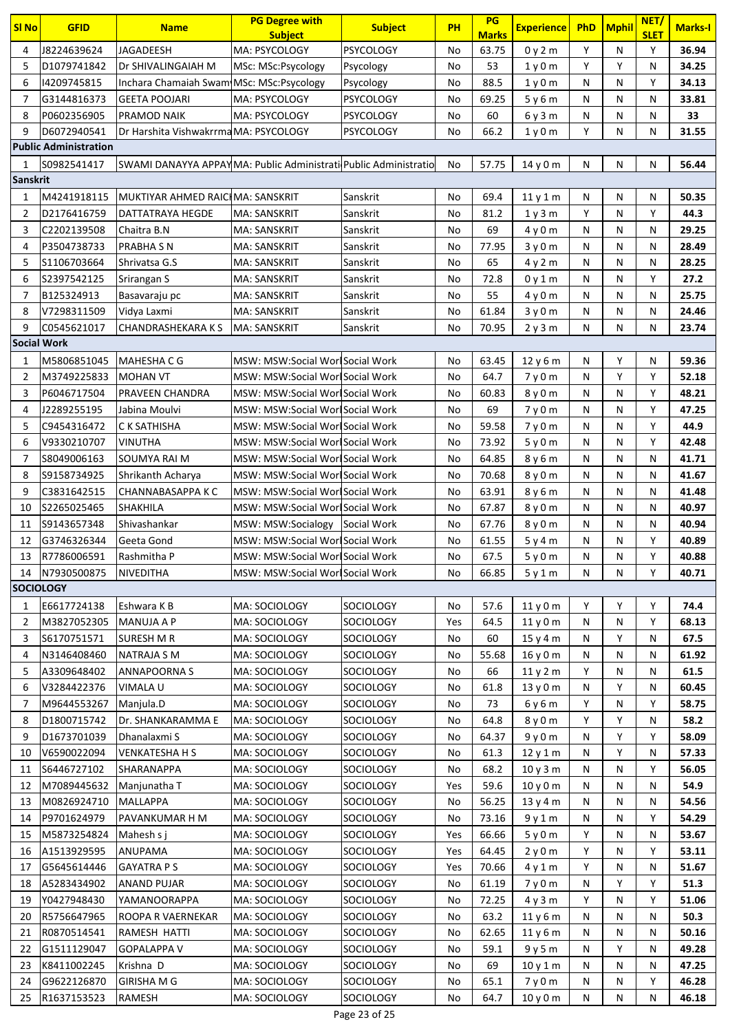| <b>SI No</b>       | <b>GFID</b>                  | <b>Name</b>                                                     | <b>PG Degree with</b><br><b>Subject</b>                           | <b>Subject</b>   | <b>PH</b> | PG<br><b>Marks</b> | <b>Experience</b>             | PhD    | <b>Mphil</b> | NET/<br><b>SLET</b> | Marks-I        |
|--------------------|------------------------------|-----------------------------------------------------------------|-------------------------------------------------------------------|------------------|-----------|--------------------|-------------------------------|--------|--------------|---------------------|----------------|
| 4                  | J8224639624                  | <b>JAGADEESH</b>                                                | MA: PSYCOLOGY                                                     | <b>PSYCOLOGY</b> | No        | 63.75              | 0y2m                          | Υ      | N            | Y                   | 36.94          |
| 5                  | D1079741842                  | Dr SHIVALINGAIAH M                                              | MSc: MSc:Psycology                                                | Psycology        | No        | 53                 | 1 <sub>V</sub> 0 <sub>m</sub> | Y      | Y            | N                   | 34.25          |
| 6                  | 14209745815                  | Inchara Chamaiah Swam MSc: MSc: Psycology                       |                                                                   | Psycology        | No        | 88.5               | 1y0m                          | N      | N            | Υ                   | 34.13          |
| $\overline{7}$     | G3144816373                  | <b>GEETA POOJARI</b>                                            | MA: PSYCOLOGY                                                     | <b>PSYCOLOGY</b> | No        | 69.25              | 5y6m                          | N      | N            | N                   | 33.81          |
| 8                  | P0602356905                  | <b>PRAMOD NAIK</b>                                              | <b>MA: PSYCOLOGY</b>                                              | <b>PSYCOLOGY</b> | No        | 60                 | 6y3m                          | N      | N            | N                   | 33             |
| 9                  | D6072940541                  | Dr Harshita Vishwakrrma MA: PSYCOLOGY                           |                                                                   | <b>PSYCOLOGY</b> | No        | 66.2               | 1y0m                          | Y      | N            | N                   | 31.55          |
|                    | <b>Public Administration</b> |                                                                 |                                                                   |                  |           |                    |                               |        |              |                     |                |
| 1                  | S0982541417                  | SWAMI DANAYYA APPAYMA: Public Administrati Public Administratio |                                                                   |                  | No        | 57.75              | 14 y 0 m                      | N      | N            | N                   | 56.44          |
| <b>Sanskrit</b>    |                              |                                                                 |                                                                   |                  |           |                    |                               |        |              |                     |                |
| 1                  | M4241918115                  | MUKTIYAR AHMED RAICIMA: SANSKRIT                                |                                                                   | Sanskrit         | No        | 69.4               | 11y1m                         | N      | N            | N                   | 50.35          |
| 2                  | D2176416759                  | DATTATRAYA HEGDE                                                | MA: SANSKRIT                                                      | Sanskrit         | No        | 81.2               | 1 y 3 m                       | Y      | N            | Y                   | 44.3           |
| 3                  | C2202139508                  | Chaitra B.N                                                     | MA: SANSKRIT                                                      | Sanskrit         | No        | 69                 | 4y0m                          | N      | N            | N                   | 29.25          |
| 4                  | P3504738733                  | <b>PRABHA S N</b>                                               | <b>MA: SANSKRIT</b>                                               | Sanskrit         | No        | 77.95              | 3y0m                          | N      | N            | N                   | 28.49          |
| 5                  | S1106703664                  | Shrivatsa G.S                                                   | MA: SANSKRIT                                                      | Sanskrit         | No        | 65                 | 4y2m                          | N      | N            | N                   | 28.25          |
| 6                  | S2397542125                  | Srirangan S                                                     | MA: SANSKRIT                                                      | Sanskrit         | No        | 72.8               | 0y1m                          | N      | N            | Υ                   | 27.2           |
| 7                  | B125324913                   | Basavaraju pc                                                   | MA: SANSKRIT                                                      | Sanskrit         | No        | 55                 | 4 y 0 m                       | N      | N            | N                   | 25.75          |
| 8                  | V7298311509                  | Vidya Laxmi                                                     | <b>MA: SANSKRIT</b>                                               | Sanskrit         | No        | 61.84              | 3y0m                          | N      | N            | N                   | 24.46          |
| 9                  | C0545621017                  | <b>CHANDRASHEKARAKS</b>                                         | MA: SANSKRIT                                                      | Sanskrit         | No        | 70.95              | 2y3m                          | N      | N            | N                   | 23.74          |
| <b>Social Work</b> |                              |                                                                 |                                                                   |                  |           |                    |                               |        |              |                     |                |
| 1                  | M5806851045                  | MAHESHA C G                                                     | MSW: MSW:Social Worl Social Work                                  |                  | No        | 63.45              | 12 y 6 m                      | N      | Υ            | N                   | 59.36          |
| $\overline{2}$     | M3749225833                  | <b>MOHAN VT</b>                                                 | MSW: MSW:Social Worl Social Work                                  |                  | No        | 64.7               | 7y0m                          | N      | Υ            | Υ                   | 52.18          |
| 3                  | P6046717504                  | PRAVEEN CHANDRA                                                 | MSW: MSW:Social Worl Social Work                                  |                  | No        | 60.83              | 8 y 0 m                       | N      | N            | Υ                   | 48.21          |
| 4                  | J2289255195                  | Jabina Moulvi                                                   | MSW: MSW:Social Worl Social Work                                  |                  | No        | 69                 | 7y0m                          | N      | N            | Y                   | 47.25          |
| 5                  | C9454316472                  | C K SATHISHA                                                    | MSW: MSW:Social Worl Social Work                                  |                  | No        | 59.58              | 7y0m                          | N      | N            | Υ                   | 44.9           |
| 6                  | V9330210707                  | <b>VINUTHA</b>                                                  | MSW: MSW:Social Worl Social Work                                  |                  | No        | 73.92              | 5y0m                          | N      | N            | Y                   | 42.48          |
| 7                  | S8049006163                  | SOUMYA RAI M                                                    | MSW: MSW:Social Worl Social Work                                  |                  | No        | 64.85              | 8 y 6 m                       | N      | N            | N                   | 41.71          |
| 8                  | S9158734925                  | Shrikanth Acharya                                               | MSW: MSW:Social Worl Social Work                                  |                  | No        | 70.68              | 8 y 0 m                       | N      | N            | N                   | 41.67          |
| 9                  | C3831642515                  | <b>CHANNABASAPPA K C</b>                                        | MSW: MSW:Social Worl Social Work                                  |                  | No        | 63.91              | 8 y 6 m                       | N<br>N | N            | N                   | 41.48          |
| 10<br>11           | S2265025465<br>S9143657348   | SHAKHILA<br>Shivashankar                                        | MSW: MSW:Social WorlSocial Work<br>MSW: MSW:Socialogy Social Work |                  | No        | 67.87<br>67.76     | 8y0m                          | N      | N<br>N       | N<br>N              | 40.97<br>40.94 |
| 12                 | G3746326344                  | Geeta Gond                                                      | MSW: MSW:Social Worl Social Work                                  |                  | No<br>No  | 61.55              | 8 y 0 m<br>5y4m               | N      | N            | Υ                   | 40.89          |
| 13                 | R7786006591                  | Rashmitha P                                                     | MSW: MSW:Social Worl Social Work                                  |                  | No        | 67.5               | 5y0m                          | N      | N            | Y                   | 40.88          |
| 14                 | N7930500875                  | NIVEDITHA                                                       | MSW: MSW:Social Worl Social Work                                  |                  | No        | 66.85              | 5y1m                          | N      | N            | Y                   | 40.71          |
| <b>SOCIOLOGY</b>   |                              |                                                                 |                                                                   |                  |           |                    |                               |        |              |                     |                |
| 1                  | E6617724138                  | Eshwara K B                                                     | MA: SOCIOLOGY                                                     | <b>SOCIOLOGY</b> | No        | 57.6               | 11y0m                         | Υ      | Υ            | Υ                   | 74.4           |
| 2                  | M3827052305                  | <b>MANUJA A P</b>                                               | MA: SOCIOLOGY                                                     | SOCIOLOGY        | Yes       | 64.5               | 11y0m                         | N      | N            | Υ                   | 68.13          |
| 3                  | S6170751571                  | <b>SURESH M R</b>                                               | MA: SOCIOLOGY                                                     | SOCIOLOGY        | No        | 60                 | 15y4m                         | N      | Υ            | N                   | 67.5           |
| 4                  | N3146408460                  | <b>NATRAJA S M</b>                                              | MA: SOCIOLOGY                                                     | SOCIOLOGY        | No        | 55.68              | 16 y 0 m                      | N      | N            | N                   | 61.92          |
| 5                  | A3309648402                  | <b>ANNAPOORNA S</b>                                             | MA: SOCIOLOGY                                                     | SOCIOLOGY        | No        | 66                 | 11y2m                         | Υ      | N            | N                   | 61.5           |
| 6                  | V3284422376                  | VIMALA U                                                        | MA: SOCIOLOGY                                                     | <b>SOCIOLOGY</b> | No        | 61.8               | 13 y 0 m                      | N      | Υ            | N                   | 60.45          |
| 7                  | M9644553267                  | Manjula.D                                                       | MA: SOCIOLOGY                                                     | <b>SOCIOLOGY</b> | No        | 73                 | 6 y 6 m                       | Υ      | N            | Υ                   | 58.75          |
| 8                  | D1800715742                  | Dr. SHANKARAMMA E                                               | MA: SOCIOLOGY                                                     | SOCIOLOGY        | No        | 64.8               | 8 y 0 m                       | Y      | Y            | N                   | 58.2           |
| 9                  | D1673701039                  | Dhanalaxmi S                                                    | MA: SOCIOLOGY                                                     | SOCIOLOGY        | No        | 64.37              | 9y0m                          | N      | Y            | Υ                   | 58.09          |
| 10                 | V6590022094                  | <b>VENKATESHA H S</b>                                           | MA: SOCIOLOGY                                                     | <b>SOCIOLOGY</b> | No        | 61.3               | 12y1m                         | N      | Υ            | N                   | 57.33          |
| 11                 | S6446727102                  | SHARANAPPA                                                      | MA: SOCIOLOGY                                                     | SOCIOLOGY        | No        | 68.2               | 10 y 3 m                      | N      | N            | Υ                   | 56.05          |
| 12                 | M7089445632                  | Manjunatha T                                                    | MA: SOCIOLOGY                                                     | SOCIOLOGY        | Yes       | 59.6               | 10 y 0 m                      | N      | N            | N                   | 54.9           |
| 13                 | M0826924710                  | <b>MALLAPPA</b>                                                 | MA: SOCIOLOGY                                                     | SOCIOLOGY        | No        | 56.25              | 13y4m                         | N      | N            | Ν                   | 54.56          |
| 14                 | P9701624979                  | PAVANKUMAR H M                                                  | MA: SOCIOLOGY                                                     | <b>SOCIOLOGY</b> | No        | 73.16              | 9y1m                          | N      | N            | Υ                   | 54.29          |
| 15                 | M5873254824                  | Mahesh s j                                                      | MA: SOCIOLOGY                                                     | <b>SOCIOLOGY</b> | Yes       | 66.66              | 5y0m                          | Υ      | N            | Ν                   | 53.67          |
| 16                 | A1513929595                  | <b>ANUPAMA</b>                                                  | MA: SOCIOLOGY                                                     | <b>SOCIOLOGY</b> | Yes       | 64.45              | 2y0m                          | Y      | N            | Y                   | 53.11          |
| 17                 | G5645614446                  | <b>GAYATRA PS</b>                                               | MA: SOCIOLOGY                                                     | SOCIOLOGY        | Yes       | 70.66              | 4y1m                          | Υ      | N            | N                   | 51.67          |
| 18                 | A5283434902                  | <b>ANAND PUJAR</b>                                              | MA: SOCIOLOGY                                                     | SOCIOLOGY        | No        | 61.19              | 7y0m                          | N      | Y            | Υ                   | 51.3           |
| 19                 | Y0427948430                  | YAMANOORAPPA                                                    | MA: SOCIOLOGY                                                     | <b>SOCIOLOGY</b> | No        | 72.25              | 4y3m                          | Υ      | N            | Υ                   | 51.06          |
| 20                 | R5756647965                  | ROOPA R VAERNEKAR                                               | MA: SOCIOLOGY                                                     | SOCIOLOGY        | No        | 63.2               | 11y6m                         | N      | N            | N                   | 50.3           |
| 21                 | R0870514541                  | RAMESH HATTI                                                    | MA: SOCIOLOGY                                                     | <b>SOCIOLOGY</b> | No        | 62.65              | 11y6m                         | N      | N            | N                   | 50.16          |
| 22                 | G1511129047                  | <b>GOPALAPPA V</b>                                              | MA: SOCIOLOGY                                                     | SOCIOLOGY        | No        | 59.1               | 9y5m                          | N      | Υ            | N                   | 49.28          |
| 23                 | K8411002245                  | Krishna D                                                       | MA: SOCIOLOGY                                                     | SOCIOLOGY        | No        | 69                 | 10v1m                         | N      | N            | N                   | 47.25          |
| 24                 | G9622126870                  | <b>GIRISHA M G</b>                                              | MA: SOCIOLOGY                                                     | SOCIOLOGY        | No        | 65.1               | 7y0m                          | N      | N            | Υ                   | 46.28          |
| 25                 | R1637153523                  | <b>RAMESH</b>                                                   | MA: SOCIOLOGY                                                     | SOCIOLOGY        | No        | 64.7               | 10y0m                         | N      | N            | N                   | 46.18          |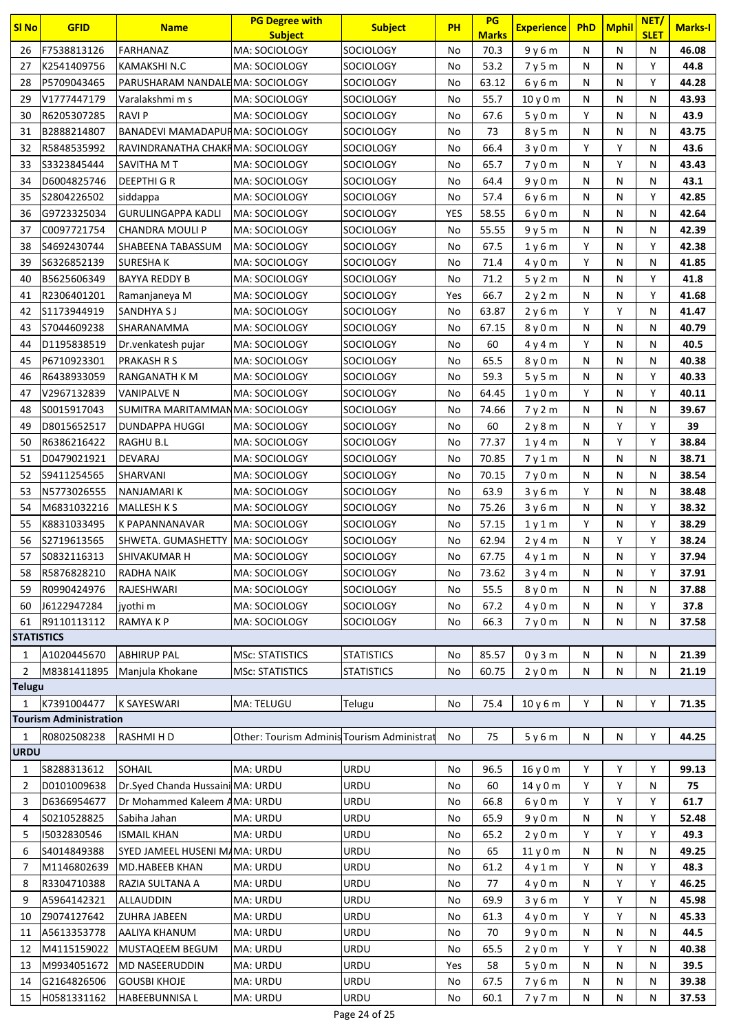| <b>SI No</b>            | <b>GFID</b>                   | <b>Name</b>                            | <b>PG Degree with</b>                      | <b>Subject</b>                         | <b>PH</b>  | PG                   | <b>Experience</b>             | <b>PhD</b> | <b>Mphil</b> | NET/             | <b>Marks-I</b> |
|-------------------------|-------------------------------|----------------------------------------|--------------------------------------------|----------------------------------------|------------|----------------------|-------------------------------|------------|--------------|------------------|----------------|
| 26                      | F7538813126                   | <b>FARHANAZ</b>                        | <b>Subject</b><br>MA: SOCIOLOGY            | <b>SOCIOLOGY</b>                       | No         | <b>Marks</b><br>70.3 | 9y6m                          | N          | N            | <b>SLET</b><br>N | 46.08          |
| 27                      | K2541409756                   | KAMAKSHI N.C                           | MA: SOCIOLOGY                              | <b>SOCIOLOGY</b>                       | No         | 53.2                 | 7y5m                          | N          | N            | Y                | 44.8           |
| 28                      | P5709043465                   | PARUSHARAM NANDALE MA: SOCIOLOGY       |                                            | <b>SOCIOLOGY</b>                       | No         | 63.12                | 6y6m                          | N          | N            | Υ                | 44.28          |
| 29                      | V1777447179                   | Varalakshmi m s                        | MA: SOCIOLOGY                              | <b>SOCIOLOGY</b>                       | No         | 55.7                 | 10y0m                         | N          | N            | N                | 43.93          |
| 30                      | R6205307285                   | <b>RAVIP</b>                           | MA: SOCIOLOGY                              | <b>SOCIOLOGY</b>                       | No         | 67.6                 | 5y0m                          | Υ          | N            | N                | 43.9           |
| 31                      | B2888214807                   | <b>BANADEVI MAMADAPURMA: SOCIOLOGY</b> |                                            | <b>SOCIOLOGY</b>                       | No         | 73                   | 8y5m                          | N          | N            | N                | 43.75          |
| 32                      | R5848535992                   | RAVINDRANATHA CHAKRMA: SOCIOLOGY       |                                            | <b>SOCIOLOGY</b>                       | No         | 66.4                 | 3y0m                          | Υ          | Y            | N                | 43.6           |
| 33                      | \$3323845444                  | SAVITHA M T                            | MA: SOCIOLOGY                              | <b>SOCIOLOGY</b>                       | No         | 65.7                 | 7y0m                          | N          | Υ            | N                | 43.43          |
| 34                      | D6004825746                   | <b>DEEPTHI G R</b>                     | MA: SOCIOLOGY                              | <b>SOCIOLOGY</b>                       | No         | 64.4                 | 9y0m                          | N          | N            | N                | 43.1           |
| 35                      | S2804226502                   | siddappa                               | MA: SOCIOLOGY                              | <b>SOCIOLOGY</b>                       | No         | 57.4                 | 6y6m                          | N          | N            | Υ                | 42.85          |
| 36                      | G9723325034                   | <b>GURULINGAPPA KADLI</b>              | MA: SOCIOLOGY                              | <b>SOCIOLOGY</b>                       | <b>YES</b> | 58.55                | 6y0m                          | N          | N            | N                | 42.64          |
| 37                      | C0097721754                   | CHANDRA MOULI P                        | MA: SOCIOLOGY                              | <b>SOCIOLOGY</b>                       | No         | 55.55                | 9y5m                          | N          | N            | N                | 42.39          |
| 38                      | S4692430744                   | SHABEENA TABASSUM                      | MA: SOCIOLOGY                              | <b>SOCIOLOGY</b>                       | No         | 67.5                 | 1y6m                          | Y          | N            | Υ                | 42.38          |
| 39                      | \$6326852139                  | SURESHA K                              | MA: SOCIOLOGY                              | <b>SOCIOLOGY</b>                       | No         | 71.4                 | 4y0m                          | Υ          | N            | N                | 41.85          |
| 40                      | B5625606349                   | <b>BAYYA REDDY B</b>                   | MA: SOCIOLOGY                              | <b>SOCIOLOGY</b>                       | No         | 71.2                 | 5y2m                          | N          | N            | Υ                | 41.8           |
| 41                      | R2306401201                   | Ramanjaneya M                          | MA: SOCIOLOGY                              | SOCIOLOGY                              | Yes        | 66.7                 | 2y2m                          | N          | N            | Y                | 41.68          |
| 42                      | S1173944919                   | SANDHYA S J                            | MA: SOCIOLOGY                              | <b>SOCIOLOGY</b>                       | No         | 63.87                | 2y6m                          | Y          | Υ            | N                | 41.47          |
| 43                      | S7044609238                   | SHARANAMMA                             | MA: SOCIOLOGY                              | <b>SOCIOLOGY</b>                       | No         | 67.15                | 8 y 0 m                       | N          | N            | N                | 40.79          |
| 44                      | D1195838519                   | Dr. venkatesh pujar                    | MA: SOCIOLOGY                              | <b>SOCIOLOGY</b>                       | No         | 60                   | 4y4m                          | Υ          | N            | N                | 40.5           |
| 45                      | P6710923301                   | <b>PRAKASH R S</b>                     | MA: SOCIOLOGY                              | <b>SOCIOLOGY</b>                       | No         | 65.5                 | 8 y 0 m                       | N          | N            | N                | 40.38          |
| 46                      | R6438933059                   | RANGANATH K M                          | MA: SOCIOLOGY                              | <b>SOCIOLOGY</b>                       | No         | 59.3                 | 5y5m                          | N          | N            | Υ                | 40.33          |
| 47                      | V2967132839                   | VANIPALVE N                            | MA: SOCIOLOGY                              | <b>SOCIOLOGY</b>                       | No         | 64.45                | 1y0m                          | Υ          | N            | Y                | 40.11          |
| 48                      | S0015917043                   | SUMITRA MARITAMMANMA: SOCIOLOGY        |                                            | <b>SOCIOLOGY</b>                       | No         | 74.66                | 7y2m                          | N          | N            | N                | 39.67          |
| 49                      | D8015652517                   | DUNDAPPA HUGGI                         | MA: SOCIOLOGY                              | SOCIOLOGY                              | No         | 60                   | 2y8m                          | N          | Υ            | Υ                | 39             |
| 50                      | R6386216422                   | RAGHU B.L                              | MA: SOCIOLOGY                              | SOCIOLOGY                              | No         | 77.37                | 1y4m                          | N          | Υ            | Υ                | 38.84          |
| 51                      | D0479021921                   | DEVARAJ                                | MA: SOCIOLOGY                              | <b>SOCIOLOGY</b>                       | No         | 70.85                | 7y1m                          | N          | N            | N                | 38.71          |
| 52                      | S9411254565                   | SHARVANI                               | MA: SOCIOLOGY                              | <b>SOCIOLOGY</b>                       | No         | 70.15                | 7y0m                          | N          | N            | N                | 38.54          |
| 53                      | N5773026555                   | NANJAMARI K                            | MA: SOCIOLOGY                              | <b>SOCIOLOGY</b>                       | No         | 63.9                 | 3y6m                          | Υ          | N            | N                | 38.48          |
| 54                      | M6831032216                   | <b>MALLESH K S</b>                     | MA: SOCIOLOGY                              | <b>SOCIOLOGY</b>                       | No         | 75.26                | 3y6m                          | N          | N            | Y                | 38.32          |
| 55                      | K8831033495                   | K PAPANNANAVAR                         | MA: SOCIOLOGY                              | <b>SOCIOLOGY</b>                       | No         | 57.15                | 1y1m                          | Υ          | Ν            | Υ                | 38.29          |
| 56                      | S2719613565                   | SHWETA. GUMASHETTY                     | MA: SOCIOLOGY                              | <b>SOCIOLOGY</b>                       | No         | 62.94                | 2y4m                          | N          | Υ            | Υ                | 38.24          |
| 57                      | S0832116313                   | SHIVAKUMAR H                           | MA: SOCIOLOGY                              | <b>SOCIOLOGY</b>                       | No         | 67.75                | 4y1m                          | N          | N            | Y                | 37.94          |
| 58                      | R5876828210                   | <b>RADHA NAIK</b>                      | MA: SOCIOLOGY                              | <b>SOCIOLOGY</b>                       | No         | 73.62                | 3y4m                          | N          | N            | Y                | 37.91          |
| 59                      | R0990424976                   | RAJESHWARI                             | MA: SOCIOLOGY                              | <b>SOCIOLOGY</b>                       | No         | 55.5                 | 8 <sub>V</sub> 0 <sub>m</sub> | N          | N            | N                | 37.88          |
| 60                      | J6122947284                   | jyothi m                               | MA: SOCIOLOGY                              | <b>SOCIOLOGY</b>                       | No         | 67.2                 | 4y0m                          | Ν          | N            | Υ                | 37.8           |
| 61<br><b>STATISTICS</b> | R9110113112                   | RAMYA K P                              | MA: SOCIOLOGY                              | <b>SOCIOLOGY</b>                       | No         | 66.3                 | 7y0m                          | N          | N            | N                | 37.58          |
|                         |                               |                                        | <b>MSc: STATISTICS</b>                     |                                        |            | 85.57                |                               |            |              |                  |                |
| 1<br>$\overline{2}$     | A1020445670<br>M8381411895    | <b>ABHIRUP PAL</b><br>Manjula Khokane  | <b>MSc: STATISTICS</b>                     | <b>STATISTICS</b><br><b>STATISTICS</b> | No<br>No   | 60.75                | 0y3m<br>2y0m                  | Ν<br>N     | Ν<br>Ν       | N<br>Ν           | 21.39<br>21.19 |
| <b>Telugu</b>           |                               |                                        |                                            |                                        |            |                      |                               |            |              |                  |                |
| $\mathbf{1}$            | K7391004477                   | <b>K SAYESWARI</b>                     | MA: TELUGU                                 | Telugu                                 | No         | 75.4                 | 10y6m                         | Y          | N            | Υ                | 71.35          |
|                         | <b>Tourism Administration</b> |                                        |                                            |                                        |            |                      |                               |            |              |                  |                |
| 1                       | R0802508238                   | RASHMI H D                             | Other: Tourism Adminis Tourism Administrat |                                        | No         | 75                   | 5y6m                          | N          | N            | Υ                | 44.25          |
| <b>URDU</b>             |                               |                                        |                                            |                                        |            |                      |                               |            |              |                  |                |
| 1                       | S8288313612                   | <b>SOHAIL</b>                          | MA: URDU                                   | URDU                                   | No         | 96.5                 | 16 y 0 m                      | Y          | Υ            | Υ                | 99.13          |
| $\overline{2}$          | D0101009638                   | Dr.Syed Chanda Hussaini MA: URDU       |                                            | URDU                                   | No         | 60                   | 14y0m                         | Υ          | Υ            | N                | 75             |
| 3                       | D6366954677                   | Dr Mohammed Kaleem AMA: URDU           |                                            | URDU                                   | No         | 66.8                 | 6y0m                          | Y          | Y            | Υ                | 61.7           |
| 4                       | S0210528825                   | Sabiha Jahan                           | MA: URDU                                   | URDU                                   | No         | 65.9                 | 9y0m                          | Ν          | Ν            | Υ                | 52.48          |
| 5                       | 15032830546                   | <b>ISMAIL KHAN</b>                     | MA: URDU                                   | URDU                                   | No         | 65.2                 | 2y0m                          | Υ          | Y            | Υ                | 49.3           |
| 6                       | S4014849388                   | SYED JAMEEL HUSENI MAMA: URDU          |                                            | URDU                                   | No         | 65                   | 11y0m                         | N          | N            | N                | 49.25          |
| 7                       | M1146802639                   | MD.HABEEB KHAN                         | MA: URDU                                   | URDU                                   | No         | 61.2                 | 4y1m                          | Y          | N            | Υ                | 48.3           |
| 8                       | R3304710388                   | RAZIA SULTANA A                        | MA: URDU                                   | URDU                                   | No         | 77                   | 4y0m                          | N          | Υ            | Υ                | 46.25          |
| 9                       | A5964142321                   | ALLAUDDIN                              | MA: URDU                                   | URDU                                   | No         | 69.9                 | 3y6m                          | Y          | Υ            | N                | 45.98          |
| 10                      | Z9074127642                   | <b>ZUHRA JABEEN</b>                    | MA: URDU                                   | URDU                                   | No         | 61.3                 | 4y0m                          | Y          | Υ            | Ν                | 45.33          |
| 11                      | A5613353778                   | AALIYA KHANUM                          | MA: URDU                                   | URDU                                   | No         | 70                   | 9y0m                          | N          | N            | N                | 44.5           |
| 12                      | M4115159022                   | MUSTAQEEM BEGUM                        | MA: URDU                                   | URDU                                   | No         | 65.5                 | 2y0m                          | Y          | Y            | N                | 40.38          |
| 13                      | M9934051672                   | <b>MD NASEERUDDIN</b>                  | MA: URDU                                   | URDU                                   | Yes        | 58                   | 5y0m                          | N          | Ν            | N                | 39.5           |
| 14                      | G2164826506                   | <b>GOUSBI KHOJE</b>                    | MA: URDU                                   | URDU                                   | No         | 67.5                 | 7y6m                          | Ν          | N            | N                | 39.38          |
| 15                      | H0581331162                   | HABEEBUNNISA L                         | MA: URDU                                   | URDU                                   | No         | 60.1                 | 7y7m                          | N          | Ν            | N                | 37.53          |